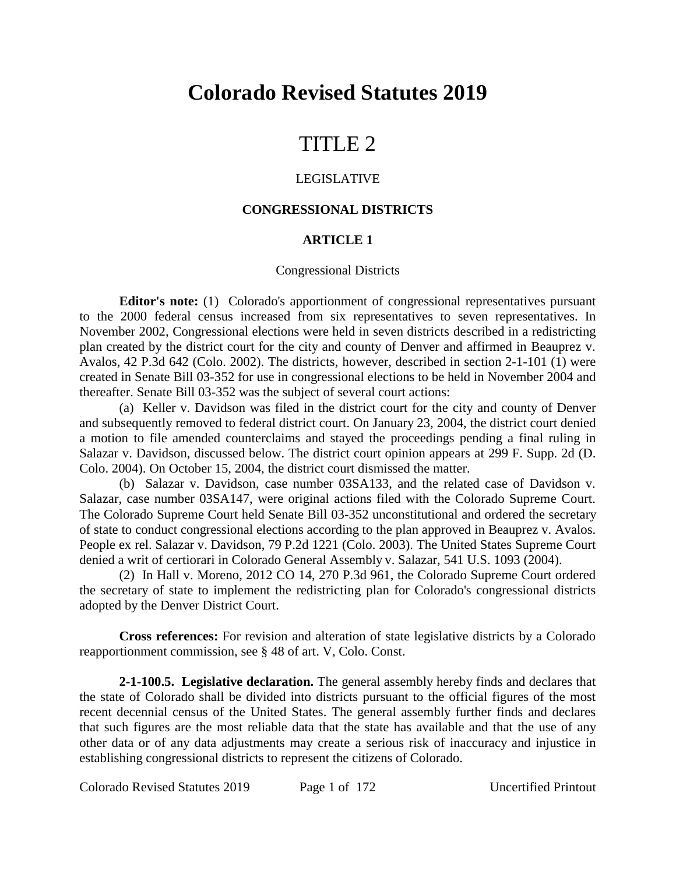# **Colorado Revised Statutes 2019**

# TITLE 2

#### LEGISLATIVE

## **CONGRESSIONAL DISTRICTS**

## **ARTICLE 1**

#### Congressional Districts

**Editor's note:** (1) Colorado's apportionment of congressional representatives pursuant to the 2000 federal census increased from six representatives to seven representatives. In November 2002, Congressional elections were held in seven districts described in a redistricting plan created by the district court for the city and county of Denver and affirmed in Beauprez v. Avalos, 42 P.3d 642 (Colo. 2002). The districts, however, described in section 2-1-101 (1) were created in Senate Bill 03-352 for use in congressional elections to be held in November 2004 and thereafter. Senate Bill 03-352 was the subject of several court actions:

(a) Keller v. Davidson was filed in the district court for the city and county of Denver and subsequently removed to federal district court. On January 23, 2004, the district court denied a motion to file amended counterclaims and stayed the proceedings pending a final ruling in Salazar v. Davidson, discussed below. The district court opinion appears at 299 F. Supp. 2d (D. Colo. 2004). On October 15, 2004, the district court dismissed the matter.

(b) Salazar v. Davidson, case number 03SA133, and the related case of Davidson v. Salazar, case number 03SA147, were original actions filed with the Colorado Supreme Court. The Colorado Supreme Court held Senate Bill 03-352 unconstitutional and ordered the secretary of state to conduct congressional elections according to the plan approved in Beauprez v. Avalos. People ex rel. Salazar v. Davidson, 79 P.2d 1221 (Colo. 2003). The United States Supreme Court denied a writ of certiorari in Colorado General Assembly v. Salazar, 541 U.S. 1093 (2004).

(2) In Hall v. Moreno, 2012 CO 14, 270 P.3d 961, the Colorado Supreme Court ordered the secretary of state to implement the redistricting plan for Colorado's congressional districts adopted by the Denver District Court.

**Cross references:** For revision and alteration of state legislative districts by a Colorado reapportionment commission, see § 48 of art. V, Colo. Const.

**2-1-100.5. Legislative declaration.** The general assembly hereby finds and declares that the state of Colorado shall be divided into districts pursuant to the official figures of the most recent decennial census of the United States. The general assembly further finds and declares that such figures are the most reliable data that the state has available and that the use of any other data or of any data adjustments may create a serious risk of inaccuracy and injustice in establishing congressional districts to represent the citizens of Colorado.

Colorado Revised Statutes 2019 Page 1 of 172 Uncertified Printout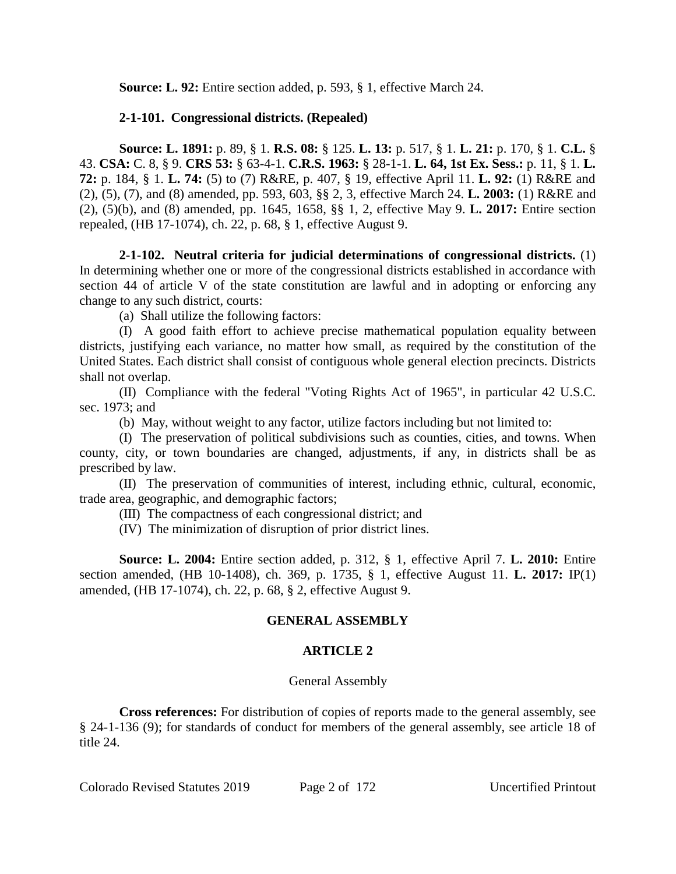**Source: L. 92:** Entire section added, p. 593, § 1, effective March 24.

# **2-1-101. Congressional districts. (Repealed)**

**Source: L. 1891:** p. 89, § 1. **R.S. 08:** § 125. **L. 13:** p. 517, § 1. **L. 21:** p. 170, § 1. **C.L.** § 43. **CSA:** C. 8, § 9. **CRS 53:** § 63-4-1. **C.R.S. 1963:** § 28-1-1. **L. 64, 1st Ex. Sess.:** p. 11, § 1. **L. 72:** p. 184, § 1. **L. 74:** (5) to (7) R&RE, p. 407, § 19, effective April 11. **L. 92:** (1) R&RE and (2), (5), (7), and (8) amended, pp. 593, 603, §§ 2, 3, effective March 24. **L. 2003:** (1) R&RE and (2), (5)(b), and (8) amended, pp. 1645, 1658, §§ 1, 2, effective May 9. **L. 2017:** Entire section repealed, (HB 17-1074), ch. 22, p. 68, § 1, effective August 9.

**2-1-102. Neutral criteria for judicial determinations of congressional districts.** (1) In determining whether one or more of the congressional districts established in accordance with section 44 of article V of the state constitution are lawful and in adopting or enforcing any change to any such district, courts:

(a) Shall utilize the following factors:

(I) A good faith effort to achieve precise mathematical population equality between districts, justifying each variance, no matter how small, as required by the constitution of the United States. Each district shall consist of contiguous whole general election precincts. Districts shall not overlap.

(II) Compliance with the federal "Voting Rights Act of 1965", in particular 42 U.S.C. sec. 1973; and

(b) May, without weight to any factor, utilize factors including but not limited to:

(I) The preservation of political subdivisions such as counties, cities, and towns. When county, city, or town boundaries are changed, adjustments, if any, in districts shall be as prescribed by law.

(II) The preservation of communities of interest, including ethnic, cultural, economic, trade area, geographic, and demographic factors;

(III) The compactness of each congressional district; and

(IV) The minimization of disruption of prior district lines.

**Source: L. 2004:** Entire section added, p. 312, § 1, effective April 7. **L. 2010:** Entire section amended, (HB 10-1408), ch. 369, p. 1735, § 1, effective August 11. **L. 2017:** IP(1) amended, (HB 17-1074), ch. 22, p. 68, § 2, effective August 9.

# **GENERAL ASSEMBLY**

# **ARTICLE 2**

# General Assembly

**Cross references:** For distribution of copies of reports made to the general assembly, see § 24-1-136 (9); for standards of conduct for members of the general assembly, see article 18 of title 24.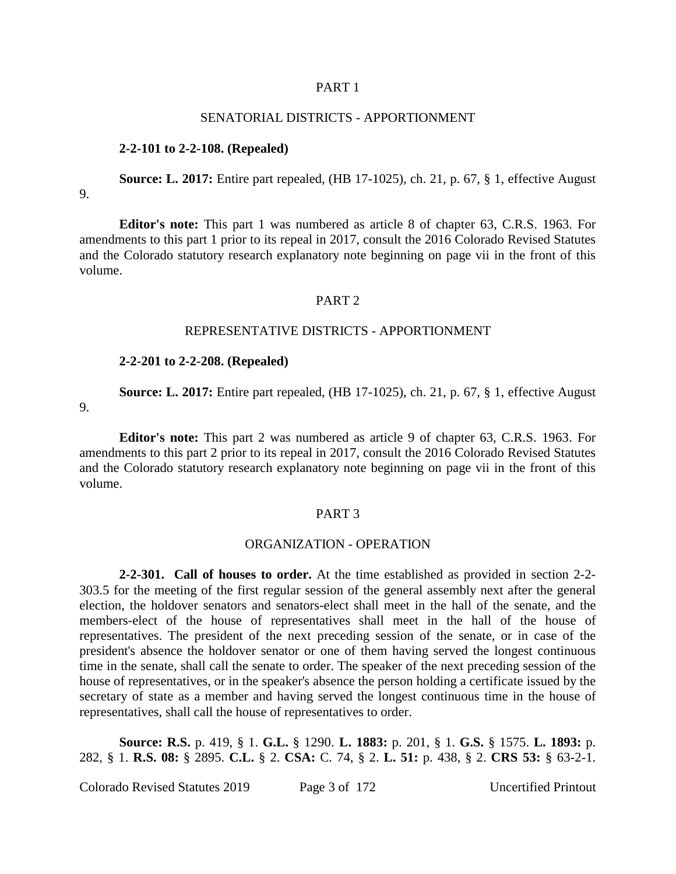#### PART 1

#### SENATORIAL DISTRICTS - APPORTIONMENT

#### **2-2-101 to 2-2-108. (Repealed)**

**Source: L. 2017:** Entire part repealed, (HB 17-1025), ch. 21, p. 67, § 1, effective August 9.

**Editor's note:** This part 1 was numbered as article 8 of chapter 63, C.R.S. 1963. For amendments to this part 1 prior to its repeal in 2017, consult the 2016 Colorado Revised Statutes and the Colorado statutory research explanatory note beginning on page vii in the front of this volume.

#### PART<sub>2</sub>

#### REPRESENTATIVE DISTRICTS - APPORTIONMENT

#### **2-2-201 to 2-2-208. (Repealed)**

**Source: L. 2017:** Entire part repealed, (HB 17-1025), ch. 21, p. 67, § 1, effective August

9.

**Editor's note:** This part 2 was numbered as article 9 of chapter 63, C.R.S. 1963. For amendments to this part 2 prior to its repeal in 2017, consult the 2016 Colorado Revised Statutes and the Colorado statutory research explanatory note beginning on page vii in the front of this volume.

#### PART 3

#### ORGANIZATION - OPERATION

**2-2-301. Call of houses to order.** At the time established as provided in section 2-2- 303.5 for the meeting of the first regular session of the general assembly next after the general election, the holdover senators and senators-elect shall meet in the hall of the senate, and the members-elect of the house of representatives shall meet in the hall of the house of representatives. The president of the next preceding session of the senate, or in case of the president's absence the holdover senator or one of them having served the longest continuous time in the senate, shall call the senate to order. The speaker of the next preceding session of the house of representatives, or in the speaker's absence the person holding a certificate issued by the secretary of state as a member and having served the longest continuous time in the house of representatives, shall call the house of representatives to order.

**Source: R.S.** p. 419, § 1. **G.L.** § 1290. **L. 1883:** p. 201, § 1. **G.S.** § 1575. **L. 1893:** p. 282, § 1. **R.S. 08:** § 2895. **C.L.** § 2. **CSA:** C. 74, § 2. **L. 51:** p. 438, § 2. **CRS 53:** § 63-2-1.

Colorado Revised Statutes 2019 Page 3 of 172 Uncertified Printout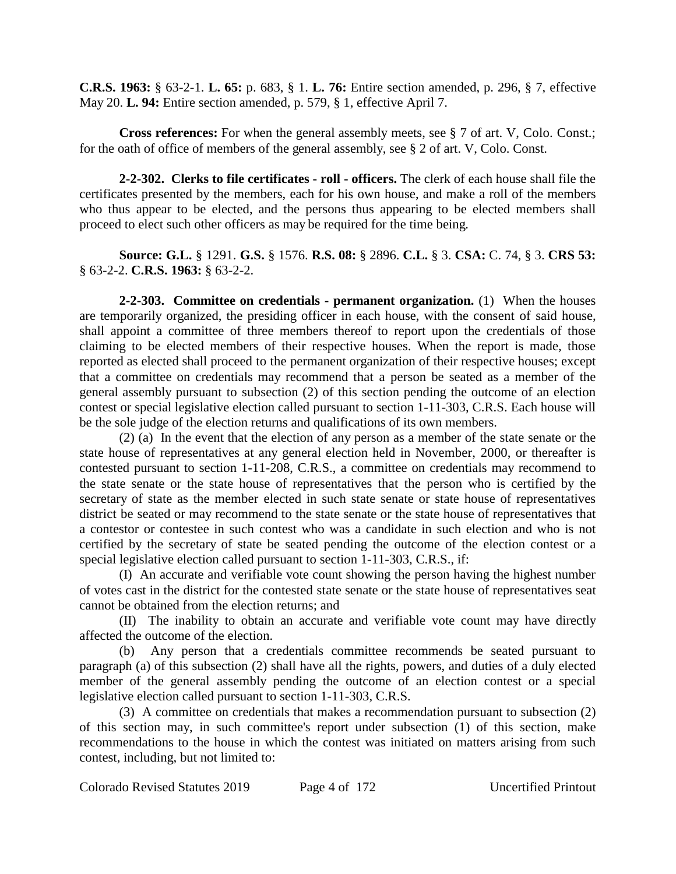**C.R.S. 1963:** § 63-2-1. **L. 65:** p. 683, § 1. **L. 76:** Entire section amended, p. 296, § 7, effective May 20. **L. 94:** Entire section amended, p. 579, § 1, effective April 7.

**Cross references:** For when the general assembly meets, see § 7 of art. V, Colo. Const.; for the oath of office of members of the general assembly, see § 2 of art. V, Colo. Const.

**2-2-302. Clerks to file certificates - roll - officers.** The clerk of each house shall file the certificates presented by the members, each for his own house, and make a roll of the members who thus appear to be elected, and the persons thus appearing to be elected members shall proceed to elect such other officers as may be required for the time being.

**Source: G.L.** § 1291. **G.S.** § 1576. **R.S. 08:** § 2896. **C.L.** § 3. **CSA:** C. 74, § 3. **CRS 53:** § 63-2-2. **C.R.S. 1963:** § 63-2-2.

**2-2-303. Committee on credentials - permanent organization.** (1) When the houses are temporarily organized, the presiding officer in each house, with the consent of said house, shall appoint a committee of three members thereof to report upon the credentials of those claiming to be elected members of their respective houses. When the report is made, those reported as elected shall proceed to the permanent organization of their respective houses; except that a committee on credentials may recommend that a person be seated as a member of the general assembly pursuant to subsection (2) of this section pending the outcome of an election contest or special legislative election called pursuant to section 1-11-303, C.R.S. Each house will be the sole judge of the election returns and qualifications of its own members.

(2) (a) In the event that the election of any person as a member of the state senate or the state house of representatives at any general election held in November, 2000, or thereafter is contested pursuant to section 1-11-208, C.R.S., a committee on credentials may recommend to the state senate or the state house of representatives that the person who is certified by the secretary of state as the member elected in such state senate or state house of representatives district be seated or may recommend to the state senate or the state house of representatives that a contestor or contestee in such contest who was a candidate in such election and who is not certified by the secretary of state be seated pending the outcome of the election contest or a special legislative election called pursuant to section 1-11-303, C.R.S., if:

(I) An accurate and verifiable vote count showing the person having the highest number of votes cast in the district for the contested state senate or the state house of representatives seat cannot be obtained from the election returns; and

(II) The inability to obtain an accurate and verifiable vote count may have directly affected the outcome of the election.

(b) Any person that a credentials committee recommends be seated pursuant to paragraph (a) of this subsection (2) shall have all the rights, powers, and duties of a duly elected member of the general assembly pending the outcome of an election contest or a special legislative election called pursuant to section 1-11-303, C.R.S.

(3) A committee on credentials that makes a recommendation pursuant to subsection (2) of this section may, in such committee's report under subsection (1) of this section, make recommendations to the house in which the contest was initiated on matters arising from such contest, including, but not limited to: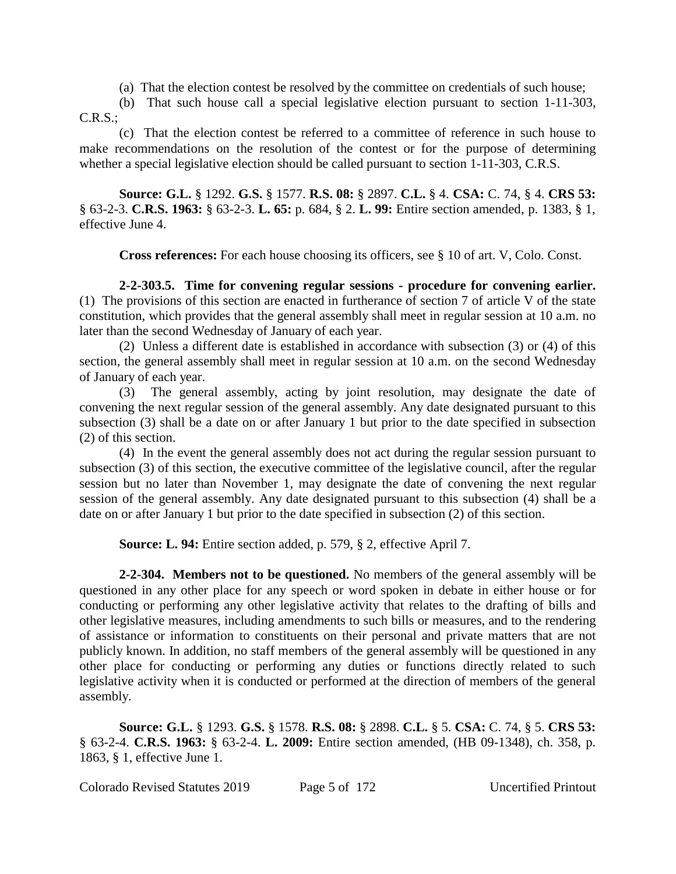(a) That the election contest be resolved by the committee on credentials of such house;

(b) That such house call a special legislative election pursuant to section 1-11-303, C.R.S.;

(c) That the election contest be referred to a committee of reference in such house to make recommendations on the resolution of the contest or for the purpose of determining whether a special legislative election should be called pursuant to section 1-11-303, C.R.S.

**Source: G.L.** § 1292. **G.S.** § 1577. **R.S. 08:** § 2897. **C.L.** § 4. **CSA:** C. 74, § 4. **CRS 53:** § 63-2-3. **C.R.S. 1963:** § 63-2-3. **L. 65:** p. 684, § 2. **L. 99:** Entire section amended, p. 1383, § 1, effective June 4.

**Cross references:** For each house choosing its officers, see § 10 of art. V, Colo. Const.

**2-2-303.5. Time for convening regular sessions - procedure for convening earlier.** (1) The provisions of this section are enacted in furtherance of section 7 of article V of the state constitution, which provides that the general assembly shall meet in regular session at 10 a.m. no later than the second Wednesday of January of each year.

(2) Unless a different date is established in accordance with subsection (3) or (4) of this section, the general assembly shall meet in regular session at 10 a.m. on the second Wednesday of January of each year.

(3) The general assembly, acting by joint resolution, may designate the date of convening the next regular session of the general assembly. Any date designated pursuant to this subsection (3) shall be a date on or after January 1 but prior to the date specified in subsection (2) of this section.

(4) In the event the general assembly does not act during the regular session pursuant to subsection (3) of this section, the executive committee of the legislative council, after the regular session but no later than November 1, may designate the date of convening the next regular session of the general assembly. Any date designated pursuant to this subsection (4) shall be a date on or after January 1 but prior to the date specified in subsection (2) of this section.

**Source: L. 94:** Entire section added, p. 579, § 2, effective April 7.

**2-2-304. Members not to be questioned.** No members of the general assembly will be questioned in any other place for any speech or word spoken in debate in either house or for conducting or performing any other legislative activity that relates to the drafting of bills and other legislative measures, including amendments to such bills or measures, and to the rendering of assistance or information to constituents on their personal and private matters that are not publicly known. In addition, no staff members of the general assembly will be questioned in any other place for conducting or performing any duties or functions directly related to such legislative activity when it is conducted or performed at the direction of members of the general assembly.

**Source: G.L.** § 1293. **G.S.** § 1578. **R.S. 08:** § 2898. **C.L.** § 5. **CSA:** C. 74, § 5. **CRS 53:** § 63-2-4. **C.R.S. 1963:** § 63-2-4. **L. 2009:** Entire section amended, (HB 09-1348), ch. 358, p. 1863, § 1, effective June 1.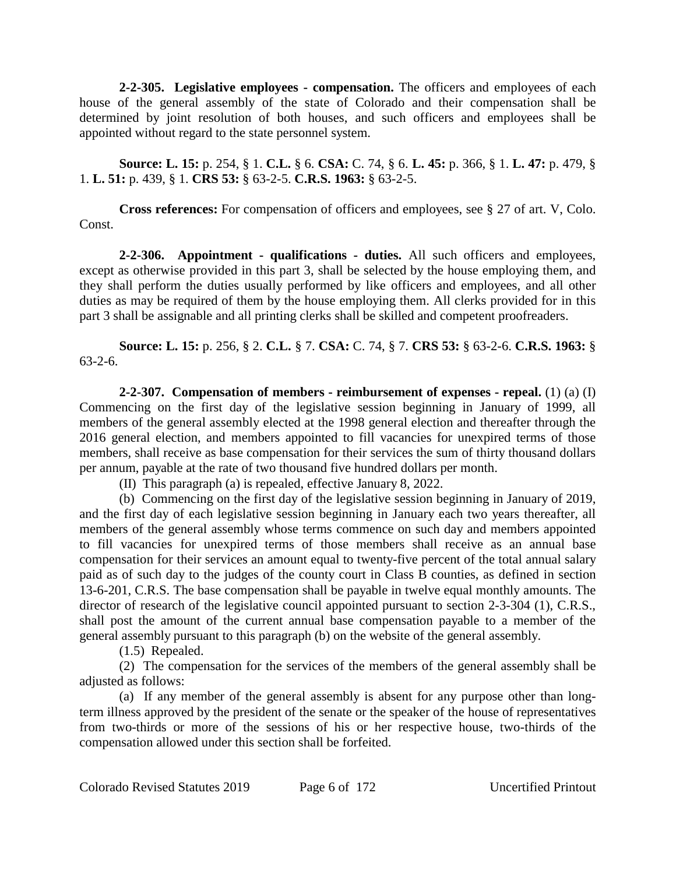**2-2-305. Legislative employees - compensation.** The officers and employees of each house of the general assembly of the state of Colorado and their compensation shall be determined by joint resolution of both houses, and such officers and employees shall be appointed without regard to the state personnel system.

**Source: L. 15:** p. 254, § 1. **C.L.** § 6. **CSA:** C. 74, § 6. **L. 45:** p. 366, § 1. **L. 47:** p. 479, § 1. **L. 51:** p. 439, § 1. **CRS 53:** § 63-2-5. **C.R.S. 1963:** § 63-2-5.

**Cross references:** For compensation of officers and employees, see § 27 of art. V, Colo. Const.

**2-2-306. Appointment - qualifications - duties.** All such officers and employees, except as otherwise provided in this part 3, shall be selected by the house employing them, and they shall perform the duties usually performed by like officers and employees, and all other duties as may be required of them by the house employing them. All clerks provided for in this part 3 shall be assignable and all printing clerks shall be skilled and competent proofreaders.

**Source: L. 15:** p. 256, § 2. **C.L.** § 7. **CSA:** C. 74, § 7. **CRS 53:** § 63-2-6. **C.R.S. 1963:** § 63-2-6.

**2-2-307. Compensation of members - reimbursement of expenses - repeal.** (1) (a) (I) Commencing on the first day of the legislative session beginning in January of 1999, all members of the general assembly elected at the 1998 general election and thereafter through the 2016 general election, and members appointed to fill vacancies for unexpired terms of those members, shall receive as base compensation for their services the sum of thirty thousand dollars per annum, payable at the rate of two thousand five hundred dollars per month.

(II) This paragraph (a) is repealed, effective January 8, 2022.

(b) Commencing on the first day of the legislative session beginning in January of 2019, and the first day of each legislative session beginning in January each two years thereafter, all members of the general assembly whose terms commence on such day and members appointed to fill vacancies for unexpired terms of those members shall receive as an annual base compensation for their services an amount equal to twenty-five percent of the total annual salary paid as of such day to the judges of the county court in Class B counties, as defined in section 13-6-201, C.R.S. The base compensation shall be payable in twelve equal monthly amounts. The director of research of the legislative council appointed pursuant to section 2-3-304 (1), C.R.S., shall post the amount of the current annual base compensation payable to a member of the general assembly pursuant to this paragraph (b) on the website of the general assembly.

(1.5) Repealed.

(2) The compensation for the services of the members of the general assembly shall be adjusted as follows:

(a) If any member of the general assembly is absent for any purpose other than longterm illness approved by the president of the senate or the speaker of the house of representatives from two-thirds or more of the sessions of his or her respective house, two-thirds of the compensation allowed under this section shall be forfeited.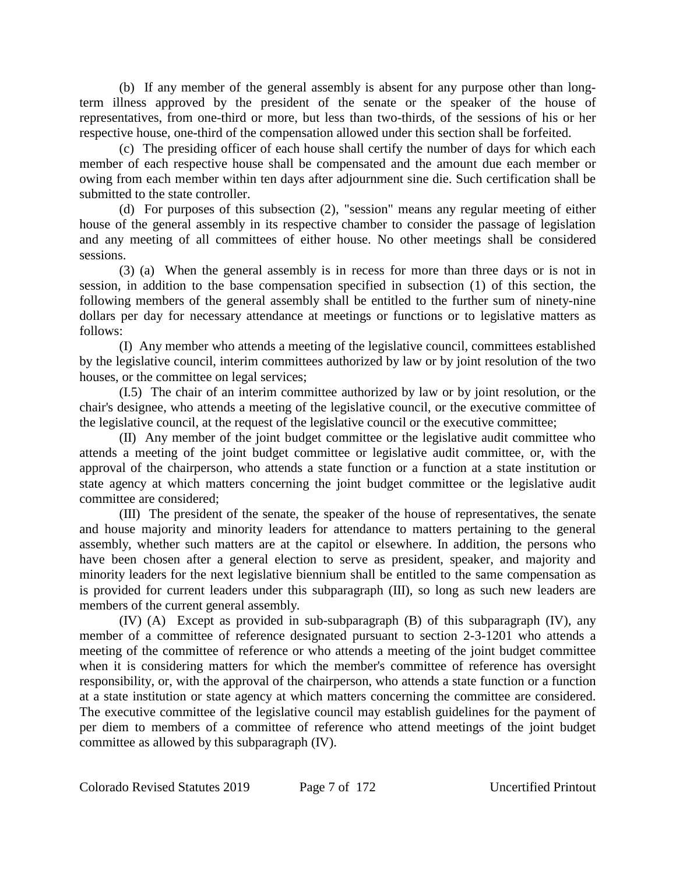(b) If any member of the general assembly is absent for any purpose other than longterm illness approved by the president of the senate or the speaker of the house of representatives, from one-third or more, but less than two-thirds, of the sessions of his or her respective house, one-third of the compensation allowed under this section shall be forfeited.

(c) The presiding officer of each house shall certify the number of days for which each member of each respective house shall be compensated and the amount due each member or owing from each member within ten days after adjournment sine die. Such certification shall be submitted to the state controller.

(d) For purposes of this subsection (2), "session" means any regular meeting of either house of the general assembly in its respective chamber to consider the passage of legislation and any meeting of all committees of either house. No other meetings shall be considered sessions.

(3) (a) When the general assembly is in recess for more than three days or is not in session, in addition to the base compensation specified in subsection (1) of this section, the following members of the general assembly shall be entitled to the further sum of ninety-nine dollars per day for necessary attendance at meetings or functions or to legislative matters as follows:

(I) Any member who attends a meeting of the legislative council, committees established by the legislative council, interim committees authorized by law or by joint resolution of the two houses, or the committee on legal services;

(I.5) The chair of an interim committee authorized by law or by joint resolution, or the chair's designee, who attends a meeting of the legislative council, or the executive committee of the legislative council, at the request of the legislative council or the executive committee;

(II) Any member of the joint budget committee or the legislative audit committee who attends a meeting of the joint budget committee or legislative audit committee, or, with the approval of the chairperson, who attends a state function or a function at a state institution or state agency at which matters concerning the joint budget committee or the legislative audit committee are considered;

(III) The president of the senate, the speaker of the house of representatives, the senate and house majority and minority leaders for attendance to matters pertaining to the general assembly, whether such matters are at the capitol or elsewhere. In addition, the persons who have been chosen after a general election to serve as president, speaker, and majority and minority leaders for the next legislative biennium shall be entitled to the same compensation as is provided for current leaders under this subparagraph (III), so long as such new leaders are members of the current general assembly.

(IV) (A) Except as provided in sub-subparagraph (B) of this subparagraph (IV), any member of a committee of reference designated pursuant to section 2-3-1201 who attends a meeting of the committee of reference or who attends a meeting of the joint budget committee when it is considering matters for which the member's committee of reference has oversight responsibility, or, with the approval of the chairperson, who attends a state function or a function at a state institution or state agency at which matters concerning the committee are considered. The executive committee of the legislative council may establish guidelines for the payment of per diem to members of a committee of reference who attend meetings of the joint budget committee as allowed by this subparagraph (IV).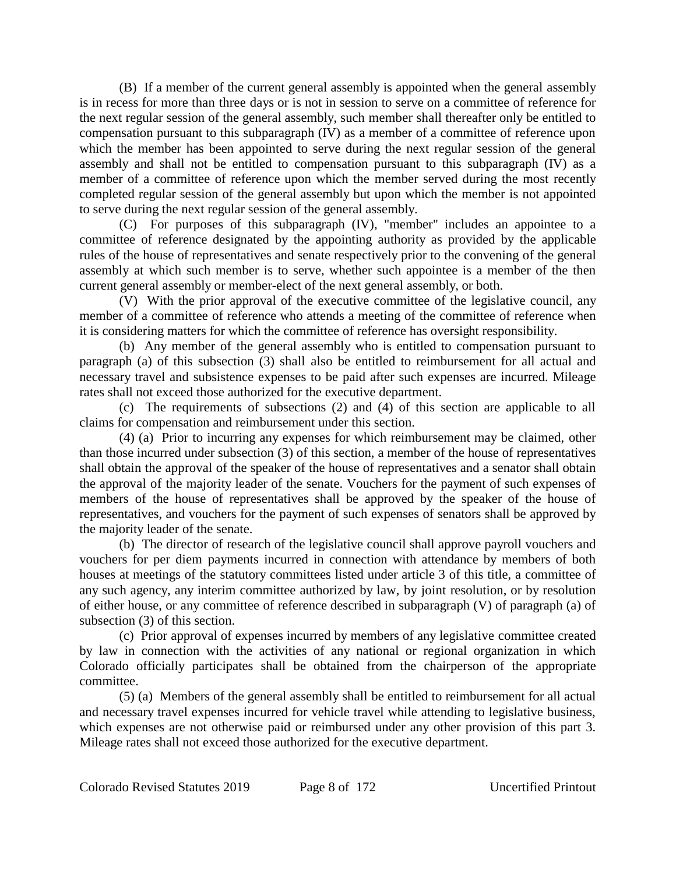(B) If a member of the current general assembly is appointed when the general assembly is in recess for more than three days or is not in session to serve on a committee of reference for the next regular session of the general assembly, such member shall thereafter only be entitled to compensation pursuant to this subparagraph (IV) as a member of a committee of reference upon which the member has been appointed to serve during the next regular session of the general assembly and shall not be entitled to compensation pursuant to this subparagraph (IV) as a member of a committee of reference upon which the member served during the most recently completed regular session of the general assembly but upon which the member is not appointed to serve during the next regular session of the general assembly.

(C) For purposes of this subparagraph (IV), "member" includes an appointee to a committee of reference designated by the appointing authority as provided by the applicable rules of the house of representatives and senate respectively prior to the convening of the general assembly at which such member is to serve, whether such appointee is a member of the then current general assembly or member-elect of the next general assembly, or both.

(V) With the prior approval of the executive committee of the legislative council, any member of a committee of reference who attends a meeting of the committee of reference when it is considering matters for which the committee of reference has oversight responsibility.

(b) Any member of the general assembly who is entitled to compensation pursuant to paragraph (a) of this subsection (3) shall also be entitled to reimbursement for all actual and necessary travel and subsistence expenses to be paid after such expenses are incurred. Mileage rates shall not exceed those authorized for the executive department.

(c) The requirements of subsections (2) and (4) of this section are applicable to all claims for compensation and reimbursement under this section.

(4) (a) Prior to incurring any expenses for which reimbursement may be claimed, other than those incurred under subsection (3) of this section, a member of the house of representatives shall obtain the approval of the speaker of the house of representatives and a senator shall obtain the approval of the majority leader of the senate. Vouchers for the payment of such expenses of members of the house of representatives shall be approved by the speaker of the house of representatives, and vouchers for the payment of such expenses of senators shall be approved by the majority leader of the senate.

(b) The director of research of the legislative council shall approve payroll vouchers and vouchers for per diem payments incurred in connection with attendance by members of both houses at meetings of the statutory committees listed under article 3 of this title, a committee of any such agency, any interim committee authorized by law, by joint resolution, or by resolution of either house, or any committee of reference described in subparagraph (V) of paragraph (a) of subsection (3) of this section.

(c) Prior approval of expenses incurred by members of any legislative committee created by law in connection with the activities of any national or regional organization in which Colorado officially participates shall be obtained from the chairperson of the appropriate committee.

(5) (a) Members of the general assembly shall be entitled to reimbursement for all actual and necessary travel expenses incurred for vehicle travel while attending to legislative business, which expenses are not otherwise paid or reimbursed under any other provision of this part 3. Mileage rates shall not exceed those authorized for the executive department.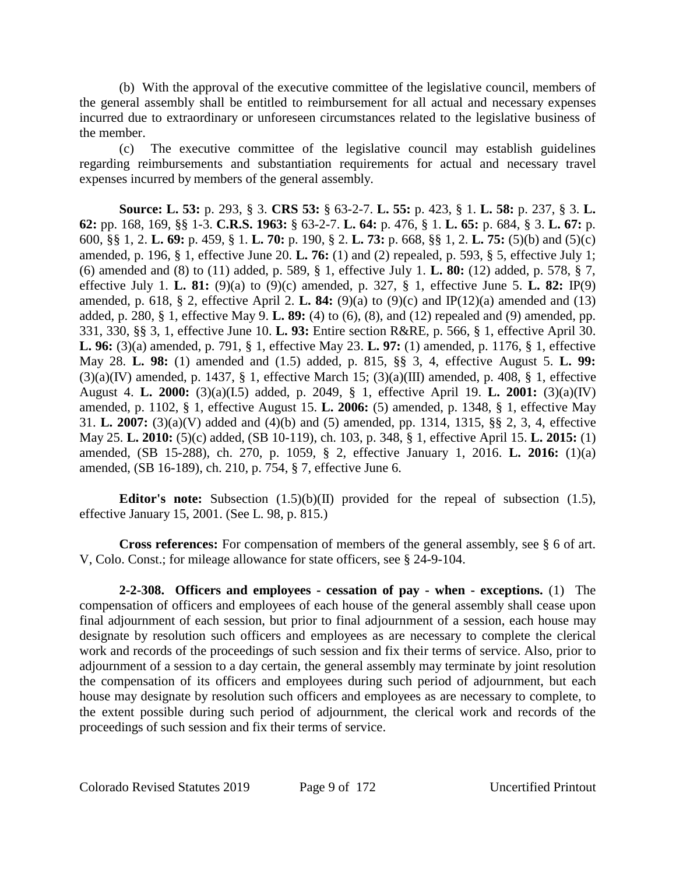(b) With the approval of the executive committee of the legislative council, members of the general assembly shall be entitled to reimbursement for all actual and necessary expenses incurred due to extraordinary or unforeseen circumstances related to the legislative business of the member.

(c) The executive committee of the legislative council may establish guidelines regarding reimbursements and substantiation requirements for actual and necessary travel expenses incurred by members of the general assembly.

**Source: L. 53:** p. 293, § 3. **CRS 53:** § 63-2-7. **L. 55:** p. 423, § 1. **L. 58:** p. 237, § 3. **L. 62:** pp. 168, 169, §§ 1-3. **C.R.S. 1963:** § 63-2-7. **L. 64:** p. 476, § 1. **L. 65:** p. 684, § 3. **L. 67:** p. 600, §§ 1, 2. **L. 69:** p. 459, § 1. **L. 70:** p. 190, § 2. **L. 73:** p. 668, §§ 1, 2. **L. 75:** (5)(b) and (5)(c) amended, p. 196, § 1, effective June 20. **L. 76:** (1) and (2) repealed, p. 593, § 5, effective July 1; (6) amended and (8) to (11) added, p. 589, § 1, effective July 1. **L. 80:** (12) added, p. 578, § 7, effective July 1. **L. 81:** (9)(a) to (9)(c) amended, p. 327, § 1, effective June 5. **L. 82:** IP(9) amended, p. 618, § 2, effective April 2. **L. 84:** (9)(a) to (9)(c) and IP(12)(a) amended and (13) added, p. 280, § 1, effective May 9. **L. 89:** (4) to (6), (8), and (12) repealed and (9) amended, pp. 331, 330, §§ 3, 1, effective June 10. **L. 93:** Entire section R&RE, p. 566, § 1, effective April 30. **L. 96:** (3)(a) amended, p. 791, § 1, effective May 23. **L. 97:** (1) amended, p. 1176, § 1, effective May 28. **L. 98:** (1) amended and (1.5) added, p. 815, §§ 3, 4, effective August 5. **L. 99:**  $(3)(a)(IV)$  amended, p. 1437, § 1, effective March 15;  $(3)(a)(III)$  amended, p. 408, § 1, effective August 4. **L. 2000:** (3)(a)(I.5) added, p. 2049, § 1, effective April 19. **L. 2001:** (3)(a)(IV) amended, p. 1102, § 1, effective August 15. **L. 2006:** (5) amended, p. 1348, § 1, effective May 31. **L. 2007:** (3)(a)(V) added and (4)(b) and (5) amended, pp. 1314, 1315, §§ 2, 3, 4, effective May 25. **L. 2010:** (5)(c) added, (SB 10-119), ch. 103, p. 348, § 1, effective April 15. **L. 2015:** (1) amended, (SB 15-288), ch. 270, p. 1059, § 2, effective January 1, 2016. **L. 2016:** (1)(a) amended, (SB 16-189), ch. 210, p. 754, § 7, effective June 6.

**Editor's note:** Subsection (1.5)(b)(II) provided for the repeal of subsection (1.5), effective January 15, 2001. (See L. 98, p. 815.)

**Cross references:** For compensation of members of the general assembly, see § 6 of art. V, Colo. Const.; for mileage allowance for state officers, see § 24-9-104.

**2-2-308. Officers and employees - cessation of pay - when - exceptions.** (1) The compensation of officers and employees of each house of the general assembly shall cease upon final adjournment of each session, but prior to final adjournment of a session, each house may designate by resolution such officers and employees as are necessary to complete the clerical work and records of the proceedings of such session and fix their terms of service. Also, prior to adjournment of a session to a day certain, the general assembly may terminate by joint resolution the compensation of its officers and employees during such period of adjournment, but each house may designate by resolution such officers and employees as are necessary to complete, to the extent possible during such period of adjournment, the clerical work and records of the proceedings of such session and fix their terms of service.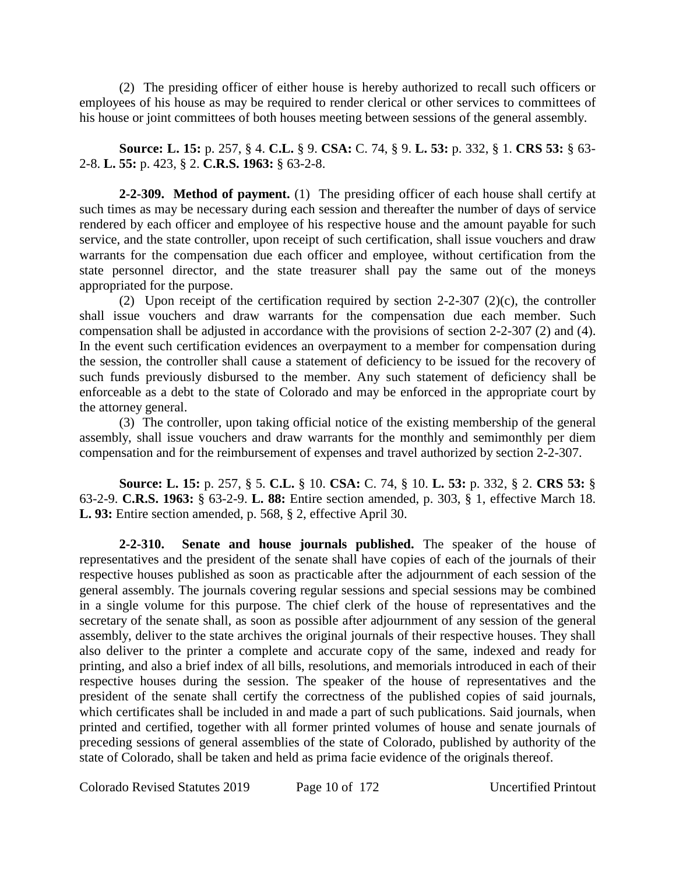(2) The presiding officer of either house is hereby authorized to recall such officers or employees of his house as may be required to render clerical or other services to committees of his house or joint committees of both houses meeting between sessions of the general assembly.

**Source: L. 15:** p. 257, § 4. **C.L.** § 9. **CSA:** C. 74, § 9. **L. 53:** p. 332, § 1. **CRS 53:** § 63- 2-8. **L. 55:** p. 423, § 2. **C.R.S. 1963:** § 63-2-8.

**2-2-309. Method of payment.** (1) The presiding officer of each house shall certify at such times as may be necessary during each session and thereafter the number of days of service rendered by each officer and employee of his respective house and the amount payable for such service, and the state controller, upon receipt of such certification, shall issue vouchers and draw warrants for the compensation due each officer and employee, without certification from the state personnel director, and the state treasurer shall pay the same out of the moneys appropriated for the purpose.

(2) Upon receipt of the certification required by section  $2-2-307$  (2)(c), the controller shall issue vouchers and draw warrants for the compensation due each member. Such compensation shall be adjusted in accordance with the provisions of section 2-2-307 (2) and (4). In the event such certification evidences an overpayment to a member for compensation during the session, the controller shall cause a statement of deficiency to be issued for the recovery of such funds previously disbursed to the member. Any such statement of deficiency shall be enforceable as a debt to the state of Colorado and may be enforced in the appropriate court by the attorney general.

(3) The controller, upon taking official notice of the existing membership of the general assembly, shall issue vouchers and draw warrants for the monthly and semimonthly per diem compensation and for the reimbursement of expenses and travel authorized by section 2-2-307.

**Source: L. 15:** p. 257, § 5. **C.L.** § 10. **CSA:** C. 74, § 10. **L. 53:** p. 332, § 2. **CRS 53:** § 63-2-9. **C.R.S. 1963:** § 63-2-9. **L. 88:** Entire section amended, p. 303, § 1, effective March 18. **L. 93:** Entire section amended, p. 568, § 2, effective April 30.

**2-2-310. Senate and house journals published.** The speaker of the house of representatives and the president of the senate shall have copies of each of the journals of their respective houses published as soon as practicable after the adjournment of each session of the general assembly. The journals covering regular sessions and special sessions may be combined in a single volume for this purpose. The chief clerk of the house of representatives and the secretary of the senate shall, as soon as possible after adjournment of any session of the general assembly, deliver to the state archives the original journals of their respective houses. They shall also deliver to the printer a complete and accurate copy of the same, indexed and ready for printing, and also a brief index of all bills, resolutions, and memorials introduced in each of their respective houses during the session. The speaker of the house of representatives and the president of the senate shall certify the correctness of the published copies of said journals, which certificates shall be included in and made a part of such publications. Said journals, when printed and certified, together with all former printed volumes of house and senate journals of preceding sessions of general assemblies of the state of Colorado, published by authority of the state of Colorado, shall be taken and held as prima facie evidence of the originals thereof.

Colorado Revised Statutes 2019 Page 10 of 172 Uncertified Printout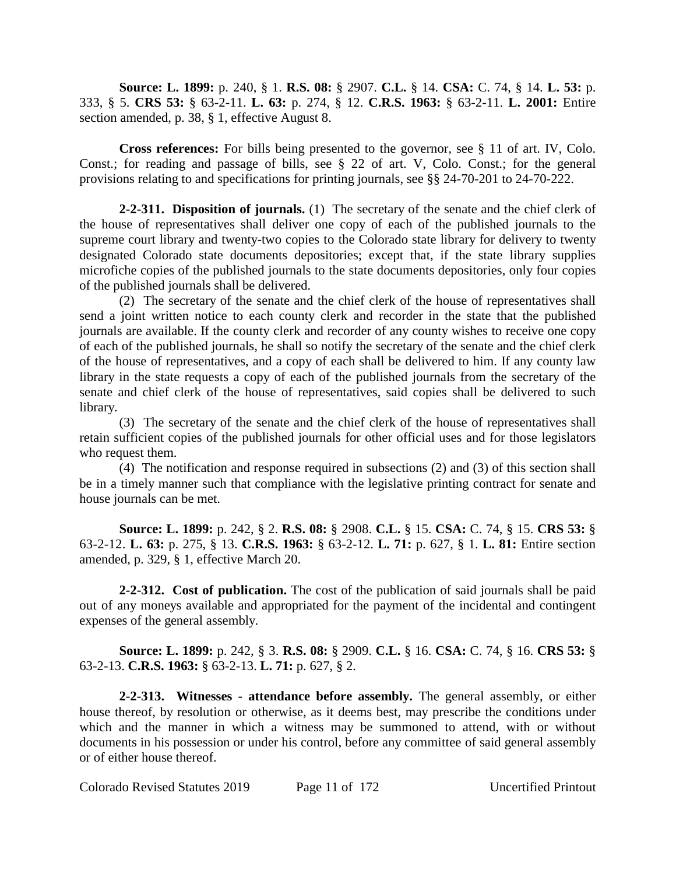**Source: L. 1899:** p. 240, § 1. **R.S. 08:** § 2907. **C.L.** § 14. **CSA:** C. 74, § 14. **L. 53:** p. 333, § 5. **CRS 53:** § 63-2-11. **L. 63:** p. 274, § 12. **C.R.S. 1963:** § 63-2-11. **L. 2001:** Entire section amended, p. 38, § 1, effective August 8.

**Cross references:** For bills being presented to the governor, see § 11 of art. IV, Colo. Const.; for reading and passage of bills, see § 22 of art. V, Colo. Const.; for the general provisions relating to and specifications for printing journals, see §§ 24-70-201 to 24-70-222.

**2-2-311. Disposition of journals.** (1) The secretary of the senate and the chief clerk of the house of representatives shall deliver one copy of each of the published journals to the supreme court library and twenty-two copies to the Colorado state library for delivery to twenty designated Colorado state documents depositories; except that, if the state library supplies microfiche copies of the published journals to the state documents depositories, only four copies of the published journals shall be delivered.

(2) The secretary of the senate and the chief clerk of the house of representatives shall send a joint written notice to each county clerk and recorder in the state that the published journals are available. If the county clerk and recorder of any county wishes to receive one copy of each of the published journals, he shall so notify the secretary of the senate and the chief clerk of the house of representatives, and a copy of each shall be delivered to him. If any county law library in the state requests a copy of each of the published journals from the secretary of the senate and chief clerk of the house of representatives, said copies shall be delivered to such library.

(3) The secretary of the senate and the chief clerk of the house of representatives shall retain sufficient copies of the published journals for other official uses and for those legislators who request them.

(4) The notification and response required in subsections (2) and (3) of this section shall be in a timely manner such that compliance with the legislative printing contract for senate and house journals can be met.

**Source: L. 1899:** p. 242, § 2. **R.S. 08:** § 2908. **C.L.** § 15. **CSA:** C. 74, § 15. **CRS 53:** § 63-2-12. **L. 63:** p. 275, § 13. **C.R.S. 1963:** § 63-2-12. **L. 71:** p. 627, § 1. **L. 81:** Entire section amended, p. 329, § 1, effective March 20.

**2-2-312. Cost of publication.** The cost of the publication of said journals shall be paid out of any moneys available and appropriated for the payment of the incidental and contingent expenses of the general assembly.

**Source: L. 1899:** p. 242, § 3. **R.S. 08:** § 2909. **C.L.** § 16. **CSA:** C. 74, § 16. **CRS 53:** § 63-2-13. **C.R.S. 1963:** § 63-2-13. **L. 71:** p. 627, § 2.

**2-2-313. Witnesses - attendance before assembly.** The general assembly, or either house thereof, by resolution or otherwise, as it deems best, may prescribe the conditions under which and the manner in which a witness may be summoned to attend, with or without documents in his possession or under his control, before any committee of said general assembly or of either house thereof.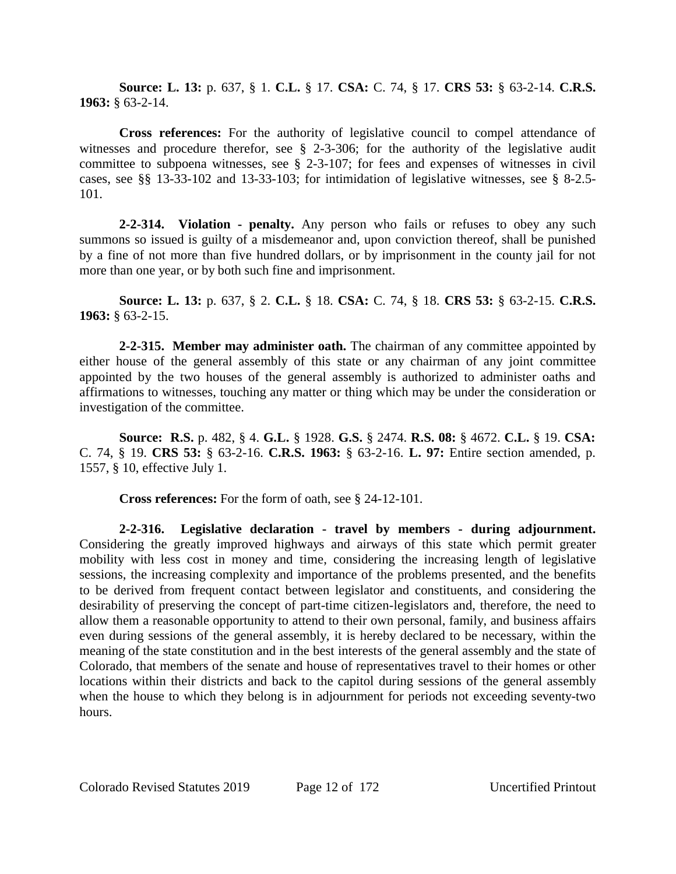**Source: L. 13:** p. 637, § 1. **C.L.** § 17. **CSA:** C. 74, § 17. **CRS 53:** § 63-2-14. **C.R.S. 1963:** § 63-2-14.

**Cross references:** For the authority of legislative council to compel attendance of witnesses and procedure therefor, see § 2-3-306; for the authority of the legislative audit committee to subpoena witnesses, see § 2-3-107; for fees and expenses of witnesses in civil cases, see §§ 13-33-102 and 13-33-103; for intimidation of legislative witnesses, see § 8-2.5- 101.

**2-2-314. Violation - penalty.** Any person who fails or refuses to obey any such summons so issued is guilty of a misdemeanor and, upon conviction thereof, shall be punished by a fine of not more than five hundred dollars, or by imprisonment in the county jail for not more than one year, or by both such fine and imprisonment.

**Source: L. 13:** p. 637, § 2. **C.L.** § 18. **CSA:** C. 74, § 18. **CRS 53:** § 63-2-15. **C.R.S. 1963:** § 63-2-15.

**2-2-315. Member may administer oath.** The chairman of any committee appointed by either house of the general assembly of this state or any chairman of any joint committee appointed by the two houses of the general assembly is authorized to administer oaths and affirmations to witnesses, touching any matter or thing which may be under the consideration or investigation of the committee.

**Source: R.S.** p. 482, § 4. **G.L.** § 1928. **G.S.** § 2474. **R.S. 08:** § 4672. **C.L.** § 19. **CSA:** C. 74, § 19. **CRS 53:** § 63-2-16. **C.R.S. 1963:** § 63-2-16. **L. 97:** Entire section amended, p. 1557, § 10, effective July 1.

**Cross references:** For the form of oath, see § 24-12-101.

**2-2-316. Legislative declaration - travel by members - during adjournment.** Considering the greatly improved highways and airways of this state which permit greater mobility with less cost in money and time, considering the increasing length of legislative sessions, the increasing complexity and importance of the problems presented, and the benefits to be derived from frequent contact between legislator and constituents, and considering the desirability of preserving the concept of part-time citizen-legislators and, therefore, the need to allow them a reasonable opportunity to attend to their own personal, family, and business affairs even during sessions of the general assembly, it is hereby declared to be necessary, within the meaning of the state constitution and in the best interests of the general assembly and the state of Colorado, that members of the senate and house of representatives travel to their homes or other locations within their districts and back to the capitol during sessions of the general assembly when the house to which they belong is in adjournment for periods not exceeding seventy-two hours.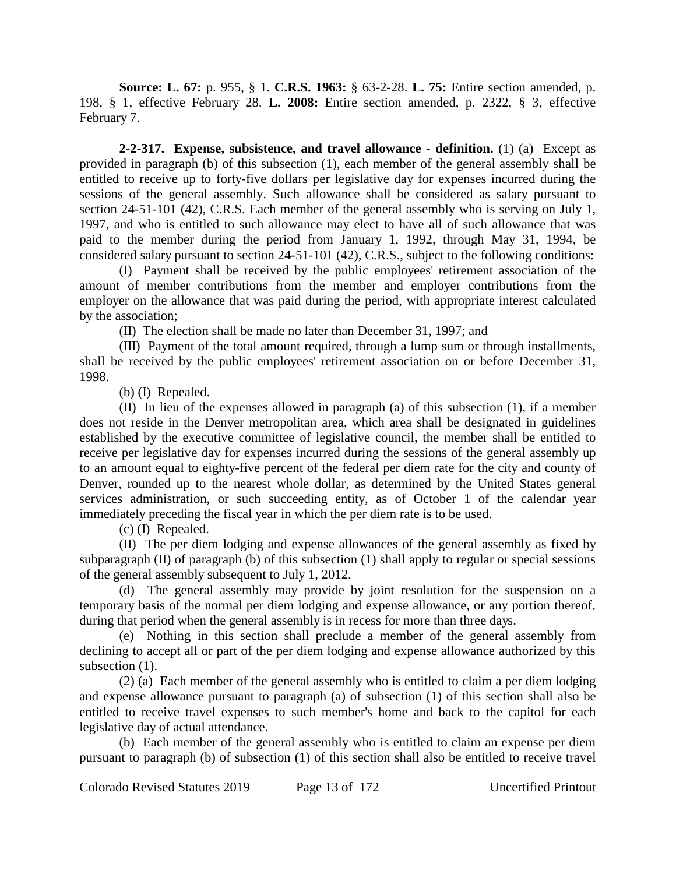**Source: L. 67:** p. 955, § 1. **C.R.S. 1963:** § 63-2-28. **L. 75:** Entire section amended, p. 198, § 1, effective February 28. **L. 2008:** Entire section amended, p. 2322, § 3, effective February 7.

**2-2-317. Expense, subsistence, and travel allowance - definition.** (1) (a) Except as provided in paragraph (b) of this subsection (1), each member of the general assembly shall be entitled to receive up to forty-five dollars per legislative day for expenses incurred during the sessions of the general assembly. Such allowance shall be considered as salary pursuant to section 24-51-101 (42), C.R.S. Each member of the general assembly who is serving on July 1, 1997, and who is entitled to such allowance may elect to have all of such allowance that was paid to the member during the period from January 1, 1992, through May 31, 1994, be considered salary pursuant to section 24-51-101 (42), C.R.S., subject to the following conditions:

(I) Payment shall be received by the public employees' retirement association of the amount of member contributions from the member and employer contributions from the employer on the allowance that was paid during the period, with appropriate interest calculated by the association;

(II) The election shall be made no later than December 31, 1997; and

(III) Payment of the total amount required, through a lump sum or through installments, shall be received by the public employees' retirement association on or before December 31, 1998.

(b) (I) Repealed.

(II) In lieu of the expenses allowed in paragraph (a) of this subsection (1), if a member does not reside in the Denver metropolitan area, which area shall be designated in guidelines established by the executive committee of legislative council, the member shall be entitled to receive per legislative day for expenses incurred during the sessions of the general assembly up to an amount equal to eighty-five percent of the federal per diem rate for the city and county of Denver, rounded up to the nearest whole dollar, as determined by the United States general services administration, or such succeeding entity, as of October 1 of the calendar year immediately preceding the fiscal year in which the per diem rate is to be used.

(c) (I) Repealed.

(II) The per diem lodging and expense allowances of the general assembly as fixed by subparagraph  $(II)$  of paragraph  $(b)$  of this subsection  $(1)$  shall apply to regular or special sessions of the general assembly subsequent to July 1, 2012.

(d) The general assembly may provide by joint resolution for the suspension on a temporary basis of the normal per diem lodging and expense allowance, or any portion thereof, during that period when the general assembly is in recess for more than three days.

(e) Nothing in this section shall preclude a member of the general assembly from declining to accept all or part of the per diem lodging and expense allowance authorized by this subsection  $(1)$ .

(2) (a) Each member of the general assembly who is entitled to claim a per diem lodging and expense allowance pursuant to paragraph (a) of subsection (1) of this section shall also be entitled to receive travel expenses to such member's home and back to the capitol for each legislative day of actual attendance.

(b) Each member of the general assembly who is entitled to claim an expense per diem pursuant to paragraph (b) of subsection (1) of this section shall also be entitled to receive travel

Colorado Revised Statutes 2019 Page 13 of 172 Uncertified Printout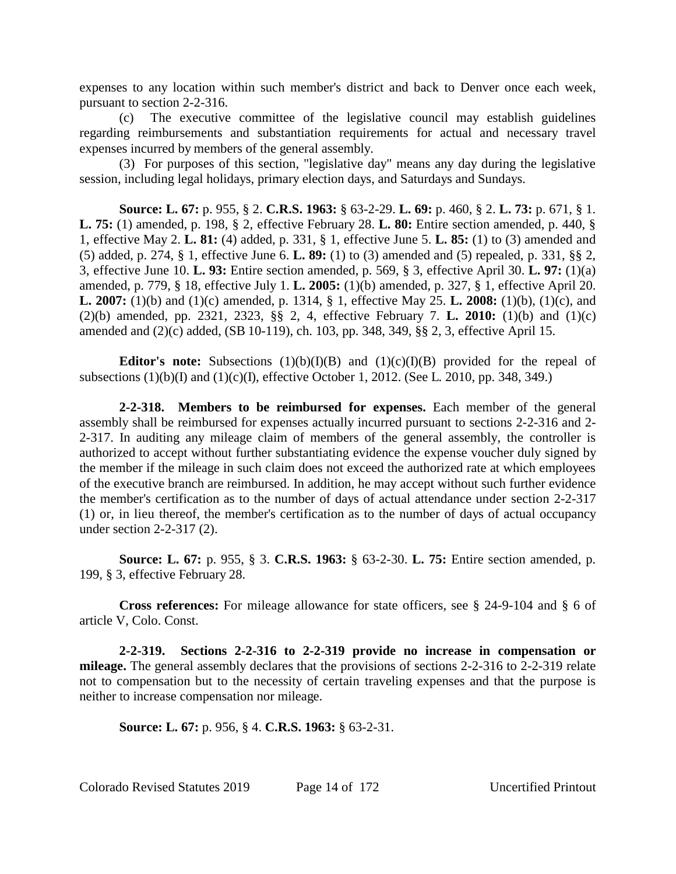expenses to any location within such member's district and back to Denver once each week, pursuant to section 2-2-316.

(c) The executive committee of the legislative council may establish guidelines regarding reimbursements and substantiation requirements for actual and necessary travel expenses incurred by members of the general assembly.

(3) For purposes of this section, "legislative day" means any day during the legislative session, including legal holidays, primary election days, and Saturdays and Sundays.

**Source: L. 67:** p. 955, § 2. **C.R.S. 1963:** § 63-2-29. **L. 69:** p. 460, § 2. **L. 73:** p. 671, § 1. **L. 75:** (1) amended, p. 198, § 2, effective February 28. **L. 80:** Entire section amended, p. 440, § 1, effective May 2. **L. 81:** (4) added, p. 331, § 1, effective June 5. **L. 85:** (1) to (3) amended and (5) added, p. 274, § 1, effective June 6. **L. 89:** (1) to (3) amended and (5) repealed, p. 331, §§ 2, 3, effective June 10. **L. 93:** Entire section amended, p. 569, § 3, effective April 30. **L. 97:** (1)(a) amended, p. 779, § 18, effective July 1. **L. 2005:** (1)(b) amended, p. 327, § 1, effective April 20. **L. 2007:** (1)(b) and (1)(c) amended, p. 1314, § 1, effective May 25. **L. 2008:** (1)(b), (1)(c), and (2)(b) amended, pp. 2321, 2323, §§ 2, 4, effective February 7. **L. 2010:** (1)(b) and (1)(c) amended and (2)(c) added, (SB 10-119), ch. 103, pp. 348, 349, §§ 2, 3, effective April 15.

**Editor's note:** Subsections (1)(b)(I)(B) and (1)(c)(I)(B) provided for the repeal of subsections  $(1)(b)(I)$  and  $(1)(c)(I)$ , effective October 1, 2012. (See L. 2010, pp. 348, 349.)

**2-2-318. Members to be reimbursed for expenses.** Each member of the general assembly shall be reimbursed for expenses actually incurred pursuant to sections 2-2-316 and 2- 2-317. In auditing any mileage claim of members of the general assembly, the controller is authorized to accept without further substantiating evidence the expense voucher duly signed by the member if the mileage in such claim does not exceed the authorized rate at which employees of the executive branch are reimbursed. In addition, he may accept without such further evidence the member's certification as to the number of days of actual attendance under section 2-2-317 (1) or, in lieu thereof, the member's certification as to the number of days of actual occupancy under section 2-2-317 (2).

**Source: L. 67:** p. 955, § 3. **C.R.S. 1963:** § 63-2-30. **L. 75:** Entire section amended, p. 199, § 3, effective February 28.

**Cross references:** For mileage allowance for state officers, see § 24-9-104 and § 6 of article V, Colo. Const.

**2-2-319. Sections 2-2-316 to 2-2-319 provide no increase in compensation or mileage.** The general assembly declares that the provisions of sections 2-2-316 to 2-2-319 relate not to compensation but to the necessity of certain traveling expenses and that the purpose is neither to increase compensation nor mileage.

**Source: L. 67:** p. 956, § 4. **C.R.S. 1963:** § 63-2-31.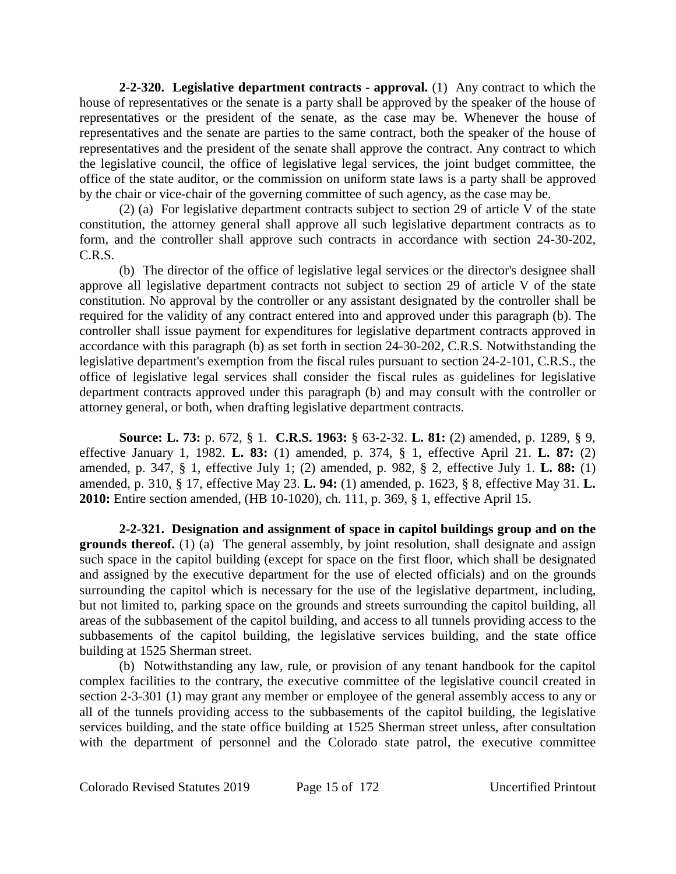**2-2-320. Legislative department contracts - approval.** (1) Any contract to which the house of representatives or the senate is a party shall be approved by the speaker of the house of representatives or the president of the senate, as the case may be. Whenever the house of representatives and the senate are parties to the same contract, both the speaker of the house of representatives and the president of the senate shall approve the contract. Any contract to which the legislative council, the office of legislative legal services, the joint budget committee, the office of the state auditor, or the commission on uniform state laws is a party shall be approved by the chair or vice-chair of the governing committee of such agency, as the case may be.

(2) (a) For legislative department contracts subject to section 29 of article V of the state constitution, the attorney general shall approve all such legislative department contracts as to form, and the controller shall approve such contracts in accordance with section 24-30-202, C.R.S.

(b) The director of the office of legislative legal services or the director's designee shall approve all legislative department contracts not subject to section 29 of article V of the state constitution. No approval by the controller or any assistant designated by the controller shall be required for the validity of any contract entered into and approved under this paragraph (b). The controller shall issue payment for expenditures for legislative department contracts approved in accordance with this paragraph (b) as set forth in section 24-30-202, C.R.S. Notwithstanding the legislative department's exemption from the fiscal rules pursuant to section 24-2-101, C.R.S., the office of legislative legal services shall consider the fiscal rules as guidelines for legislative department contracts approved under this paragraph (b) and may consult with the controller or attorney general, or both, when drafting legislative department contracts.

**Source: L. 73:** p. 672, § 1. **C.R.S. 1963:** § 63-2-32. **L. 81:** (2) amended, p. 1289, § 9, effective January 1, 1982. **L. 83:** (1) amended, p. 374, § 1, effective April 21. **L. 87:** (2) amended, p. 347, § 1, effective July 1; (2) amended, p. 982, § 2, effective July 1. **L. 88:** (1) amended, p. 310, § 17, effective May 23. **L. 94:** (1) amended, p. 1623, § 8, effective May 31. **L. 2010:** Entire section amended, (HB 10-1020), ch. 111, p. 369, § 1, effective April 15.

**2-2-321. Designation and assignment of space in capitol buildings group and on the grounds thereof.** (1) (a) The general assembly, by joint resolution, shall designate and assign such space in the capitol building (except for space on the first floor, which shall be designated and assigned by the executive department for the use of elected officials) and on the grounds surrounding the capitol which is necessary for the use of the legislative department, including, but not limited to, parking space on the grounds and streets surrounding the capitol building, all areas of the subbasement of the capitol building, and access to all tunnels providing access to the subbasements of the capitol building, the legislative services building, and the state office building at 1525 Sherman street.

(b) Notwithstanding any law, rule, or provision of any tenant handbook for the capitol complex facilities to the contrary, the executive committee of the legislative council created in section 2-3-301 (1) may grant any member or employee of the general assembly access to any or all of the tunnels providing access to the subbasements of the capitol building, the legislative services building, and the state office building at 1525 Sherman street unless, after consultation with the department of personnel and the Colorado state patrol, the executive committee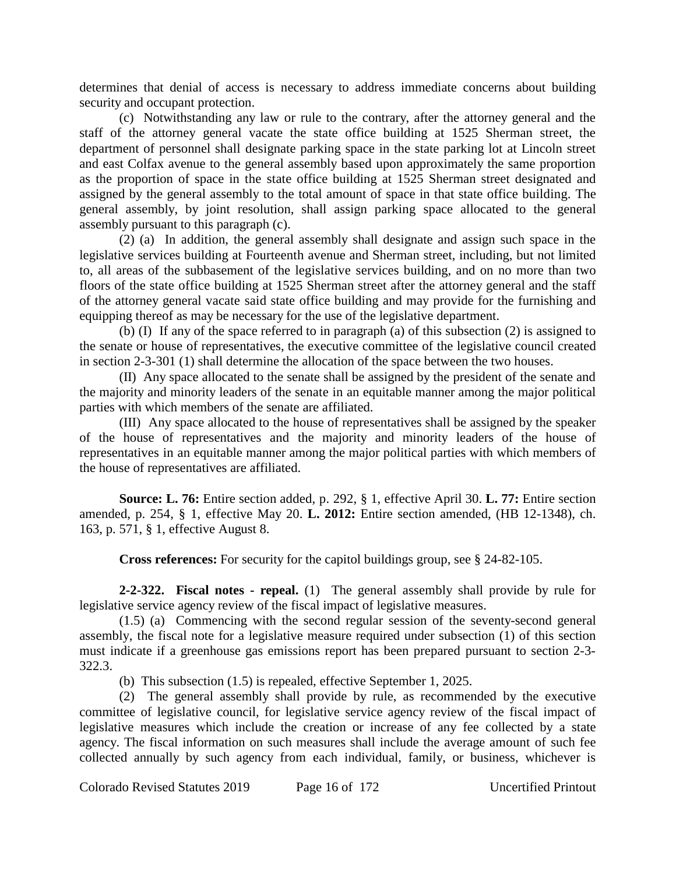determines that denial of access is necessary to address immediate concerns about building security and occupant protection.

(c) Notwithstanding any law or rule to the contrary, after the attorney general and the staff of the attorney general vacate the state office building at 1525 Sherman street, the department of personnel shall designate parking space in the state parking lot at Lincoln street and east Colfax avenue to the general assembly based upon approximately the same proportion as the proportion of space in the state office building at 1525 Sherman street designated and assigned by the general assembly to the total amount of space in that state office building. The general assembly, by joint resolution, shall assign parking space allocated to the general assembly pursuant to this paragraph (c).

(2) (a) In addition, the general assembly shall designate and assign such space in the legislative services building at Fourteenth avenue and Sherman street, including, but not limited to, all areas of the subbasement of the legislative services building, and on no more than two floors of the state office building at 1525 Sherman street after the attorney general and the staff of the attorney general vacate said state office building and may provide for the furnishing and equipping thereof as may be necessary for the use of the legislative department.

(b) (I) If any of the space referred to in paragraph (a) of this subsection (2) is assigned to the senate or house of representatives, the executive committee of the legislative council created in section 2-3-301 (1) shall determine the allocation of the space between the two houses.

(II) Any space allocated to the senate shall be assigned by the president of the senate and the majority and minority leaders of the senate in an equitable manner among the major political parties with which members of the senate are affiliated.

(III) Any space allocated to the house of representatives shall be assigned by the speaker of the house of representatives and the majority and minority leaders of the house of representatives in an equitable manner among the major political parties with which members of the house of representatives are affiliated.

**Source: L. 76:** Entire section added, p. 292, § 1, effective April 30. **L. 77:** Entire section amended, p. 254, § 1, effective May 20. **L. 2012:** Entire section amended, (HB 12-1348), ch. 163, p. 571, § 1, effective August 8.

**Cross references:** For security for the capitol buildings group, see § 24-82-105.

**2-2-322. Fiscal notes - repeal.** (1) The general assembly shall provide by rule for legislative service agency review of the fiscal impact of legislative measures.

(1.5) (a) Commencing with the second regular session of the seventy-second general assembly, the fiscal note for a legislative measure required under subsection (1) of this section must indicate if a greenhouse gas emissions report has been prepared pursuant to section 2-3- 322.3.

(b) This subsection (1.5) is repealed, effective September 1, 2025.

(2) The general assembly shall provide by rule, as recommended by the executive committee of legislative council, for legislative service agency review of the fiscal impact of legislative measures which include the creation or increase of any fee collected by a state agency. The fiscal information on such measures shall include the average amount of such fee collected annually by such agency from each individual, family, or business, whichever is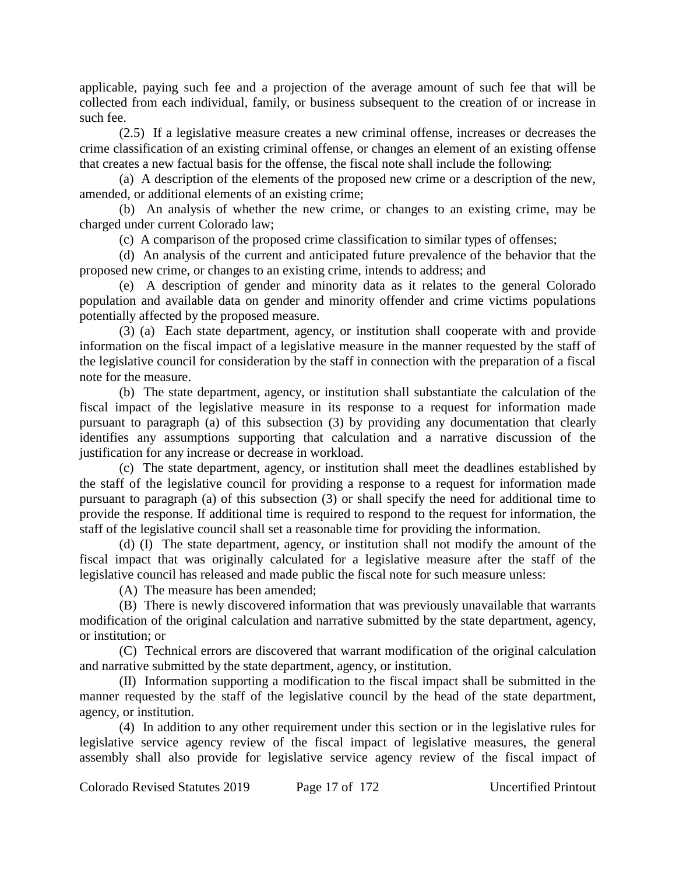applicable, paying such fee and a projection of the average amount of such fee that will be collected from each individual, family, or business subsequent to the creation of or increase in such fee.

(2.5) If a legislative measure creates a new criminal offense, increases or decreases the crime classification of an existing criminal offense, or changes an element of an existing offense that creates a new factual basis for the offense, the fiscal note shall include the following:

(a) A description of the elements of the proposed new crime or a description of the new, amended, or additional elements of an existing crime;

(b) An analysis of whether the new crime, or changes to an existing crime, may be charged under current Colorado law;

(c) A comparison of the proposed crime classification to similar types of offenses;

(d) An analysis of the current and anticipated future prevalence of the behavior that the proposed new crime, or changes to an existing crime, intends to address; and

(e) A description of gender and minority data as it relates to the general Colorado population and available data on gender and minority offender and crime victims populations potentially affected by the proposed measure.

(3) (a) Each state department, agency, or institution shall cooperate with and provide information on the fiscal impact of a legislative measure in the manner requested by the staff of the legislative council for consideration by the staff in connection with the preparation of a fiscal note for the measure.

(b) The state department, agency, or institution shall substantiate the calculation of the fiscal impact of the legislative measure in its response to a request for information made pursuant to paragraph (a) of this subsection (3) by providing any documentation that clearly identifies any assumptions supporting that calculation and a narrative discussion of the justification for any increase or decrease in workload.

(c) The state department, agency, or institution shall meet the deadlines established by the staff of the legislative council for providing a response to a request for information made pursuant to paragraph (a) of this subsection (3) or shall specify the need for additional time to provide the response. If additional time is required to respond to the request for information, the staff of the legislative council shall set a reasonable time for providing the information.

(d) (I) The state department, agency, or institution shall not modify the amount of the fiscal impact that was originally calculated for a legislative measure after the staff of the legislative council has released and made public the fiscal note for such measure unless:

(A) The measure has been amended;

(B) There is newly discovered information that was previously unavailable that warrants modification of the original calculation and narrative submitted by the state department, agency, or institution; or

(C) Technical errors are discovered that warrant modification of the original calculation and narrative submitted by the state department, agency, or institution.

(II) Information supporting a modification to the fiscal impact shall be submitted in the manner requested by the staff of the legislative council by the head of the state department, agency, or institution.

(4) In addition to any other requirement under this section or in the legislative rules for legislative service agency review of the fiscal impact of legislative measures, the general assembly shall also provide for legislative service agency review of the fiscal impact of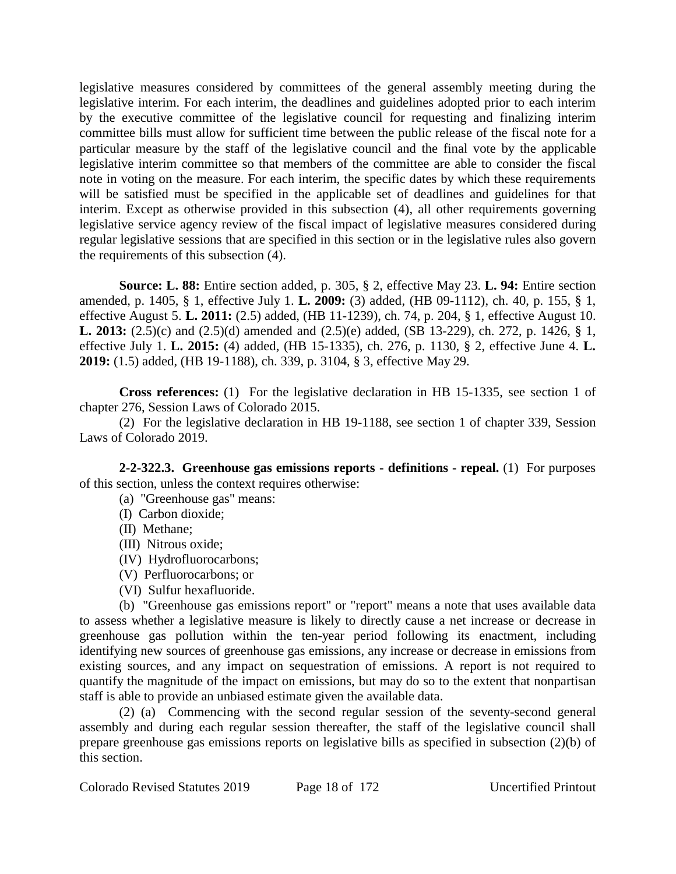legislative measures considered by committees of the general assembly meeting during the legislative interim. For each interim, the deadlines and guidelines adopted prior to each interim by the executive committee of the legislative council for requesting and finalizing interim committee bills must allow for sufficient time between the public release of the fiscal note for a particular measure by the staff of the legislative council and the final vote by the applicable legislative interim committee so that members of the committee are able to consider the fiscal note in voting on the measure. For each interim, the specific dates by which these requirements will be satisfied must be specified in the applicable set of deadlines and guidelines for that interim. Except as otherwise provided in this subsection (4), all other requirements governing legislative service agency review of the fiscal impact of legislative measures considered during regular legislative sessions that are specified in this section or in the legislative rules also govern the requirements of this subsection (4).

**Source: L. 88:** Entire section added, p. 305, § 2, effective May 23. **L. 94:** Entire section amended, p. 1405, § 1, effective July 1. **L. 2009:** (3) added, (HB 09-1112), ch. 40, p. 155, § 1, effective August 5. **L. 2011:** (2.5) added, (HB 11-1239), ch. 74, p. 204, § 1, effective August 10. **L. 2013:** (2.5)(c) and (2.5)(d) amended and (2.5)(e) added, (SB 13-229), ch. 272, p. 1426, § 1, effective July 1. **L. 2015:** (4) added, (HB 15-1335), ch. 276, p. 1130, § 2, effective June 4. **L. 2019:** (1.5) added, (HB 19-1188), ch. 339, p. 3104, § 3, effective May 29.

**Cross references:** (1) For the legislative declaration in HB 15-1335, see section 1 of chapter 276, Session Laws of Colorado 2015.

(2) For the legislative declaration in HB 19-1188, see section 1 of chapter 339, Session Laws of Colorado 2019.

**2-2-322.3. Greenhouse gas emissions reports - definitions - repeal.** (1) For purposes of this section, unless the context requires otherwise:

- (a) "Greenhouse gas" means:
- (I) Carbon dioxide;
- (II) Methane;
- (III) Nitrous oxide;
- (IV) Hydrofluorocarbons;
- (V) Perfluorocarbons; or
- (VI) Sulfur hexafluoride.

(b) "Greenhouse gas emissions report" or "report" means a note that uses available data to assess whether a legislative measure is likely to directly cause a net increase or decrease in greenhouse gas pollution within the ten-year period following its enactment, including identifying new sources of greenhouse gas emissions, any increase or decrease in emissions from existing sources, and any impact on sequestration of emissions. A report is not required to quantify the magnitude of the impact on emissions, but may do so to the extent that nonpartisan staff is able to provide an unbiased estimate given the available data.

(2) (a) Commencing with the second regular session of the seventy-second general assembly and during each regular session thereafter, the staff of the legislative council shall prepare greenhouse gas emissions reports on legislative bills as specified in subsection (2)(b) of this section.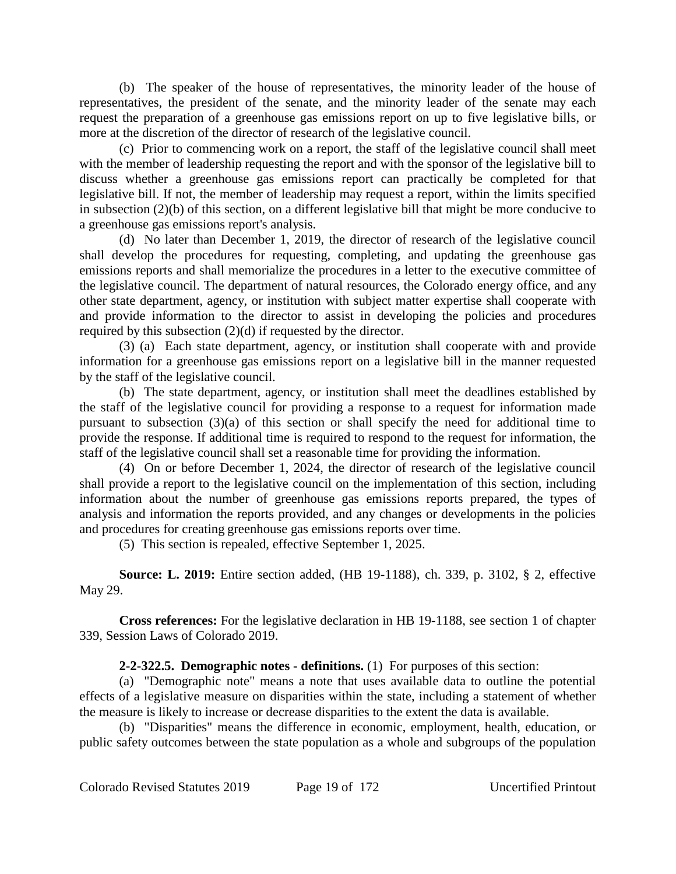(b) The speaker of the house of representatives, the minority leader of the house of representatives, the president of the senate, and the minority leader of the senate may each request the preparation of a greenhouse gas emissions report on up to five legislative bills, or more at the discretion of the director of research of the legislative council.

(c) Prior to commencing work on a report, the staff of the legislative council shall meet with the member of leadership requesting the report and with the sponsor of the legislative bill to discuss whether a greenhouse gas emissions report can practically be completed for that legislative bill. If not, the member of leadership may request a report, within the limits specified in subsection (2)(b) of this section, on a different legislative bill that might be more conducive to a greenhouse gas emissions report's analysis.

(d) No later than December 1, 2019, the director of research of the legislative council shall develop the procedures for requesting, completing, and updating the greenhouse gas emissions reports and shall memorialize the procedures in a letter to the executive committee of the legislative council. The department of natural resources, the Colorado energy office, and any other state department, agency, or institution with subject matter expertise shall cooperate with and provide information to the director to assist in developing the policies and procedures required by this subsection (2)(d) if requested by the director.

(3) (a) Each state department, agency, or institution shall cooperate with and provide information for a greenhouse gas emissions report on a legislative bill in the manner requested by the staff of the legislative council.

(b) The state department, agency, or institution shall meet the deadlines established by the staff of the legislative council for providing a response to a request for information made pursuant to subsection (3)(a) of this section or shall specify the need for additional time to provide the response. If additional time is required to respond to the request for information, the staff of the legislative council shall set a reasonable time for providing the information.

(4) On or before December 1, 2024, the director of research of the legislative council shall provide a report to the legislative council on the implementation of this section, including information about the number of greenhouse gas emissions reports prepared, the types of analysis and information the reports provided, and any changes or developments in the policies and procedures for creating greenhouse gas emissions reports over time.

(5) This section is repealed, effective September 1, 2025.

**Source: L. 2019:** Entire section added, (HB 19-1188), ch. 339, p. 3102, § 2, effective May 29.

**Cross references:** For the legislative declaration in HB 19-1188, see section 1 of chapter 339, Session Laws of Colorado 2019.

# **2-2-322.5. Demographic notes - definitions.** (1) For purposes of this section:

(a) "Demographic note" means a note that uses available data to outline the potential effects of a legislative measure on disparities within the state, including a statement of whether the measure is likely to increase or decrease disparities to the extent the data is available.

(b) "Disparities" means the difference in economic, employment, health, education, or public safety outcomes between the state population as a whole and subgroups of the population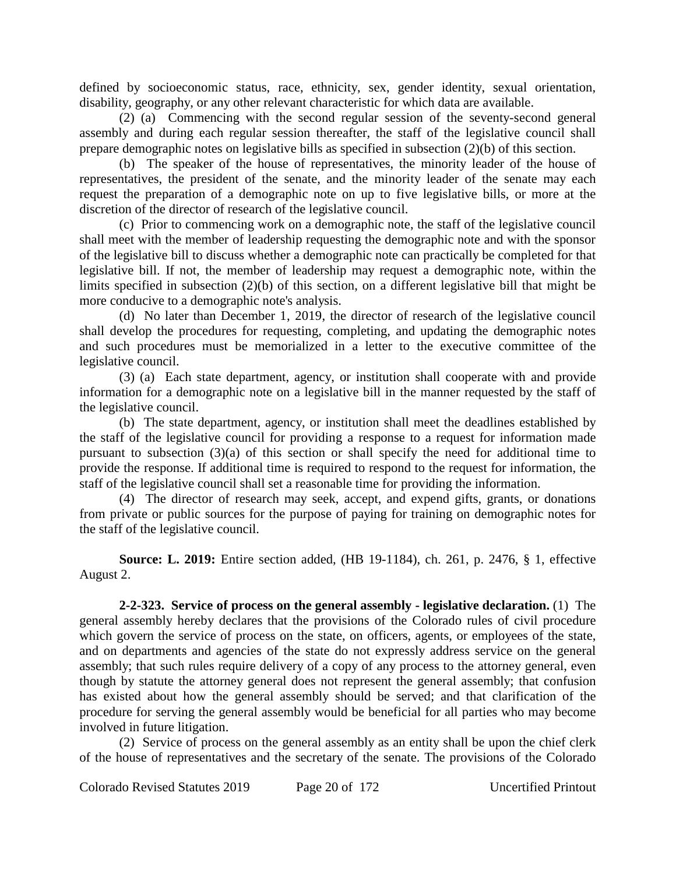defined by socioeconomic status, race, ethnicity, sex, gender identity, sexual orientation, disability, geography, or any other relevant characteristic for which data are available.

(2) (a) Commencing with the second regular session of the seventy-second general assembly and during each regular session thereafter, the staff of the legislative council shall prepare demographic notes on legislative bills as specified in subsection (2)(b) of this section.

(b) The speaker of the house of representatives, the minority leader of the house of representatives, the president of the senate, and the minority leader of the senate may each request the preparation of a demographic note on up to five legislative bills, or more at the discretion of the director of research of the legislative council.

(c) Prior to commencing work on a demographic note, the staff of the legislative council shall meet with the member of leadership requesting the demographic note and with the sponsor of the legislative bill to discuss whether a demographic note can practically be completed for that legislative bill. If not, the member of leadership may request a demographic note, within the limits specified in subsection (2)(b) of this section, on a different legislative bill that might be more conducive to a demographic note's analysis.

(d) No later than December 1, 2019, the director of research of the legislative council shall develop the procedures for requesting, completing, and updating the demographic notes and such procedures must be memorialized in a letter to the executive committee of the legislative council.

(3) (a) Each state department, agency, or institution shall cooperate with and provide information for a demographic note on a legislative bill in the manner requested by the staff of the legislative council.

(b) The state department, agency, or institution shall meet the deadlines established by the staff of the legislative council for providing a response to a request for information made pursuant to subsection  $(3)(a)$  of this section or shall specify the need for additional time to provide the response. If additional time is required to respond to the request for information, the staff of the legislative council shall set a reasonable time for providing the information.

(4) The director of research may seek, accept, and expend gifts, grants, or donations from private or public sources for the purpose of paying for training on demographic notes for the staff of the legislative council.

**Source: L. 2019:** Entire section added, (HB 19-1184), ch. 261, p. 2476, § 1, effective August 2.

**2-2-323. Service of process on the general assembly - legislative declaration.** (1) The general assembly hereby declares that the provisions of the Colorado rules of civil procedure which govern the service of process on the state, on officers, agents, or employees of the state, and on departments and agencies of the state do not expressly address service on the general assembly; that such rules require delivery of a copy of any process to the attorney general, even though by statute the attorney general does not represent the general assembly; that confusion has existed about how the general assembly should be served; and that clarification of the procedure for serving the general assembly would be beneficial for all parties who may become involved in future litigation.

(2) Service of process on the general assembly as an entity shall be upon the chief clerk of the house of representatives and the secretary of the senate. The provisions of the Colorado

Colorado Revised Statutes 2019 Page 20 of 172 Uncertified Printout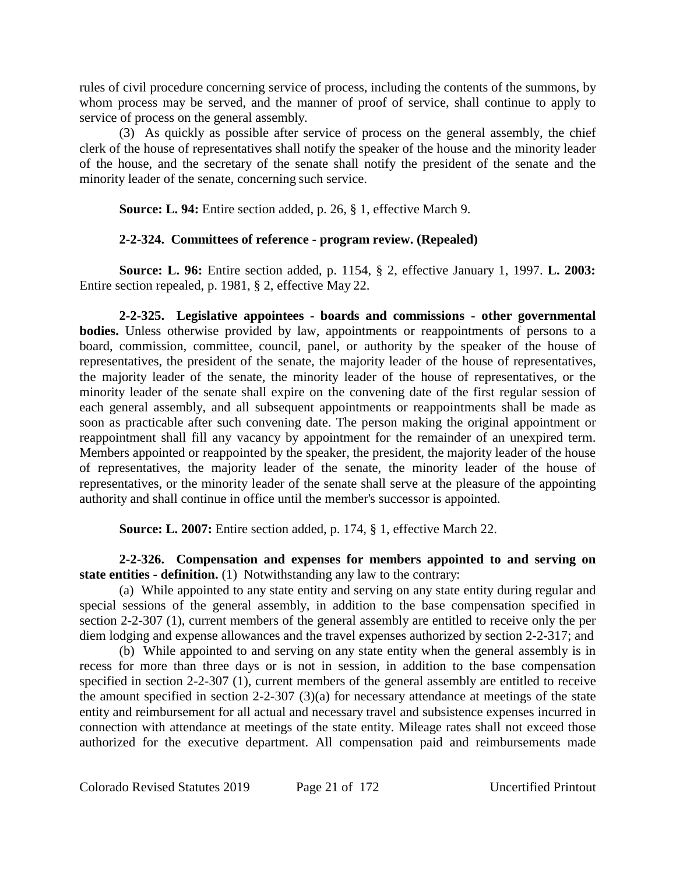rules of civil procedure concerning service of process, including the contents of the summons, by whom process may be served, and the manner of proof of service, shall continue to apply to service of process on the general assembly.

(3) As quickly as possible after service of process on the general assembly, the chief clerk of the house of representatives shall notify the speaker of the house and the minority leader of the house, and the secretary of the senate shall notify the president of the senate and the minority leader of the senate, concerning such service.

**Source: L. 94:** Entire section added, p. 26, § 1, effective March 9.

# **2-2-324. Committees of reference - program review. (Repealed)**

**Source: L. 96:** Entire section added, p. 1154, § 2, effective January 1, 1997. **L. 2003:** Entire section repealed, p. 1981, § 2, effective May 22.

**2-2-325. Legislative appointees - boards and commissions - other governmental bodies.** Unless otherwise provided by law, appointments or reappointments of persons to a board, commission, committee, council, panel, or authority by the speaker of the house of representatives, the president of the senate, the majority leader of the house of representatives, the majority leader of the senate, the minority leader of the house of representatives, or the minority leader of the senate shall expire on the convening date of the first regular session of each general assembly, and all subsequent appointments or reappointments shall be made as soon as practicable after such convening date. The person making the original appointment or reappointment shall fill any vacancy by appointment for the remainder of an unexpired term. Members appointed or reappointed by the speaker, the president, the majority leader of the house of representatives, the majority leader of the senate, the minority leader of the house of representatives, or the minority leader of the senate shall serve at the pleasure of the appointing authority and shall continue in office until the member's successor is appointed.

**Source: L. 2007:** Entire section added, p. 174, § 1, effective March 22.

**2-2-326. Compensation and expenses for members appointed to and serving on state entities - definition.** (1) Notwithstanding any law to the contrary:

(a) While appointed to any state entity and serving on any state entity during regular and special sessions of the general assembly, in addition to the base compensation specified in section 2-2-307 (1), current members of the general assembly are entitled to receive only the per diem lodging and expense allowances and the travel expenses authorized by section 2-2-317; and

(b) While appointed to and serving on any state entity when the general assembly is in recess for more than three days or is not in session, in addition to the base compensation specified in section 2-2-307 (1), current members of the general assembly are entitled to receive the amount specified in section 2-2-307 (3)(a) for necessary attendance at meetings of the state entity and reimbursement for all actual and necessary travel and subsistence expenses incurred in connection with attendance at meetings of the state entity. Mileage rates shall not exceed those authorized for the executive department. All compensation paid and reimbursements made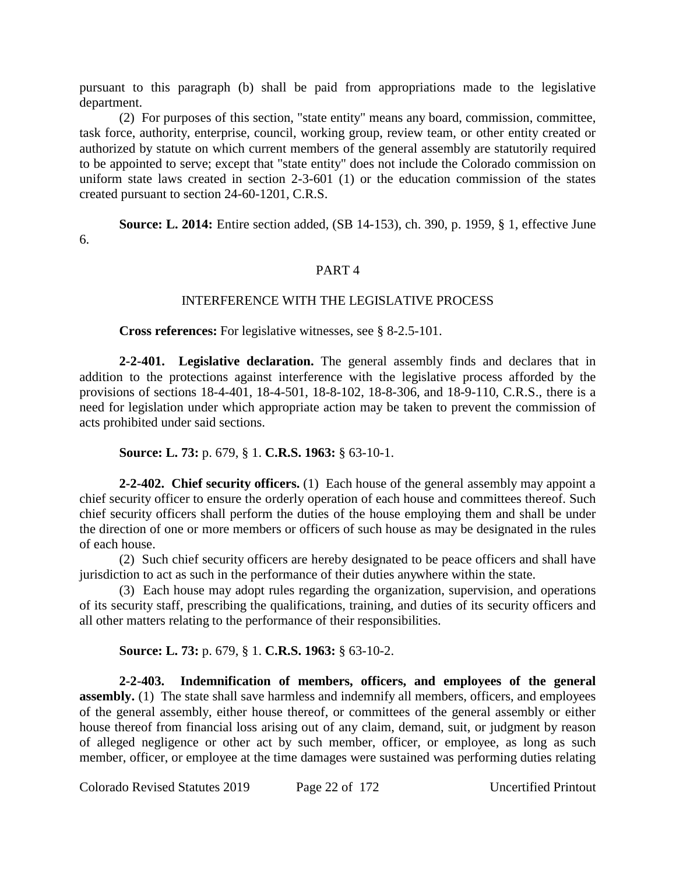pursuant to this paragraph (b) shall be paid from appropriations made to the legislative department.

(2) For purposes of this section, "state entity" means any board, commission, committee, task force, authority, enterprise, council, working group, review team, or other entity created or authorized by statute on which current members of the general assembly are statutorily required to be appointed to serve; except that "state entity" does not include the Colorado commission on uniform state laws created in section 2-3-601 (1) or the education commission of the states created pursuant to section 24-60-1201, C.R.S.

**Source: L. 2014:** Entire section added, (SB 14-153), ch. 390, p. 1959, § 1, effective June 6.

#### PART 4

## INTERFERENCE WITH THE LEGISLATIVE PROCESS

**Cross references:** For legislative witnesses, see § 8-2.5-101.

**2-2-401. Legislative declaration.** The general assembly finds and declares that in addition to the protections against interference with the legislative process afforded by the provisions of sections 18-4-401, 18-4-501, 18-8-102, 18-8-306, and 18-9-110, C.R.S., there is a need for legislation under which appropriate action may be taken to prevent the commission of acts prohibited under said sections.

**Source: L. 73:** p. 679, § 1. **C.R.S. 1963:** § 63-10-1.

**2-2-402. Chief security officers.** (1) Each house of the general assembly may appoint a chief security officer to ensure the orderly operation of each house and committees thereof. Such chief security officers shall perform the duties of the house employing them and shall be under the direction of one or more members or officers of such house as may be designated in the rules of each house.

(2) Such chief security officers are hereby designated to be peace officers and shall have jurisdiction to act as such in the performance of their duties anywhere within the state.

(3) Each house may adopt rules regarding the organization, supervision, and operations of its security staff, prescribing the qualifications, training, and duties of its security officers and all other matters relating to the performance of their responsibilities.

**Source: L. 73:** p. 679, § 1. **C.R.S. 1963:** § 63-10-2.

**2-2-403. Indemnification of members, officers, and employees of the general assembly.** (1) The state shall save harmless and indemnify all members, officers, and employees of the general assembly, either house thereof, or committees of the general assembly or either house thereof from financial loss arising out of any claim, demand, suit, or judgment by reason of alleged negligence or other act by such member, officer, or employee, as long as such member, officer, or employee at the time damages were sustained was performing duties relating

Colorado Revised Statutes 2019 Page 22 of 172 Uncertified Printout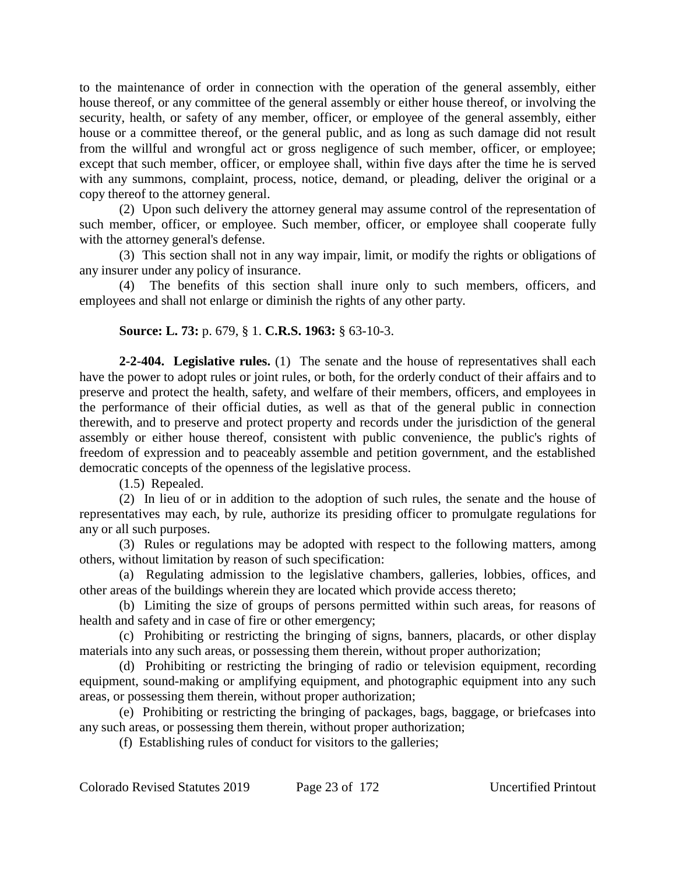to the maintenance of order in connection with the operation of the general assembly, either house thereof, or any committee of the general assembly or either house thereof, or involving the security, health, or safety of any member, officer, or employee of the general assembly, either house or a committee thereof, or the general public, and as long as such damage did not result from the willful and wrongful act or gross negligence of such member, officer, or employee; except that such member, officer, or employee shall, within five days after the time he is served with any summons, complaint, process, notice, demand, or pleading, deliver the original or a copy thereof to the attorney general.

(2) Upon such delivery the attorney general may assume control of the representation of such member, officer, or employee. Such member, officer, or employee shall cooperate fully with the attorney general's defense.

(3) This section shall not in any way impair, limit, or modify the rights or obligations of any insurer under any policy of insurance.

(4) The benefits of this section shall inure only to such members, officers, and employees and shall not enlarge or diminish the rights of any other party.

## **Source: L. 73:** p. 679, § 1. **C.R.S. 1963:** § 63-10-3.

**2-2-404. Legislative rules.** (1) The senate and the house of representatives shall each have the power to adopt rules or joint rules, or both, for the orderly conduct of their affairs and to preserve and protect the health, safety, and welfare of their members, officers, and employees in the performance of their official duties, as well as that of the general public in connection therewith, and to preserve and protect property and records under the jurisdiction of the general assembly or either house thereof, consistent with public convenience, the public's rights of freedom of expression and to peaceably assemble and petition government, and the established democratic concepts of the openness of the legislative process.

(1.5) Repealed.

(2) In lieu of or in addition to the adoption of such rules, the senate and the house of representatives may each, by rule, authorize its presiding officer to promulgate regulations for any or all such purposes.

(3) Rules or regulations may be adopted with respect to the following matters, among others, without limitation by reason of such specification:

(a) Regulating admission to the legislative chambers, galleries, lobbies, offices, and other areas of the buildings wherein they are located which provide access thereto;

(b) Limiting the size of groups of persons permitted within such areas, for reasons of health and safety and in case of fire or other emergency;

(c) Prohibiting or restricting the bringing of signs, banners, placards, or other display materials into any such areas, or possessing them therein, without proper authorization;

(d) Prohibiting or restricting the bringing of radio or television equipment, recording equipment, sound-making or amplifying equipment, and photographic equipment into any such areas, or possessing them therein, without proper authorization;

(e) Prohibiting or restricting the bringing of packages, bags, baggage, or briefcases into any such areas, or possessing them therein, without proper authorization;

(f) Establishing rules of conduct for visitors to the galleries;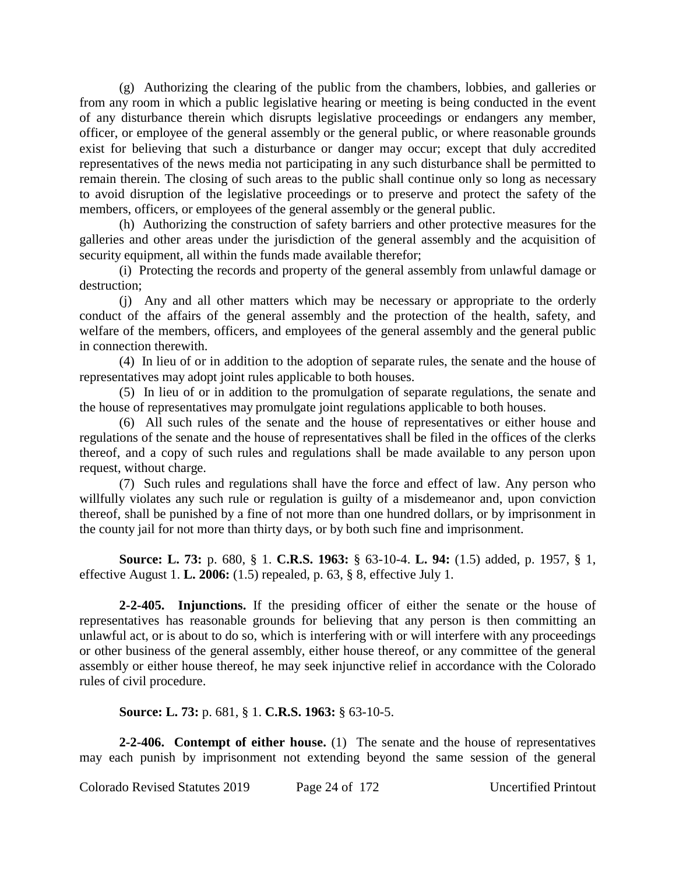(g) Authorizing the clearing of the public from the chambers, lobbies, and galleries or from any room in which a public legislative hearing or meeting is being conducted in the event of any disturbance therein which disrupts legislative proceedings or endangers any member, officer, or employee of the general assembly or the general public, or where reasonable grounds exist for believing that such a disturbance or danger may occur; except that duly accredited representatives of the news media not participating in any such disturbance shall be permitted to remain therein. The closing of such areas to the public shall continue only so long as necessary to avoid disruption of the legislative proceedings or to preserve and protect the safety of the members, officers, or employees of the general assembly or the general public.

(h) Authorizing the construction of safety barriers and other protective measures for the galleries and other areas under the jurisdiction of the general assembly and the acquisition of security equipment, all within the funds made available therefor;

(i) Protecting the records and property of the general assembly from unlawful damage or destruction;

(j) Any and all other matters which may be necessary or appropriate to the orderly conduct of the affairs of the general assembly and the protection of the health, safety, and welfare of the members, officers, and employees of the general assembly and the general public in connection therewith.

(4) In lieu of or in addition to the adoption of separate rules, the senate and the house of representatives may adopt joint rules applicable to both houses.

(5) In lieu of or in addition to the promulgation of separate regulations, the senate and the house of representatives may promulgate joint regulations applicable to both houses.

(6) All such rules of the senate and the house of representatives or either house and regulations of the senate and the house of representatives shall be filed in the offices of the clerks thereof, and a copy of such rules and regulations shall be made available to any person upon request, without charge.

(7) Such rules and regulations shall have the force and effect of law. Any person who willfully violates any such rule or regulation is guilty of a misdemeanor and, upon conviction thereof, shall be punished by a fine of not more than one hundred dollars, or by imprisonment in the county jail for not more than thirty days, or by both such fine and imprisonment.

**Source: L. 73:** p. 680, § 1. **C.R.S. 1963:** § 63-10-4. **L. 94:** (1.5) added, p. 1957, § 1, effective August 1. **L. 2006:** (1.5) repealed, p. 63, § 8, effective July 1.

**2-2-405. Injunctions.** If the presiding officer of either the senate or the house of representatives has reasonable grounds for believing that any person is then committing an unlawful act, or is about to do so, which is interfering with or will interfere with any proceedings or other business of the general assembly, either house thereof, or any committee of the general assembly or either house thereof, he may seek injunctive relief in accordance with the Colorado rules of civil procedure.

**Source: L. 73:** p. 681, § 1. **C.R.S. 1963:** § 63-10-5.

**2-2-406. Contempt of either house.** (1) The senate and the house of representatives may each punish by imprisonment not extending beyond the same session of the general

Colorado Revised Statutes 2019 Page 24 of 172 Uncertified Printout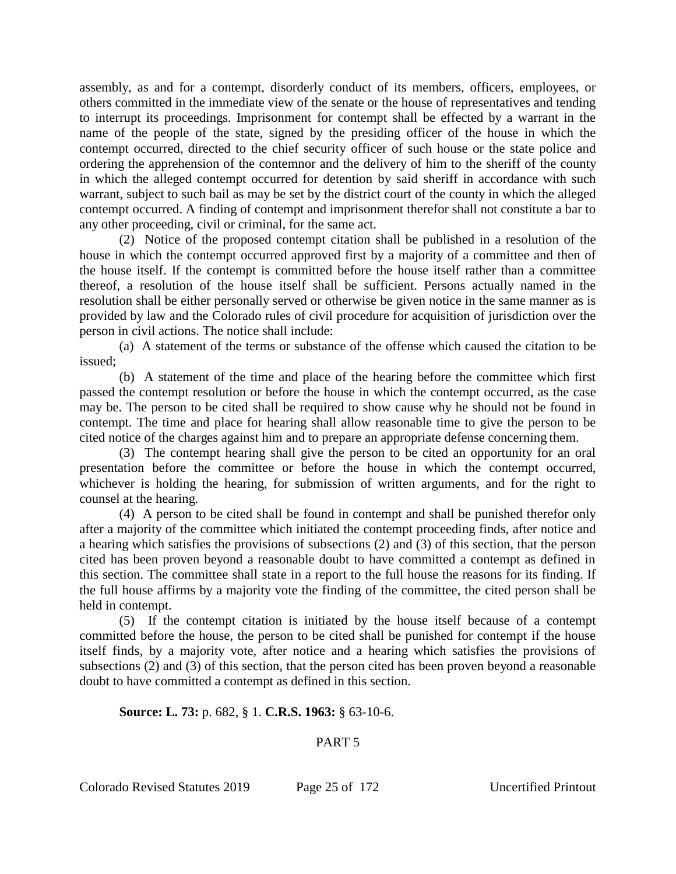assembly, as and for a contempt, disorderly conduct of its members, officers, employees, or others committed in the immediate view of the senate or the house of representatives and tending to interrupt its proceedings. Imprisonment for contempt shall be effected by a warrant in the name of the people of the state, signed by the presiding officer of the house in which the contempt occurred, directed to the chief security officer of such house or the state police and ordering the apprehension of the contemnor and the delivery of him to the sheriff of the county in which the alleged contempt occurred for detention by said sheriff in accordance with such warrant, subject to such bail as may be set by the district court of the county in which the alleged contempt occurred. A finding of contempt and imprisonment therefor shall not constitute a bar to any other proceeding, civil or criminal, for the same act.

(2) Notice of the proposed contempt citation shall be published in a resolution of the house in which the contempt occurred approved first by a majority of a committee and then of the house itself. If the contempt is committed before the house itself rather than a committee thereof, a resolution of the house itself shall be sufficient. Persons actually named in the resolution shall be either personally served or otherwise be given notice in the same manner as is provided by law and the Colorado rules of civil procedure for acquisition of jurisdiction over the person in civil actions. The notice shall include:

(a) A statement of the terms or substance of the offense which caused the citation to be issued;

(b) A statement of the time and place of the hearing before the committee which first passed the contempt resolution or before the house in which the contempt occurred, as the case may be. The person to be cited shall be required to show cause why he should not be found in contempt. The time and place for hearing shall allow reasonable time to give the person to be cited notice of the charges against him and to prepare an appropriate defense concerning them.

(3) The contempt hearing shall give the person to be cited an opportunity for an oral presentation before the committee or before the house in which the contempt occurred, whichever is holding the hearing, for submission of written arguments, and for the right to counsel at the hearing.

(4) A person to be cited shall be found in contempt and shall be punished therefor only after a majority of the committee which initiated the contempt proceeding finds, after notice and a hearing which satisfies the provisions of subsections (2) and (3) of this section, that the person cited has been proven beyond a reasonable doubt to have committed a contempt as defined in this section. The committee shall state in a report to the full house the reasons for its finding. If the full house affirms by a majority vote the finding of the committee, the cited person shall be held in contempt.

(5) If the contempt citation is initiated by the house itself because of a contempt committed before the house, the person to be cited shall be punished for contempt if the house itself finds, by a majority vote, after notice and a hearing which satisfies the provisions of subsections (2) and (3) of this section, that the person cited has been proven beyond a reasonable doubt to have committed a contempt as defined in this section.

## **Source: L. 73:** p. 682, § 1. **C.R.S. 1963:** § 63-10-6.

## PART 5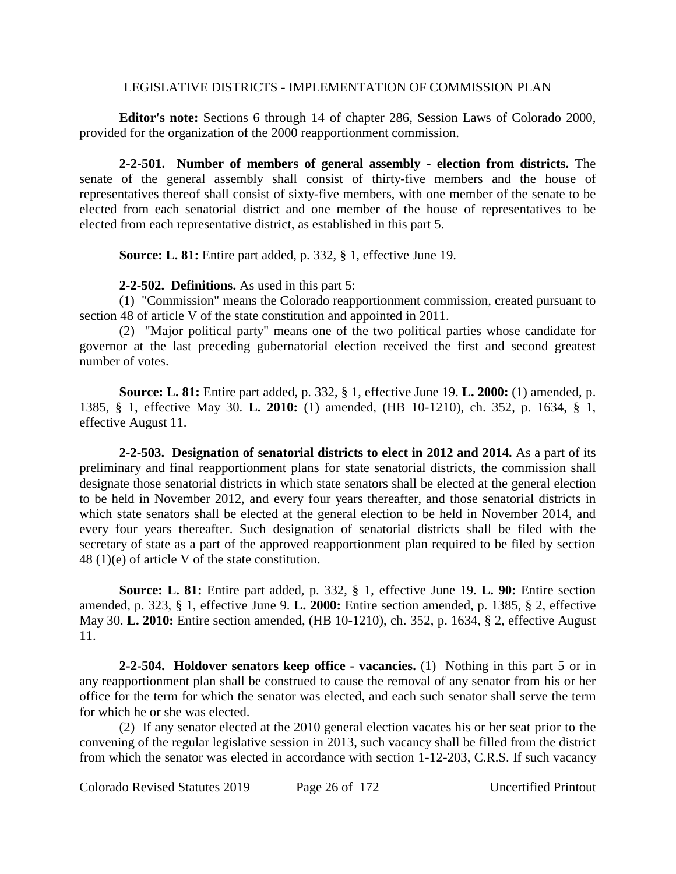#### LEGISLATIVE DISTRICTS - IMPLEMENTATION OF COMMISSION PLAN

**Editor's note:** Sections 6 through 14 of chapter 286, Session Laws of Colorado 2000, provided for the organization of the 2000 reapportionment commission.

**2-2-501. Number of members of general assembly - election from districts.** The senate of the general assembly shall consist of thirty-five members and the house of representatives thereof shall consist of sixty-five members, with one member of the senate to be elected from each senatorial district and one member of the house of representatives to be elected from each representative district, as established in this part 5.

**Source: L. 81:** Entire part added, p. 332, § 1, effective June 19.

## **2-2-502. Definitions.** As used in this part 5:

(1) "Commission" means the Colorado reapportionment commission, created pursuant to section 48 of article V of the state constitution and appointed in 2011.

(2) "Major political party" means one of the two political parties whose candidate for governor at the last preceding gubernatorial election received the first and second greatest number of votes.

**Source: L. 81:** Entire part added, p. 332, § 1, effective June 19. **L. 2000:** (1) amended, p. 1385, § 1, effective May 30. **L. 2010:** (1) amended, (HB 10-1210), ch. 352, p. 1634, § 1, effective August 11.

**2-2-503. Designation of senatorial districts to elect in 2012 and 2014.** As a part of its preliminary and final reapportionment plans for state senatorial districts, the commission shall designate those senatorial districts in which state senators shall be elected at the general election to be held in November 2012, and every four years thereafter, and those senatorial districts in which state senators shall be elected at the general election to be held in November 2014, and every four years thereafter. Such designation of senatorial districts shall be filed with the secretary of state as a part of the approved reapportionment plan required to be filed by section 48 (1)(e) of article V of the state constitution.

**Source: L. 81:** Entire part added, p. 332, § 1, effective June 19. **L. 90:** Entire section amended, p. 323, § 1, effective June 9. **L. 2000:** Entire section amended, p. 1385, § 2, effective May 30. **L. 2010:** Entire section amended, (HB 10-1210), ch. 352, p. 1634, § 2, effective August 11.

**2-2-504. Holdover senators keep office - vacancies.** (1) Nothing in this part 5 or in any reapportionment plan shall be construed to cause the removal of any senator from his or her office for the term for which the senator was elected, and each such senator shall serve the term for which he or she was elected.

(2) If any senator elected at the 2010 general election vacates his or her seat prior to the convening of the regular legislative session in 2013, such vacancy shall be filled from the district from which the senator was elected in accordance with section 1-12-203, C.R.S. If such vacancy

Colorado Revised Statutes 2019 Page 26 of 172 Uncertified Printout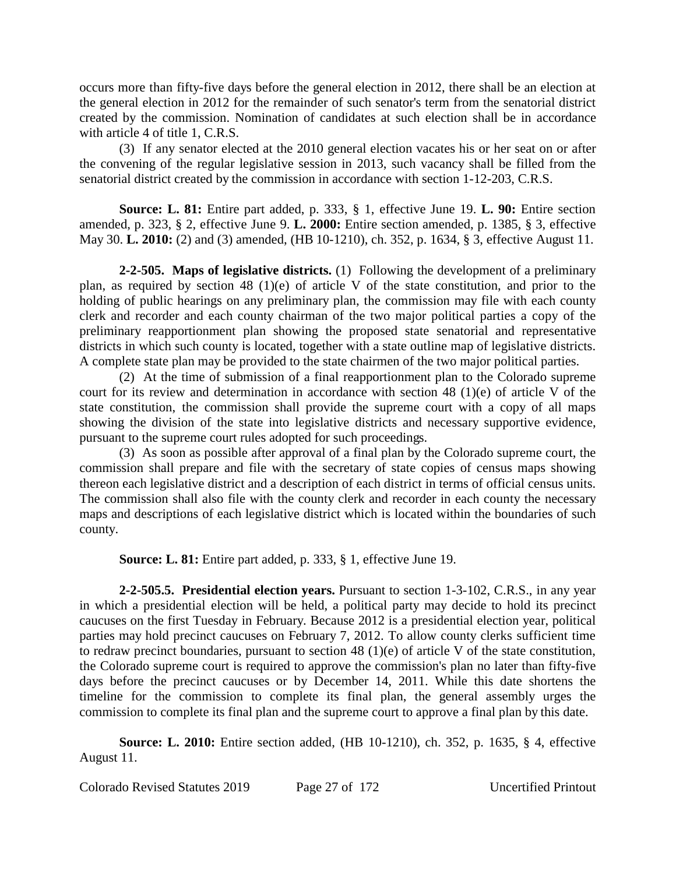occurs more than fifty-five days before the general election in 2012, there shall be an election at the general election in 2012 for the remainder of such senator's term from the senatorial district created by the commission. Nomination of candidates at such election shall be in accordance with article 4 of title 1, C.R.S.

(3) If any senator elected at the 2010 general election vacates his or her seat on or after the convening of the regular legislative session in 2013, such vacancy shall be filled from the senatorial district created by the commission in accordance with section 1-12-203, C.R.S.

**Source: L. 81:** Entire part added, p. 333, § 1, effective June 19. **L. 90:** Entire section amended, p. 323, § 2, effective June 9. **L. 2000:** Entire section amended, p. 1385, § 3, effective May 30. **L. 2010:** (2) and (3) amended, (HB 10-1210), ch. 352, p. 1634, § 3, effective August 11.

**2-2-505. Maps of legislative districts.** (1) Following the development of a preliminary plan, as required by section 48 (1)(e) of article V of the state constitution, and prior to the holding of public hearings on any preliminary plan, the commission may file with each county clerk and recorder and each county chairman of the two major political parties a copy of the preliminary reapportionment plan showing the proposed state senatorial and representative districts in which such county is located, together with a state outline map of legislative districts. A complete state plan may be provided to the state chairmen of the two major political parties.

(2) At the time of submission of a final reapportionment plan to the Colorado supreme court for its review and determination in accordance with section 48 (1)(e) of article V of the state constitution, the commission shall provide the supreme court with a copy of all maps showing the division of the state into legislative districts and necessary supportive evidence, pursuant to the supreme court rules adopted for such proceedings.

(3) As soon as possible after approval of a final plan by the Colorado supreme court, the commission shall prepare and file with the secretary of state copies of census maps showing thereon each legislative district and a description of each district in terms of official census units. The commission shall also file with the county clerk and recorder in each county the necessary maps and descriptions of each legislative district which is located within the boundaries of such county.

**Source: L. 81:** Entire part added, p. 333, § 1, effective June 19.

**2-2-505.5. Presidential election years.** Pursuant to section 1-3-102, C.R.S., in any year in which a presidential election will be held, a political party may decide to hold its precinct caucuses on the first Tuesday in February. Because 2012 is a presidential election year, political parties may hold precinct caucuses on February 7, 2012. To allow county clerks sufficient time to redraw precinct boundaries, pursuant to section 48 (1)(e) of article V of the state constitution, the Colorado supreme court is required to approve the commission's plan no later than fifty-five days before the precinct caucuses or by December 14, 2011. While this date shortens the timeline for the commission to complete its final plan, the general assembly urges the commission to complete its final plan and the supreme court to approve a final plan by this date.

**Source: L. 2010:** Entire section added, (HB 10-1210), ch. 352, p. 1635, § 4, effective August 11.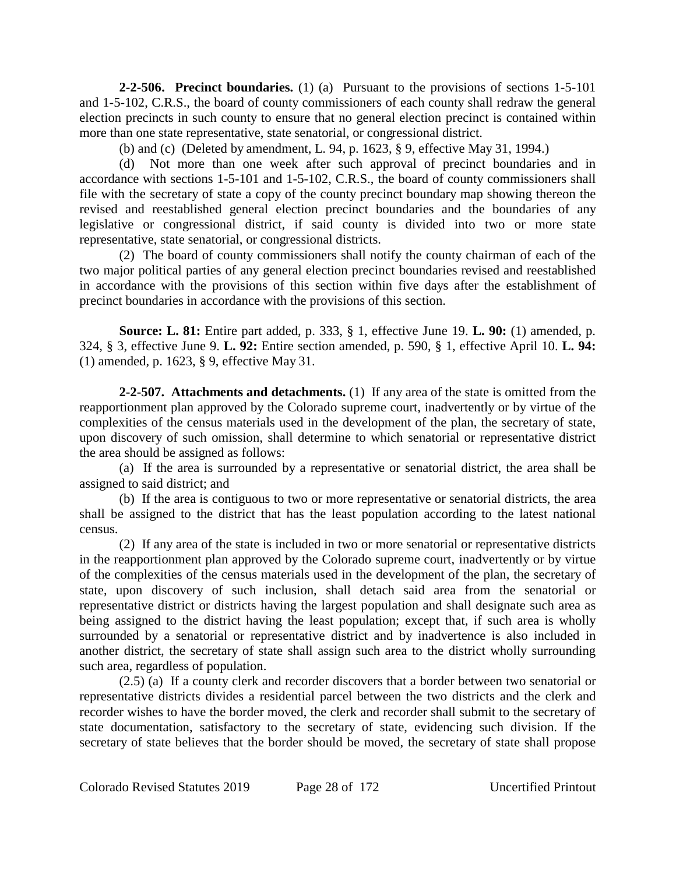**2-2-506. Precinct boundaries.** (1) (a) Pursuant to the provisions of sections 1-5-101 and 1-5-102, C.R.S., the board of county commissioners of each county shall redraw the general election precincts in such county to ensure that no general election precinct is contained within more than one state representative, state senatorial, or congressional district.

(b) and (c) (Deleted by amendment, L. 94, p. 1623, § 9, effective May 31, 1994.)

(d) Not more than one week after such approval of precinct boundaries and in accordance with sections 1-5-101 and 1-5-102, C.R.S., the board of county commissioners shall file with the secretary of state a copy of the county precinct boundary map showing thereon the revised and reestablished general election precinct boundaries and the boundaries of any legislative or congressional district, if said county is divided into two or more state representative, state senatorial, or congressional districts.

(2) The board of county commissioners shall notify the county chairman of each of the two major political parties of any general election precinct boundaries revised and reestablished in accordance with the provisions of this section within five days after the establishment of precinct boundaries in accordance with the provisions of this section.

**Source: L. 81:** Entire part added, p. 333, § 1, effective June 19. **L. 90:** (1) amended, p. 324, § 3, effective June 9. **L. 92:** Entire section amended, p. 590, § 1, effective April 10. **L. 94:** (1) amended, p. 1623, § 9, effective May 31.

**2-2-507. Attachments and detachments.** (1) If any area of the state is omitted from the reapportionment plan approved by the Colorado supreme court, inadvertently or by virtue of the complexities of the census materials used in the development of the plan, the secretary of state, upon discovery of such omission, shall determine to which senatorial or representative district the area should be assigned as follows:

(a) If the area is surrounded by a representative or senatorial district, the area shall be assigned to said district; and

(b) If the area is contiguous to two or more representative or senatorial districts, the area shall be assigned to the district that has the least population according to the latest national census.

(2) If any area of the state is included in two or more senatorial or representative districts in the reapportionment plan approved by the Colorado supreme court, inadvertently or by virtue of the complexities of the census materials used in the development of the plan, the secretary of state, upon discovery of such inclusion, shall detach said area from the senatorial or representative district or districts having the largest population and shall designate such area as being assigned to the district having the least population; except that, if such area is wholly surrounded by a senatorial or representative district and by inadvertence is also included in another district, the secretary of state shall assign such area to the district wholly surrounding such area, regardless of population.

(2.5) (a) If a county clerk and recorder discovers that a border between two senatorial or representative districts divides a residential parcel between the two districts and the clerk and recorder wishes to have the border moved, the clerk and recorder shall submit to the secretary of state documentation, satisfactory to the secretary of state, evidencing such division. If the secretary of state believes that the border should be moved, the secretary of state shall propose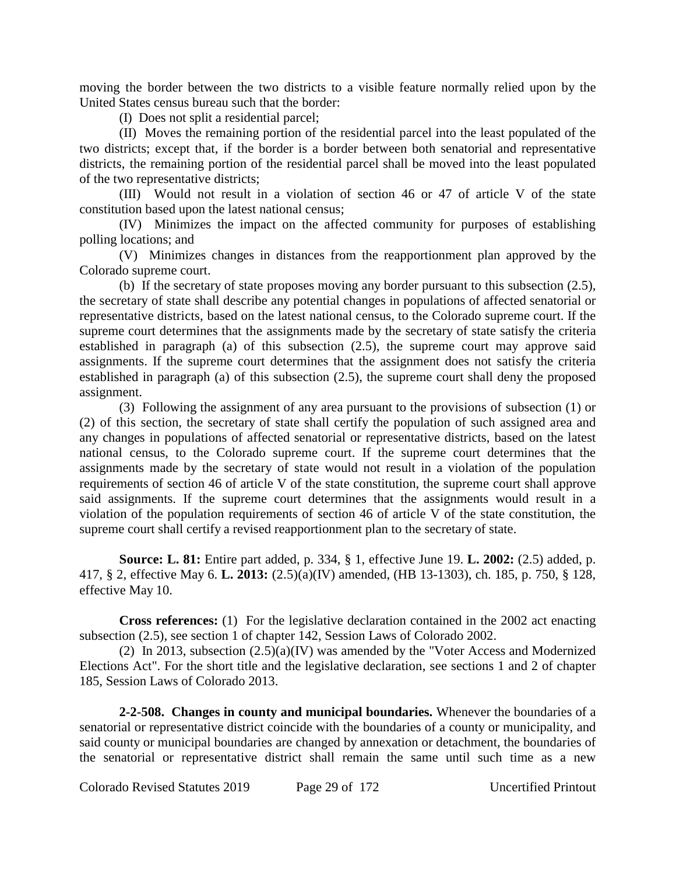moving the border between the two districts to a visible feature normally relied upon by the United States census bureau such that the border:

(I) Does not split a residential parcel;

(II) Moves the remaining portion of the residential parcel into the least populated of the two districts; except that, if the border is a border between both senatorial and representative districts, the remaining portion of the residential parcel shall be moved into the least populated of the two representative districts;

(III) Would not result in a violation of section 46 or 47 of article V of the state constitution based upon the latest national census;

(IV) Minimizes the impact on the affected community for purposes of establishing polling locations; and

(V) Minimizes changes in distances from the reapportionment plan approved by the Colorado supreme court.

(b) If the secretary of state proposes moving any border pursuant to this subsection (2.5), the secretary of state shall describe any potential changes in populations of affected senatorial or representative districts, based on the latest national census, to the Colorado supreme court. If the supreme court determines that the assignments made by the secretary of state satisfy the criteria established in paragraph (a) of this subsection (2.5), the supreme court may approve said assignments. If the supreme court determines that the assignment does not satisfy the criteria established in paragraph (a) of this subsection (2.5), the supreme court shall deny the proposed assignment.

(3) Following the assignment of any area pursuant to the provisions of subsection (1) or (2) of this section, the secretary of state shall certify the population of such assigned area and any changes in populations of affected senatorial or representative districts, based on the latest national census, to the Colorado supreme court. If the supreme court determines that the assignments made by the secretary of state would not result in a violation of the population requirements of section 46 of article V of the state constitution, the supreme court shall approve said assignments. If the supreme court determines that the assignments would result in a violation of the population requirements of section 46 of article V of the state constitution, the supreme court shall certify a revised reapportionment plan to the secretary of state.

**Source: L. 81:** Entire part added, p. 334, § 1, effective June 19. **L. 2002:** (2.5) added, p. 417, § 2, effective May 6. **L. 2013:** (2.5)(a)(IV) amended, (HB 13-1303), ch. 185, p. 750, § 128, effective May 10.

**Cross references:** (1) For the legislative declaration contained in the 2002 act enacting subsection (2.5), see section 1 of chapter 142, Session Laws of Colorado 2002.

(2) In 2013, subsection (2.5)(a)(IV) was amended by the "Voter Access and Modernized Elections Act". For the short title and the legislative declaration, see sections 1 and 2 of chapter 185, Session Laws of Colorado 2013.

**2-2-508. Changes in county and municipal boundaries.** Whenever the boundaries of a senatorial or representative district coincide with the boundaries of a county or municipality, and said county or municipal boundaries are changed by annexation or detachment, the boundaries of the senatorial or representative district shall remain the same until such time as a new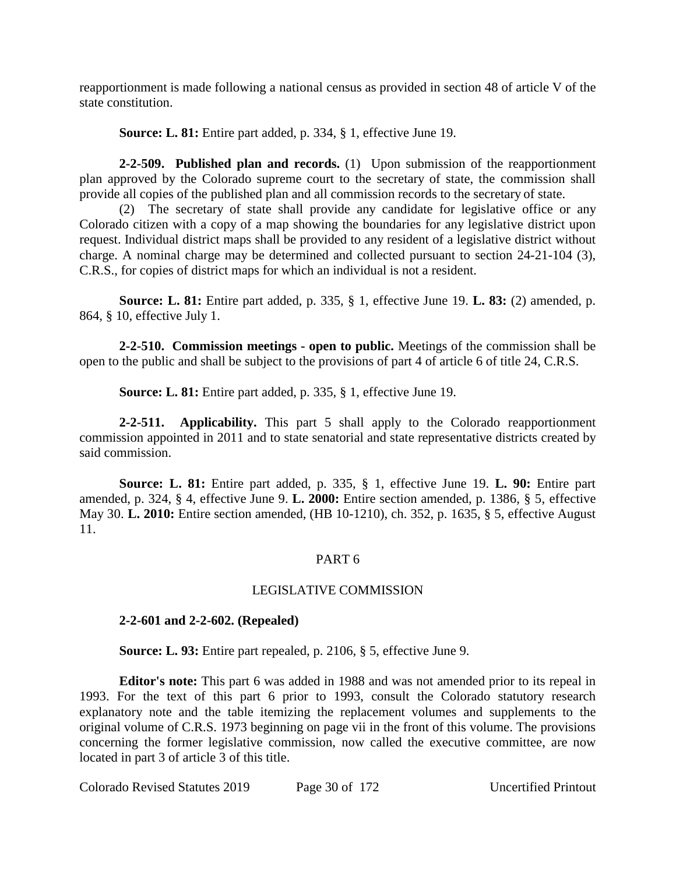reapportionment is made following a national census as provided in section 48 of article V of the state constitution.

**Source: L. 81:** Entire part added, p. 334, § 1, effective June 19.

**2-2-509. Published plan and records.** (1) Upon submission of the reapportionment plan approved by the Colorado supreme court to the secretary of state, the commission shall provide all copies of the published plan and all commission records to the secretary of state.

(2) The secretary of state shall provide any candidate for legislative office or any Colorado citizen with a copy of a map showing the boundaries for any legislative district upon request. Individual district maps shall be provided to any resident of a legislative district without charge. A nominal charge may be determined and collected pursuant to section 24-21-104 (3), C.R.S., for copies of district maps for which an individual is not a resident.

**Source: L. 81:** Entire part added, p. 335, § 1, effective June 19. **L. 83:** (2) amended, p. 864, § 10, effective July 1.

**2-2-510. Commission meetings - open to public.** Meetings of the commission shall be open to the public and shall be subject to the provisions of part 4 of article 6 of title 24, C.R.S.

**Source: L. 81:** Entire part added, p. 335, § 1, effective June 19.

**2-2-511. Applicability.** This part 5 shall apply to the Colorado reapportionment commission appointed in 2011 and to state senatorial and state representative districts created by said commission.

**Source: L. 81:** Entire part added, p. 335, § 1, effective June 19. **L. 90:** Entire part amended, p. 324, § 4, effective June 9. **L. 2000:** Entire section amended, p. 1386, § 5, effective May 30. **L. 2010:** Entire section amended, (HB 10-1210), ch. 352, p. 1635, § 5, effective August 11.

# PART 6

# LEGISLATIVE COMMISSION

# **2-2-601 and 2-2-602. (Repealed)**

**Source: L. 93:** Entire part repealed, p. 2106, § 5, effective June 9.

**Editor's note:** This part 6 was added in 1988 and was not amended prior to its repeal in 1993. For the text of this part 6 prior to 1993, consult the Colorado statutory research explanatory note and the table itemizing the replacement volumes and supplements to the original volume of C.R.S. 1973 beginning on page vii in the front of this volume. The provisions concerning the former legislative commission, now called the executive committee, are now located in part 3 of article 3 of this title.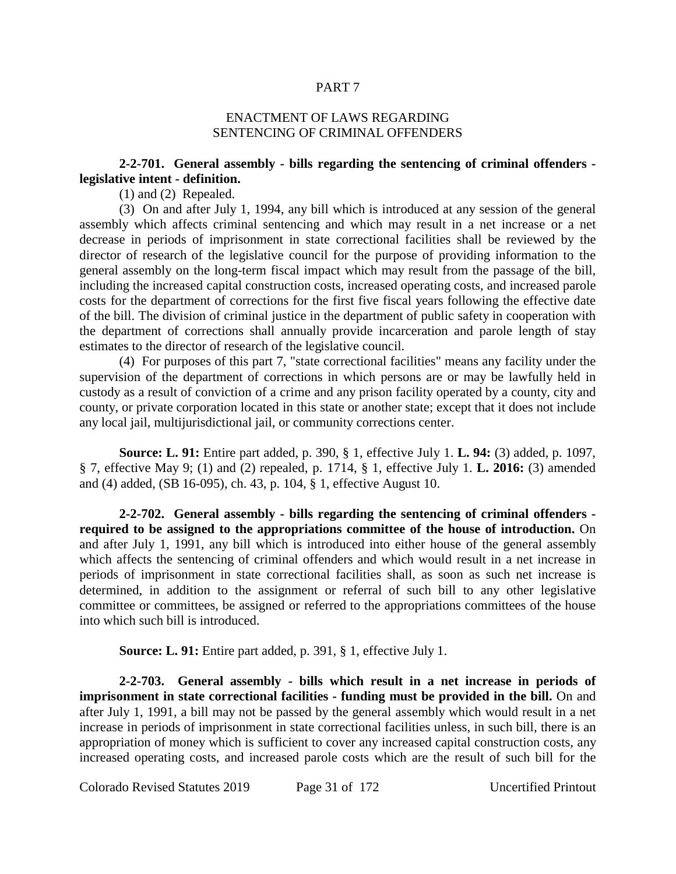#### PART 7

#### ENACTMENT OF LAWS REGARDING SENTENCING OF CRIMINAL OFFENDERS

## **2-2-701. General assembly - bills regarding the sentencing of criminal offenders legislative intent - definition.**

(1) and (2) Repealed.

(3) On and after July 1, 1994, any bill which is introduced at any session of the general assembly which affects criminal sentencing and which may result in a net increase or a net decrease in periods of imprisonment in state correctional facilities shall be reviewed by the director of research of the legislative council for the purpose of providing information to the general assembly on the long-term fiscal impact which may result from the passage of the bill, including the increased capital construction costs, increased operating costs, and increased parole costs for the department of corrections for the first five fiscal years following the effective date of the bill. The division of criminal justice in the department of public safety in cooperation with the department of corrections shall annually provide incarceration and parole length of stay estimates to the director of research of the legislative council.

(4) For purposes of this part 7, "state correctional facilities" means any facility under the supervision of the department of corrections in which persons are or may be lawfully held in custody as a result of conviction of a crime and any prison facility operated by a county, city and county, or private corporation located in this state or another state; except that it does not include any local jail, multijurisdictional jail, or community corrections center.

**Source: L. 91:** Entire part added, p. 390, § 1, effective July 1. **L. 94:** (3) added, p. 1097, § 7, effective May 9; (1) and (2) repealed, p. 1714, § 1, effective July 1. **L. 2016:** (3) amended and (4) added, (SB 16-095), ch. 43, p. 104, § 1, effective August 10.

**2-2-702. General assembly - bills regarding the sentencing of criminal offenders required to be assigned to the appropriations committee of the house of introduction.** On and after July 1, 1991, any bill which is introduced into either house of the general assembly which affects the sentencing of criminal offenders and which would result in a net increase in periods of imprisonment in state correctional facilities shall, as soon as such net increase is determined, in addition to the assignment or referral of such bill to any other legislative committee or committees, be assigned or referred to the appropriations committees of the house into which such bill is introduced.

**Source: L. 91:** Entire part added, p. 391, § 1, effective July 1.

**2-2-703. General assembly - bills which result in a net increase in periods of imprisonment in state correctional facilities - funding must be provided in the bill.** On and after July 1, 1991, a bill may not be passed by the general assembly which would result in a net increase in periods of imprisonment in state correctional facilities unless, in such bill, there is an appropriation of money which is sufficient to cover any increased capital construction costs, any increased operating costs, and increased parole costs which are the result of such bill for the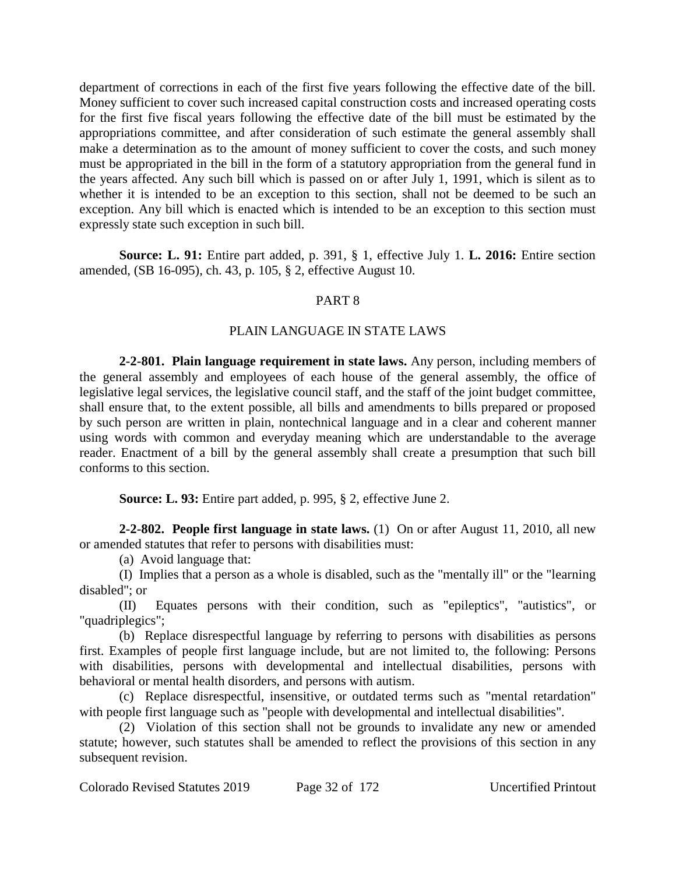department of corrections in each of the first five years following the effective date of the bill. Money sufficient to cover such increased capital construction costs and increased operating costs for the first five fiscal years following the effective date of the bill must be estimated by the appropriations committee, and after consideration of such estimate the general assembly shall make a determination as to the amount of money sufficient to cover the costs, and such money must be appropriated in the bill in the form of a statutory appropriation from the general fund in the years affected. Any such bill which is passed on or after July 1, 1991, which is silent as to whether it is intended to be an exception to this section, shall not be deemed to be such an exception. Any bill which is enacted which is intended to be an exception to this section must expressly state such exception in such bill.

**Source: L. 91:** Entire part added, p. 391, § 1, effective July 1. **L. 2016:** Entire section amended, (SB 16-095), ch. 43, p. 105, § 2, effective August 10.

# PART 8

## PLAIN LANGUAGE IN STATE LAWS

**2-2-801. Plain language requirement in state laws.** Any person, including members of the general assembly and employees of each house of the general assembly, the office of legislative legal services, the legislative council staff, and the staff of the joint budget committee, shall ensure that, to the extent possible, all bills and amendments to bills prepared or proposed by such person are written in plain, nontechnical language and in a clear and coherent manner using words with common and everyday meaning which are understandable to the average reader. Enactment of a bill by the general assembly shall create a presumption that such bill conforms to this section.

**Source: L. 93:** Entire part added, p. 995, § 2, effective June 2.

**2-2-802. People first language in state laws.** (1) On or after August 11, 2010, all new or amended statutes that refer to persons with disabilities must:

(a) Avoid language that:

(I) Implies that a person as a whole is disabled, such as the "mentally ill" or the "learning disabled"; or

(II) Equates persons with their condition, such as "epileptics", "autistics", or "quadriplegics";

(b) Replace disrespectful language by referring to persons with disabilities as persons first. Examples of people first language include, but are not limited to, the following: Persons with disabilities, persons with developmental and intellectual disabilities, persons with behavioral or mental health disorders, and persons with autism.

(c) Replace disrespectful, insensitive, or outdated terms such as "mental retardation" with people first language such as "people with developmental and intellectual disabilities".

(2) Violation of this section shall not be grounds to invalidate any new or amended statute; however, such statutes shall be amended to reflect the provisions of this section in any subsequent revision.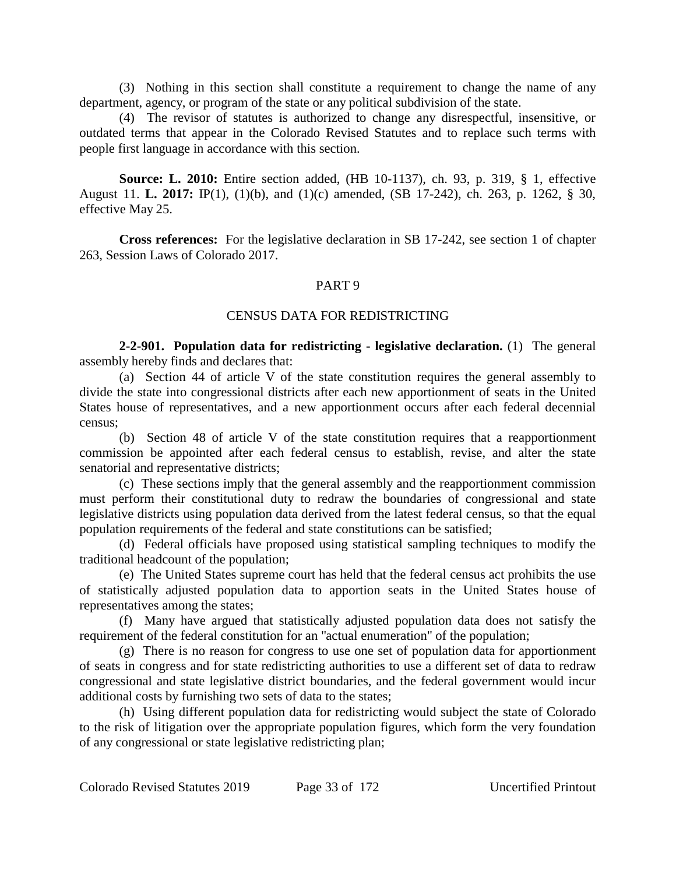(3) Nothing in this section shall constitute a requirement to change the name of any department, agency, or program of the state or any political subdivision of the state.

(4) The revisor of statutes is authorized to change any disrespectful, insensitive, or outdated terms that appear in the Colorado Revised Statutes and to replace such terms with people first language in accordance with this section.

**Source: L. 2010:** Entire section added, (HB 10-1137), ch. 93, p. 319, § 1, effective August 11. **L. 2017:** IP(1), (1)(b), and (1)(c) amended, (SB 17-242), ch. 263, p. 1262, § 30, effective May 25.

**Cross references:** For the legislative declaration in SB 17-242, see section 1 of chapter 263, Session Laws of Colorado 2017.

## PART 9

#### CENSUS DATA FOR REDISTRICTING

**2-2-901. Population data for redistricting - legislative declaration.** (1) The general assembly hereby finds and declares that:

(a) Section 44 of article V of the state constitution requires the general assembly to divide the state into congressional districts after each new apportionment of seats in the United States house of representatives, and a new apportionment occurs after each federal decennial census;

(b) Section 48 of article V of the state constitution requires that a reapportionment commission be appointed after each federal census to establish, revise, and alter the state senatorial and representative districts;

(c) These sections imply that the general assembly and the reapportionment commission must perform their constitutional duty to redraw the boundaries of congressional and state legislative districts using population data derived from the latest federal census, so that the equal population requirements of the federal and state constitutions can be satisfied;

(d) Federal officials have proposed using statistical sampling techniques to modify the traditional headcount of the population;

(e) The United States supreme court has held that the federal census act prohibits the use of statistically adjusted population data to apportion seats in the United States house of representatives among the states;

(f) Many have argued that statistically adjusted population data does not satisfy the requirement of the federal constitution for an "actual enumeration" of the population;

(g) There is no reason for congress to use one set of population data for apportionment of seats in congress and for state redistricting authorities to use a different set of data to redraw congressional and state legislative district boundaries, and the federal government would incur additional costs by furnishing two sets of data to the states;

(h) Using different population data for redistricting would subject the state of Colorado to the risk of litigation over the appropriate population figures, which form the very foundation of any congressional or state legislative redistricting plan;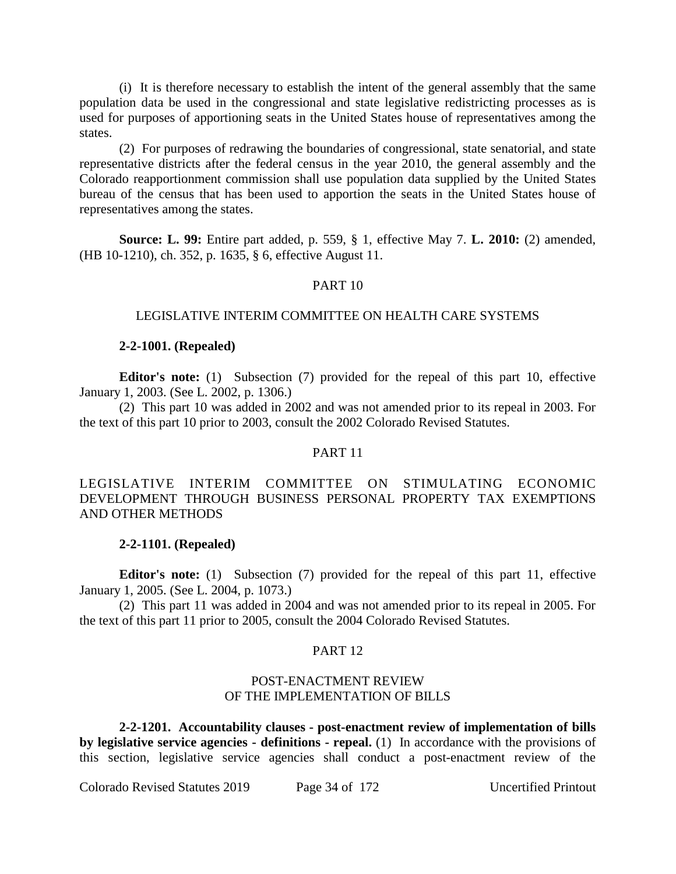(i) It is therefore necessary to establish the intent of the general assembly that the same population data be used in the congressional and state legislative redistricting processes as is used for purposes of apportioning seats in the United States house of representatives among the states.

(2) For purposes of redrawing the boundaries of congressional, state senatorial, and state representative districts after the federal census in the year 2010, the general assembly and the Colorado reapportionment commission shall use population data supplied by the United States bureau of the census that has been used to apportion the seats in the United States house of representatives among the states.

**Source: L. 99:** Entire part added, p. 559, § 1, effective May 7. **L. 2010:** (2) amended, (HB 10-1210), ch. 352, p. 1635, § 6, effective August 11.

## PART 10

## LEGISLATIVE INTERIM COMMITTEE ON HEALTH CARE SYSTEMS

#### **2-2-1001. (Repealed)**

**Editor's note:** (1) Subsection (7) provided for the repeal of this part 10, effective January 1, 2003. (See L. 2002, p. 1306.)

(2) This part 10 was added in 2002 and was not amended prior to its repeal in 2003. For the text of this part 10 prior to 2003, consult the 2002 Colorado Revised Statutes.

#### PART 11

LEGISLATIVE INTERIM COMMITTEE ON STIMULATING ECONOMIC DEVELOPMENT THROUGH BUSINESS PERSONAL PROPERTY TAX EXEMPTIONS AND OTHER METHODS

## **2-2-1101. (Repealed)**

**Editor's note:** (1) Subsection (7) provided for the repeal of this part 11, effective January 1, 2005. (See L. 2004, p. 1073.)

(2) This part 11 was added in 2004 and was not amended prior to its repeal in 2005. For the text of this part 11 prior to 2005, consult the 2004 Colorado Revised Statutes.

#### PART 12

## POST-ENACTMENT REVIEW OF THE IMPLEMENTATION OF BILLS

**2-2-1201. Accountability clauses - post-enactment review of implementation of bills by legislative service agencies - definitions - repeal.** (1) In accordance with the provisions of this section, legislative service agencies shall conduct a post-enactment review of the

Colorado Revised Statutes 2019 Page 34 of 172 Uncertified Printout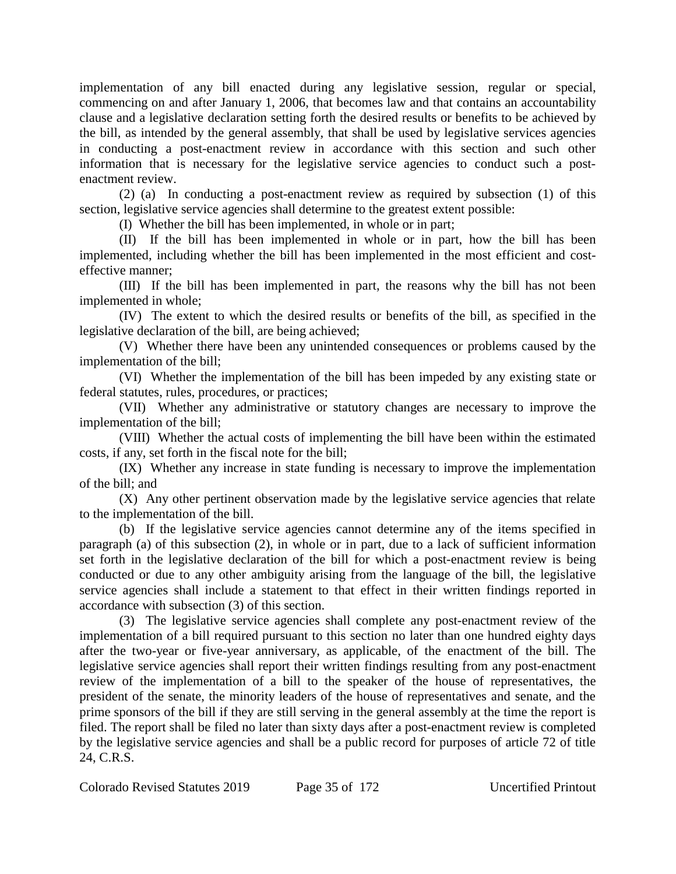implementation of any bill enacted during any legislative session, regular or special, commencing on and after January 1, 2006, that becomes law and that contains an accountability clause and a legislative declaration setting forth the desired results or benefits to be achieved by the bill, as intended by the general assembly, that shall be used by legislative services agencies in conducting a post-enactment review in accordance with this section and such other information that is necessary for the legislative service agencies to conduct such a postenactment review.

(2) (a) In conducting a post-enactment review as required by subsection (1) of this section, legislative service agencies shall determine to the greatest extent possible:

(I) Whether the bill has been implemented, in whole or in part;

(II) If the bill has been implemented in whole or in part, how the bill has been implemented, including whether the bill has been implemented in the most efficient and costeffective manner;

(III) If the bill has been implemented in part, the reasons why the bill has not been implemented in whole;

(IV) The extent to which the desired results or benefits of the bill, as specified in the legislative declaration of the bill, are being achieved;

(V) Whether there have been any unintended consequences or problems caused by the implementation of the bill;

(VI) Whether the implementation of the bill has been impeded by any existing state or federal statutes, rules, procedures, or practices;

(VII) Whether any administrative or statutory changes are necessary to improve the implementation of the bill;

(VIII) Whether the actual costs of implementing the bill have been within the estimated costs, if any, set forth in the fiscal note for the bill;

(IX) Whether any increase in state funding is necessary to improve the implementation of the bill; and

(X) Any other pertinent observation made by the legislative service agencies that relate to the implementation of the bill.

(b) If the legislative service agencies cannot determine any of the items specified in paragraph (a) of this subsection (2), in whole or in part, due to a lack of sufficient information set forth in the legislative declaration of the bill for which a post-enactment review is being conducted or due to any other ambiguity arising from the language of the bill, the legislative service agencies shall include a statement to that effect in their written findings reported in accordance with subsection (3) of this section.

(3) The legislative service agencies shall complete any post-enactment review of the implementation of a bill required pursuant to this section no later than one hundred eighty days after the two-year or five-year anniversary, as applicable, of the enactment of the bill. The legislative service agencies shall report their written findings resulting from any post-enactment review of the implementation of a bill to the speaker of the house of representatives, the president of the senate, the minority leaders of the house of representatives and senate, and the prime sponsors of the bill if they are still serving in the general assembly at the time the report is filed. The report shall be filed no later than sixty days after a post-enactment review is completed by the legislative service agencies and shall be a public record for purposes of article 72 of title 24, C.R.S.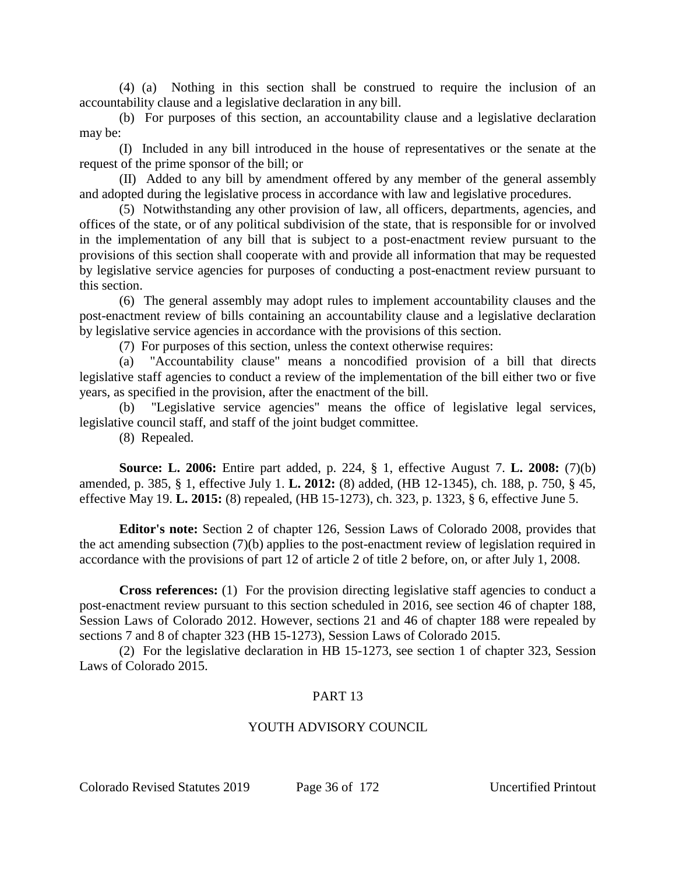(4) (a) Nothing in this section shall be construed to require the inclusion of an accountability clause and a legislative declaration in any bill.

(b) For purposes of this section, an accountability clause and a legislative declaration may be:

(I) Included in any bill introduced in the house of representatives or the senate at the request of the prime sponsor of the bill; or

(II) Added to any bill by amendment offered by any member of the general assembly and adopted during the legislative process in accordance with law and legislative procedures.

(5) Notwithstanding any other provision of law, all officers, departments, agencies, and offices of the state, or of any political subdivision of the state, that is responsible for or involved in the implementation of any bill that is subject to a post-enactment review pursuant to the provisions of this section shall cooperate with and provide all information that may be requested by legislative service agencies for purposes of conducting a post-enactment review pursuant to this section.

(6) The general assembly may adopt rules to implement accountability clauses and the post-enactment review of bills containing an accountability clause and a legislative declaration by legislative service agencies in accordance with the provisions of this section.

(7) For purposes of this section, unless the context otherwise requires:

(a) "Accountability clause" means a noncodified provision of a bill that directs legislative staff agencies to conduct a review of the implementation of the bill either two or five years, as specified in the provision, after the enactment of the bill.

(b) "Legislative service agencies" means the office of legislative legal services, legislative council staff, and staff of the joint budget committee.

(8) Repealed.

**Source: L. 2006:** Entire part added, p. 224, § 1, effective August 7. **L. 2008:** (7)(b) amended, p. 385, § 1, effective July 1. **L. 2012:** (8) added, (HB 12-1345), ch. 188, p. 750, § 45, effective May 19. **L. 2015:** (8) repealed, (HB 15-1273), ch. 323, p. 1323, § 6, effective June 5.

**Editor's note:** Section 2 of chapter 126, Session Laws of Colorado 2008, provides that the act amending subsection (7)(b) applies to the post-enactment review of legislation required in accordance with the provisions of part 12 of article 2 of title 2 before, on, or after July 1, 2008.

**Cross references:** (1) For the provision directing legislative staff agencies to conduct a post-enactment review pursuant to this section scheduled in 2016, see section 46 of chapter 188, Session Laws of Colorado 2012. However, sections 21 and 46 of chapter 188 were repealed by sections 7 and 8 of chapter 323 (HB 15-1273), Session Laws of Colorado 2015.

(2) For the legislative declaration in HB 15-1273, see section 1 of chapter 323, Session Laws of Colorado 2015.

## PART 13

## YOUTH ADVISORY COUNCIL

Colorado Revised Statutes 2019 Page 36 of 172 Uncertified Printout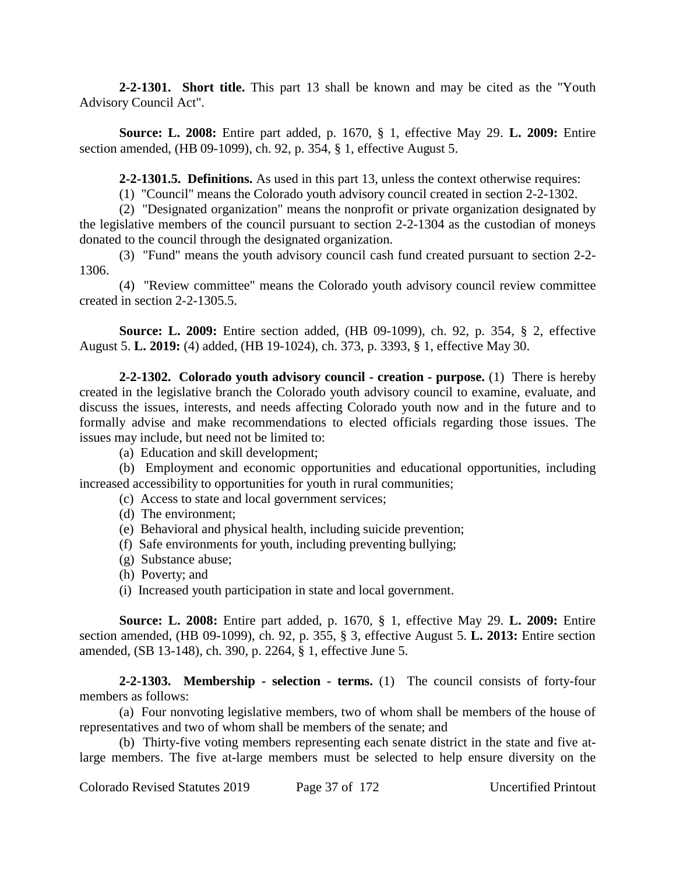**2-2-1301. Short title.** This part 13 shall be known and may be cited as the "Youth Advisory Council Act".

**Source: L. 2008:** Entire part added, p. 1670, § 1, effective May 29. **L. 2009:** Entire section amended, (HB 09-1099), ch. 92, p. 354, § 1, effective August 5.

**2-2-1301.5. Definitions.** As used in this part 13, unless the context otherwise requires:

(1) "Council" means the Colorado youth advisory council created in section 2-2-1302.

(2) "Designated organization" means the nonprofit or private organization designated by the legislative members of the council pursuant to section 2-2-1304 as the custodian of moneys donated to the council through the designated organization.

(3) "Fund" means the youth advisory council cash fund created pursuant to section 2-2- 1306.

(4) "Review committee" means the Colorado youth advisory council review committee created in section 2-2-1305.5.

**Source: L. 2009:** Entire section added, (HB 09-1099), ch. 92, p. 354, § 2, effective August 5. **L. 2019:** (4) added, (HB 19-1024), ch. 373, p. 3393, § 1, effective May 30.

**2-2-1302. Colorado youth advisory council - creation - purpose.** (1) There is hereby created in the legislative branch the Colorado youth advisory council to examine, evaluate, and discuss the issues, interests, and needs affecting Colorado youth now and in the future and to formally advise and make recommendations to elected officials regarding those issues. The issues may include, but need not be limited to:

(a) Education and skill development;

(b) Employment and economic opportunities and educational opportunities, including increased accessibility to opportunities for youth in rural communities;

- (c) Access to state and local government services;
- (d) The environment;
- (e) Behavioral and physical health, including suicide prevention;
- (f) Safe environments for youth, including preventing bullying;
- (g) Substance abuse;
- (h) Poverty; and
- (i) Increased youth participation in state and local government.

**Source: L. 2008:** Entire part added, p. 1670, § 1, effective May 29. **L. 2009:** Entire section amended, (HB 09-1099), ch. 92, p. 355, § 3, effective August 5. **L. 2013:** Entire section amended, (SB 13-148), ch. 390, p. 2264, § 1, effective June 5.

**2-2-1303. Membership - selection - terms.** (1) The council consists of forty-four members as follows:

(a) Four nonvoting legislative members, two of whom shall be members of the house of representatives and two of whom shall be members of the senate; and

(b) Thirty-five voting members representing each senate district in the state and five atlarge members. The five at-large members must be selected to help ensure diversity on the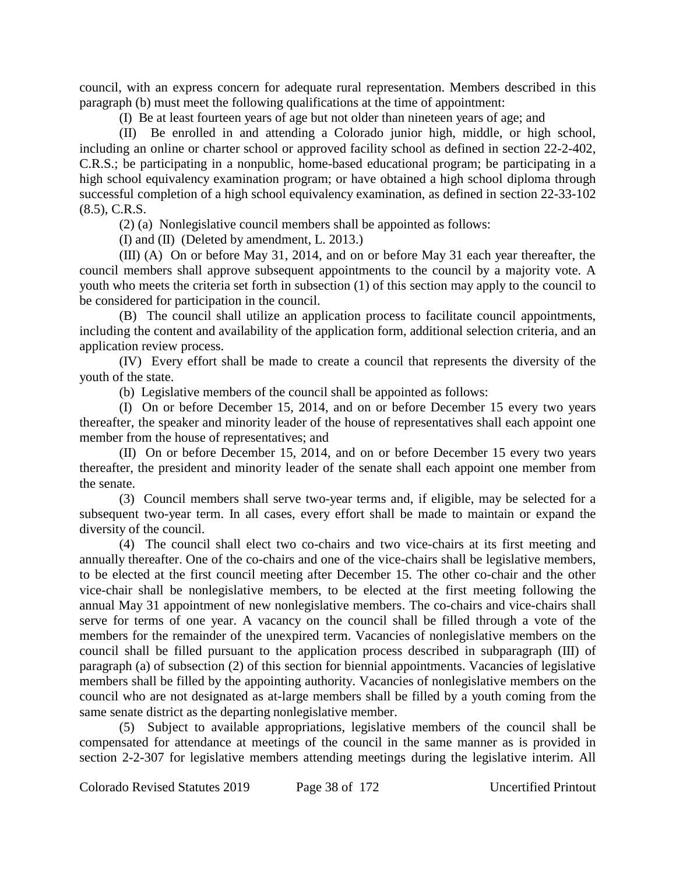council, with an express concern for adequate rural representation. Members described in this paragraph (b) must meet the following qualifications at the time of appointment:

(I) Be at least fourteen years of age but not older than nineteen years of age; and

(II) Be enrolled in and attending a Colorado junior high, middle, or high school, including an online or charter school or approved facility school as defined in section 22-2-402, C.R.S.; be participating in a nonpublic, home-based educational program; be participating in a high school equivalency examination program; or have obtained a high school diploma through successful completion of a high school equivalency examination, as defined in section 22-33-102 (8.5), C.R.S.

(2) (a) Nonlegislative council members shall be appointed as follows:

(I) and (II) (Deleted by amendment, L. 2013.)

(III) (A) On or before May 31, 2014, and on or before May 31 each year thereafter, the council members shall approve subsequent appointments to the council by a majority vote. A youth who meets the criteria set forth in subsection (1) of this section may apply to the council to be considered for participation in the council.

(B) The council shall utilize an application process to facilitate council appointments, including the content and availability of the application form, additional selection criteria, and an application review process.

(IV) Every effort shall be made to create a council that represents the diversity of the youth of the state.

(b) Legislative members of the council shall be appointed as follows:

(I) On or before December 15, 2014, and on or before December 15 every two years thereafter, the speaker and minority leader of the house of representatives shall each appoint one member from the house of representatives; and

(II) On or before December 15, 2014, and on or before December 15 every two years thereafter, the president and minority leader of the senate shall each appoint one member from the senate.

(3) Council members shall serve two-year terms and, if eligible, may be selected for a subsequent two-year term. In all cases, every effort shall be made to maintain or expand the diversity of the council.

(4) The council shall elect two co-chairs and two vice-chairs at its first meeting and annually thereafter. One of the co-chairs and one of the vice-chairs shall be legislative members, to be elected at the first council meeting after December 15. The other co-chair and the other vice-chair shall be nonlegislative members, to be elected at the first meeting following the annual May 31 appointment of new nonlegislative members. The co-chairs and vice-chairs shall serve for terms of one year. A vacancy on the council shall be filled through a vote of the members for the remainder of the unexpired term. Vacancies of nonlegislative members on the council shall be filled pursuant to the application process described in subparagraph (III) of paragraph (a) of subsection (2) of this section for biennial appointments. Vacancies of legislative members shall be filled by the appointing authority. Vacancies of nonlegislative members on the council who are not designated as at-large members shall be filled by a youth coming from the same senate district as the departing nonlegislative member.

(5) Subject to available appropriations, legislative members of the council shall be compensated for attendance at meetings of the council in the same manner as is provided in section 2-2-307 for legislative members attending meetings during the legislative interim. All

Colorado Revised Statutes 2019 Page 38 of 172 Uncertified Printout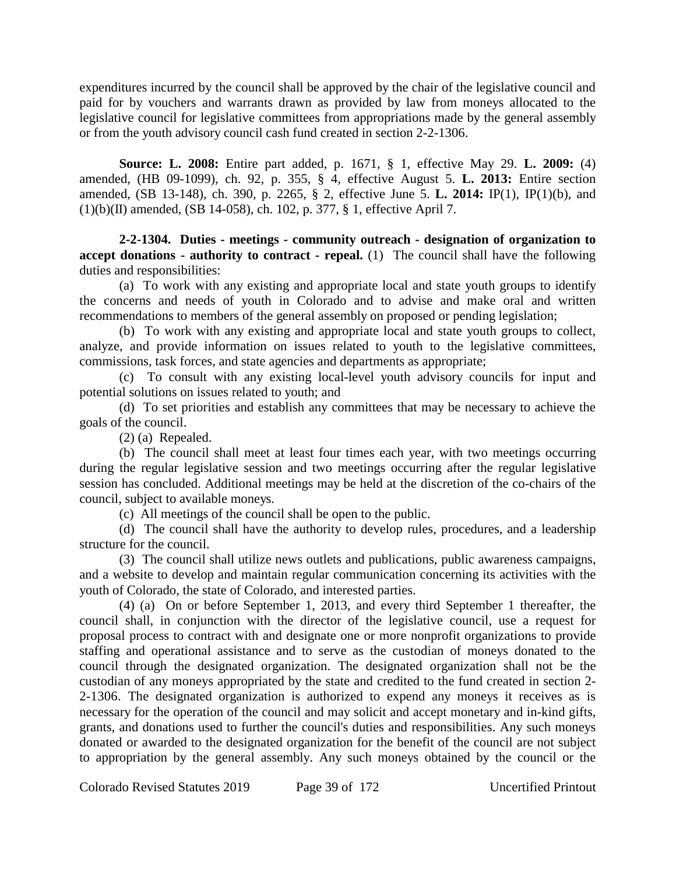expenditures incurred by the council shall be approved by the chair of the legislative council and paid for by vouchers and warrants drawn as provided by law from moneys allocated to the legislative council for legislative committees from appropriations made by the general assembly or from the youth advisory council cash fund created in section 2-2-1306.

**Source: L. 2008:** Entire part added, p. 1671, § 1, effective May 29. **L. 2009:** (4) amended, (HB 09-1099), ch. 92, p. 355, § 4, effective August 5. **L. 2013:** Entire section amended, (SB 13-148), ch. 390, p. 2265, § 2, effective June 5. **L. 2014:** IP(1), IP(1)(b), and (1)(b)(II) amended, (SB 14-058), ch. 102, p. 377, § 1, effective April 7.

**2-2-1304. Duties - meetings - community outreach - designation of organization to accept donations - authority to contract - repeal.** (1) The council shall have the following duties and responsibilities:

(a) To work with any existing and appropriate local and state youth groups to identify the concerns and needs of youth in Colorado and to advise and make oral and written recommendations to members of the general assembly on proposed or pending legislation;

(b) To work with any existing and appropriate local and state youth groups to collect, analyze, and provide information on issues related to youth to the legislative committees, commissions, task forces, and state agencies and departments as appropriate;

(c) To consult with any existing local-level youth advisory councils for input and potential solutions on issues related to youth; and

(d) To set priorities and establish any committees that may be necessary to achieve the goals of the council.

(2) (a) Repealed.

(b) The council shall meet at least four times each year, with two meetings occurring during the regular legislative session and two meetings occurring after the regular legislative session has concluded. Additional meetings may be held at the discretion of the co-chairs of the council, subject to available moneys.

(c) All meetings of the council shall be open to the public.

(d) The council shall have the authority to develop rules, procedures, and a leadership structure for the council.

(3) The council shall utilize news outlets and publications, public awareness campaigns, and a website to develop and maintain regular communication concerning its activities with the youth of Colorado, the state of Colorado, and interested parties.

(4) (a) On or before September 1, 2013, and every third September 1 thereafter, the council shall, in conjunction with the director of the legislative council, use a request for proposal process to contract with and designate one or more nonprofit organizations to provide staffing and operational assistance and to serve as the custodian of moneys donated to the council through the designated organization. The designated organization shall not be the custodian of any moneys appropriated by the state and credited to the fund created in section 2- 2-1306. The designated organization is authorized to expend any moneys it receives as is necessary for the operation of the council and may solicit and accept monetary and in-kind gifts, grants, and donations used to further the council's duties and responsibilities. Any such moneys donated or awarded to the designated organization for the benefit of the council are not subject to appropriation by the general assembly. Any such moneys obtained by the council or the

Colorado Revised Statutes 2019 Page 39 of 172 Uncertified Printout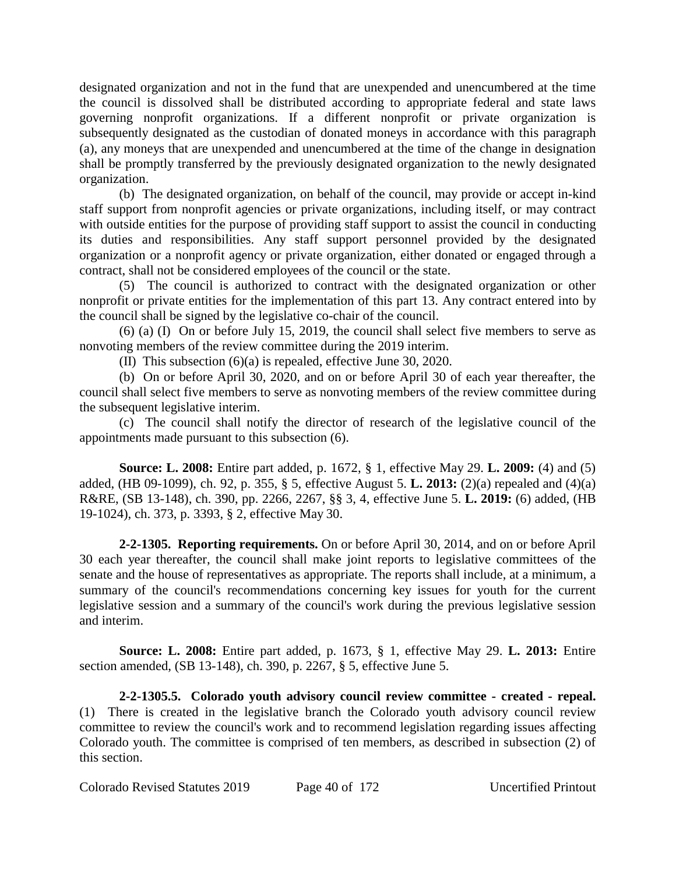designated organization and not in the fund that are unexpended and unencumbered at the time the council is dissolved shall be distributed according to appropriate federal and state laws governing nonprofit organizations. If a different nonprofit or private organization is subsequently designated as the custodian of donated moneys in accordance with this paragraph (a), any moneys that are unexpended and unencumbered at the time of the change in designation shall be promptly transferred by the previously designated organization to the newly designated organization.

(b) The designated organization, on behalf of the council, may provide or accept in-kind staff support from nonprofit agencies or private organizations, including itself, or may contract with outside entities for the purpose of providing staff support to assist the council in conducting its duties and responsibilities. Any staff support personnel provided by the designated organization or a nonprofit agency or private organization, either donated or engaged through a contract, shall not be considered employees of the council or the state.

(5) The council is authorized to contract with the designated organization or other nonprofit or private entities for the implementation of this part 13. Any contract entered into by the council shall be signed by the legislative co-chair of the council.

(6) (a) (I) On or before July 15, 2019, the council shall select five members to serve as nonvoting members of the review committee during the 2019 interim.

(II) This subsection (6)(a) is repealed, effective June 30, 2020.

(b) On or before April 30, 2020, and on or before April 30 of each year thereafter, the council shall select five members to serve as nonvoting members of the review committee during the subsequent legislative interim.

(c) The council shall notify the director of research of the legislative council of the appointments made pursuant to this subsection (6).

**Source: L. 2008:** Entire part added, p. 1672, § 1, effective May 29. **L. 2009:** (4) and (5) added, (HB 09-1099), ch. 92, p. 355, § 5, effective August 5. **L. 2013:** (2)(a) repealed and (4)(a) R&RE, (SB 13-148), ch. 390, pp. 2266, 2267, §§ 3, 4, effective June 5. **L. 2019:** (6) added, (HB 19-1024), ch. 373, p. 3393, § 2, effective May 30.

**2-2-1305. Reporting requirements.** On or before April 30, 2014, and on or before April 30 each year thereafter, the council shall make joint reports to legislative committees of the senate and the house of representatives as appropriate. The reports shall include, at a minimum, a summary of the council's recommendations concerning key issues for youth for the current legislative session and a summary of the council's work during the previous legislative session and interim.

**Source: L. 2008:** Entire part added, p. 1673, § 1, effective May 29. **L. 2013:** Entire section amended, (SB 13-148), ch. 390, p. 2267, § 5, effective June 5.

**2-2-1305.5. Colorado youth advisory council review committee - created - repeal.** (1) There is created in the legislative branch the Colorado youth advisory council review committee to review the council's work and to recommend legislation regarding issues affecting Colorado youth. The committee is comprised of ten members, as described in subsection (2) of this section.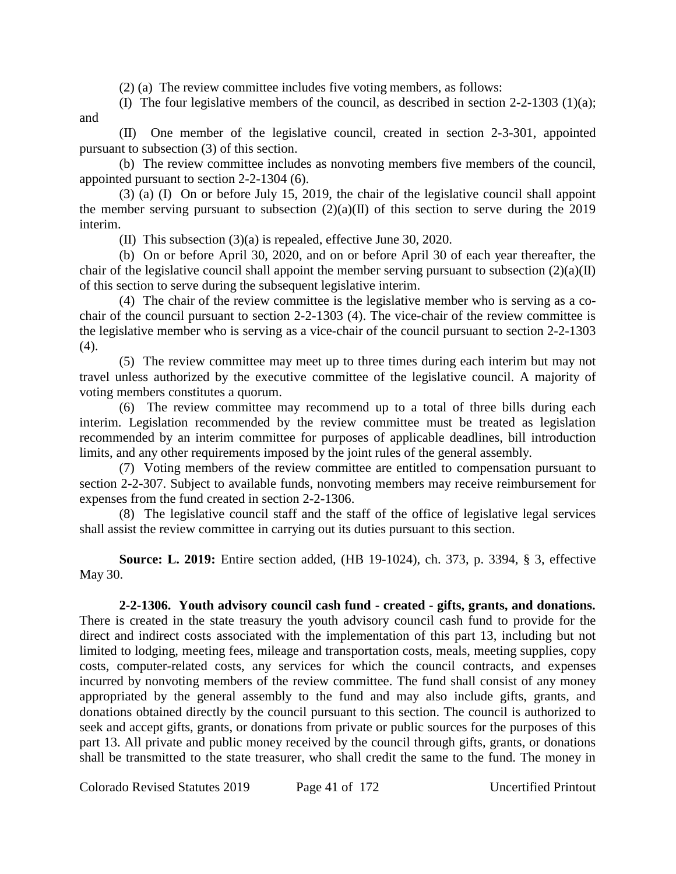(2) (a) The review committee includes five voting members, as follows:

(I) The four legislative members of the council, as described in section 2-2-1303 (1)(a); and

(II) One member of the legislative council, created in section 2-3-301, appointed pursuant to subsection (3) of this section.

(b) The review committee includes as nonvoting members five members of the council, appointed pursuant to section 2-2-1304 (6).

(3) (a) (I) On or before July 15, 2019, the chair of the legislative council shall appoint the member serving pursuant to subsection  $(2)(a)(II)$  of this section to serve during the 2019 interim.

(II) This subsection (3)(a) is repealed, effective June 30, 2020.

(b) On or before April 30, 2020, and on or before April 30 of each year thereafter, the chair of the legislative council shall appoint the member serving pursuant to subsection  $(2)(a)(II)$ of this section to serve during the subsequent legislative interim.

(4) The chair of the review committee is the legislative member who is serving as a cochair of the council pursuant to section 2-2-1303 (4). The vice-chair of the review committee is the legislative member who is serving as a vice-chair of the council pursuant to section 2-2-1303 (4).

(5) The review committee may meet up to three times during each interim but may not travel unless authorized by the executive committee of the legislative council. A majority of voting members constitutes a quorum.

(6) The review committee may recommend up to a total of three bills during each interim. Legislation recommended by the review committee must be treated as legislation recommended by an interim committee for purposes of applicable deadlines, bill introduction limits, and any other requirements imposed by the joint rules of the general assembly.

(7) Voting members of the review committee are entitled to compensation pursuant to section 2-2-307. Subject to available funds, nonvoting members may receive reimbursement for expenses from the fund created in section 2-2-1306.

(8) The legislative council staff and the staff of the office of legislative legal services shall assist the review committee in carrying out its duties pursuant to this section.

**Source: L. 2019:** Entire section added, (HB 19-1024), ch. 373, p. 3394, § 3, effective May 30.

**2-2-1306. Youth advisory council cash fund - created - gifts, grants, and donations.** There is created in the state treasury the youth advisory council cash fund to provide for the direct and indirect costs associated with the implementation of this part 13, including but not limited to lodging, meeting fees, mileage and transportation costs, meals, meeting supplies, copy

costs, computer-related costs, any services for which the council contracts, and expenses incurred by nonvoting members of the review committee. The fund shall consist of any money appropriated by the general assembly to the fund and may also include gifts, grants, and donations obtained directly by the council pursuant to this section. The council is authorized to seek and accept gifts, grants, or donations from private or public sources for the purposes of this part 13. All private and public money received by the council through gifts, grants, or donations shall be transmitted to the state treasurer, who shall credit the same to the fund. The money in

Colorado Revised Statutes 2019 Page 41 of 172 Uncertified Printout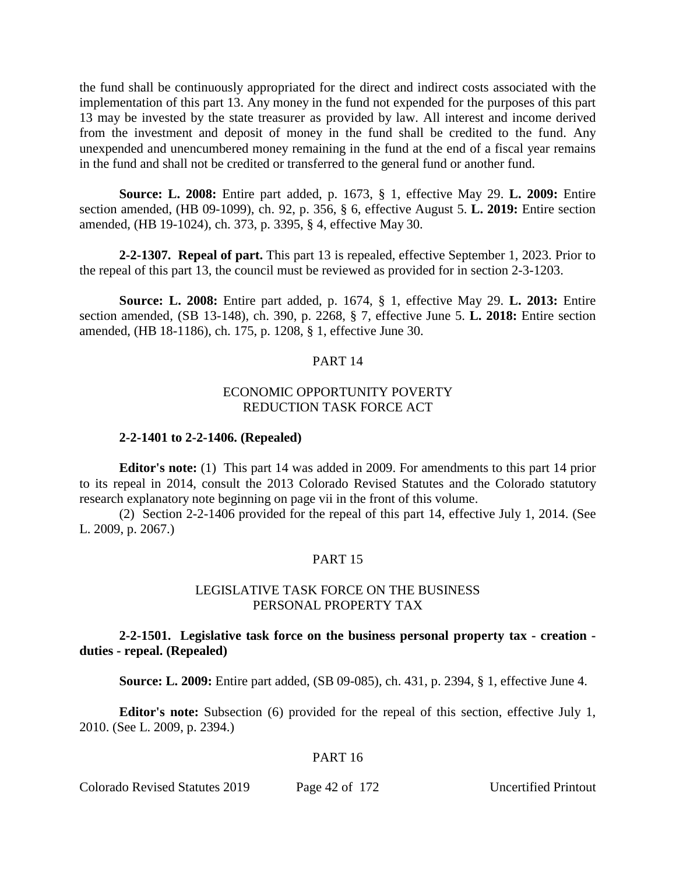the fund shall be continuously appropriated for the direct and indirect costs associated with the implementation of this part 13. Any money in the fund not expended for the purposes of this part 13 may be invested by the state treasurer as provided by law. All interest and income derived from the investment and deposit of money in the fund shall be credited to the fund. Any unexpended and unencumbered money remaining in the fund at the end of a fiscal year remains in the fund and shall not be credited or transferred to the general fund or another fund.

**Source: L. 2008:** Entire part added, p. 1673, § 1, effective May 29. **L. 2009:** Entire section amended, (HB 09-1099), ch. 92, p. 356, § 6, effective August 5. **L. 2019:** Entire section amended, (HB 19-1024), ch. 373, p. 3395, § 4, effective May 30.

**2-2-1307. Repeal of part.** This part 13 is repealed, effective September 1, 2023. Prior to the repeal of this part 13, the council must be reviewed as provided for in section 2-3-1203.

**Source: L. 2008:** Entire part added, p. 1674, § 1, effective May 29. **L. 2013:** Entire section amended, (SB 13-148), ch. 390, p. 2268, § 7, effective June 5. **L. 2018:** Entire section amended, (HB 18-1186), ch. 175, p. 1208, § 1, effective June 30.

#### PART 14

## ECONOMIC OPPORTUNITY POVERTY REDUCTION TASK FORCE ACT

#### **2-2-1401 to 2-2-1406. (Repealed)**

**Editor's note:** (1) This part 14 was added in 2009. For amendments to this part 14 prior to its repeal in 2014, consult the 2013 Colorado Revised Statutes and the Colorado statutory research explanatory note beginning on page vii in the front of this volume.

(2) Section 2-2-1406 provided for the repeal of this part 14, effective July 1, 2014. (See L. 2009, p. 2067.)

## PART 15

## LEGISLATIVE TASK FORCE ON THE BUSINESS PERSONAL PROPERTY TAX

**2-2-1501. Legislative task force on the business personal property tax - creation duties - repeal. (Repealed)**

**Source: L. 2009:** Entire part added, (SB 09-085), ch. 431, p. 2394, § 1, effective June 4.

**Editor's note:** Subsection (6) provided for the repeal of this section, effective July 1, 2010. (See L. 2009, p. 2394.)

## PART 16

#### Colorado Revised Statutes 2019 Page 42 of 172 Uncertified Printout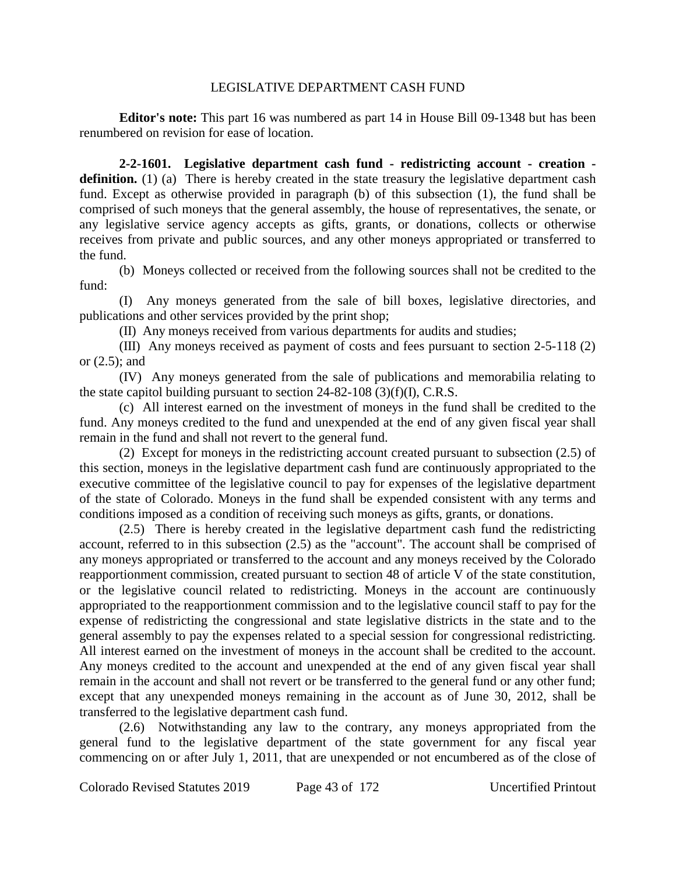#### LEGISLATIVE DEPARTMENT CASH FUND

**Editor's note:** This part 16 was numbered as part 14 in House Bill 09-1348 but has been renumbered on revision for ease of location.

**2-2-1601. Legislative department cash fund - redistricting account - creation definition.** (1) (a) There is hereby created in the state treasury the legislative department cash fund. Except as otherwise provided in paragraph (b) of this subsection (1), the fund shall be comprised of such moneys that the general assembly, the house of representatives, the senate, or any legislative service agency accepts as gifts, grants, or donations, collects or otherwise receives from private and public sources, and any other moneys appropriated or transferred to the fund.

(b) Moneys collected or received from the following sources shall not be credited to the fund:

(I) Any moneys generated from the sale of bill boxes, legislative directories, and publications and other services provided by the print shop;

(II) Any moneys received from various departments for audits and studies;

(III) Any moneys received as payment of costs and fees pursuant to section 2-5-118 (2) or (2.5); and

(IV) Any moneys generated from the sale of publications and memorabilia relating to the state capitol building pursuant to section  $24-82-108$  (3)(f)(I), C.R.S.

(c) All interest earned on the investment of moneys in the fund shall be credited to the fund. Any moneys credited to the fund and unexpended at the end of any given fiscal year shall remain in the fund and shall not revert to the general fund.

(2) Except for moneys in the redistricting account created pursuant to subsection (2.5) of this section, moneys in the legislative department cash fund are continuously appropriated to the executive committee of the legislative council to pay for expenses of the legislative department of the state of Colorado. Moneys in the fund shall be expended consistent with any terms and conditions imposed as a condition of receiving such moneys as gifts, grants, or donations.

(2.5) There is hereby created in the legislative department cash fund the redistricting account, referred to in this subsection (2.5) as the "account". The account shall be comprised of any moneys appropriated or transferred to the account and any moneys received by the Colorado reapportionment commission, created pursuant to section 48 of article V of the state constitution, or the legislative council related to redistricting. Moneys in the account are continuously appropriated to the reapportionment commission and to the legislative council staff to pay for the expense of redistricting the congressional and state legislative districts in the state and to the general assembly to pay the expenses related to a special session for congressional redistricting. All interest earned on the investment of moneys in the account shall be credited to the account. Any moneys credited to the account and unexpended at the end of any given fiscal year shall remain in the account and shall not revert or be transferred to the general fund or any other fund; except that any unexpended moneys remaining in the account as of June 30, 2012, shall be transferred to the legislative department cash fund.

(2.6) Notwithstanding any law to the contrary, any moneys appropriated from the general fund to the legislative department of the state government for any fiscal year commencing on or after July 1, 2011, that are unexpended or not encumbered as of the close of

Colorado Revised Statutes 2019 Page 43 of 172 Uncertified Printout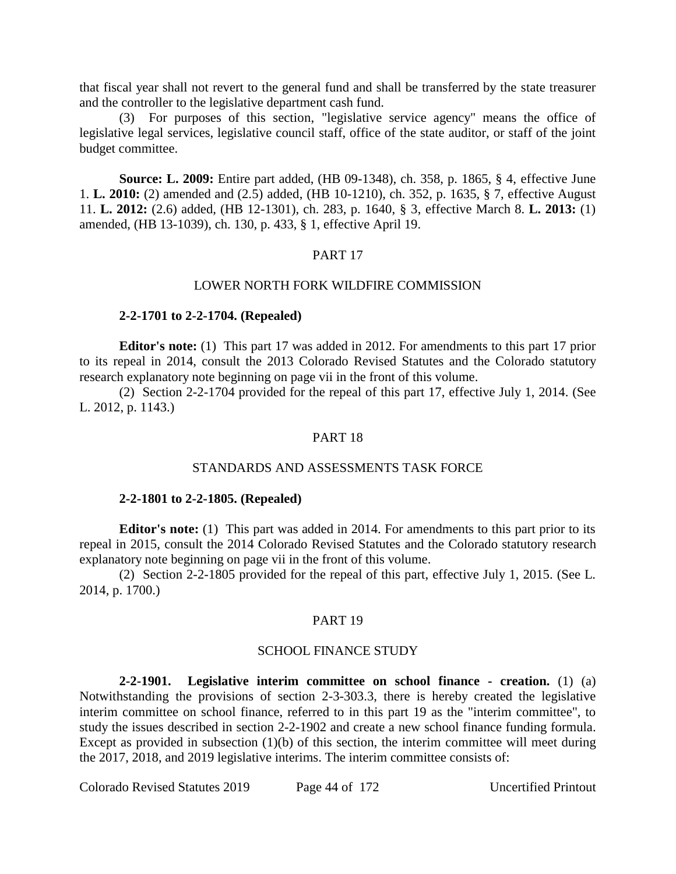that fiscal year shall not revert to the general fund and shall be transferred by the state treasurer and the controller to the legislative department cash fund.

(3) For purposes of this section, "legislative service agency" means the office of legislative legal services, legislative council staff, office of the state auditor, or staff of the joint budget committee.

**Source: L. 2009:** Entire part added, (HB 09-1348), ch. 358, p. 1865, § 4, effective June 1. **L. 2010:** (2) amended and (2.5) added, (HB 10-1210), ch. 352, p. 1635, § 7, effective August 11. **L. 2012:** (2.6) added, (HB 12-1301), ch. 283, p. 1640, § 3, effective March 8. **L. 2013:** (1) amended, (HB 13-1039), ch. 130, p. 433, § 1, effective April 19.

## PART 17

#### LOWER NORTH FORK WILDFIRE COMMISSION

## **2-2-1701 to 2-2-1704. (Repealed)**

**Editor's note:** (1) This part 17 was added in 2012. For amendments to this part 17 prior to its repeal in 2014, consult the 2013 Colorado Revised Statutes and the Colorado statutory research explanatory note beginning on page vii in the front of this volume.

(2) Section 2-2-1704 provided for the repeal of this part 17, effective July 1, 2014. (See L. 2012, p. 1143.)

#### PART 18

### STANDARDS AND ASSESSMENTS TASK FORCE

## **2-2-1801 to 2-2-1805. (Repealed)**

**Editor's note:** (1) This part was added in 2014. For amendments to this part prior to its repeal in 2015, consult the 2014 Colorado Revised Statutes and the Colorado statutory research explanatory note beginning on page vii in the front of this volume.

(2) Section 2-2-1805 provided for the repeal of this part, effective July 1, 2015. (See L. 2014, p. 1700.)

## PART 19

#### SCHOOL FINANCE STUDY

**2-2-1901. Legislative interim committee on school finance - creation.** (1) (a) Notwithstanding the provisions of section 2-3-303.3, there is hereby created the legislative interim committee on school finance, referred to in this part 19 as the "interim committee", to study the issues described in section 2-2-1902 and create a new school finance funding formula. Except as provided in subsection  $(1)(b)$  of this section, the interim committee will meet during the 2017, 2018, and 2019 legislative interims. The interim committee consists of:

Colorado Revised Statutes 2019 Page 44 of 172 Uncertified Printout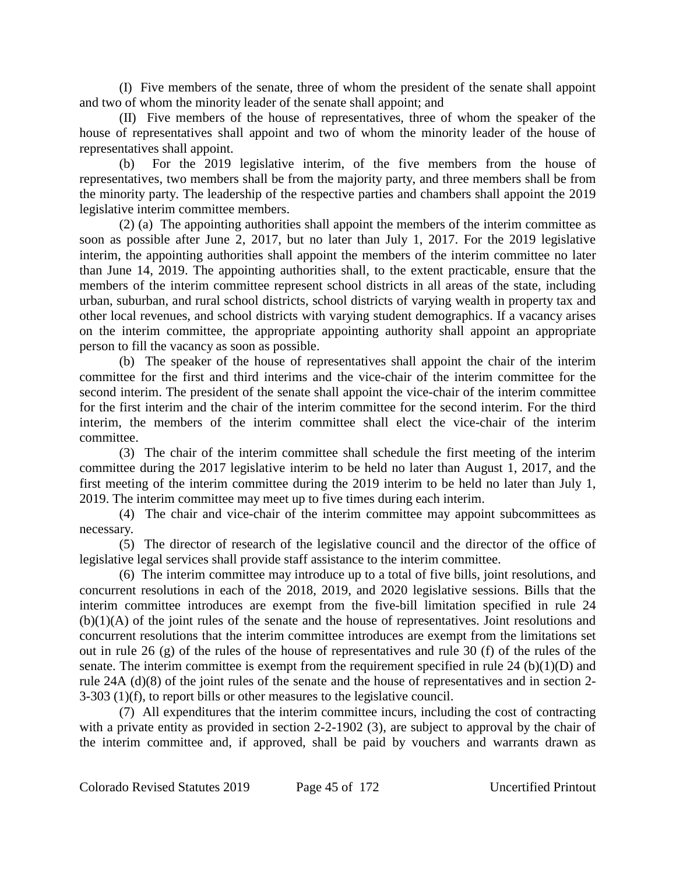(I) Five members of the senate, three of whom the president of the senate shall appoint and two of whom the minority leader of the senate shall appoint; and

(II) Five members of the house of representatives, three of whom the speaker of the house of representatives shall appoint and two of whom the minority leader of the house of representatives shall appoint.

(b) For the 2019 legislative interim, of the five members from the house of representatives, two members shall be from the majority party, and three members shall be from the minority party. The leadership of the respective parties and chambers shall appoint the 2019 legislative interim committee members.

(2) (a) The appointing authorities shall appoint the members of the interim committee as soon as possible after June 2, 2017, but no later than July 1, 2017. For the 2019 legislative interim, the appointing authorities shall appoint the members of the interim committee no later than June 14, 2019. The appointing authorities shall, to the extent practicable, ensure that the members of the interim committee represent school districts in all areas of the state, including urban, suburban, and rural school districts, school districts of varying wealth in property tax and other local revenues, and school districts with varying student demographics. If a vacancy arises on the interim committee, the appropriate appointing authority shall appoint an appropriate person to fill the vacancy as soon as possible.

(b) The speaker of the house of representatives shall appoint the chair of the interim committee for the first and third interims and the vice-chair of the interim committee for the second interim. The president of the senate shall appoint the vice-chair of the interim committee for the first interim and the chair of the interim committee for the second interim. For the third interim, the members of the interim committee shall elect the vice-chair of the interim committee.

(3) The chair of the interim committee shall schedule the first meeting of the interim committee during the 2017 legislative interim to be held no later than August 1, 2017, and the first meeting of the interim committee during the 2019 interim to be held no later than July 1, 2019. The interim committee may meet up to five times during each interim.

(4) The chair and vice-chair of the interim committee may appoint subcommittees as necessary.

(5) The director of research of the legislative council and the director of the office of legislative legal services shall provide staff assistance to the interim committee.

(6) The interim committee may introduce up to a total of five bills, joint resolutions, and concurrent resolutions in each of the 2018, 2019, and 2020 legislative sessions. Bills that the interim committee introduces are exempt from the five-bill limitation specified in rule 24 (b)(1)(A) of the joint rules of the senate and the house of representatives. Joint resolutions and concurrent resolutions that the interim committee introduces are exempt from the limitations set out in rule 26 (g) of the rules of the house of representatives and rule 30 (f) of the rules of the senate. The interim committee is exempt from the requirement specified in rule 24 (b) $(1)(D)$  and rule 24A (d)(8) of the joint rules of the senate and the house of representatives and in section 2- 3-303 (1)(f), to report bills or other measures to the legislative council.

(7) All expenditures that the interim committee incurs, including the cost of contracting with a private entity as provided in section 2-2-1902 (3), are subject to approval by the chair of the interim committee and, if approved, shall be paid by vouchers and warrants drawn as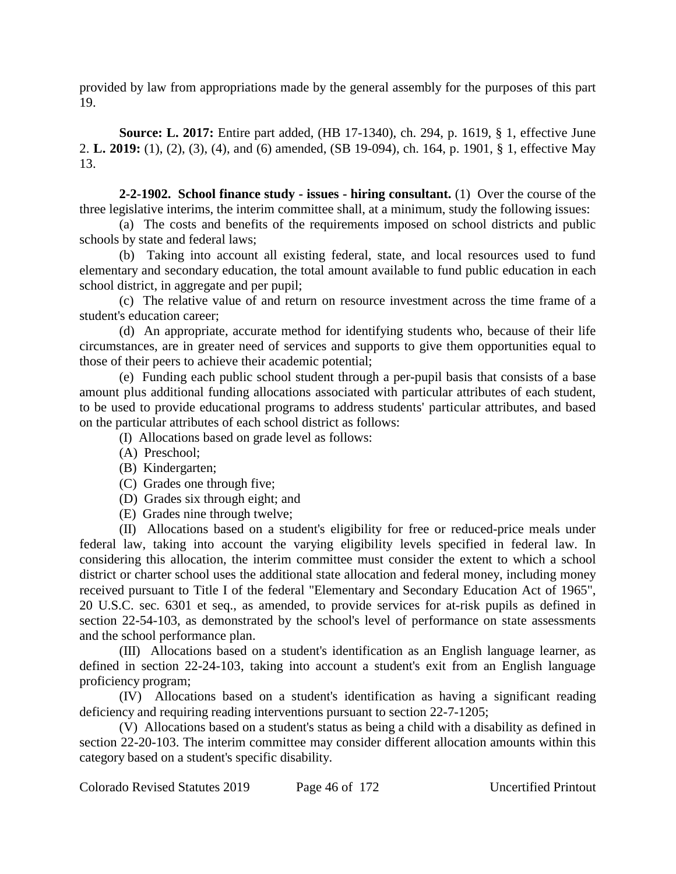provided by law from appropriations made by the general assembly for the purposes of this part 19.

**Source: L. 2017:** Entire part added, (HB 17-1340), ch. 294, p. 1619, § 1, effective June 2. **L. 2019:** (1), (2), (3), (4), and (6) amended, (SB 19-094), ch. 164, p. 1901, § 1, effective May 13.

**2-2-1902. School finance study - issues - hiring consultant.** (1) Over the course of the three legislative interims, the interim committee shall, at a minimum, study the following issues:

(a) The costs and benefits of the requirements imposed on school districts and public schools by state and federal laws;

(b) Taking into account all existing federal, state, and local resources used to fund elementary and secondary education, the total amount available to fund public education in each school district, in aggregate and per pupil;

(c) The relative value of and return on resource investment across the time frame of a student's education career;

(d) An appropriate, accurate method for identifying students who, because of their life circumstances, are in greater need of services and supports to give them opportunities equal to those of their peers to achieve their academic potential;

(e) Funding each public school student through a per-pupil basis that consists of a base amount plus additional funding allocations associated with particular attributes of each student, to be used to provide educational programs to address students' particular attributes, and based on the particular attributes of each school district as follows:

(I) Allocations based on grade level as follows:

- (A) Preschool;
- (B) Kindergarten;
- (C) Grades one through five;
- (D) Grades six through eight; and
- (E) Grades nine through twelve;

(II) Allocations based on a student's eligibility for free or reduced-price meals under federal law, taking into account the varying eligibility levels specified in federal law. In considering this allocation, the interim committee must consider the extent to which a school district or charter school uses the additional state allocation and federal money, including money received pursuant to Title I of the federal "Elementary and Secondary Education Act of 1965", 20 U.S.C. sec. 6301 et seq., as amended, to provide services for at-risk pupils as defined in section 22-54-103, as demonstrated by the school's level of performance on state assessments and the school performance plan.

(III) Allocations based on a student's identification as an English language learner, as defined in section 22-24-103, taking into account a student's exit from an English language proficiency program;

(IV) Allocations based on a student's identification as having a significant reading deficiency and requiring reading interventions pursuant to section 22-7-1205;

(V) Allocations based on a student's status as being a child with a disability as defined in section 22-20-103. The interim committee may consider different allocation amounts within this category based on a student's specific disability.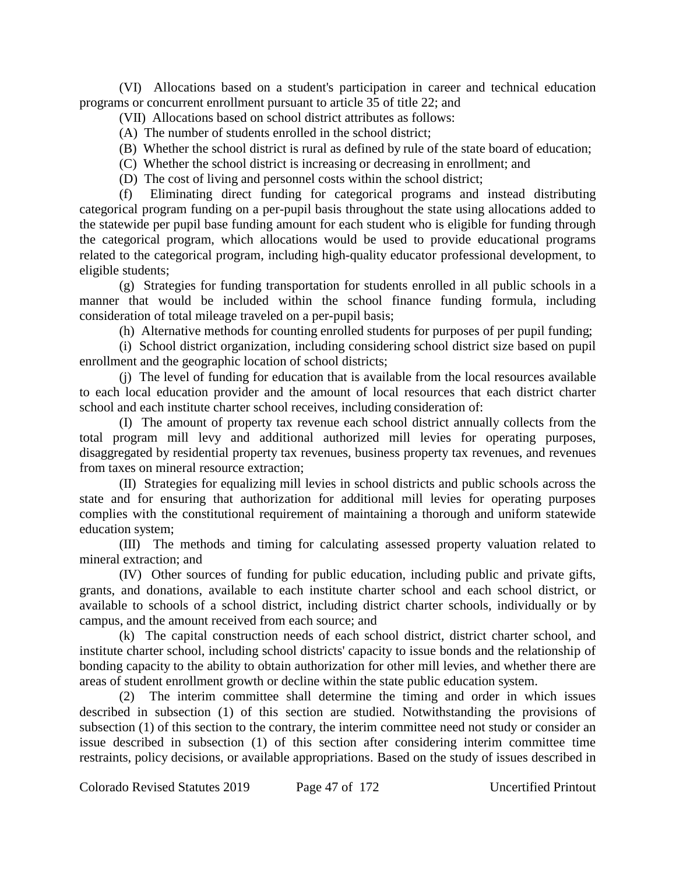(VI) Allocations based on a student's participation in career and technical education programs or concurrent enrollment pursuant to article 35 of title 22; and

(VII) Allocations based on school district attributes as follows:

(A) The number of students enrolled in the school district;

(B) Whether the school district is rural as defined by rule of the state board of education;

(C) Whether the school district is increasing or decreasing in enrollment; and

(D) The cost of living and personnel costs within the school district;

(f) Eliminating direct funding for categorical programs and instead distributing categorical program funding on a per-pupil basis throughout the state using allocations added to the statewide per pupil base funding amount for each student who is eligible for funding through the categorical program, which allocations would be used to provide educational programs related to the categorical program, including high-quality educator professional development, to eligible students;

(g) Strategies for funding transportation for students enrolled in all public schools in a manner that would be included within the school finance funding formula, including consideration of total mileage traveled on a per-pupil basis;

(h) Alternative methods for counting enrolled students for purposes of per pupil funding;

(i) School district organization, including considering school district size based on pupil enrollment and the geographic location of school districts;

(j) The level of funding for education that is available from the local resources available to each local education provider and the amount of local resources that each district charter school and each institute charter school receives, including consideration of:

(I) The amount of property tax revenue each school district annually collects from the total program mill levy and additional authorized mill levies for operating purposes, disaggregated by residential property tax revenues, business property tax revenues, and revenues from taxes on mineral resource extraction;

(II) Strategies for equalizing mill levies in school districts and public schools across the state and for ensuring that authorization for additional mill levies for operating purposes complies with the constitutional requirement of maintaining a thorough and uniform statewide education system;

(III) The methods and timing for calculating assessed property valuation related to mineral extraction; and

(IV) Other sources of funding for public education, including public and private gifts, grants, and donations, available to each institute charter school and each school district, or available to schools of a school district, including district charter schools, individually or by campus, and the amount received from each source; and

(k) The capital construction needs of each school district, district charter school, and institute charter school, including school districts' capacity to issue bonds and the relationship of bonding capacity to the ability to obtain authorization for other mill levies, and whether there are areas of student enrollment growth or decline within the state public education system.

(2) The interim committee shall determine the timing and order in which issues described in subsection (1) of this section are studied. Notwithstanding the provisions of subsection (1) of this section to the contrary, the interim committee need not study or consider an issue described in subsection (1) of this section after considering interim committee time restraints, policy decisions, or available appropriations. Based on the study of issues described in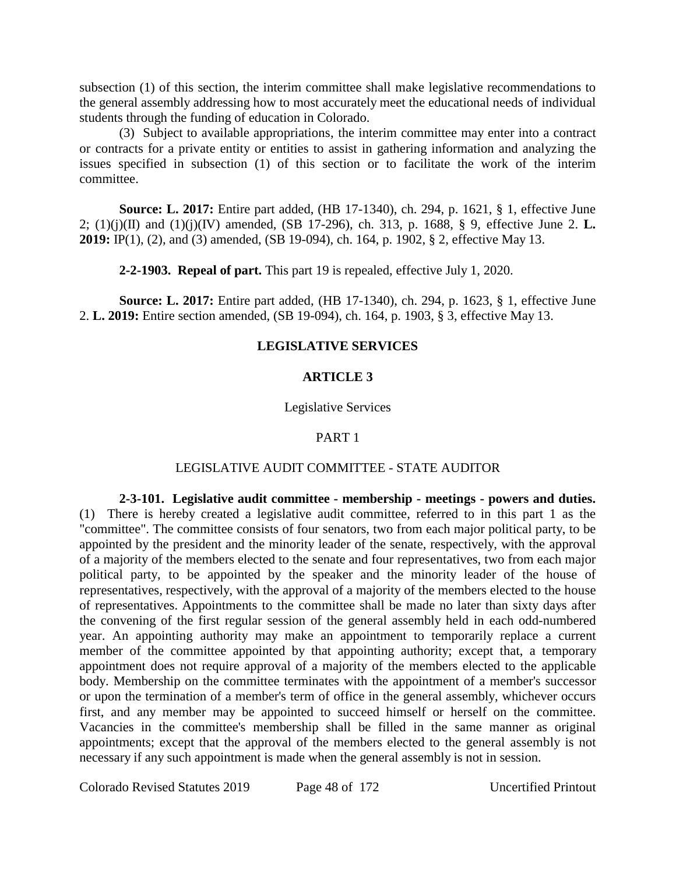subsection (1) of this section, the interim committee shall make legislative recommendations to the general assembly addressing how to most accurately meet the educational needs of individual students through the funding of education in Colorado.

(3) Subject to available appropriations, the interim committee may enter into a contract or contracts for a private entity or entities to assist in gathering information and analyzing the issues specified in subsection (1) of this section or to facilitate the work of the interim committee.

**Source: L. 2017:** Entire part added, (HB 17-1340), ch. 294, p. 1621, § 1, effective June 2; (1)(j)(II) and (1)(j)(IV) amended, (SB 17-296), ch. 313, p. 1688, § 9, effective June 2. **L. 2019:** IP(1), (2), and (3) amended, (SB 19-094), ch. 164, p. 1902, § 2, effective May 13.

**2-2-1903. Repeal of part.** This part 19 is repealed, effective July 1, 2020.

**Source: L. 2017:** Entire part added, (HB 17-1340), ch. 294, p. 1623, § 1, effective June 2. **L. 2019:** Entire section amended, (SB 19-094), ch. 164, p. 1903, § 3, effective May 13.

## **LEGISLATIVE SERVICES**

## **ARTICLE 3**

## Legislative Services

## PART 1

## LEGISLATIVE AUDIT COMMITTEE - STATE AUDITOR

**2-3-101. Legislative audit committee - membership - meetings - powers and duties.** (1) There is hereby created a legislative audit committee, referred to in this part 1 as the "committee". The committee consists of four senators, two from each major political party, to be appointed by the president and the minority leader of the senate, respectively, with the approval of a majority of the members elected to the senate and four representatives, two from each major political party, to be appointed by the speaker and the minority leader of the house of representatives, respectively, with the approval of a majority of the members elected to the house of representatives. Appointments to the committee shall be made no later than sixty days after the convening of the first regular session of the general assembly held in each odd-numbered year. An appointing authority may make an appointment to temporarily replace a current member of the committee appointed by that appointing authority; except that, a temporary appointment does not require approval of a majority of the members elected to the applicable body. Membership on the committee terminates with the appointment of a member's successor or upon the termination of a member's term of office in the general assembly, whichever occurs first, and any member may be appointed to succeed himself or herself on the committee. Vacancies in the committee's membership shall be filled in the same manner as original appointments; except that the approval of the members elected to the general assembly is not necessary if any such appointment is made when the general assembly is not in session.

Colorado Revised Statutes 2019 Page 48 of 172 Uncertified Printout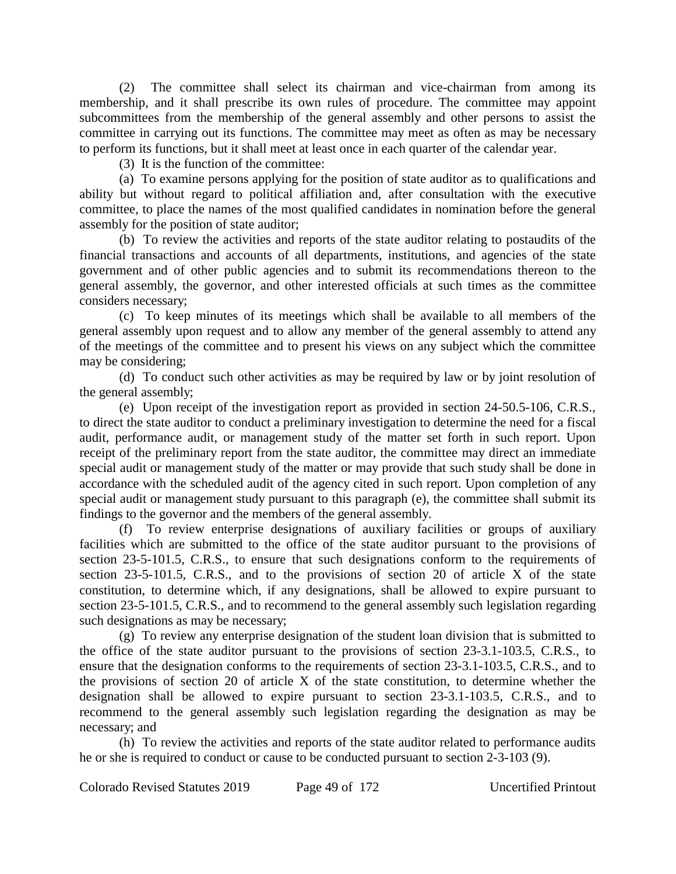(2) The committee shall select its chairman and vice-chairman from among its membership, and it shall prescribe its own rules of procedure. The committee may appoint subcommittees from the membership of the general assembly and other persons to assist the committee in carrying out its functions. The committee may meet as often as may be necessary to perform its functions, but it shall meet at least once in each quarter of the calendar year.

(3) It is the function of the committee:

(a) To examine persons applying for the position of state auditor as to qualifications and ability but without regard to political affiliation and, after consultation with the executive committee, to place the names of the most qualified candidates in nomination before the general assembly for the position of state auditor;

(b) To review the activities and reports of the state auditor relating to postaudits of the financial transactions and accounts of all departments, institutions, and agencies of the state government and of other public agencies and to submit its recommendations thereon to the general assembly, the governor, and other interested officials at such times as the committee considers necessary;

(c) To keep minutes of its meetings which shall be available to all members of the general assembly upon request and to allow any member of the general assembly to attend any of the meetings of the committee and to present his views on any subject which the committee may be considering;

(d) To conduct such other activities as may be required by law or by joint resolution of the general assembly;

(e) Upon receipt of the investigation report as provided in section 24-50.5-106, C.R.S., to direct the state auditor to conduct a preliminary investigation to determine the need for a fiscal audit, performance audit, or management study of the matter set forth in such report. Upon receipt of the preliminary report from the state auditor, the committee may direct an immediate special audit or management study of the matter or may provide that such study shall be done in accordance with the scheduled audit of the agency cited in such report. Upon completion of any special audit or management study pursuant to this paragraph (e), the committee shall submit its findings to the governor and the members of the general assembly.

(f) To review enterprise designations of auxiliary facilities or groups of auxiliary facilities which are submitted to the office of the state auditor pursuant to the provisions of section 23-5-101.5, C.R.S., to ensure that such designations conform to the requirements of section 23-5-101.5, C.R.S., and to the provisions of section 20 of article X of the state constitution, to determine which, if any designations, shall be allowed to expire pursuant to section 23-5-101.5, C.R.S., and to recommend to the general assembly such legislation regarding such designations as may be necessary;

(g) To review any enterprise designation of the student loan division that is submitted to the office of the state auditor pursuant to the provisions of section 23-3.1-103.5, C.R.S., to ensure that the designation conforms to the requirements of section 23-3.1-103.5, C.R.S., and to the provisions of section 20 of article X of the state constitution, to determine whether the designation shall be allowed to expire pursuant to section 23-3.1-103.5, C.R.S., and to recommend to the general assembly such legislation regarding the designation as may be necessary; and

(h) To review the activities and reports of the state auditor related to performance audits he or she is required to conduct or cause to be conducted pursuant to section 2-3-103 (9).

Colorado Revised Statutes 2019 Page 49 of 172 Uncertified Printout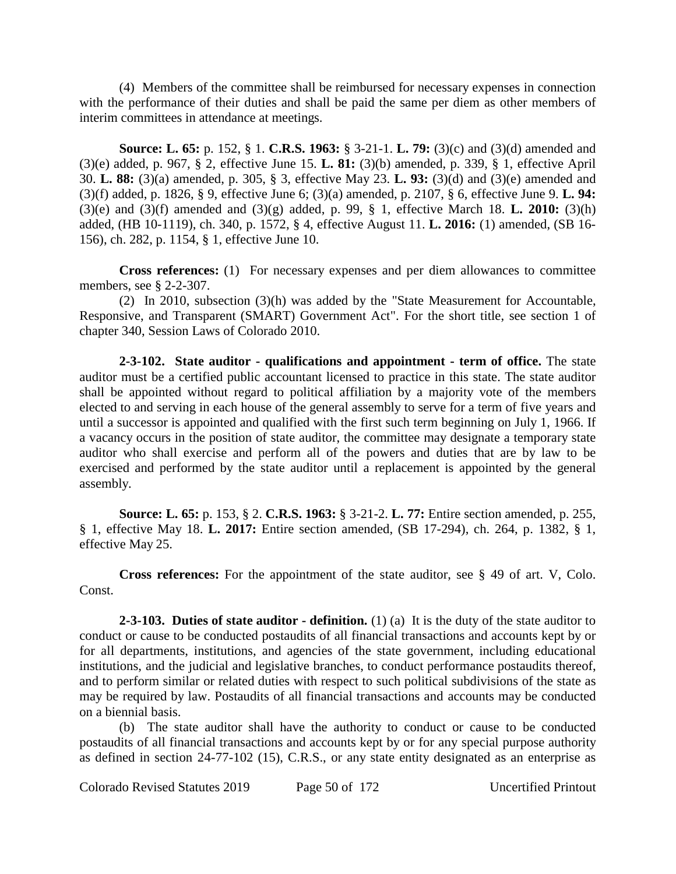(4) Members of the committee shall be reimbursed for necessary expenses in connection with the performance of their duties and shall be paid the same per diem as other members of interim committees in attendance at meetings.

**Source: L. 65:** p. 152, § 1. **C.R.S. 1963:** § 3-21-1. **L. 79:** (3)(c) and (3)(d) amended and (3)(e) added, p. 967, § 2, effective June 15. **L. 81:** (3)(b) amended, p. 339, § 1, effective April 30. **L. 88:** (3)(a) amended, p. 305, § 3, effective May 23. **L. 93:** (3)(d) and (3)(e) amended and (3)(f) added, p. 1826, § 9, effective June 6; (3)(a) amended, p. 2107, § 6, effective June 9. **L. 94:** (3)(e) and (3)(f) amended and (3)(g) added, p. 99, § 1, effective March 18. **L. 2010:** (3)(h) added, (HB 10-1119), ch. 340, p. 1572, § 4, effective August 11. **L. 2016:** (1) amended, (SB 16- 156), ch. 282, p. 1154, § 1, effective June 10.

**Cross references:** (1) For necessary expenses and per diem allowances to committee members, see § 2-2-307.

(2) In 2010, subsection (3)(h) was added by the "State Measurement for Accountable, Responsive, and Transparent (SMART) Government Act". For the short title, see section 1 of chapter 340, Session Laws of Colorado 2010.

**2-3-102. State auditor - qualifications and appointment - term of office.** The state auditor must be a certified public accountant licensed to practice in this state. The state auditor shall be appointed without regard to political affiliation by a majority vote of the members elected to and serving in each house of the general assembly to serve for a term of five years and until a successor is appointed and qualified with the first such term beginning on July 1, 1966. If a vacancy occurs in the position of state auditor, the committee may designate a temporary state auditor who shall exercise and perform all of the powers and duties that are by law to be exercised and performed by the state auditor until a replacement is appointed by the general assembly.

**Source: L. 65:** p. 153, § 2. **C.R.S. 1963:** § 3-21-2. **L. 77:** Entire section amended, p. 255, § 1, effective May 18. **L. 2017:** Entire section amended, (SB 17-294), ch. 264, p. 1382, § 1, effective May 25.

**Cross references:** For the appointment of the state auditor, see § 49 of art. V, Colo. Const.

**2-3-103. Duties of state auditor - definition.** (1) (a) It is the duty of the state auditor to conduct or cause to be conducted postaudits of all financial transactions and accounts kept by or for all departments, institutions, and agencies of the state government, including educational institutions, and the judicial and legislative branches, to conduct performance postaudits thereof, and to perform similar or related duties with respect to such political subdivisions of the state as may be required by law. Postaudits of all financial transactions and accounts may be conducted on a biennial basis.

(b) The state auditor shall have the authority to conduct or cause to be conducted postaudits of all financial transactions and accounts kept by or for any special purpose authority as defined in section 24-77-102 (15), C.R.S., or any state entity designated as an enterprise as

Colorado Revised Statutes 2019 Page 50 of 172 Uncertified Printout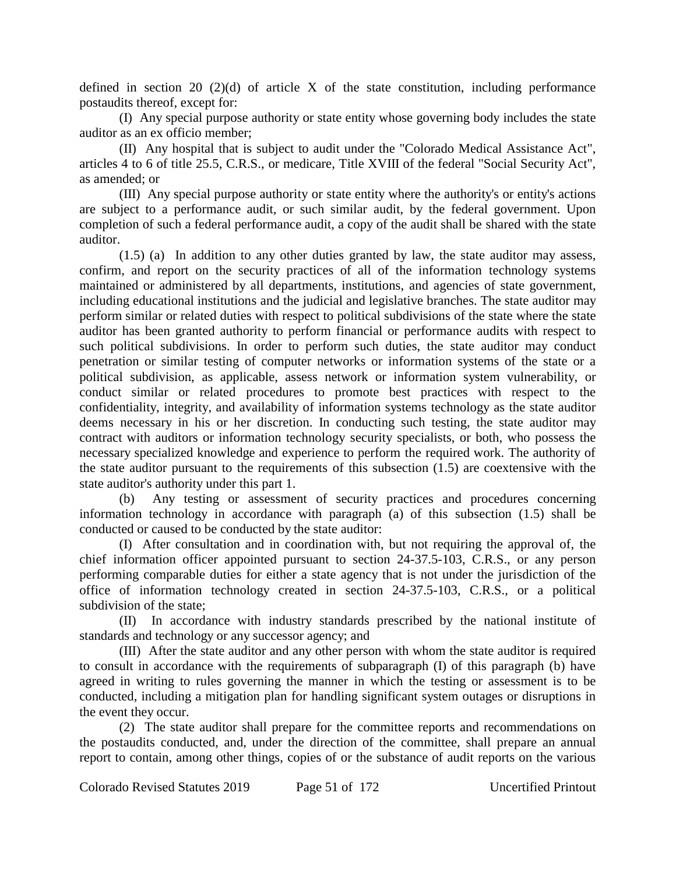defined in section 20 (2)(d) of article X of the state constitution, including performance postaudits thereof, except for:

(I) Any special purpose authority or state entity whose governing body includes the state auditor as an ex officio member;

(II) Any hospital that is subject to audit under the "Colorado Medical Assistance Act", articles 4 to 6 of title 25.5, C.R.S., or medicare, Title XVIII of the federal "Social Security Act", as amended; or

(III) Any special purpose authority or state entity where the authority's or entity's actions are subject to a performance audit, or such similar audit, by the federal government. Upon completion of such a federal performance audit, a copy of the audit shall be shared with the state auditor.

(1.5) (a) In addition to any other duties granted by law, the state auditor may assess, confirm, and report on the security practices of all of the information technology systems maintained or administered by all departments, institutions, and agencies of state government, including educational institutions and the judicial and legislative branches. The state auditor may perform similar or related duties with respect to political subdivisions of the state where the state auditor has been granted authority to perform financial or performance audits with respect to such political subdivisions. In order to perform such duties, the state auditor may conduct penetration or similar testing of computer networks or information systems of the state or a political subdivision, as applicable, assess network or information system vulnerability, or conduct similar or related procedures to promote best practices with respect to the confidentiality, integrity, and availability of information systems technology as the state auditor deems necessary in his or her discretion. In conducting such testing, the state auditor may contract with auditors or information technology security specialists, or both, who possess the necessary specialized knowledge and experience to perform the required work. The authority of the state auditor pursuant to the requirements of this subsection (1.5) are coextensive with the state auditor's authority under this part 1.

(b) Any testing or assessment of security practices and procedures concerning information technology in accordance with paragraph (a) of this subsection (1.5) shall be conducted or caused to be conducted by the state auditor:

(I) After consultation and in coordination with, but not requiring the approval of, the chief information officer appointed pursuant to section 24-37.5-103, C.R.S., or any person performing comparable duties for either a state agency that is not under the jurisdiction of the office of information technology created in section 24-37.5-103, C.R.S., or a political subdivision of the state;

(II) In accordance with industry standards prescribed by the national institute of standards and technology or any successor agency; and

(III) After the state auditor and any other person with whom the state auditor is required to consult in accordance with the requirements of subparagraph (I) of this paragraph (b) have agreed in writing to rules governing the manner in which the testing or assessment is to be conducted, including a mitigation plan for handling significant system outages or disruptions in the event they occur.

(2) The state auditor shall prepare for the committee reports and recommendations on the postaudits conducted, and, under the direction of the committee, shall prepare an annual report to contain, among other things, copies of or the substance of audit reports on the various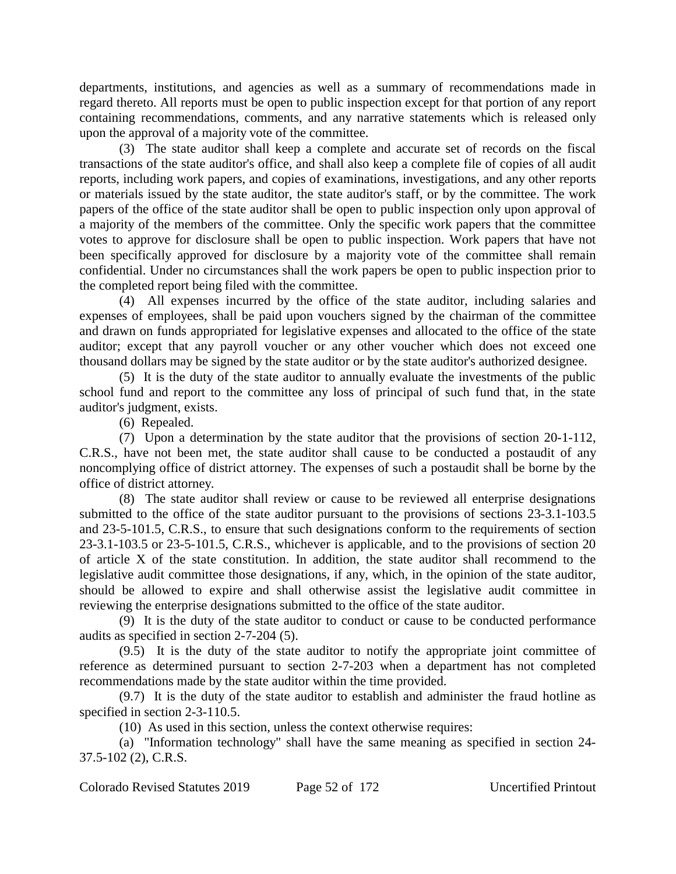departments, institutions, and agencies as well as a summary of recommendations made in regard thereto. All reports must be open to public inspection except for that portion of any report containing recommendations, comments, and any narrative statements which is released only upon the approval of a majority vote of the committee.

(3) The state auditor shall keep a complete and accurate set of records on the fiscal transactions of the state auditor's office, and shall also keep a complete file of copies of all audit reports, including work papers, and copies of examinations, investigations, and any other reports or materials issued by the state auditor, the state auditor's staff, or by the committee. The work papers of the office of the state auditor shall be open to public inspection only upon approval of a majority of the members of the committee. Only the specific work papers that the committee votes to approve for disclosure shall be open to public inspection. Work papers that have not been specifically approved for disclosure by a majority vote of the committee shall remain confidential. Under no circumstances shall the work papers be open to public inspection prior to the completed report being filed with the committee.

(4) All expenses incurred by the office of the state auditor, including salaries and expenses of employees, shall be paid upon vouchers signed by the chairman of the committee and drawn on funds appropriated for legislative expenses and allocated to the office of the state auditor; except that any payroll voucher or any other voucher which does not exceed one thousand dollars may be signed by the state auditor or by the state auditor's authorized designee.

(5) It is the duty of the state auditor to annually evaluate the investments of the public school fund and report to the committee any loss of principal of such fund that, in the state auditor's judgment, exists.

(6) Repealed.

(7) Upon a determination by the state auditor that the provisions of section 20-1-112, C.R.S., have not been met, the state auditor shall cause to be conducted a postaudit of any noncomplying office of district attorney. The expenses of such a postaudit shall be borne by the office of district attorney.

(8) The state auditor shall review or cause to be reviewed all enterprise designations submitted to the office of the state auditor pursuant to the provisions of sections 23-3.1-103.5 and 23-5-101.5, C.R.S., to ensure that such designations conform to the requirements of section 23-3.1-103.5 or 23-5-101.5, C.R.S., whichever is applicable, and to the provisions of section 20 of article X of the state constitution. In addition, the state auditor shall recommend to the legislative audit committee those designations, if any, which, in the opinion of the state auditor, should be allowed to expire and shall otherwise assist the legislative audit committee in reviewing the enterprise designations submitted to the office of the state auditor.

(9) It is the duty of the state auditor to conduct or cause to be conducted performance audits as specified in section 2-7-204 (5).

(9.5) It is the duty of the state auditor to notify the appropriate joint committee of reference as determined pursuant to section 2-7-203 when a department has not completed recommendations made by the state auditor within the time provided.

(9.7) It is the duty of the state auditor to establish and administer the fraud hotline as specified in section 2-3-110.5.

(10) As used in this section, unless the context otherwise requires:

(a) "Information technology" shall have the same meaning as specified in section 24- 37.5-102 (2), C.R.S.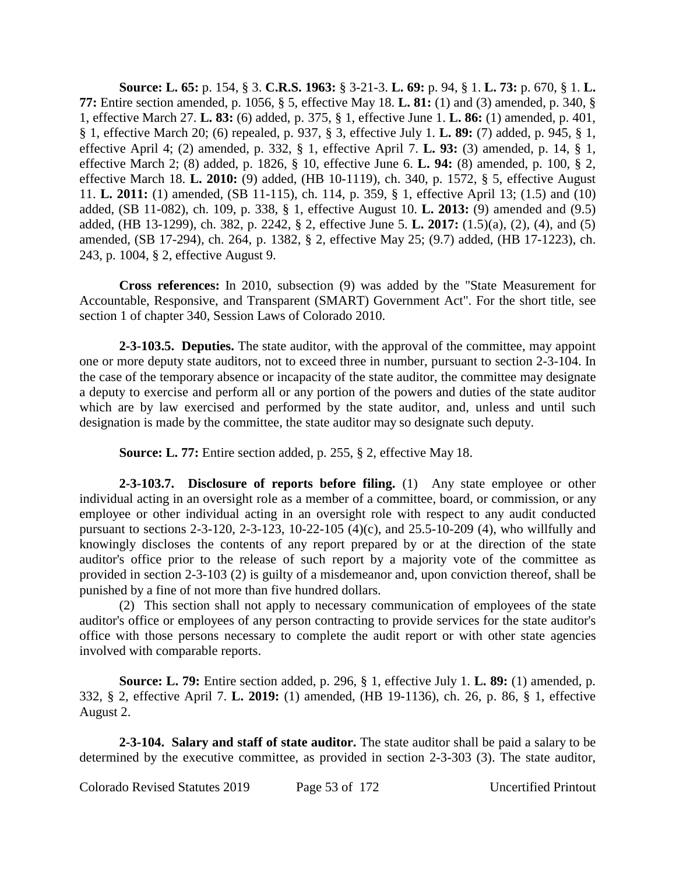**Source: L. 65:** p. 154, § 3. **C.R.S. 1963:** § 3-21-3. **L. 69:** p. 94, § 1. **L. 73:** p. 670, § 1. **L. 77:** Entire section amended, p. 1056, § 5, effective May 18. **L. 81:** (1) and (3) amended, p. 340, § 1, effective March 27. **L. 83:** (6) added, p. 375, § 1, effective June 1. **L. 86:** (1) amended, p. 401, § 1, effective March 20; (6) repealed, p. 937, § 3, effective July 1. **L. 89:** (7) added, p. 945, § 1, effective April 4; (2) amended, p. 332, § 1, effective April 7. **L. 93:** (3) amended, p. 14, § 1, effective March 2; (8) added, p. 1826, § 10, effective June 6. **L. 94:** (8) amended, p. 100, § 2, effective March 18. **L. 2010:** (9) added, (HB 10-1119), ch. 340, p. 1572, § 5, effective August 11. **L. 2011:** (1) amended, (SB 11-115), ch. 114, p. 359, § 1, effective April 13; (1.5) and (10) added, (SB 11-082), ch. 109, p. 338, § 1, effective August 10. **L. 2013:** (9) amended and (9.5) added, (HB 13-1299), ch. 382, p. 2242, § 2, effective June 5. **L. 2017:** (1.5)(a), (2), (4), and (5) amended, (SB 17-294), ch. 264, p. 1382, § 2, effective May 25; (9.7) added, (HB 17-1223), ch. 243, p. 1004, § 2, effective August 9.

**Cross references:** In 2010, subsection (9) was added by the "State Measurement for Accountable, Responsive, and Transparent (SMART) Government Act". For the short title, see section 1 of chapter 340, Session Laws of Colorado 2010.

**2-3-103.5. Deputies.** The state auditor, with the approval of the committee, may appoint one or more deputy state auditors, not to exceed three in number, pursuant to section 2-3-104. In the case of the temporary absence or incapacity of the state auditor, the committee may designate a deputy to exercise and perform all or any portion of the powers and duties of the state auditor which are by law exercised and performed by the state auditor, and, unless and until such designation is made by the committee, the state auditor may so designate such deputy.

**Source: L. 77:** Entire section added, p. 255, § 2, effective May 18.

**2-3-103.7. Disclosure of reports before filing.** (1) Any state employee or other individual acting in an oversight role as a member of a committee, board, or commission, or any employee or other individual acting in an oversight role with respect to any audit conducted pursuant to sections 2-3-120, 2-3-123, 10-22-105 (4)(c), and 25.5-10-209 (4), who willfully and knowingly discloses the contents of any report prepared by or at the direction of the state auditor's office prior to the release of such report by a majority vote of the committee as provided in section 2-3-103 (2) is guilty of a misdemeanor and, upon conviction thereof, shall be punished by a fine of not more than five hundred dollars.

(2) This section shall not apply to necessary communication of employees of the state auditor's office or employees of any person contracting to provide services for the state auditor's office with those persons necessary to complete the audit report or with other state agencies involved with comparable reports.

**Source: L. 79:** Entire section added, p. 296, § 1, effective July 1. **L. 89:** (1) amended, p. 332, § 2, effective April 7. **L. 2019:** (1) amended, (HB 19-1136), ch. 26, p. 86, § 1, effective August 2.

**2-3-104. Salary and staff of state auditor.** The state auditor shall be paid a salary to be determined by the executive committee, as provided in section 2-3-303 (3). The state auditor,

Colorado Revised Statutes 2019 Page 53 of 172 Uncertified Printout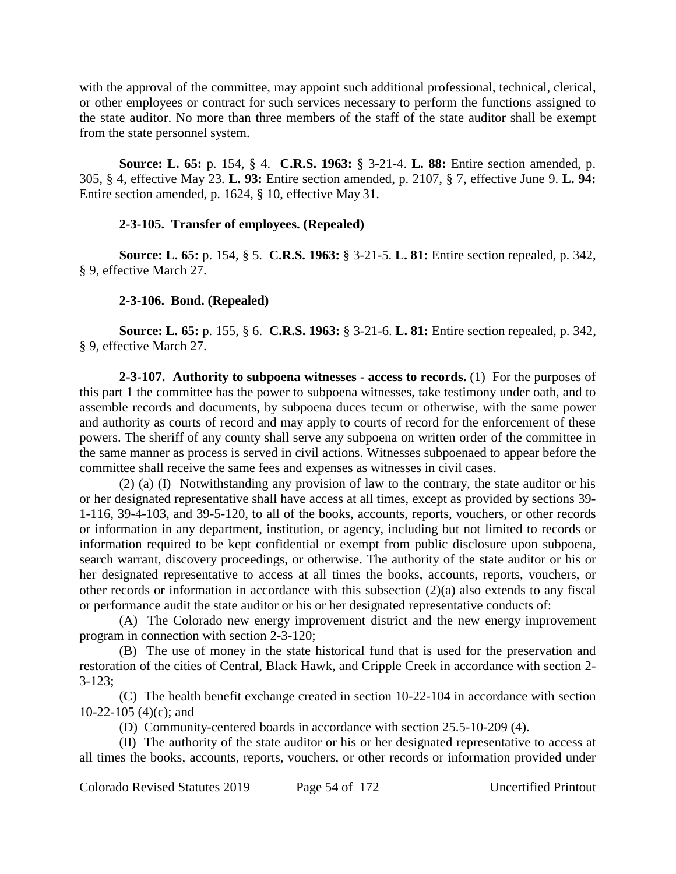with the approval of the committee, may appoint such additional professional, technical, clerical, or other employees or contract for such services necessary to perform the functions assigned to the state auditor. No more than three members of the staff of the state auditor shall be exempt from the state personnel system.

**Source: L. 65:** p. 154, § 4. **C.R.S. 1963:** § 3-21-4. **L. 88:** Entire section amended, p. 305, § 4, effective May 23. **L. 93:** Entire section amended, p. 2107, § 7, effective June 9. **L. 94:** Entire section amended, p. 1624, § 10, effective May 31.

## **2-3-105. Transfer of employees. (Repealed)**

**Source: L. 65:** p. 154, § 5. **C.R.S. 1963:** § 3-21-5. **L. 81:** Entire section repealed, p. 342, § 9, effective March 27.

## **2-3-106. Bond. (Repealed)**

**Source: L. 65:** p. 155, § 6. **C.R.S. 1963:** § 3-21-6. **L. 81:** Entire section repealed, p. 342, § 9, effective March 27.

**2-3-107. Authority to subpoena witnesses - access to records.** (1) For the purposes of this part 1 the committee has the power to subpoena witnesses, take testimony under oath, and to assemble records and documents, by subpoena duces tecum or otherwise, with the same power and authority as courts of record and may apply to courts of record for the enforcement of these powers. The sheriff of any county shall serve any subpoena on written order of the committee in the same manner as process is served in civil actions. Witnesses subpoenaed to appear before the committee shall receive the same fees and expenses as witnesses in civil cases.

(2) (a) (I) Notwithstanding any provision of law to the contrary, the state auditor or his or her designated representative shall have access at all times, except as provided by sections 39- 1-116, 39-4-103, and 39-5-120, to all of the books, accounts, reports, vouchers, or other records or information in any department, institution, or agency, including but not limited to records or information required to be kept confidential or exempt from public disclosure upon subpoena, search warrant, discovery proceedings, or otherwise. The authority of the state auditor or his or her designated representative to access at all times the books, accounts, reports, vouchers, or other records or information in accordance with this subsection (2)(a) also extends to any fiscal or performance audit the state auditor or his or her designated representative conducts of:

(A) The Colorado new energy improvement district and the new energy improvement program in connection with section 2-3-120;

(B) The use of money in the state historical fund that is used for the preservation and restoration of the cities of Central, Black Hawk, and Cripple Creek in accordance with section 2- 3-123;

(C) The health benefit exchange created in section 10-22-104 in accordance with section 10-22-105 (4)(c); and

(D) Community-centered boards in accordance with section 25.5-10-209 (4).

(II) The authority of the state auditor or his or her designated representative to access at all times the books, accounts, reports, vouchers, or other records or information provided under

Colorado Revised Statutes 2019 Page 54 of 172 Uncertified Printout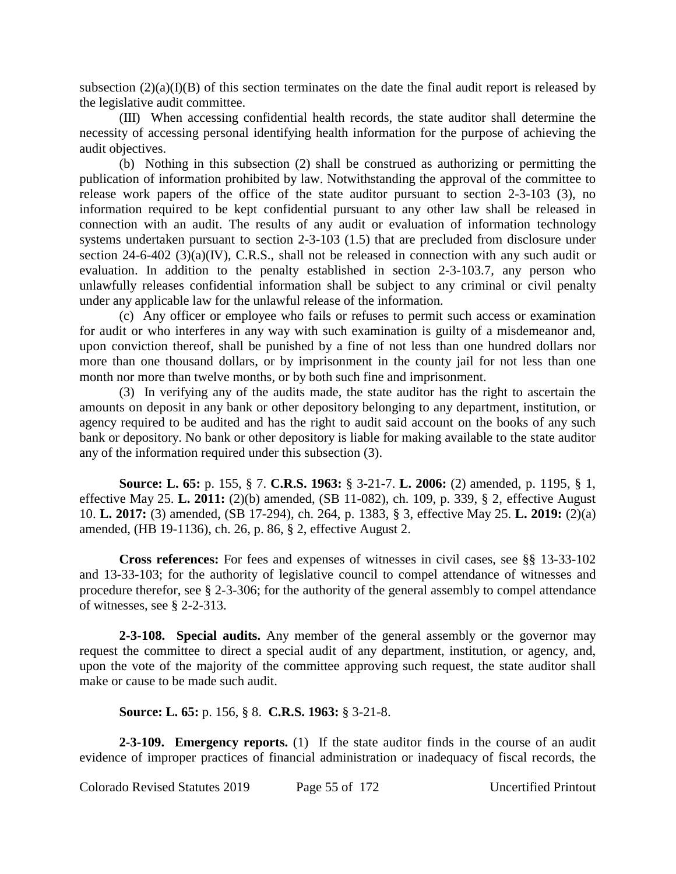subsection  $(2)(a)(I)(B)$  of this section terminates on the date the final audit report is released by the legislative audit committee.

(III) When accessing confidential health records, the state auditor shall determine the necessity of accessing personal identifying health information for the purpose of achieving the audit objectives.

(b) Nothing in this subsection (2) shall be construed as authorizing or permitting the publication of information prohibited by law. Notwithstanding the approval of the committee to release work papers of the office of the state auditor pursuant to section 2-3-103 (3), no information required to be kept confidential pursuant to any other law shall be released in connection with an audit. The results of any audit or evaluation of information technology systems undertaken pursuant to section 2-3-103 (1.5) that are precluded from disclosure under section 24-6-402 (3)(a)(IV), C.R.S., shall not be released in connection with any such audit or evaluation. In addition to the penalty established in section 2-3-103.7, any person who unlawfully releases confidential information shall be subject to any criminal or civil penalty under any applicable law for the unlawful release of the information.

(c) Any officer or employee who fails or refuses to permit such access or examination for audit or who interferes in any way with such examination is guilty of a misdemeanor and, upon conviction thereof, shall be punished by a fine of not less than one hundred dollars nor more than one thousand dollars, or by imprisonment in the county jail for not less than one month nor more than twelve months, or by both such fine and imprisonment.

(3) In verifying any of the audits made, the state auditor has the right to ascertain the amounts on deposit in any bank or other depository belonging to any department, institution, or agency required to be audited and has the right to audit said account on the books of any such bank or depository. No bank or other depository is liable for making available to the state auditor any of the information required under this subsection (3).

**Source: L. 65:** p. 155, § 7. **C.R.S. 1963:** § 3-21-7. **L. 2006:** (2) amended, p. 1195, § 1, effective May 25. **L. 2011:** (2)(b) amended, (SB 11-082), ch. 109, p. 339, § 2, effective August 10. **L. 2017:** (3) amended, (SB 17-294), ch. 264, p. 1383, § 3, effective May 25. **L. 2019:** (2)(a) amended, (HB 19-1136), ch. 26, p. 86, § 2, effective August 2.

**Cross references:** For fees and expenses of witnesses in civil cases, see §§ 13-33-102 and 13-33-103; for the authority of legislative council to compel attendance of witnesses and procedure therefor, see § 2-3-306; for the authority of the general assembly to compel attendance of witnesses, see § 2-2-313.

**2-3-108. Special audits.** Any member of the general assembly or the governor may request the committee to direct a special audit of any department, institution, or agency, and, upon the vote of the majority of the committee approving such request, the state auditor shall make or cause to be made such audit.

**Source: L. 65:** p. 156, § 8. **C.R.S. 1963:** § 3-21-8.

**2-3-109. Emergency reports.** (1) If the state auditor finds in the course of an audit evidence of improper practices of financial administration or inadequacy of fiscal records, the

Colorado Revised Statutes 2019 Page 55 of 172 Uncertified Printout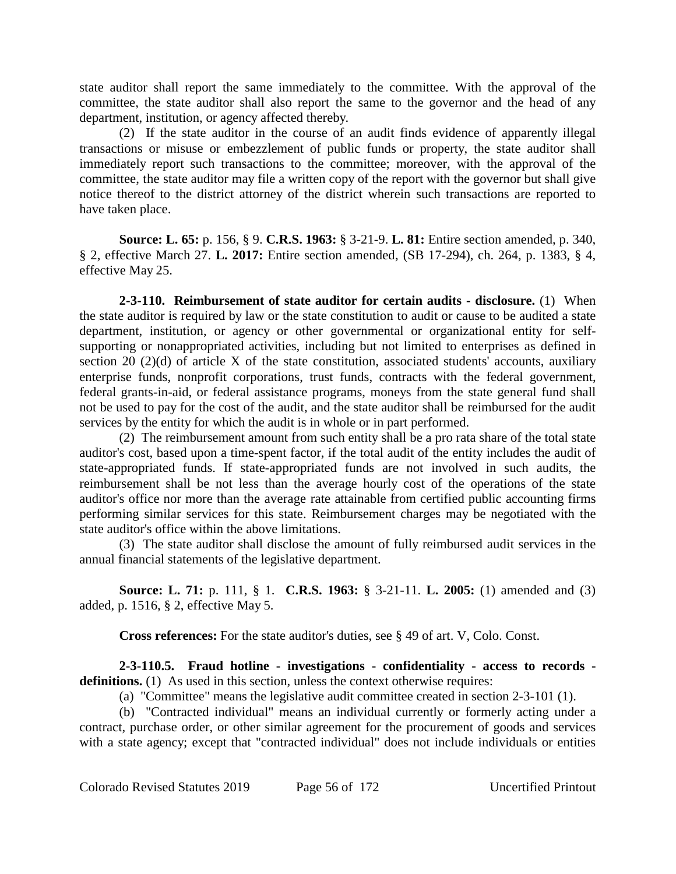state auditor shall report the same immediately to the committee. With the approval of the committee, the state auditor shall also report the same to the governor and the head of any department, institution, or agency affected thereby.

(2) If the state auditor in the course of an audit finds evidence of apparently illegal transactions or misuse or embezzlement of public funds or property, the state auditor shall immediately report such transactions to the committee; moreover, with the approval of the committee, the state auditor may file a written copy of the report with the governor but shall give notice thereof to the district attorney of the district wherein such transactions are reported to have taken place.

**Source: L. 65:** p. 156, § 9. **C.R.S. 1963:** § 3-21-9. **L. 81:** Entire section amended, p. 340, § 2, effective March 27. **L. 2017:** Entire section amended, (SB 17-294), ch. 264, p. 1383, § 4, effective May 25.

**2-3-110. Reimbursement of state auditor for certain audits - disclosure.** (1) When the state auditor is required by law or the state constitution to audit or cause to be audited a state department, institution, or agency or other governmental or organizational entity for selfsupporting or nonappropriated activities, including but not limited to enterprises as defined in section 20 (2)(d) of article X of the state constitution, associated students' accounts, auxiliary enterprise funds, nonprofit corporations, trust funds, contracts with the federal government, federal grants-in-aid, or federal assistance programs, moneys from the state general fund shall not be used to pay for the cost of the audit, and the state auditor shall be reimbursed for the audit services by the entity for which the audit is in whole or in part performed.

(2) The reimbursement amount from such entity shall be a pro rata share of the total state auditor's cost, based upon a time-spent factor, if the total audit of the entity includes the audit of state-appropriated funds. If state-appropriated funds are not involved in such audits, the reimbursement shall be not less than the average hourly cost of the operations of the state auditor's office nor more than the average rate attainable from certified public accounting firms performing similar services for this state. Reimbursement charges may be negotiated with the state auditor's office within the above limitations.

(3) The state auditor shall disclose the amount of fully reimbursed audit services in the annual financial statements of the legislative department.

**Source: L. 71:** p. 111, § 1. **C.R.S. 1963:** § 3-21-11. **L. 2005:** (1) amended and (3) added, p. 1516, § 2, effective May 5.

**Cross references:** For the state auditor's duties, see § 49 of art. V, Colo. Const.

**2-3-110.5. Fraud hotline - investigations - confidentiality - access to records definitions.** (1) As used in this section, unless the context otherwise requires:

(a) "Committee" means the legislative audit committee created in section 2-3-101 (1).

(b) "Contracted individual" means an individual currently or formerly acting under a contract, purchase order, or other similar agreement for the procurement of goods and services with a state agency; except that "contracted individual" does not include individuals or entities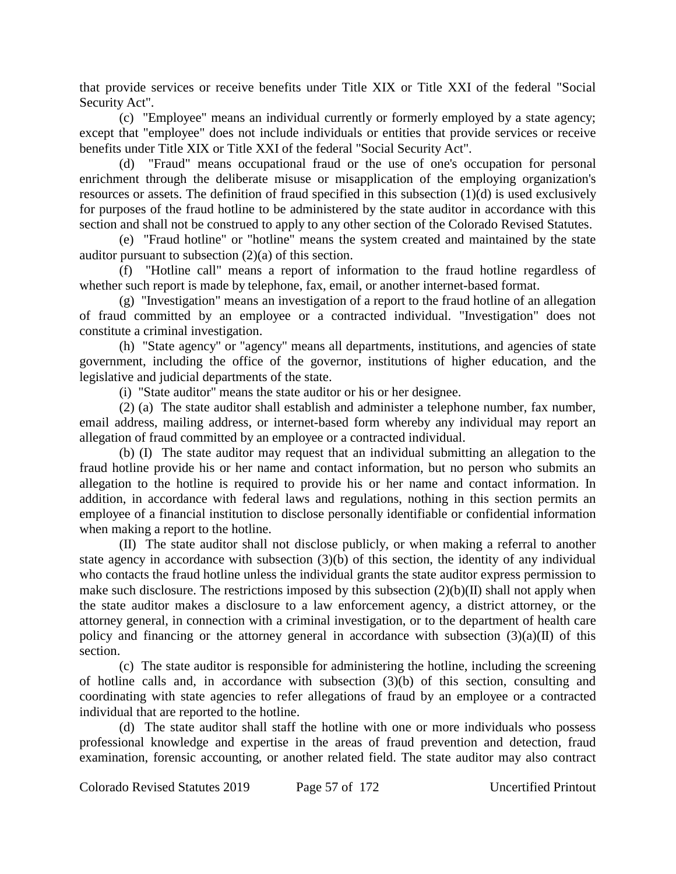that provide services or receive benefits under Title XIX or Title XXI of the federal "Social Security Act".

(c) "Employee" means an individual currently or formerly employed by a state agency; except that "employee" does not include individuals or entities that provide services or receive benefits under Title XIX or Title XXI of the federal "Social Security Act".

(d) "Fraud" means occupational fraud or the use of one's occupation for personal enrichment through the deliberate misuse or misapplication of the employing organization's resources or assets. The definition of fraud specified in this subsection (1)(d) is used exclusively for purposes of the fraud hotline to be administered by the state auditor in accordance with this section and shall not be construed to apply to any other section of the Colorado Revised Statutes.

(e) "Fraud hotline" or "hotline" means the system created and maintained by the state auditor pursuant to subsection (2)(a) of this section.

(f) "Hotline call" means a report of information to the fraud hotline regardless of whether such report is made by telephone, fax, email, or another internet-based format.

(g) "Investigation" means an investigation of a report to the fraud hotline of an allegation of fraud committed by an employee or a contracted individual. "Investigation" does not constitute a criminal investigation.

(h) "State agency" or "agency" means all departments, institutions, and agencies of state government, including the office of the governor, institutions of higher education, and the legislative and judicial departments of the state.

(i) "State auditor" means the state auditor or his or her designee.

(2) (a) The state auditor shall establish and administer a telephone number, fax number, email address, mailing address, or internet-based form whereby any individual may report an allegation of fraud committed by an employee or a contracted individual.

(b) (I) The state auditor may request that an individual submitting an allegation to the fraud hotline provide his or her name and contact information, but no person who submits an allegation to the hotline is required to provide his or her name and contact information. In addition, in accordance with federal laws and regulations, nothing in this section permits an employee of a financial institution to disclose personally identifiable or confidential information when making a report to the hotline.

(II) The state auditor shall not disclose publicly, or when making a referral to another state agency in accordance with subsection (3)(b) of this section, the identity of any individual who contacts the fraud hotline unless the individual grants the state auditor express permission to make such disclosure. The restrictions imposed by this subsection  $(2)(b)(II)$  shall not apply when the state auditor makes a disclosure to a law enforcement agency, a district attorney, or the attorney general, in connection with a criminal investigation, or to the department of health care policy and financing or the attorney general in accordance with subsection  $(3)(a)(II)$  of this section.

(c) The state auditor is responsible for administering the hotline, including the screening of hotline calls and, in accordance with subsection (3)(b) of this section, consulting and coordinating with state agencies to refer allegations of fraud by an employee or a contracted individual that are reported to the hotline.

(d) The state auditor shall staff the hotline with one or more individuals who possess professional knowledge and expertise in the areas of fraud prevention and detection, fraud examination, forensic accounting, or another related field. The state auditor may also contract

Colorado Revised Statutes 2019 Page 57 of 172 Uncertified Printout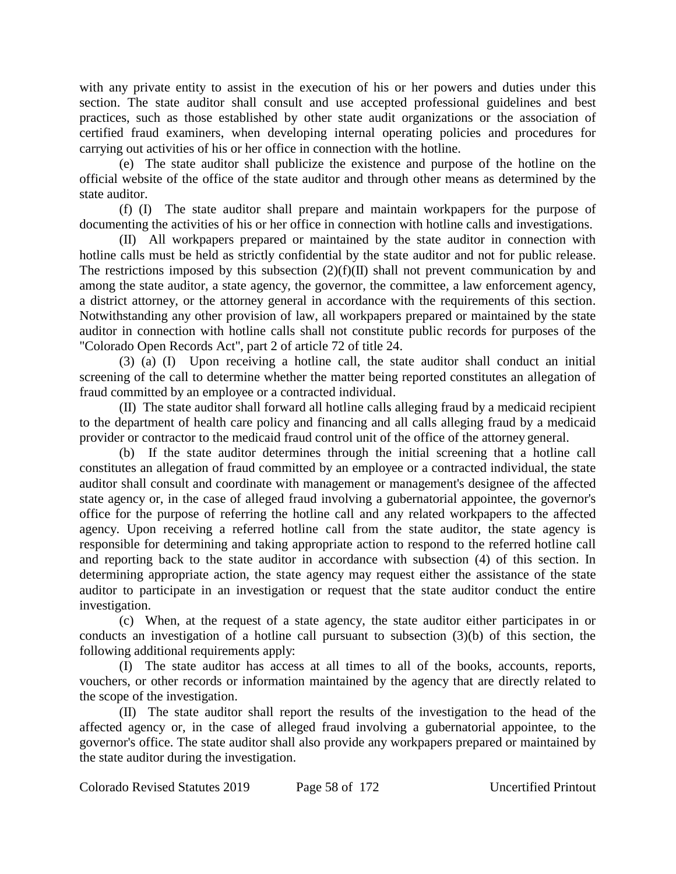with any private entity to assist in the execution of his or her powers and duties under this section. The state auditor shall consult and use accepted professional guidelines and best practices, such as those established by other state audit organizations or the association of certified fraud examiners, when developing internal operating policies and procedures for carrying out activities of his or her office in connection with the hotline.

(e) The state auditor shall publicize the existence and purpose of the hotline on the official website of the office of the state auditor and through other means as determined by the state auditor.

(f) (I) The state auditor shall prepare and maintain workpapers for the purpose of documenting the activities of his or her office in connection with hotline calls and investigations.

(II) All workpapers prepared or maintained by the state auditor in connection with hotline calls must be held as strictly confidential by the state auditor and not for public release. The restrictions imposed by this subsection  $(2)(f)(II)$  shall not prevent communication by and among the state auditor, a state agency, the governor, the committee, a law enforcement agency, a district attorney, or the attorney general in accordance with the requirements of this section. Notwithstanding any other provision of law, all workpapers prepared or maintained by the state auditor in connection with hotline calls shall not constitute public records for purposes of the "Colorado Open Records Act", part 2 of article 72 of title 24.

(3) (a) (I) Upon receiving a hotline call, the state auditor shall conduct an initial screening of the call to determine whether the matter being reported constitutes an allegation of fraud committed by an employee or a contracted individual.

(II) The state auditor shall forward all hotline calls alleging fraud by a medicaid recipient to the department of health care policy and financing and all calls alleging fraud by a medicaid provider or contractor to the medicaid fraud control unit of the office of the attorney general.

(b) If the state auditor determines through the initial screening that a hotline call constitutes an allegation of fraud committed by an employee or a contracted individual, the state auditor shall consult and coordinate with management or management's designee of the affected state agency or, in the case of alleged fraud involving a gubernatorial appointee, the governor's office for the purpose of referring the hotline call and any related workpapers to the affected agency. Upon receiving a referred hotline call from the state auditor, the state agency is responsible for determining and taking appropriate action to respond to the referred hotline call and reporting back to the state auditor in accordance with subsection (4) of this section. In determining appropriate action, the state agency may request either the assistance of the state auditor to participate in an investigation or request that the state auditor conduct the entire investigation.

(c) When, at the request of a state agency, the state auditor either participates in or conducts an investigation of a hotline call pursuant to subsection (3)(b) of this section, the following additional requirements apply:

(I) The state auditor has access at all times to all of the books, accounts, reports, vouchers, or other records or information maintained by the agency that are directly related to the scope of the investigation.

(II) The state auditor shall report the results of the investigation to the head of the affected agency or, in the case of alleged fraud involving a gubernatorial appointee, to the governor's office. The state auditor shall also provide any workpapers prepared or maintained by the state auditor during the investigation.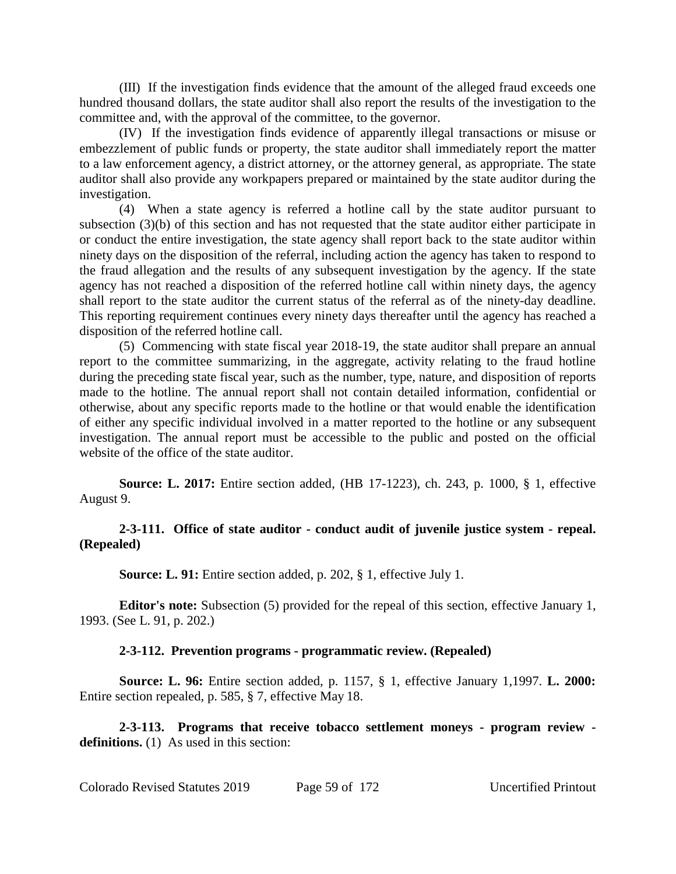(III) If the investigation finds evidence that the amount of the alleged fraud exceeds one hundred thousand dollars, the state auditor shall also report the results of the investigation to the committee and, with the approval of the committee, to the governor.

(IV) If the investigation finds evidence of apparently illegal transactions or misuse or embezzlement of public funds or property, the state auditor shall immediately report the matter to a law enforcement agency, a district attorney, or the attorney general, as appropriate. The state auditor shall also provide any workpapers prepared or maintained by the state auditor during the investigation.

(4) When a state agency is referred a hotline call by the state auditor pursuant to subsection (3)(b) of this section and has not requested that the state auditor either participate in or conduct the entire investigation, the state agency shall report back to the state auditor within ninety days on the disposition of the referral, including action the agency has taken to respond to the fraud allegation and the results of any subsequent investigation by the agency. If the state agency has not reached a disposition of the referred hotline call within ninety days, the agency shall report to the state auditor the current status of the referral as of the ninety-day deadline. This reporting requirement continues every ninety days thereafter until the agency has reached a disposition of the referred hotline call.

(5) Commencing with state fiscal year 2018-19, the state auditor shall prepare an annual report to the committee summarizing, in the aggregate, activity relating to the fraud hotline during the preceding state fiscal year, such as the number, type, nature, and disposition of reports made to the hotline. The annual report shall not contain detailed information, confidential or otherwise, about any specific reports made to the hotline or that would enable the identification of either any specific individual involved in a matter reported to the hotline or any subsequent investigation. The annual report must be accessible to the public and posted on the official website of the office of the state auditor.

**Source: L. 2017:** Entire section added, (HB 17-1223), ch. 243, p. 1000, § 1, effective August 9.

## **2-3-111. Office of state auditor - conduct audit of juvenile justice system - repeal. (Repealed)**

**Source: L. 91:** Entire section added, p. 202, § 1, effective July 1.

**Editor's note:** Subsection (5) provided for the repeal of this section, effective January 1, 1993. (See L. 91, p. 202.)

## **2-3-112. Prevention programs - programmatic review. (Repealed)**

**Source: L. 96:** Entire section added, p. 1157, § 1, effective January 1,1997. **L. 2000:** Entire section repealed, p. 585, § 7, effective May 18.

**2-3-113. Programs that receive tobacco settlement moneys - program review**  definitions. (1) As used in this section: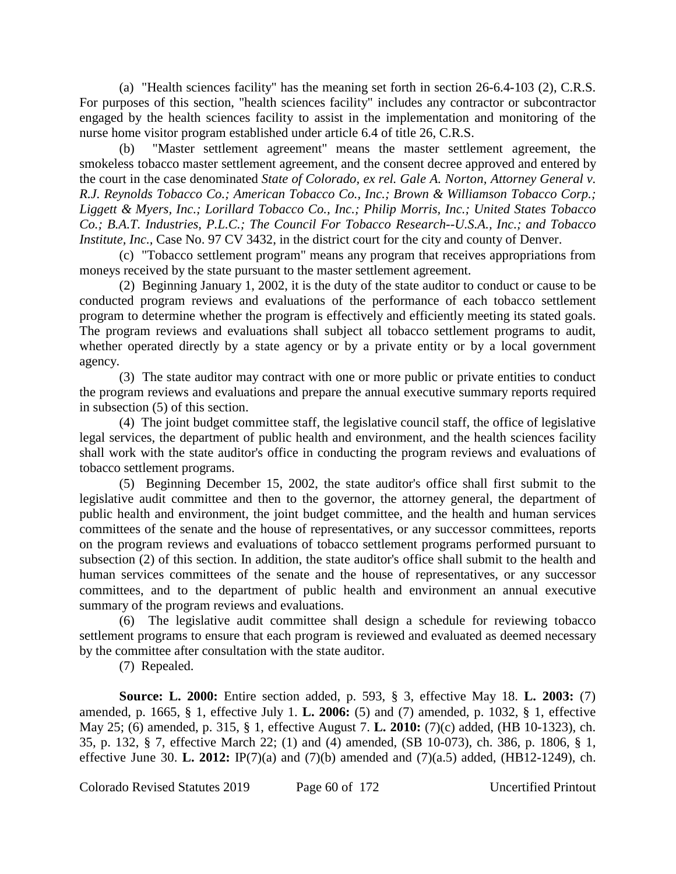(a) "Health sciences facility" has the meaning set forth in section 26-6.4-103 (2), C.R.S. For purposes of this section, "health sciences facility" includes any contractor or subcontractor engaged by the health sciences facility to assist in the implementation and monitoring of the nurse home visitor program established under article 6.4 of title 26, C.R.S.

(b) "Master settlement agreement" means the master settlement agreement, the smokeless tobacco master settlement agreement, and the consent decree approved and entered by the court in the case denominated *State of Colorado, ex rel. Gale A. Norton, Attorney General v. R.J. Reynolds Tobacco Co.; American Tobacco Co., Inc.; Brown & Williamson Tobacco Corp.; Liggett & Myers, Inc.; Lorillard Tobacco Co., Inc.; Philip Morris, Inc.; United States Tobacco Co.; B.A.T. Industries, P.L.C.; The Council For Tobacco Research--U.S.A., Inc.; and Tobacco Institute, Inc., Case No. 97 CV 3432, in the district court for the city and county of Denver.* 

(c) "Tobacco settlement program" means any program that receives appropriations from moneys received by the state pursuant to the master settlement agreement.

(2) Beginning January 1, 2002, it is the duty of the state auditor to conduct or cause to be conducted program reviews and evaluations of the performance of each tobacco settlement program to determine whether the program is effectively and efficiently meeting its stated goals. The program reviews and evaluations shall subject all tobacco settlement programs to audit, whether operated directly by a state agency or by a private entity or by a local government agency.

(3) The state auditor may contract with one or more public or private entities to conduct the program reviews and evaluations and prepare the annual executive summary reports required in subsection (5) of this section.

(4) The joint budget committee staff, the legislative council staff, the office of legislative legal services, the department of public health and environment, and the health sciences facility shall work with the state auditor's office in conducting the program reviews and evaluations of tobacco settlement programs.

(5) Beginning December 15, 2002, the state auditor's office shall first submit to the legislative audit committee and then to the governor, the attorney general, the department of public health and environment, the joint budget committee, and the health and human services committees of the senate and the house of representatives, or any successor committees, reports on the program reviews and evaluations of tobacco settlement programs performed pursuant to subsection (2) of this section. In addition, the state auditor's office shall submit to the health and human services committees of the senate and the house of representatives, or any successor committees, and to the department of public health and environment an annual executive summary of the program reviews and evaluations.

(6) The legislative audit committee shall design a schedule for reviewing tobacco settlement programs to ensure that each program is reviewed and evaluated as deemed necessary by the committee after consultation with the state auditor.

(7) Repealed.

**Source: L. 2000:** Entire section added, p. 593, § 3, effective May 18. **L. 2003:** (7) amended, p. 1665, § 1, effective July 1. **L. 2006:** (5) and (7) amended, p. 1032, § 1, effective May 25; (6) amended, p. 315, § 1, effective August 7. **L. 2010:** (7)(c) added, (HB 10-1323), ch. 35, p. 132, § 7, effective March 22; (1) and (4) amended, (SB 10-073), ch. 386, p. 1806, § 1, effective June 30. **L. 2012:** IP(7)(a) and (7)(b) amended and (7)(a.5) added, (HB12-1249), ch.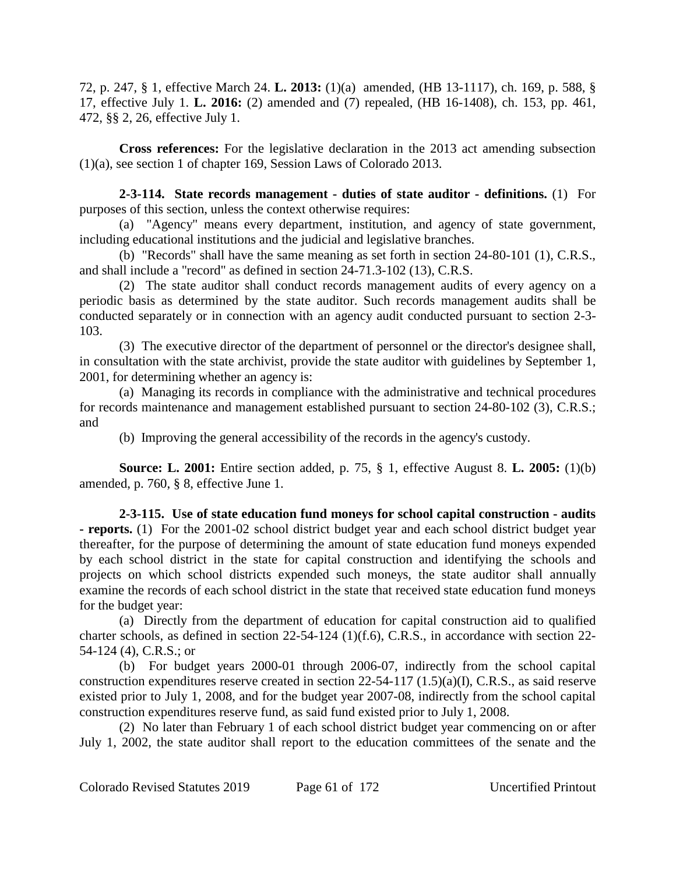72, p. 247, § 1, effective March 24. **L. 2013:** (1)(a) amended, (HB 13-1117), ch. 169, p. 588, § 17, effective July 1. **L. 2016:** (2) amended and (7) repealed, (HB 16-1408), ch. 153, pp. 461, 472, §§ 2, 26, effective July 1.

**Cross references:** For the legislative declaration in the 2013 act amending subsection (1)(a), see section 1 of chapter 169, Session Laws of Colorado 2013.

**2-3-114. State records management - duties of state auditor - definitions.** (1) For purposes of this section, unless the context otherwise requires:

(a) "Agency" means every department, institution, and agency of state government, including educational institutions and the judicial and legislative branches.

(b) "Records" shall have the same meaning as set forth in section 24-80-101 (1), C.R.S., and shall include a "record" as defined in section 24-71.3-102 (13), C.R.S.

(2) The state auditor shall conduct records management audits of every agency on a periodic basis as determined by the state auditor. Such records management audits shall be conducted separately or in connection with an agency audit conducted pursuant to section 2-3- 103.

(3) The executive director of the department of personnel or the director's designee shall, in consultation with the state archivist, provide the state auditor with guidelines by September 1, 2001, for determining whether an agency is:

(a) Managing its records in compliance with the administrative and technical procedures for records maintenance and management established pursuant to section 24-80-102 (3), C.R.S.; and

(b) Improving the general accessibility of the records in the agency's custody.

**Source: L. 2001:** Entire section added, p. 75, § 1, effective August 8. **L. 2005:** (1)(b) amended, p. 760, § 8, effective June 1.

**2-3-115. Use of state education fund moneys for school capital construction - audits - reports.** (1) For the 2001-02 school district budget year and each school district budget year thereafter, for the purpose of determining the amount of state education fund moneys expended by each school district in the state for capital construction and identifying the schools and projects on which school districts expended such moneys, the state auditor shall annually examine the records of each school district in the state that received state education fund moneys for the budget year:

(a) Directly from the department of education for capital construction aid to qualified charter schools, as defined in section 22-54-124 (1)(f.6), C.R.S., in accordance with section 22- 54-124 (4), C.R.S.; or

(b) For budget years 2000-01 through 2006-07, indirectly from the school capital construction expenditures reserve created in section 22-54-117 (1.5)(a)(I), C.R.S., as said reserve existed prior to July 1, 2008, and for the budget year 2007-08, indirectly from the school capital construction expenditures reserve fund, as said fund existed prior to July 1, 2008.

(2) No later than February 1 of each school district budget year commencing on or after July 1, 2002, the state auditor shall report to the education committees of the senate and the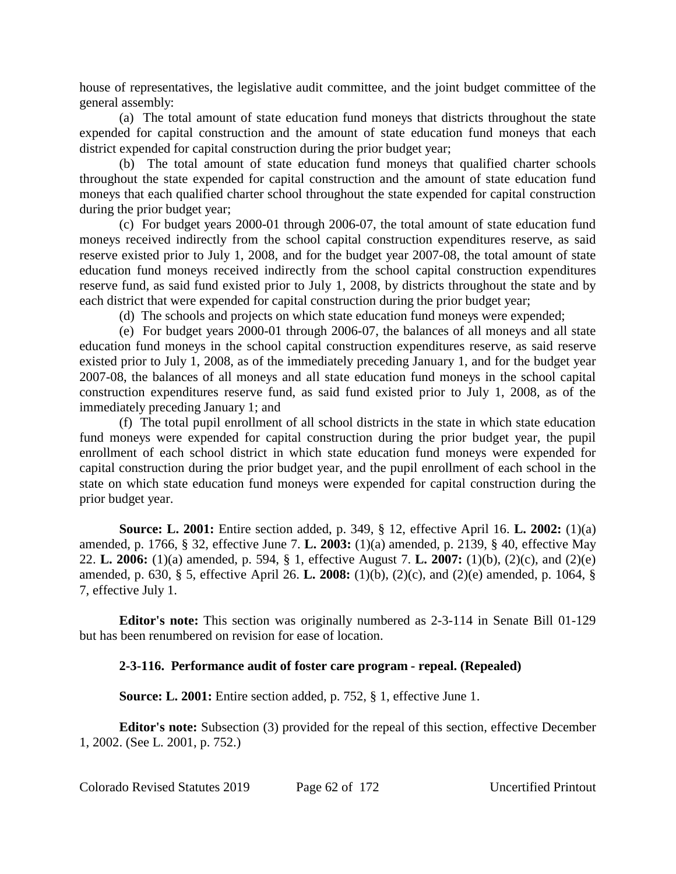house of representatives, the legislative audit committee, and the joint budget committee of the general assembly:

(a) The total amount of state education fund moneys that districts throughout the state expended for capital construction and the amount of state education fund moneys that each district expended for capital construction during the prior budget year;

(b) The total amount of state education fund moneys that qualified charter schools throughout the state expended for capital construction and the amount of state education fund moneys that each qualified charter school throughout the state expended for capital construction during the prior budget year;

(c) For budget years 2000-01 through 2006-07, the total amount of state education fund moneys received indirectly from the school capital construction expenditures reserve, as said reserve existed prior to July 1, 2008, and for the budget year 2007-08, the total amount of state education fund moneys received indirectly from the school capital construction expenditures reserve fund, as said fund existed prior to July 1, 2008, by districts throughout the state and by each district that were expended for capital construction during the prior budget year;

(d) The schools and projects on which state education fund moneys were expended;

(e) For budget years 2000-01 through 2006-07, the balances of all moneys and all state education fund moneys in the school capital construction expenditures reserve, as said reserve existed prior to July 1, 2008, as of the immediately preceding January 1, and for the budget year 2007-08, the balances of all moneys and all state education fund moneys in the school capital construction expenditures reserve fund, as said fund existed prior to July 1, 2008, as of the immediately preceding January 1; and

(f) The total pupil enrollment of all school districts in the state in which state education fund moneys were expended for capital construction during the prior budget year, the pupil enrollment of each school district in which state education fund moneys were expended for capital construction during the prior budget year, and the pupil enrollment of each school in the state on which state education fund moneys were expended for capital construction during the prior budget year.

**Source: L. 2001:** Entire section added, p. 349, § 12, effective April 16. **L. 2002:** (1)(a) amended, p. 1766, § 32, effective June 7. **L. 2003:** (1)(a) amended, p. 2139, § 40, effective May 22. **L. 2006:** (1)(a) amended, p. 594, § 1, effective August 7. **L. 2007:** (1)(b), (2)(c), and (2)(e) amended, p. 630, § 5, effective April 26. **L. 2008:** (1)(b), (2)(c), and (2)(e) amended, p. 1064, § 7, effective July 1.

**Editor's note:** This section was originally numbered as 2-3-114 in Senate Bill 01-129 but has been renumbered on revision for ease of location.

# **2-3-116. Performance audit of foster care program - repeal. (Repealed)**

**Source: L. 2001:** Entire section added, p. 752, § 1, effective June 1.

**Editor's note:** Subsection (3) provided for the repeal of this section, effective December 1, 2002. (See L. 2001, p. 752.)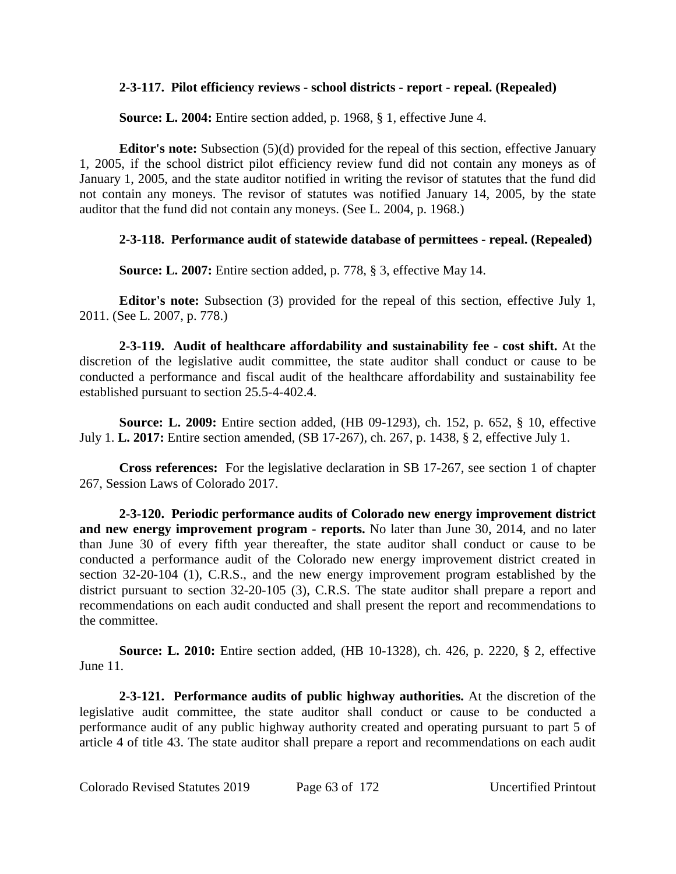## **2-3-117. Pilot efficiency reviews - school districts - report - repeal. (Repealed)**

**Source: L. 2004:** Entire section added, p. 1968, § 1, effective June 4.

**Editor's note:** Subsection (5)(d) provided for the repeal of this section, effective January 1, 2005, if the school district pilot efficiency review fund did not contain any moneys as of January 1, 2005, and the state auditor notified in writing the revisor of statutes that the fund did not contain any moneys. The revisor of statutes was notified January 14, 2005, by the state auditor that the fund did not contain any moneys. (See L. 2004, p. 1968.)

## **2-3-118. Performance audit of statewide database of permittees - repeal. (Repealed)**

**Source: L. 2007:** Entire section added, p. 778, § 3, effective May 14.

**Editor's note:** Subsection (3) provided for the repeal of this section, effective July 1, 2011. (See L. 2007, p. 778.)

**2-3-119. Audit of healthcare affordability and sustainability fee - cost shift.** At the discretion of the legislative audit committee, the state auditor shall conduct or cause to be conducted a performance and fiscal audit of the healthcare affordability and sustainability fee established pursuant to section 25.5-4-402.4.

**Source: L. 2009:** Entire section added, (HB 09-1293), ch. 152, p. 652, § 10, effective July 1. **L. 2017:** Entire section amended, (SB 17-267), ch. 267, p. 1438, § 2, effective July 1.

**Cross references:** For the legislative declaration in SB 17-267, see section 1 of chapter 267, Session Laws of Colorado 2017.

**2-3-120. Periodic performance audits of Colorado new energy improvement district and new energy improvement program - reports.** No later than June 30, 2014, and no later than June 30 of every fifth year thereafter, the state auditor shall conduct or cause to be conducted a performance audit of the Colorado new energy improvement district created in section 32-20-104 (1), C.R.S., and the new energy improvement program established by the district pursuant to section 32-20-105 (3), C.R.S. The state auditor shall prepare a report and recommendations on each audit conducted and shall present the report and recommendations to the committee.

**Source: L. 2010:** Entire section added, (HB 10-1328), ch. 426, p. 2220, § 2, effective June 11.

**2-3-121. Performance audits of public highway authorities.** At the discretion of the legislative audit committee, the state auditor shall conduct or cause to be conducted a performance audit of any public highway authority created and operating pursuant to part 5 of article 4 of title 43. The state auditor shall prepare a report and recommendations on each audit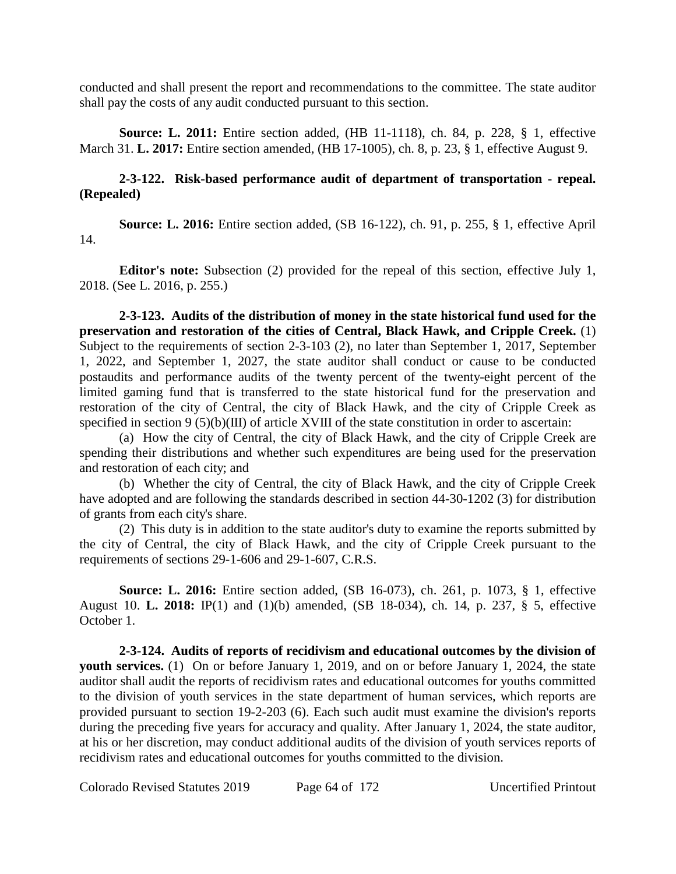conducted and shall present the report and recommendations to the committee. The state auditor shall pay the costs of any audit conducted pursuant to this section.

**Source: L. 2011:** Entire section added, (HB 11-1118), ch. 84, p. 228, § 1, effective March 31. **L. 2017:** Entire section amended, (HB 17-1005), ch. 8, p. 23, § 1, effective August 9.

## **2-3-122. Risk-based performance audit of department of transportation - repeal. (Repealed)**

**Source: L. 2016:** Entire section added, (SB 16-122), ch. 91, p. 255, § 1, effective April 14.

**Editor's note:** Subsection (2) provided for the repeal of this section, effective July 1, 2018. (See L. 2016, p. 255.)

**2-3-123. Audits of the distribution of money in the state historical fund used for the preservation and restoration of the cities of Central, Black Hawk, and Cripple Creek.** (1) Subject to the requirements of section 2-3-103 (2), no later than September 1, 2017, September 1, 2022, and September 1, 2027, the state auditor shall conduct or cause to be conducted postaudits and performance audits of the twenty percent of the twenty-eight percent of the limited gaming fund that is transferred to the state historical fund for the preservation and restoration of the city of Central, the city of Black Hawk, and the city of Cripple Creek as specified in section 9 (5)(b)(III) of article XVIII of the state constitution in order to ascertain:

(a) How the city of Central, the city of Black Hawk, and the city of Cripple Creek are spending their distributions and whether such expenditures are being used for the preservation and restoration of each city; and

(b) Whether the city of Central, the city of Black Hawk, and the city of Cripple Creek have adopted and are following the standards described in section 44-30-1202 (3) for distribution of grants from each city's share.

(2) This duty is in addition to the state auditor's duty to examine the reports submitted by the city of Central, the city of Black Hawk, and the city of Cripple Creek pursuant to the requirements of sections 29-1-606 and 29-1-607, C.R.S.

**Source: L. 2016:** Entire section added, (SB 16-073), ch. 261, p. 1073, § 1, effective August 10. **L. 2018:** IP(1) and (1)(b) amended, (SB 18-034), ch. 14, p. 237, § 5, effective October 1.

**2-3-124. Audits of reports of recidivism and educational outcomes by the division of youth services.** (1) On or before January 1, 2019, and on or before January 1, 2024, the state auditor shall audit the reports of recidivism rates and educational outcomes for youths committed to the division of youth services in the state department of human services, which reports are provided pursuant to section 19-2-203 (6). Each such audit must examine the division's reports during the preceding five years for accuracy and quality. After January 1, 2024, the state auditor, at his or her discretion, may conduct additional audits of the division of youth services reports of recidivism rates and educational outcomes for youths committed to the division.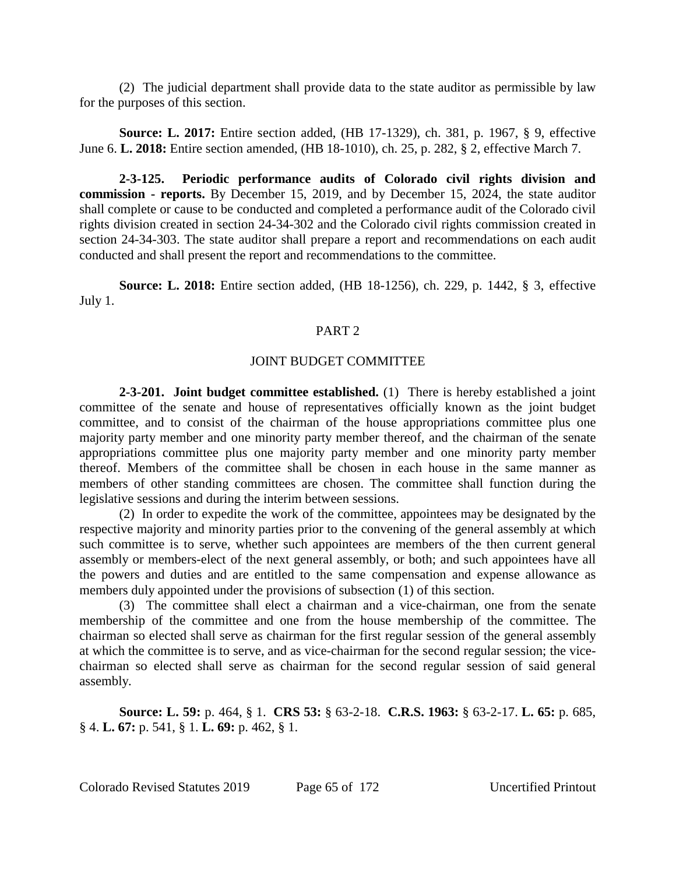(2) The judicial department shall provide data to the state auditor as permissible by law for the purposes of this section.

**Source: L. 2017:** Entire section added, (HB 17-1329), ch. 381, p. 1967, § 9, effective June 6. **L. 2018:** Entire section amended, (HB 18-1010), ch. 25, p. 282, § 2, effective March 7.

**2-3-125. Periodic performance audits of Colorado civil rights division and commission - reports.** By December 15, 2019, and by December 15, 2024, the state auditor shall complete or cause to be conducted and completed a performance audit of the Colorado civil rights division created in section 24-34-302 and the Colorado civil rights commission created in section 24-34-303. The state auditor shall prepare a report and recommendations on each audit conducted and shall present the report and recommendations to the committee.

**Source: L. 2018:** Entire section added, (HB 18-1256), ch. 229, p. 1442, § 3, effective July 1.

## PART<sub>2</sub>

#### JOINT BUDGET COMMITTEE

**2-3-201. Joint budget committee established.** (1) There is hereby established a joint committee of the senate and house of representatives officially known as the joint budget committee, and to consist of the chairman of the house appropriations committee plus one majority party member and one minority party member thereof, and the chairman of the senate appropriations committee plus one majority party member and one minority party member thereof. Members of the committee shall be chosen in each house in the same manner as members of other standing committees are chosen. The committee shall function during the legislative sessions and during the interim between sessions.

(2) In order to expedite the work of the committee, appointees may be designated by the respective majority and minority parties prior to the convening of the general assembly at which such committee is to serve, whether such appointees are members of the then current general assembly or members-elect of the next general assembly, or both; and such appointees have all the powers and duties and are entitled to the same compensation and expense allowance as members duly appointed under the provisions of subsection (1) of this section.

(3) The committee shall elect a chairman and a vice-chairman, one from the senate membership of the committee and one from the house membership of the committee. The chairman so elected shall serve as chairman for the first regular session of the general assembly at which the committee is to serve, and as vice-chairman for the second regular session; the vicechairman so elected shall serve as chairman for the second regular session of said general assembly.

**Source: L. 59:** p. 464, § 1. **CRS 53:** § 63-2-18. **C.R.S. 1963:** § 63-2-17. **L. 65:** p. 685, § 4. **L. 67:** p. 541, § 1. **L. 69:** p. 462, § 1.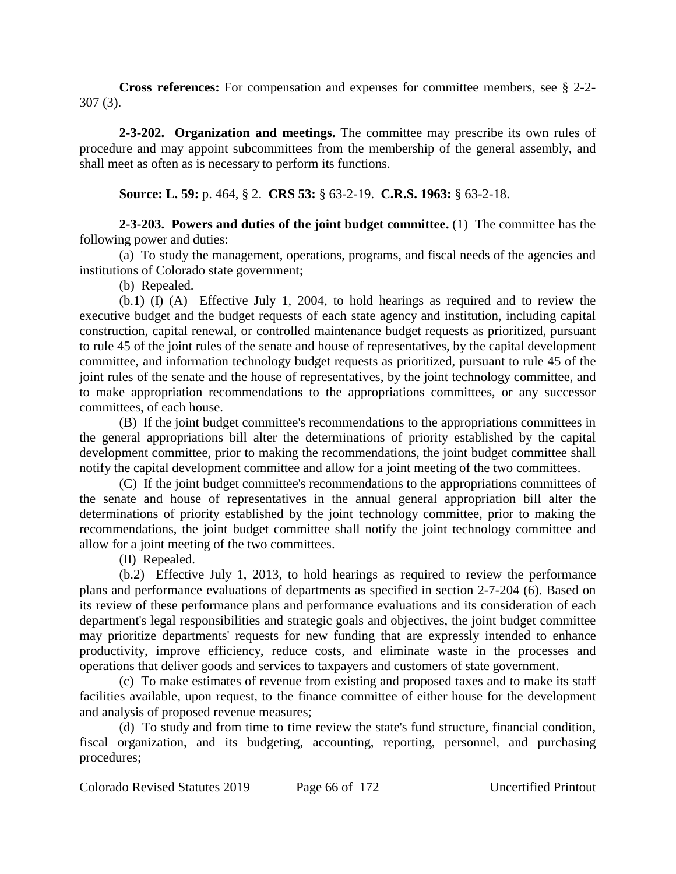**Cross references:** For compensation and expenses for committee members, see § 2-2- 307 (3).

**2-3-202. Organization and meetings.** The committee may prescribe its own rules of procedure and may appoint subcommittees from the membership of the general assembly, and shall meet as often as is necessary to perform its functions.

**Source: L. 59:** p. 464, § 2. **CRS 53:** § 63-2-19. **C.R.S. 1963:** § 63-2-18.

**2-3-203. Powers and duties of the joint budget committee.** (1) The committee has the following power and duties:

(a) To study the management, operations, programs, and fiscal needs of the agencies and institutions of Colorado state government;

(b) Repealed.

(b.1) (I) (A) Effective July 1, 2004, to hold hearings as required and to review the executive budget and the budget requests of each state agency and institution, including capital construction, capital renewal, or controlled maintenance budget requests as prioritized, pursuant to rule 45 of the joint rules of the senate and house of representatives, by the capital development committee, and information technology budget requests as prioritized, pursuant to rule 45 of the joint rules of the senate and the house of representatives, by the joint technology committee, and to make appropriation recommendations to the appropriations committees, or any successor committees, of each house.

(B) If the joint budget committee's recommendations to the appropriations committees in the general appropriations bill alter the determinations of priority established by the capital development committee, prior to making the recommendations, the joint budget committee shall notify the capital development committee and allow for a joint meeting of the two committees.

(C) If the joint budget committee's recommendations to the appropriations committees of the senate and house of representatives in the annual general appropriation bill alter the determinations of priority established by the joint technology committee, prior to making the recommendations, the joint budget committee shall notify the joint technology committee and allow for a joint meeting of the two committees.

(II) Repealed.

(b.2) Effective July 1, 2013, to hold hearings as required to review the performance plans and performance evaluations of departments as specified in section 2-7-204 (6). Based on its review of these performance plans and performance evaluations and its consideration of each department's legal responsibilities and strategic goals and objectives, the joint budget committee may prioritize departments' requests for new funding that are expressly intended to enhance productivity, improve efficiency, reduce costs, and eliminate waste in the processes and operations that deliver goods and services to taxpayers and customers of state government.

(c) To make estimates of revenue from existing and proposed taxes and to make its staff facilities available, upon request, to the finance committee of either house for the development and analysis of proposed revenue measures;

(d) To study and from time to time review the state's fund structure, financial condition, fiscal organization, and its budgeting, accounting, reporting, personnel, and purchasing procedures;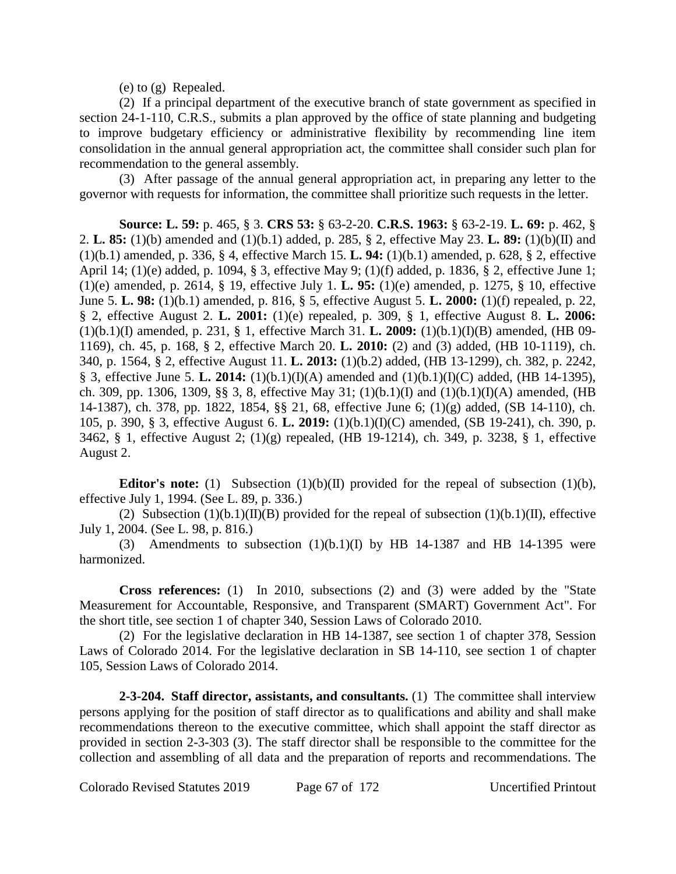(e) to (g) Repealed.

(2) If a principal department of the executive branch of state government as specified in section 24-1-110, C.R.S., submits a plan approved by the office of state planning and budgeting to improve budgetary efficiency or administrative flexibility by recommending line item consolidation in the annual general appropriation act, the committee shall consider such plan for recommendation to the general assembly.

(3) After passage of the annual general appropriation act, in preparing any letter to the governor with requests for information, the committee shall prioritize such requests in the letter.

**Source: L. 59:** p. 465, § 3. **CRS 53:** § 63-2-20. **C.R.S. 1963:** § 63-2-19. **L. 69:** p. 462, § 2. **L. 85:** (1)(b) amended and (1)(b.1) added, p. 285, § 2, effective May 23. **L. 89:** (1)(b)(II) and (1)(b.1) amended, p. 336, § 4, effective March 15. **L. 94:** (1)(b.1) amended, p. 628, § 2, effective April 14; (1)(e) added, p. 1094, § 3, effective May 9; (1)(f) added, p. 1836, § 2, effective June 1; (1)(e) amended, p. 2614, § 19, effective July 1. **L. 95:** (1)(e) amended, p. 1275, § 10, effective June 5. **L. 98:** (1)(b.1) amended, p. 816, § 5, effective August 5. **L. 2000:** (1)(f) repealed, p. 22, § 2, effective August 2. **L. 2001:** (1)(e) repealed, p. 309, § 1, effective August 8. **L. 2006:** (1)(b.1)(I) amended, p. 231, § 1, effective March 31. **L. 2009:** (1)(b.1)(I)(B) amended, (HB 09- 1169), ch. 45, p. 168, § 2, effective March 20. **L. 2010:** (2) and (3) added, (HB 10-1119), ch. 340, p. 1564, § 2, effective August 11. **L. 2013:** (1)(b.2) added, (HB 13-1299), ch. 382, p. 2242, § 3, effective June 5. **L. 2014:** (1)(b.1)(I)(A) amended and (1)(b.1)(I)(C) added, (HB 14-1395), ch. 309, pp. 1306, 1309, §§ 3, 8, effective May 31; (1)(b.1)(I) and (1)(b.1)(I)(A) amended, (HB 14-1387), ch. 378, pp. 1822, 1854, §§ 21, 68, effective June 6; (1)(g) added, (SB 14-110), ch. 105, p. 390, § 3, effective August 6. **L. 2019:** (1)(b.1)(I)(C) amended, (SB 19-241), ch. 390, p. 3462, § 1, effective August 2; (1)(g) repealed, (HB 19-1214), ch. 349, p. 3238, § 1, effective August 2.

**Editor's note:** (1) Subsection (1)(b)(II) provided for the repeal of subsection (1)(b), effective July 1, 1994. (See L. 89, p. 336.)

(2) Subsection  $(1)(b.1)(II)(B)$  provided for the repeal of subsection  $(1)(b.1)(II)$ , effective July 1, 2004. (See L. 98, p. 816.)

(3) Amendments to subsection  $(1)(b.1)(I)$  by HB 14-1387 and HB 14-1395 were harmonized.

**Cross references:** (1) In 2010, subsections (2) and (3) were added by the "State Measurement for Accountable, Responsive, and Transparent (SMART) Government Act". For the short title, see section 1 of chapter 340, Session Laws of Colorado 2010.

(2) For the legislative declaration in HB 14-1387, see section 1 of chapter 378, Session Laws of Colorado 2014. For the legislative declaration in SB 14-110, see section 1 of chapter 105, Session Laws of Colorado 2014.

**2-3-204. Staff director, assistants, and consultants.** (1) The committee shall interview persons applying for the position of staff director as to qualifications and ability and shall make recommendations thereon to the executive committee, which shall appoint the staff director as provided in section 2-3-303 (3). The staff director shall be responsible to the committee for the collection and assembling of all data and the preparation of reports and recommendations. The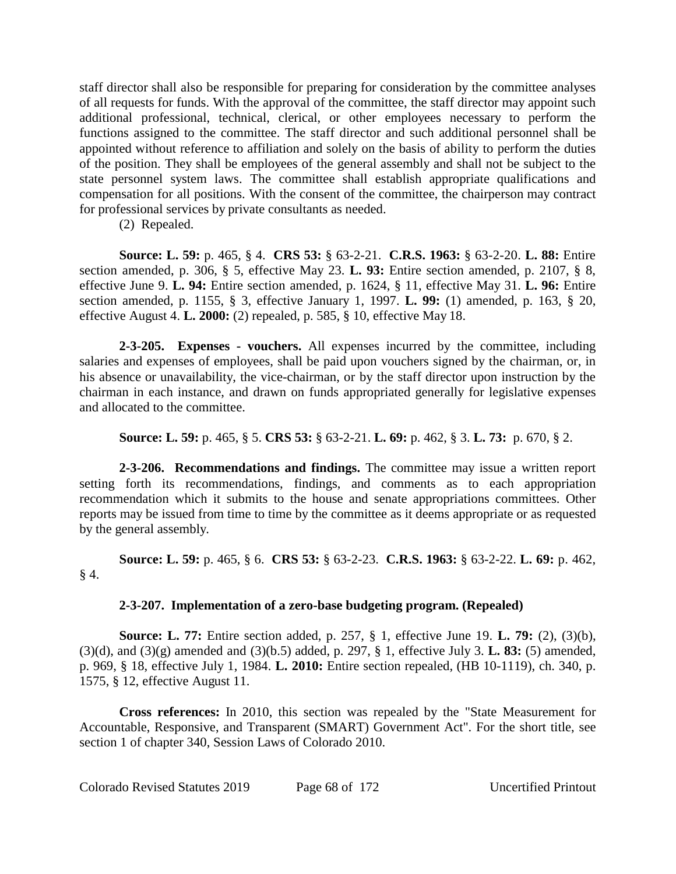staff director shall also be responsible for preparing for consideration by the committee analyses of all requests for funds. With the approval of the committee, the staff director may appoint such additional professional, technical, clerical, or other employees necessary to perform the functions assigned to the committee. The staff director and such additional personnel shall be appointed without reference to affiliation and solely on the basis of ability to perform the duties of the position. They shall be employees of the general assembly and shall not be subject to the state personnel system laws. The committee shall establish appropriate qualifications and compensation for all positions. With the consent of the committee, the chairperson may contract for professional services by private consultants as needed.

(2) Repealed.

**Source: L. 59:** p. 465, § 4. **CRS 53:** § 63-2-21. **C.R.S. 1963:** § 63-2-20. **L. 88:** Entire section amended, p. 306, § 5, effective May 23. **L. 93:** Entire section amended, p. 2107, § 8, effective June 9. **L. 94:** Entire section amended, p. 1624, § 11, effective May 31. **L. 96:** Entire section amended, p. 1155, § 3, effective January 1, 1997. **L. 99:** (1) amended, p. 163, § 20, effective August 4. **L. 2000:** (2) repealed, p. 585, § 10, effective May 18.

**2-3-205. Expenses - vouchers.** All expenses incurred by the committee, including salaries and expenses of employees, shall be paid upon vouchers signed by the chairman, or, in his absence or unavailability, the vice-chairman, or by the staff director upon instruction by the chairman in each instance, and drawn on funds appropriated generally for legislative expenses and allocated to the committee.

**Source: L. 59:** p. 465, § 5. **CRS 53:** § 63-2-21. **L. 69:** p. 462, § 3. **L. 73:** p. 670, § 2.

**2-3-206. Recommendations and findings.** The committee may issue a written report setting forth its recommendations, findings, and comments as to each appropriation recommendation which it submits to the house and senate appropriations committees. Other reports may be issued from time to time by the committee as it deems appropriate or as requested by the general assembly.

**Source: L. 59:** p. 465, § 6. **CRS 53:** § 63-2-23. **C.R.S. 1963:** § 63-2-22. **L. 69:** p. 462,  $§$  4.

# **2-3-207. Implementation of a zero-base budgeting program. (Repealed)**

**Source: L. 77:** Entire section added, p. 257, § 1, effective June 19. **L. 79:** (2), (3)(b), (3)(d), and (3)(g) amended and (3)(b.5) added, p. 297, § 1, effective July 3. **L. 83:** (5) amended, p. 969, § 18, effective July 1, 1984. **L. 2010:** Entire section repealed, (HB 10-1119), ch. 340, p. 1575, § 12, effective August 11.

**Cross references:** In 2010, this section was repealed by the "State Measurement for Accountable, Responsive, and Transparent (SMART) Government Act". For the short title, see section 1 of chapter 340, Session Laws of Colorado 2010.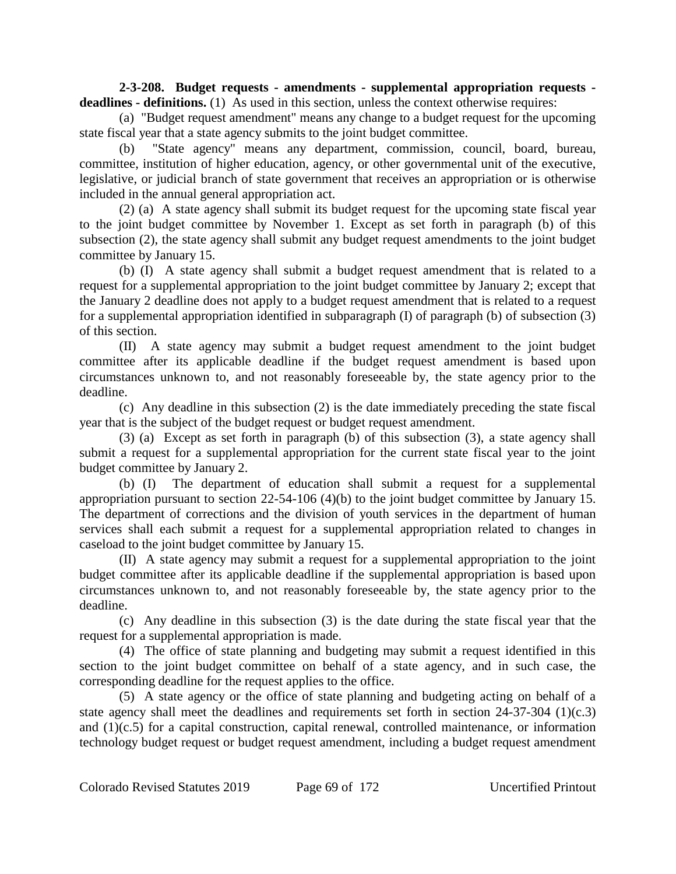**2-3-208. Budget requests - amendments - supplemental appropriation requests**  deadlines - definitions. (1) As used in this section, unless the context otherwise requires:

(a) "Budget request amendment" means any change to a budget request for the upcoming state fiscal year that a state agency submits to the joint budget committee.

(b) "State agency" means any department, commission, council, board, bureau, committee, institution of higher education, agency, or other governmental unit of the executive, legislative, or judicial branch of state government that receives an appropriation or is otherwise included in the annual general appropriation act.

(2) (a) A state agency shall submit its budget request for the upcoming state fiscal year to the joint budget committee by November 1. Except as set forth in paragraph (b) of this subsection (2), the state agency shall submit any budget request amendments to the joint budget committee by January 15.

(b) (I) A state agency shall submit a budget request amendment that is related to a request for a supplemental appropriation to the joint budget committee by January 2; except that the January 2 deadline does not apply to a budget request amendment that is related to a request for a supplemental appropriation identified in subparagraph (I) of paragraph (b) of subsection (3) of this section.

(II) A state agency may submit a budget request amendment to the joint budget committee after its applicable deadline if the budget request amendment is based upon circumstances unknown to, and not reasonably foreseeable by, the state agency prior to the deadline.

(c) Any deadline in this subsection (2) is the date immediately preceding the state fiscal year that is the subject of the budget request or budget request amendment.

(3) (a) Except as set forth in paragraph (b) of this subsection (3), a state agency shall submit a request for a supplemental appropriation for the current state fiscal year to the joint budget committee by January 2.

(b) (I) The department of education shall submit a request for a supplemental appropriation pursuant to section 22-54-106 (4)(b) to the joint budget committee by January 15. The department of corrections and the division of youth services in the department of human services shall each submit a request for a supplemental appropriation related to changes in caseload to the joint budget committee by January 15.

(II) A state agency may submit a request for a supplemental appropriation to the joint budget committee after its applicable deadline if the supplemental appropriation is based upon circumstances unknown to, and not reasonably foreseeable by, the state agency prior to the deadline.

(c) Any deadline in this subsection (3) is the date during the state fiscal year that the request for a supplemental appropriation is made.

(4) The office of state planning and budgeting may submit a request identified in this section to the joint budget committee on behalf of a state agency, and in such case, the corresponding deadline for the request applies to the office.

(5) A state agency or the office of state planning and budgeting acting on behalf of a state agency shall meet the deadlines and requirements set forth in section 24-37-304 (1)(c.3) and (1)(c.5) for a capital construction, capital renewal, controlled maintenance, or information technology budget request or budget request amendment, including a budget request amendment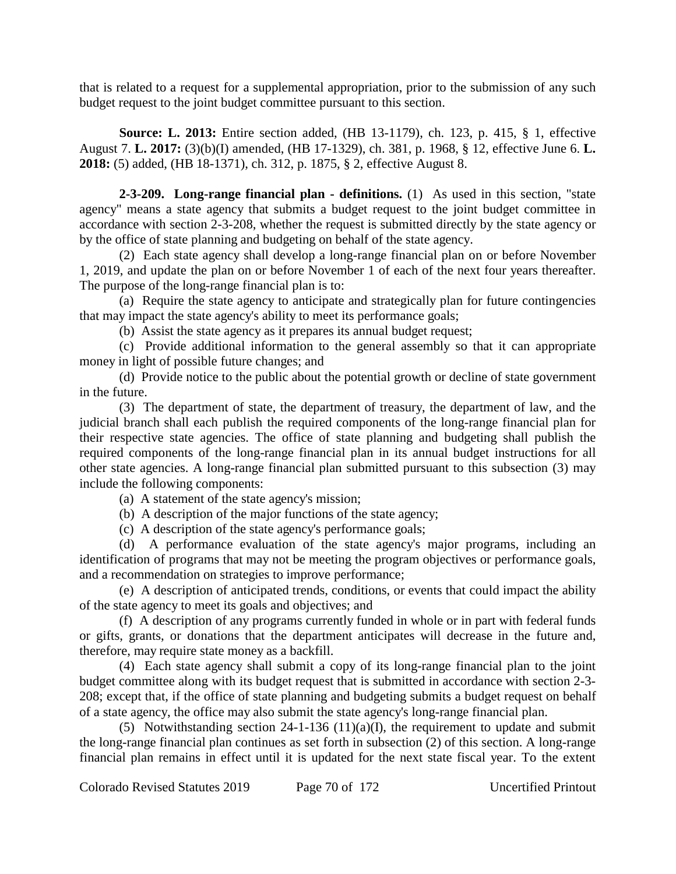that is related to a request for a supplemental appropriation, prior to the submission of any such budget request to the joint budget committee pursuant to this section.

**Source: L. 2013:** Entire section added, (HB 13-1179), ch. 123, p. 415, § 1, effective August 7. **L. 2017:** (3)(b)(I) amended, (HB 17-1329), ch. 381, p. 1968, § 12, effective June 6. **L. 2018:** (5) added, (HB 18-1371), ch. 312, p. 1875, § 2, effective August 8.

**2-3-209. Long-range financial plan - definitions.** (1) As used in this section, "state agency" means a state agency that submits a budget request to the joint budget committee in accordance with section 2-3-208, whether the request is submitted directly by the state agency or by the office of state planning and budgeting on behalf of the state agency.

(2) Each state agency shall develop a long-range financial plan on or before November 1, 2019, and update the plan on or before November 1 of each of the next four years thereafter. The purpose of the long-range financial plan is to:

(a) Require the state agency to anticipate and strategically plan for future contingencies that may impact the state agency's ability to meet its performance goals;

(b) Assist the state agency as it prepares its annual budget request;

(c) Provide additional information to the general assembly so that it can appropriate money in light of possible future changes; and

(d) Provide notice to the public about the potential growth or decline of state government in the future.

(3) The department of state, the department of treasury, the department of law, and the judicial branch shall each publish the required components of the long-range financial plan for their respective state agencies. The office of state planning and budgeting shall publish the required components of the long-range financial plan in its annual budget instructions for all other state agencies. A long-range financial plan submitted pursuant to this subsection (3) may include the following components:

(a) A statement of the state agency's mission;

(b) A description of the major functions of the state agency;

(c) A description of the state agency's performance goals;

(d) A performance evaluation of the state agency's major programs, including an identification of programs that may not be meeting the program objectives or performance goals, and a recommendation on strategies to improve performance;

(e) A description of anticipated trends, conditions, or events that could impact the ability of the state agency to meet its goals and objectives; and

(f) A description of any programs currently funded in whole or in part with federal funds or gifts, grants, or donations that the department anticipates will decrease in the future and, therefore, may require state money as a backfill.

(4) Each state agency shall submit a copy of its long-range financial plan to the joint budget committee along with its budget request that is submitted in accordance with section 2-3- 208; except that, if the office of state planning and budgeting submits a budget request on behalf of a state agency, the office may also submit the state agency's long-range financial plan.

(5) Notwithstanding section 24-1-136 (11)(a)(I), the requirement to update and submit the long-range financial plan continues as set forth in subsection (2) of this section. A long-range financial plan remains in effect until it is updated for the next state fiscal year. To the extent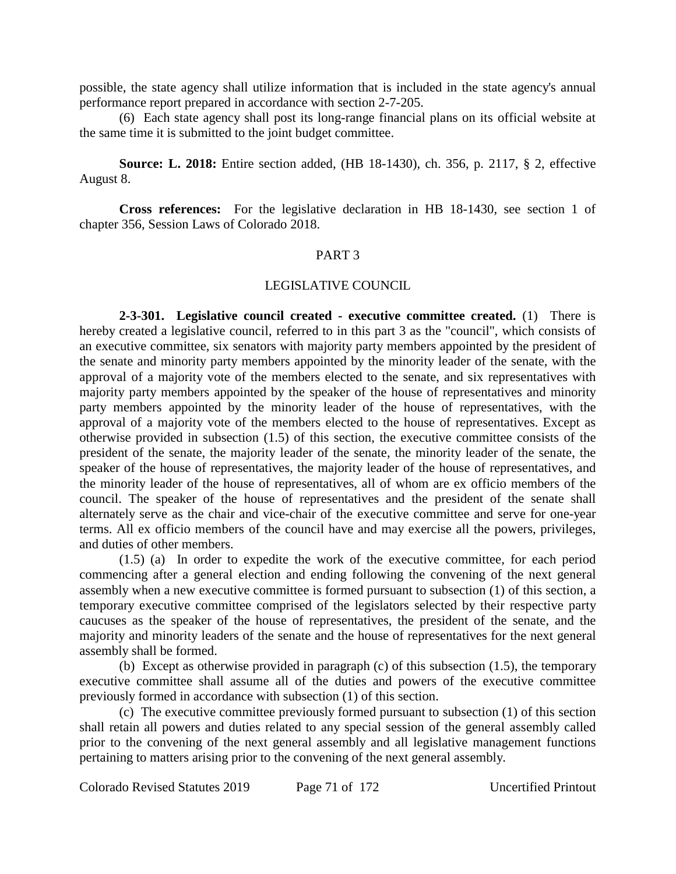possible, the state agency shall utilize information that is included in the state agency's annual performance report prepared in accordance with section 2-7-205.

(6) Each state agency shall post its long-range financial plans on its official website at the same time it is submitted to the joint budget committee.

**Source: L. 2018:** Entire section added, (HB 18-1430), ch. 356, p. 2117, § 2, effective August 8.

**Cross references:** For the legislative declaration in HB 18-1430, see section 1 of chapter 356, Session Laws of Colorado 2018.

#### PART 3

#### LEGISLATIVE COUNCIL

**2-3-301. Legislative council created - executive committee created.** (1) There is hereby created a legislative council, referred to in this part 3 as the "council", which consists of an executive committee, six senators with majority party members appointed by the president of the senate and minority party members appointed by the minority leader of the senate, with the approval of a majority vote of the members elected to the senate, and six representatives with majority party members appointed by the speaker of the house of representatives and minority party members appointed by the minority leader of the house of representatives, with the approval of a majority vote of the members elected to the house of representatives. Except as otherwise provided in subsection (1.5) of this section, the executive committee consists of the president of the senate, the majority leader of the senate, the minority leader of the senate, the speaker of the house of representatives, the majority leader of the house of representatives, and the minority leader of the house of representatives, all of whom are ex officio members of the council. The speaker of the house of representatives and the president of the senate shall alternately serve as the chair and vice-chair of the executive committee and serve for one-year terms. All ex officio members of the council have and may exercise all the powers, privileges, and duties of other members.

(1.5) (a) In order to expedite the work of the executive committee, for each period commencing after a general election and ending following the convening of the next general assembly when a new executive committee is formed pursuant to subsection (1) of this section, a temporary executive committee comprised of the legislators selected by their respective party caucuses as the speaker of the house of representatives, the president of the senate, and the majority and minority leaders of the senate and the house of representatives for the next general assembly shall be formed.

(b) Except as otherwise provided in paragraph (c) of this subsection (1.5), the temporary executive committee shall assume all of the duties and powers of the executive committee previously formed in accordance with subsection (1) of this section.

(c) The executive committee previously formed pursuant to subsection (1) of this section shall retain all powers and duties related to any special session of the general assembly called prior to the convening of the next general assembly and all legislative management functions pertaining to matters arising prior to the convening of the next general assembly.

Colorado Revised Statutes 2019 Page 71 of 172 Uncertified Printout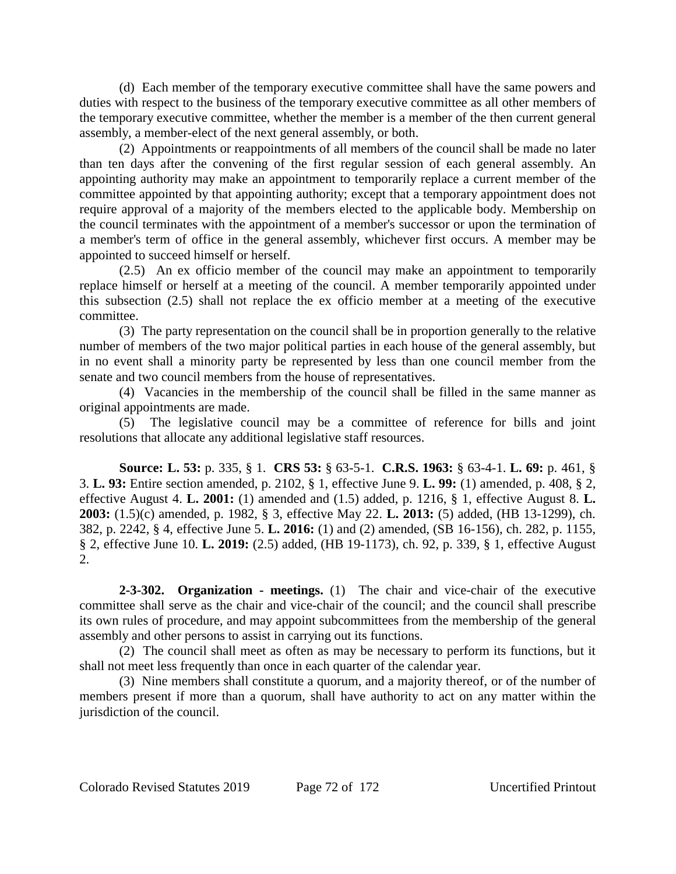(d) Each member of the temporary executive committee shall have the same powers and duties with respect to the business of the temporary executive committee as all other members of the temporary executive committee, whether the member is a member of the then current general assembly, a member-elect of the next general assembly, or both.

(2) Appointments or reappointments of all members of the council shall be made no later than ten days after the convening of the first regular session of each general assembly. An appointing authority may make an appointment to temporarily replace a current member of the committee appointed by that appointing authority; except that a temporary appointment does not require approval of a majority of the members elected to the applicable body. Membership on the council terminates with the appointment of a member's successor or upon the termination of a member's term of office in the general assembly, whichever first occurs. A member may be appointed to succeed himself or herself.

(2.5) An ex officio member of the council may make an appointment to temporarily replace himself or herself at a meeting of the council. A member temporarily appointed under this subsection (2.5) shall not replace the ex officio member at a meeting of the executive committee.

(3) The party representation on the council shall be in proportion generally to the relative number of members of the two major political parties in each house of the general assembly, but in no event shall a minority party be represented by less than one council member from the senate and two council members from the house of representatives.

(4) Vacancies in the membership of the council shall be filled in the same manner as original appointments are made.

(5) The legislative council may be a committee of reference for bills and joint resolutions that allocate any additional legislative staff resources.

**Source: L. 53:** p. 335, § 1. **CRS 53:** § 63-5-1. **C.R.S. 1963:** § 63-4-1. **L. 69:** p. 461, § 3. **L. 93:** Entire section amended, p. 2102, § 1, effective June 9. **L. 99:** (1) amended, p. 408, § 2, effective August 4. **L. 2001:** (1) amended and (1.5) added, p. 1216, § 1, effective August 8. **L. 2003:** (1.5)(c) amended, p. 1982, § 3, effective May 22. **L. 2013:** (5) added, (HB 13-1299), ch. 382, p. 2242, § 4, effective June 5. **L. 2016:** (1) and (2) amended, (SB 16-156), ch. 282, p. 1155, § 2, effective June 10. **L. 2019:** (2.5) added, (HB 19-1173), ch. 92, p. 339, § 1, effective August 2.

**2-3-302. Organization - meetings.** (1) The chair and vice-chair of the executive committee shall serve as the chair and vice-chair of the council; and the council shall prescribe its own rules of procedure, and may appoint subcommittees from the membership of the general assembly and other persons to assist in carrying out its functions.

(2) The council shall meet as often as may be necessary to perform its functions, but it shall not meet less frequently than once in each quarter of the calendar year.

(3) Nine members shall constitute a quorum, and a majority thereof, or of the number of members present if more than a quorum, shall have authority to act on any matter within the jurisdiction of the council.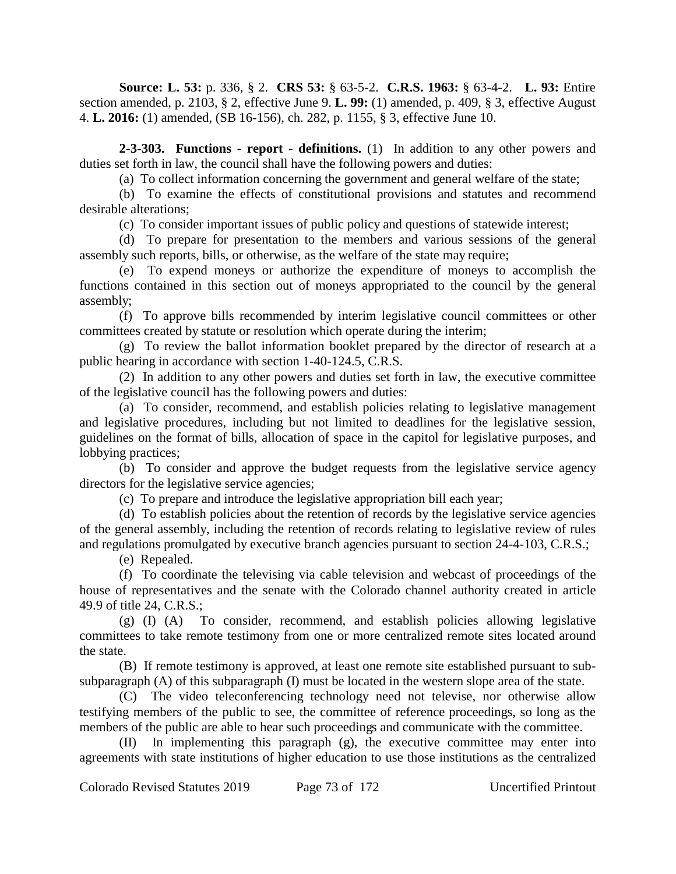**Source: L. 53:** p. 336, § 2. **CRS 53:** § 63-5-2. **C.R.S. 1963:** § 63-4-2. **L. 93:** Entire section amended, p. 2103, § 2, effective June 9. **L. 99:** (1) amended, p. 409, § 3, effective August 4. **L. 2016:** (1) amended, (SB 16-156), ch. 282, p. 1155, § 3, effective June 10.

**2-3-303. Functions - report - definitions.** (1) In addition to any other powers and duties set forth in law, the council shall have the following powers and duties:

(a) To collect information concerning the government and general welfare of the state;

(b) To examine the effects of constitutional provisions and statutes and recommend desirable alterations;

(c) To consider important issues of public policy and questions of statewide interest;

(d) To prepare for presentation to the members and various sessions of the general assembly such reports, bills, or otherwise, as the welfare of the state may require;

(e) To expend moneys or authorize the expenditure of moneys to accomplish the functions contained in this section out of moneys appropriated to the council by the general assembly;

(f) To approve bills recommended by interim legislative council committees or other committees created by statute or resolution which operate during the interim;

(g) To review the ballot information booklet prepared by the director of research at a public hearing in accordance with section 1-40-124.5, C.R.S.

(2) In addition to any other powers and duties set forth in law, the executive committee of the legislative council has the following powers and duties:

(a) To consider, recommend, and establish policies relating to legislative management and legislative procedures, including but not limited to deadlines for the legislative session, guidelines on the format of bills, allocation of space in the capitol for legislative purposes, and lobbying practices;

(b) To consider and approve the budget requests from the legislative service agency directors for the legislative service agencies;

(c) To prepare and introduce the legislative appropriation bill each year;

(d) To establish policies about the retention of records by the legislative service agencies of the general assembly, including the retention of records relating to legislative review of rules and regulations promulgated by executive branch agencies pursuant to section 24-4-103, C.R.S.;

(e) Repealed.

(f) To coordinate the televising via cable television and webcast of proceedings of the house of representatives and the senate with the Colorado channel authority created in article 49.9 of title 24, C.R.S.;

(g) (I) (A) To consider, recommend, and establish policies allowing legislative committees to take remote testimony from one or more centralized remote sites located around the state.

(B) If remote testimony is approved, at least one remote site established pursuant to subsubparagraph (A) of this subparagraph (I) must be located in the western slope area of the state.

(C) The video teleconferencing technology need not televise, nor otherwise allow testifying members of the public to see, the committee of reference proceedings, so long as the members of the public are able to hear such proceedings and communicate with the committee.

(II) In implementing this paragraph (g), the executive committee may enter into agreements with state institutions of higher education to use those institutions as the centralized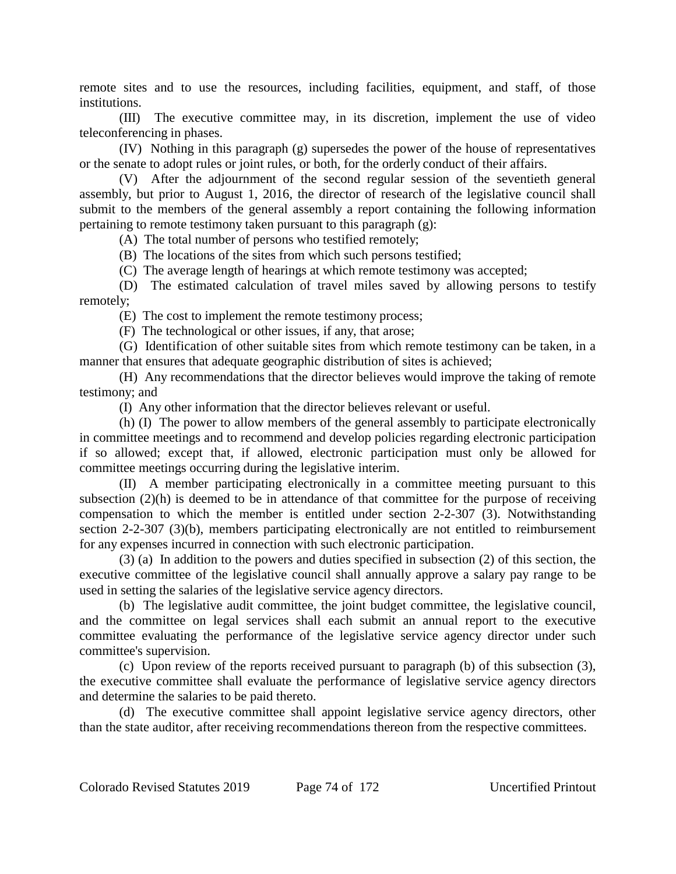remote sites and to use the resources, including facilities, equipment, and staff, of those institutions.

(III) The executive committee may, in its discretion, implement the use of video teleconferencing in phases.

(IV) Nothing in this paragraph (g) supersedes the power of the house of representatives or the senate to adopt rules or joint rules, or both, for the orderly conduct of their affairs.

(V) After the adjournment of the second regular session of the seventieth general assembly, but prior to August 1, 2016, the director of research of the legislative council shall submit to the members of the general assembly a report containing the following information pertaining to remote testimony taken pursuant to this paragraph (g):

(A) The total number of persons who testified remotely;

(B) The locations of the sites from which such persons testified;

(C) The average length of hearings at which remote testimony was accepted;

(D) The estimated calculation of travel miles saved by allowing persons to testify remotely;

(E) The cost to implement the remote testimony process;

(F) The technological or other issues, if any, that arose;

(G) Identification of other suitable sites from which remote testimony can be taken, in a manner that ensures that adequate geographic distribution of sites is achieved;

(H) Any recommendations that the director believes would improve the taking of remote testimony; and

(I) Any other information that the director believes relevant or useful.

(h) (I) The power to allow members of the general assembly to participate electronically in committee meetings and to recommend and develop policies regarding electronic participation if so allowed; except that, if allowed, electronic participation must only be allowed for committee meetings occurring during the legislative interim.

(II) A member participating electronically in a committee meeting pursuant to this subsection (2)(h) is deemed to be in attendance of that committee for the purpose of receiving compensation to which the member is entitled under section 2-2-307 (3). Notwithstanding section 2-2-307 (3)(b), members participating electronically are not entitled to reimbursement for any expenses incurred in connection with such electronic participation.

(3) (a) In addition to the powers and duties specified in subsection (2) of this section, the executive committee of the legislative council shall annually approve a salary pay range to be used in setting the salaries of the legislative service agency directors.

(b) The legislative audit committee, the joint budget committee, the legislative council, and the committee on legal services shall each submit an annual report to the executive committee evaluating the performance of the legislative service agency director under such committee's supervision.

(c) Upon review of the reports received pursuant to paragraph (b) of this subsection (3), the executive committee shall evaluate the performance of legislative service agency directors and determine the salaries to be paid thereto.

(d) The executive committee shall appoint legislative service agency directors, other than the state auditor, after receiving recommendations thereon from the respective committees.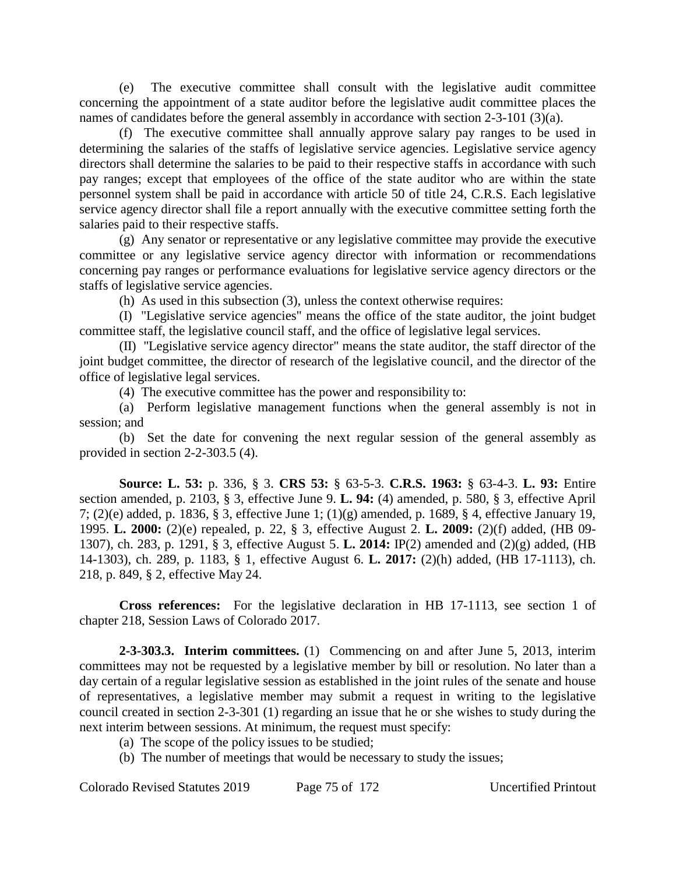(e) The executive committee shall consult with the legislative audit committee concerning the appointment of a state auditor before the legislative audit committee places the names of candidates before the general assembly in accordance with section 2-3-101 (3)(a).

(f) The executive committee shall annually approve salary pay ranges to be used in determining the salaries of the staffs of legislative service agencies. Legislative service agency directors shall determine the salaries to be paid to their respective staffs in accordance with such pay ranges; except that employees of the office of the state auditor who are within the state personnel system shall be paid in accordance with article 50 of title 24, C.R.S. Each legislative service agency director shall file a report annually with the executive committee setting forth the salaries paid to their respective staffs.

(g) Any senator or representative or any legislative committee may provide the executive committee or any legislative service agency director with information or recommendations concerning pay ranges or performance evaluations for legislative service agency directors or the staffs of legislative service agencies.

(h) As used in this subsection (3), unless the context otherwise requires:

(I) "Legislative service agencies" means the office of the state auditor, the joint budget committee staff, the legislative council staff, and the office of legislative legal services.

(II) "Legislative service agency director" means the state auditor, the staff director of the joint budget committee, the director of research of the legislative council, and the director of the office of legislative legal services.

(4) The executive committee has the power and responsibility to:

(a) Perform legislative management functions when the general assembly is not in session; and

(b) Set the date for convening the next regular session of the general assembly as provided in section 2-2-303.5 (4).

**Source: L. 53:** p. 336, § 3. **CRS 53:** § 63-5-3. **C.R.S. 1963:** § 63-4-3. **L. 93:** Entire section amended, p. 2103, § 3, effective June 9. **L. 94:** (4) amended, p. 580, § 3, effective April 7; (2)(e) added, p. 1836, § 3, effective June 1; (1)(g) amended, p. 1689, § 4, effective January 19, 1995. **L. 2000:** (2)(e) repealed, p. 22, § 3, effective August 2. **L. 2009:** (2)(f) added, (HB 09- 1307), ch. 283, p. 1291, § 3, effective August 5. **L. 2014:** IP(2) amended and (2)(g) added, (HB 14-1303), ch. 289, p. 1183, § 1, effective August 6. **L. 2017:** (2)(h) added, (HB 17-1113), ch. 218, p. 849, § 2, effective May 24.

**Cross references:** For the legislative declaration in HB 17-1113, see section 1 of chapter 218, Session Laws of Colorado 2017.

**2-3-303.3. Interim committees.** (1) Commencing on and after June 5, 2013, interim committees may not be requested by a legislative member by bill or resolution. No later than a day certain of a regular legislative session as established in the joint rules of the senate and house of representatives, a legislative member may submit a request in writing to the legislative council created in section 2-3-301 (1) regarding an issue that he or she wishes to study during the next interim between sessions. At minimum, the request must specify:

- (a) The scope of the policy issues to be studied;
- (b) The number of meetings that would be necessary to study the issues;

Colorado Revised Statutes 2019 Page 75 of 172 Uncertified Printout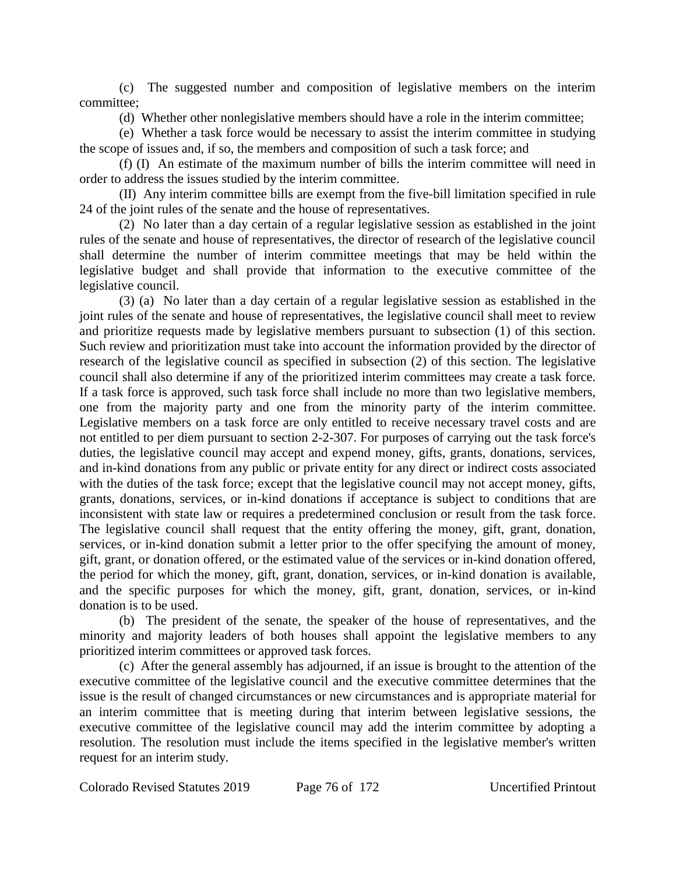(c) The suggested number and composition of legislative members on the interim committee;

(d) Whether other nonlegislative members should have a role in the interim committee;

(e) Whether a task force would be necessary to assist the interim committee in studying the scope of issues and, if so, the members and composition of such a task force; and

(f) (I) An estimate of the maximum number of bills the interim committee will need in order to address the issues studied by the interim committee.

(II) Any interim committee bills are exempt from the five-bill limitation specified in rule 24 of the joint rules of the senate and the house of representatives.

(2) No later than a day certain of a regular legislative session as established in the joint rules of the senate and house of representatives, the director of research of the legislative council shall determine the number of interim committee meetings that may be held within the legislative budget and shall provide that information to the executive committee of the legislative council.

(3) (a) No later than a day certain of a regular legislative session as established in the joint rules of the senate and house of representatives, the legislative council shall meet to review and prioritize requests made by legislative members pursuant to subsection (1) of this section. Such review and prioritization must take into account the information provided by the director of research of the legislative council as specified in subsection (2) of this section. The legislative council shall also determine if any of the prioritized interim committees may create a task force. If a task force is approved, such task force shall include no more than two legislative members, one from the majority party and one from the minority party of the interim committee. Legislative members on a task force are only entitled to receive necessary travel costs and are not entitled to per diem pursuant to section 2-2-307. For purposes of carrying out the task force's duties, the legislative council may accept and expend money, gifts, grants, donations, services, and in-kind donations from any public or private entity for any direct or indirect costs associated with the duties of the task force; except that the legislative council may not accept money, gifts, grants, donations, services, or in-kind donations if acceptance is subject to conditions that are inconsistent with state law or requires a predetermined conclusion or result from the task force. The legislative council shall request that the entity offering the money, gift, grant, donation, services, or in-kind donation submit a letter prior to the offer specifying the amount of money, gift, grant, or donation offered, or the estimated value of the services or in-kind donation offered, the period for which the money, gift, grant, donation, services, or in-kind donation is available, and the specific purposes for which the money, gift, grant, donation, services, or in-kind donation is to be used.

(b) The president of the senate, the speaker of the house of representatives, and the minority and majority leaders of both houses shall appoint the legislative members to any prioritized interim committees or approved task forces.

(c) After the general assembly has adjourned, if an issue is brought to the attention of the executive committee of the legislative council and the executive committee determines that the issue is the result of changed circumstances or new circumstances and is appropriate material for an interim committee that is meeting during that interim between legislative sessions, the executive committee of the legislative council may add the interim committee by adopting a resolution. The resolution must include the items specified in the legislative member's written request for an interim study.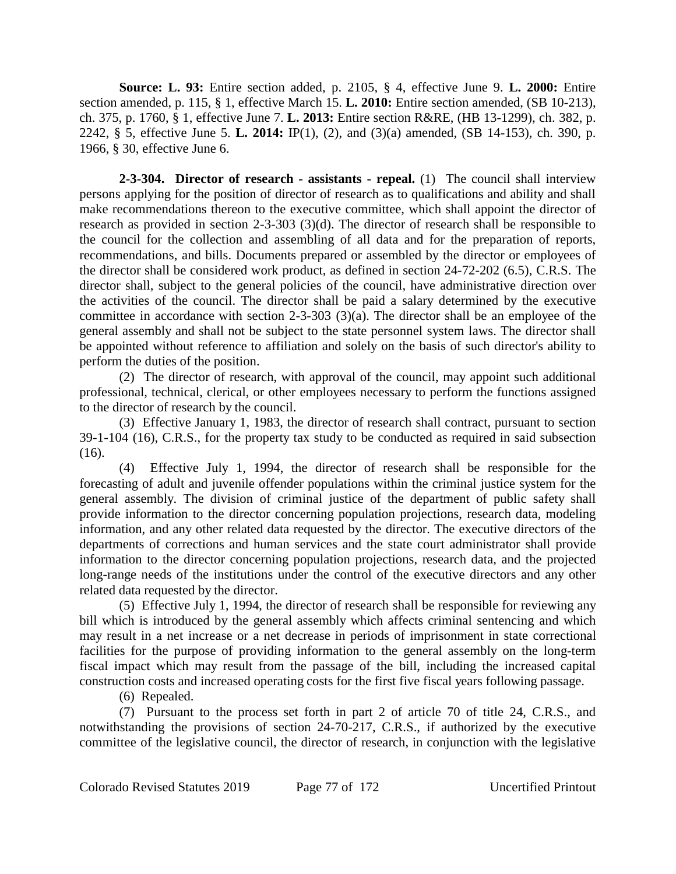**Source: L. 93:** Entire section added, p. 2105, § 4, effective June 9. **L. 2000:** Entire section amended, p. 115, § 1, effective March 15. **L. 2010:** Entire section amended, (SB 10-213), ch. 375, p. 1760, § 1, effective June 7. **L. 2013:** Entire section R&RE, (HB 13-1299), ch. 382, p. 2242, § 5, effective June 5. **L. 2014:** IP(1), (2), and (3)(a) amended, (SB 14-153), ch. 390, p. 1966, § 30, effective June 6.

**2-3-304. Director of research - assistants - repeal.** (1) The council shall interview persons applying for the position of director of research as to qualifications and ability and shall make recommendations thereon to the executive committee, which shall appoint the director of research as provided in section 2-3-303 (3)(d). The director of research shall be responsible to the council for the collection and assembling of all data and for the preparation of reports, recommendations, and bills. Documents prepared or assembled by the director or employees of the director shall be considered work product, as defined in section 24-72-202 (6.5), C.R.S. The director shall, subject to the general policies of the council, have administrative direction over the activities of the council. The director shall be paid a salary determined by the executive committee in accordance with section 2-3-303 (3)(a). The director shall be an employee of the general assembly and shall not be subject to the state personnel system laws. The director shall be appointed without reference to affiliation and solely on the basis of such director's ability to perform the duties of the position.

(2) The director of research, with approval of the council, may appoint such additional professional, technical, clerical, or other employees necessary to perform the functions assigned to the director of research by the council.

(3) Effective January 1, 1983, the director of research shall contract, pursuant to section 39-1-104 (16), C.R.S., for the property tax study to be conducted as required in said subsection (16).

(4) Effective July 1, 1994, the director of research shall be responsible for the forecasting of adult and juvenile offender populations within the criminal justice system for the general assembly. The division of criminal justice of the department of public safety shall provide information to the director concerning population projections, research data, modeling information, and any other related data requested by the director. The executive directors of the departments of corrections and human services and the state court administrator shall provide information to the director concerning population projections, research data, and the projected long-range needs of the institutions under the control of the executive directors and any other related data requested by the director.

(5) Effective July 1, 1994, the director of research shall be responsible for reviewing any bill which is introduced by the general assembly which affects criminal sentencing and which may result in a net increase or a net decrease in periods of imprisonment in state correctional facilities for the purpose of providing information to the general assembly on the long-term fiscal impact which may result from the passage of the bill, including the increased capital construction costs and increased operating costs for the first five fiscal years following passage.

(6) Repealed.

(7) Pursuant to the process set forth in part 2 of article 70 of title 24, C.R.S., and notwithstanding the provisions of section 24-70-217, C.R.S., if authorized by the executive committee of the legislative council, the director of research, in conjunction with the legislative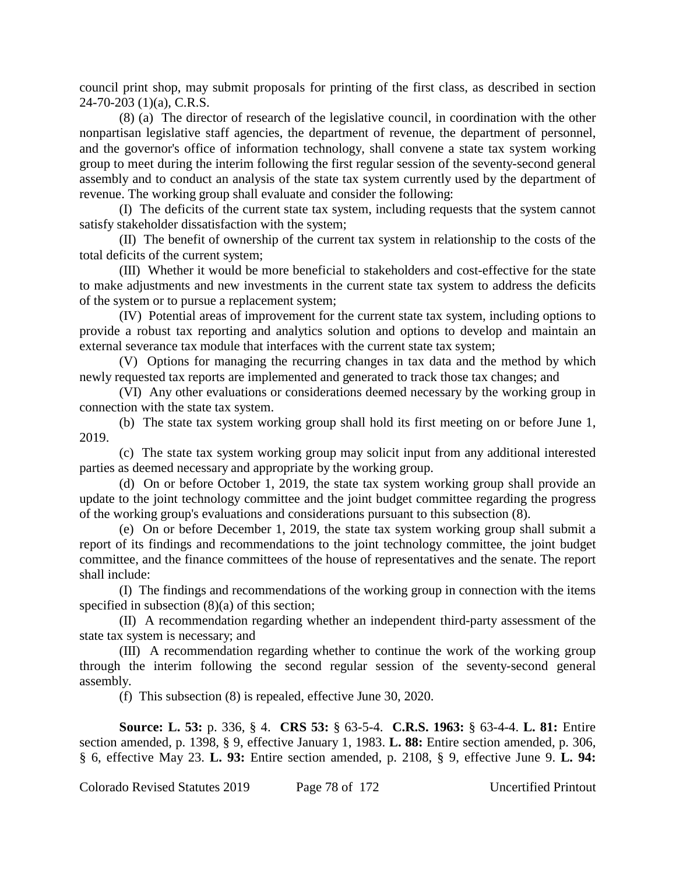council print shop, may submit proposals for printing of the first class, as described in section 24-70-203 (1)(a), C.R.S.

(8) (a) The director of research of the legislative council, in coordination with the other nonpartisan legislative staff agencies, the department of revenue, the department of personnel, and the governor's office of information technology, shall convene a state tax system working group to meet during the interim following the first regular session of the seventy-second general assembly and to conduct an analysis of the state tax system currently used by the department of revenue. The working group shall evaluate and consider the following:

(I) The deficits of the current state tax system, including requests that the system cannot satisfy stakeholder dissatisfaction with the system;

(II) The benefit of ownership of the current tax system in relationship to the costs of the total deficits of the current system;

(III) Whether it would be more beneficial to stakeholders and cost-effective for the state to make adjustments and new investments in the current state tax system to address the deficits of the system or to pursue a replacement system;

(IV) Potential areas of improvement for the current state tax system, including options to provide a robust tax reporting and analytics solution and options to develop and maintain an external severance tax module that interfaces with the current state tax system;

(V) Options for managing the recurring changes in tax data and the method by which newly requested tax reports are implemented and generated to track those tax changes; and

(VI) Any other evaluations or considerations deemed necessary by the working group in connection with the state tax system.

(b) The state tax system working group shall hold its first meeting on or before June 1, 2019.

(c) The state tax system working group may solicit input from any additional interested parties as deemed necessary and appropriate by the working group.

(d) On or before October 1, 2019, the state tax system working group shall provide an update to the joint technology committee and the joint budget committee regarding the progress of the working group's evaluations and considerations pursuant to this subsection (8).

(e) On or before December 1, 2019, the state tax system working group shall submit a report of its findings and recommendations to the joint technology committee, the joint budget committee, and the finance committees of the house of representatives and the senate. The report shall include:

(I) The findings and recommendations of the working group in connection with the items specified in subsection  $(8)(a)$  of this section;

(II) A recommendation regarding whether an independent third-party assessment of the state tax system is necessary; and

(III) A recommendation regarding whether to continue the work of the working group through the interim following the second regular session of the seventy-second general assembly.

(f) This subsection (8) is repealed, effective June 30, 2020.

**Source: L. 53:** p. 336, § 4. **CRS 53:** § 63-5-4. **C.R.S. 1963:** § 63-4-4. **L. 81:** Entire section amended, p. 1398, § 9, effective January 1, 1983. **L. 88:** Entire section amended, p. 306, § 6, effective May 23. **L. 93:** Entire section amended, p. 2108, § 9, effective June 9. **L. 94:**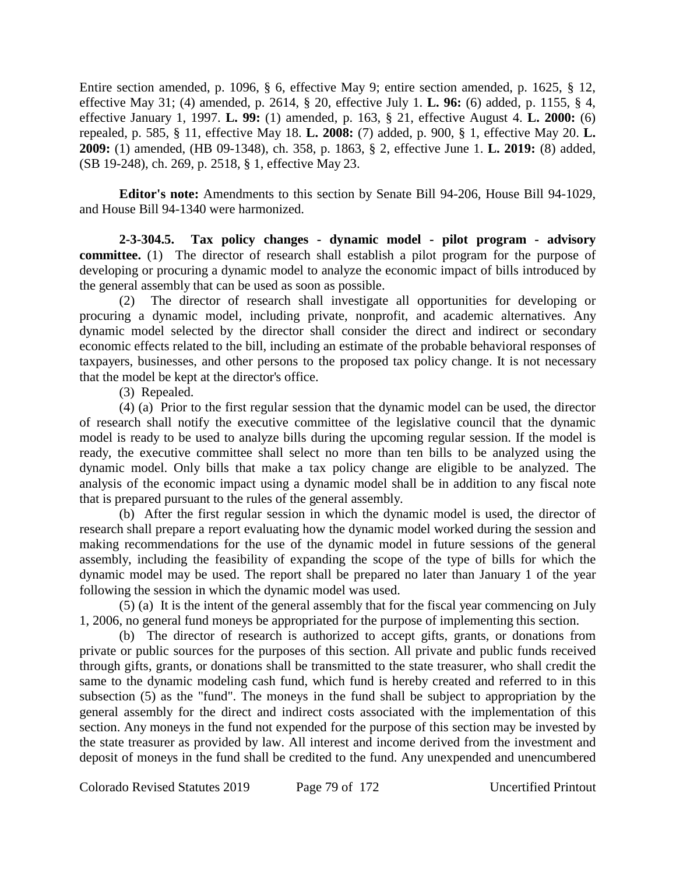Entire section amended, p. 1096, § 6, effective May 9; entire section amended, p. 1625, § 12, effective May 31; (4) amended, p. 2614, § 20, effective July 1. **L. 96:** (6) added, p. 1155, § 4, effective January 1, 1997. **L. 99:** (1) amended, p. 163, § 21, effective August 4. **L. 2000:** (6) repealed, p. 585, § 11, effective May 18. **L. 2008:** (7) added, p. 900, § 1, effective May 20. **L. 2009:** (1) amended, (HB 09-1348), ch. 358, p. 1863, § 2, effective June 1. **L. 2019:** (8) added, (SB 19-248), ch. 269, p. 2518, § 1, effective May 23.

**Editor's note:** Amendments to this section by Senate Bill 94-206, House Bill 94-1029, and House Bill 94-1340 were harmonized.

**2-3-304.5. Tax policy changes - dynamic model - pilot program - advisory committee.** (1) The director of research shall establish a pilot program for the purpose of developing or procuring a dynamic model to analyze the economic impact of bills introduced by the general assembly that can be used as soon as possible.

(2) The director of research shall investigate all opportunities for developing or procuring a dynamic model, including private, nonprofit, and academic alternatives. Any dynamic model selected by the director shall consider the direct and indirect or secondary economic effects related to the bill, including an estimate of the probable behavioral responses of taxpayers, businesses, and other persons to the proposed tax policy change. It is not necessary that the model be kept at the director's office.

(3) Repealed.

(4) (a) Prior to the first regular session that the dynamic model can be used, the director of research shall notify the executive committee of the legislative council that the dynamic model is ready to be used to analyze bills during the upcoming regular session. If the model is ready, the executive committee shall select no more than ten bills to be analyzed using the dynamic model. Only bills that make a tax policy change are eligible to be analyzed. The analysis of the economic impact using a dynamic model shall be in addition to any fiscal note that is prepared pursuant to the rules of the general assembly.

(b) After the first regular session in which the dynamic model is used, the director of research shall prepare a report evaluating how the dynamic model worked during the session and making recommendations for the use of the dynamic model in future sessions of the general assembly, including the feasibility of expanding the scope of the type of bills for which the dynamic model may be used. The report shall be prepared no later than January 1 of the year following the session in which the dynamic model was used.

(5) (a) It is the intent of the general assembly that for the fiscal year commencing on July 1, 2006, no general fund moneys be appropriated for the purpose of implementing this section.

(b) The director of research is authorized to accept gifts, grants, or donations from private or public sources for the purposes of this section. All private and public funds received through gifts, grants, or donations shall be transmitted to the state treasurer, who shall credit the same to the dynamic modeling cash fund, which fund is hereby created and referred to in this subsection (5) as the "fund". The moneys in the fund shall be subject to appropriation by the general assembly for the direct and indirect costs associated with the implementation of this section. Any moneys in the fund not expended for the purpose of this section may be invested by the state treasurer as provided by law. All interest and income derived from the investment and deposit of moneys in the fund shall be credited to the fund. Any unexpended and unencumbered

Colorado Revised Statutes 2019 Page 79 of 172 Uncertified Printout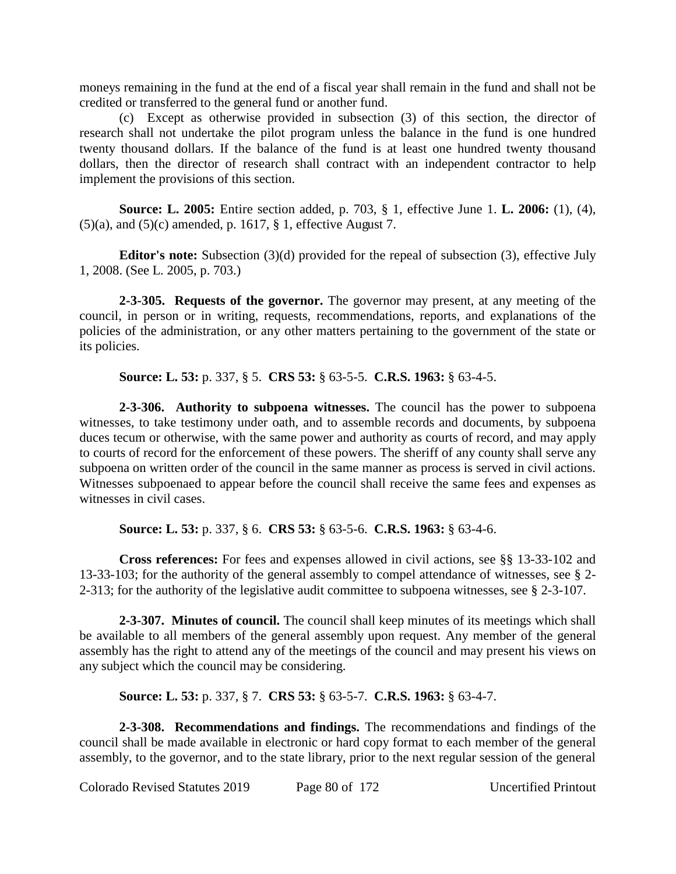moneys remaining in the fund at the end of a fiscal year shall remain in the fund and shall not be credited or transferred to the general fund or another fund.

(c) Except as otherwise provided in subsection (3) of this section, the director of research shall not undertake the pilot program unless the balance in the fund is one hundred twenty thousand dollars. If the balance of the fund is at least one hundred twenty thousand dollars, then the director of research shall contract with an independent contractor to help implement the provisions of this section.

**Source: L. 2005:** Entire section added, p. 703, § 1, effective June 1. **L. 2006:** (1), (4),  $(5)(a)$ , and  $(5)(c)$  amended, p. 1617, § 1, effective August 7.

**Editor's note:** Subsection (3)(d) provided for the repeal of subsection (3), effective July 1, 2008. (See L. 2005, p. 703.)

**2-3-305. Requests of the governor.** The governor may present, at any meeting of the council, in person or in writing, requests, recommendations, reports, and explanations of the policies of the administration, or any other matters pertaining to the government of the state or its policies.

**Source: L. 53:** p. 337, § 5. **CRS 53:** § 63-5-5. **C.R.S. 1963:** § 63-4-5.

**2-3-306. Authority to subpoena witnesses.** The council has the power to subpoena witnesses, to take testimony under oath, and to assemble records and documents, by subpoena duces tecum or otherwise, with the same power and authority as courts of record, and may apply to courts of record for the enforcement of these powers. The sheriff of any county shall serve any subpoena on written order of the council in the same manner as process is served in civil actions. Witnesses subpoenaed to appear before the council shall receive the same fees and expenses as witnesses in civil cases.

**Source: L. 53:** p. 337, § 6. **CRS 53:** § 63-5-6. **C.R.S. 1963:** § 63-4-6.

**Cross references:** For fees and expenses allowed in civil actions, see §§ 13-33-102 and 13-33-103; for the authority of the general assembly to compel attendance of witnesses, see § 2- 2-313; for the authority of the legislative audit committee to subpoena witnesses, see § 2-3-107.

**2-3-307. Minutes of council.** The council shall keep minutes of its meetings which shall be available to all members of the general assembly upon request. Any member of the general assembly has the right to attend any of the meetings of the council and may present his views on any subject which the council may be considering.

**Source: L. 53:** p. 337, § 7. **CRS 53:** § 63-5-7. **C.R.S. 1963:** § 63-4-7.

**2-3-308. Recommendations and findings.** The recommendations and findings of the council shall be made available in electronic or hard copy format to each member of the general assembly, to the governor, and to the state library, prior to the next regular session of the general

Colorado Revised Statutes 2019 Page 80 of 172 Uncertified Printout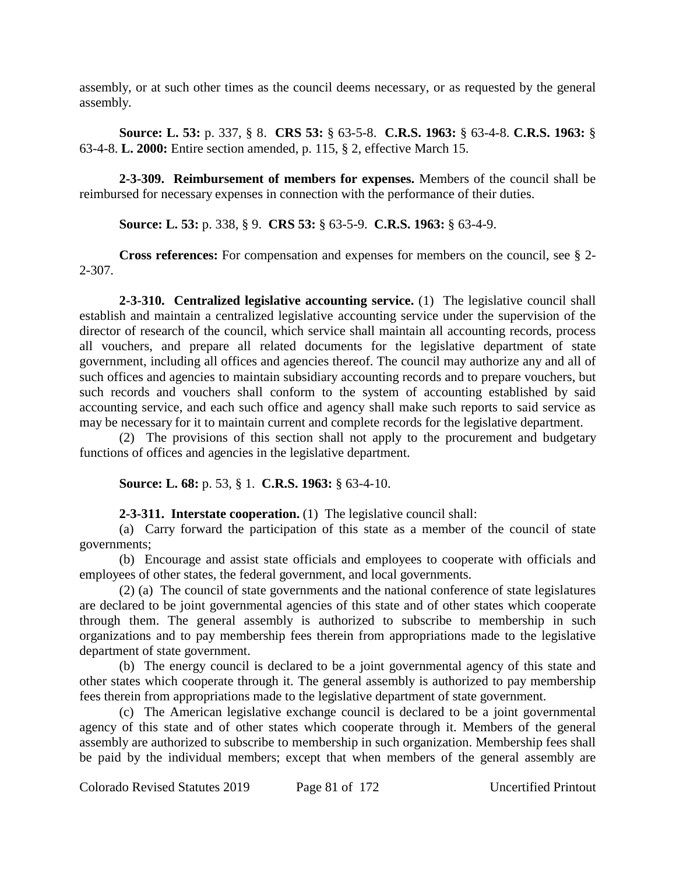assembly, or at such other times as the council deems necessary, or as requested by the general assembly.

**Source: L. 53:** p. 337, § 8. **CRS 53:** § 63-5-8. **C.R.S. 1963:** § 63-4-8. **C.R.S. 1963:** § 63-4-8. **L. 2000:** Entire section amended, p. 115, § 2, effective March 15.

**2-3-309. Reimbursement of members for expenses.** Members of the council shall be reimbursed for necessary expenses in connection with the performance of their duties.

**Source: L. 53:** p. 338, § 9. **CRS 53:** § 63-5-9. **C.R.S. 1963:** § 63-4-9.

**Cross references:** For compensation and expenses for members on the council, see § 2- 2-307.

**2-3-310. Centralized legislative accounting service.** (1) The legislative council shall establish and maintain a centralized legislative accounting service under the supervision of the director of research of the council, which service shall maintain all accounting records, process all vouchers, and prepare all related documents for the legislative department of state government, including all offices and agencies thereof. The council may authorize any and all of such offices and agencies to maintain subsidiary accounting records and to prepare vouchers, but such records and vouchers shall conform to the system of accounting established by said accounting service, and each such office and agency shall make such reports to said service as may be necessary for it to maintain current and complete records for the legislative department.

(2) The provisions of this section shall not apply to the procurement and budgetary functions of offices and agencies in the legislative department.

**Source: L. 68:** p. 53, § 1. **C.R.S. 1963:** § 63-4-10.

**2-3-311. Interstate cooperation.** (1) The legislative council shall:

(a) Carry forward the participation of this state as a member of the council of state governments;

(b) Encourage and assist state officials and employees to cooperate with officials and employees of other states, the federal government, and local governments.

(2) (a) The council of state governments and the national conference of state legislatures are declared to be joint governmental agencies of this state and of other states which cooperate through them. The general assembly is authorized to subscribe to membership in such organizations and to pay membership fees therein from appropriations made to the legislative department of state government.

(b) The energy council is declared to be a joint governmental agency of this state and other states which cooperate through it. The general assembly is authorized to pay membership fees therein from appropriations made to the legislative department of state government.

(c) The American legislative exchange council is declared to be a joint governmental agency of this state and of other states which cooperate through it. Members of the general assembly are authorized to subscribe to membership in such organization. Membership fees shall be paid by the individual members; except that when members of the general assembly are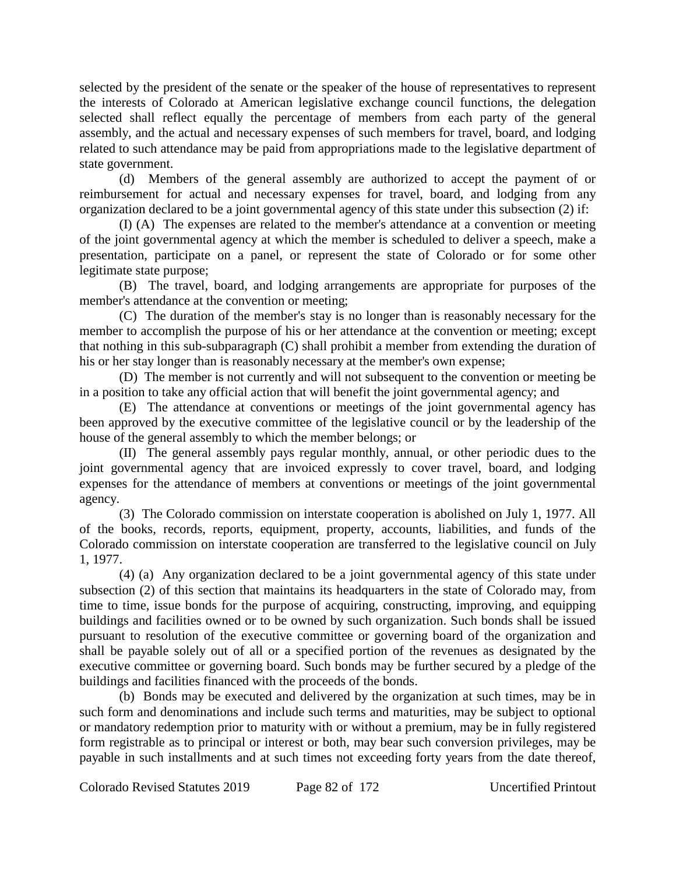selected by the president of the senate or the speaker of the house of representatives to represent the interests of Colorado at American legislative exchange council functions, the delegation selected shall reflect equally the percentage of members from each party of the general assembly, and the actual and necessary expenses of such members for travel, board, and lodging related to such attendance may be paid from appropriations made to the legislative department of state government.

(d) Members of the general assembly are authorized to accept the payment of or reimbursement for actual and necessary expenses for travel, board, and lodging from any organization declared to be a joint governmental agency of this state under this subsection (2) if:

(I) (A) The expenses are related to the member's attendance at a convention or meeting of the joint governmental agency at which the member is scheduled to deliver a speech, make a presentation, participate on a panel, or represent the state of Colorado or for some other legitimate state purpose;

(B) The travel, board, and lodging arrangements are appropriate for purposes of the member's attendance at the convention or meeting;

(C) The duration of the member's stay is no longer than is reasonably necessary for the member to accomplish the purpose of his or her attendance at the convention or meeting; except that nothing in this sub-subparagraph (C) shall prohibit a member from extending the duration of his or her stay longer than is reasonably necessary at the member's own expense;

(D) The member is not currently and will not subsequent to the convention or meeting be in a position to take any official action that will benefit the joint governmental agency; and

(E) The attendance at conventions or meetings of the joint governmental agency has been approved by the executive committee of the legislative council or by the leadership of the house of the general assembly to which the member belongs; or

(II) The general assembly pays regular monthly, annual, or other periodic dues to the joint governmental agency that are invoiced expressly to cover travel, board, and lodging expenses for the attendance of members at conventions or meetings of the joint governmental agency.

(3) The Colorado commission on interstate cooperation is abolished on July 1, 1977. All of the books, records, reports, equipment, property, accounts, liabilities, and funds of the Colorado commission on interstate cooperation are transferred to the legislative council on July 1, 1977.

(4) (a) Any organization declared to be a joint governmental agency of this state under subsection (2) of this section that maintains its headquarters in the state of Colorado may, from time to time, issue bonds for the purpose of acquiring, constructing, improving, and equipping buildings and facilities owned or to be owned by such organization. Such bonds shall be issued pursuant to resolution of the executive committee or governing board of the organization and shall be payable solely out of all or a specified portion of the revenues as designated by the executive committee or governing board. Such bonds may be further secured by a pledge of the buildings and facilities financed with the proceeds of the bonds.

(b) Bonds may be executed and delivered by the organization at such times, may be in such form and denominations and include such terms and maturities, may be subject to optional or mandatory redemption prior to maturity with or without a premium, may be in fully registered form registrable as to principal or interest or both, may bear such conversion privileges, may be payable in such installments and at such times not exceeding forty years from the date thereof,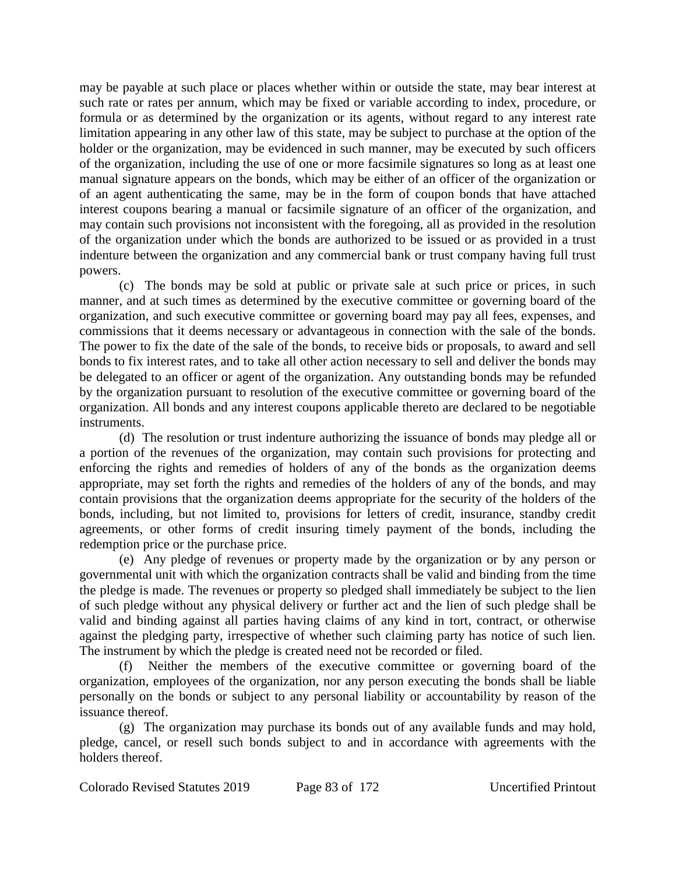may be payable at such place or places whether within or outside the state, may bear interest at such rate or rates per annum, which may be fixed or variable according to index, procedure, or formula or as determined by the organization or its agents, without regard to any interest rate limitation appearing in any other law of this state, may be subject to purchase at the option of the holder or the organization, may be evidenced in such manner, may be executed by such officers of the organization, including the use of one or more facsimile signatures so long as at least one manual signature appears on the bonds, which may be either of an officer of the organization or of an agent authenticating the same, may be in the form of coupon bonds that have attached interest coupons bearing a manual or facsimile signature of an officer of the organization, and may contain such provisions not inconsistent with the foregoing, all as provided in the resolution of the organization under which the bonds are authorized to be issued or as provided in a trust indenture between the organization and any commercial bank or trust company having full trust powers.

(c) The bonds may be sold at public or private sale at such price or prices, in such manner, and at such times as determined by the executive committee or governing board of the organization, and such executive committee or governing board may pay all fees, expenses, and commissions that it deems necessary or advantageous in connection with the sale of the bonds. The power to fix the date of the sale of the bonds, to receive bids or proposals, to award and sell bonds to fix interest rates, and to take all other action necessary to sell and deliver the bonds may be delegated to an officer or agent of the organization. Any outstanding bonds may be refunded by the organization pursuant to resolution of the executive committee or governing board of the organization. All bonds and any interest coupons applicable thereto are declared to be negotiable instruments.

(d) The resolution or trust indenture authorizing the issuance of bonds may pledge all or a portion of the revenues of the organization, may contain such provisions for protecting and enforcing the rights and remedies of holders of any of the bonds as the organization deems appropriate, may set forth the rights and remedies of the holders of any of the bonds, and may contain provisions that the organization deems appropriate for the security of the holders of the bonds, including, but not limited to, provisions for letters of credit, insurance, standby credit agreements, or other forms of credit insuring timely payment of the bonds, including the redemption price or the purchase price.

(e) Any pledge of revenues or property made by the organization or by any person or governmental unit with which the organization contracts shall be valid and binding from the time the pledge is made. The revenues or property so pledged shall immediately be subject to the lien of such pledge without any physical delivery or further act and the lien of such pledge shall be valid and binding against all parties having claims of any kind in tort, contract, or otherwise against the pledging party, irrespective of whether such claiming party has notice of such lien. The instrument by which the pledge is created need not be recorded or filed.

(f) Neither the members of the executive committee or governing board of the organization, employees of the organization, nor any person executing the bonds shall be liable personally on the bonds or subject to any personal liability or accountability by reason of the issuance thereof.

(g) The organization may purchase its bonds out of any available funds and may hold, pledge, cancel, or resell such bonds subject to and in accordance with agreements with the holders thereof.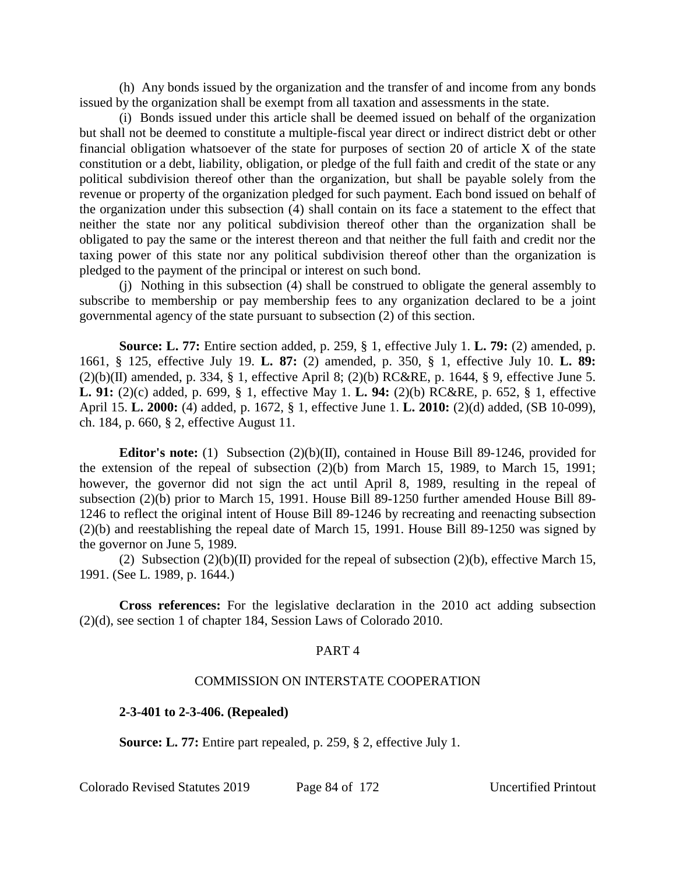(h) Any bonds issued by the organization and the transfer of and income from any bonds issued by the organization shall be exempt from all taxation and assessments in the state.

(i) Bonds issued under this article shall be deemed issued on behalf of the organization but shall not be deemed to constitute a multiple-fiscal year direct or indirect district debt or other financial obligation whatsoever of the state for purposes of section 20 of article X of the state constitution or a debt, liability, obligation, or pledge of the full faith and credit of the state or any political subdivision thereof other than the organization, but shall be payable solely from the revenue or property of the organization pledged for such payment. Each bond issued on behalf of the organization under this subsection (4) shall contain on its face a statement to the effect that neither the state nor any political subdivision thereof other than the organization shall be obligated to pay the same or the interest thereon and that neither the full faith and credit nor the taxing power of this state nor any political subdivision thereof other than the organization is pledged to the payment of the principal or interest on such bond.

(j) Nothing in this subsection (4) shall be construed to obligate the general assembly to subscribe to membership or pay membership fees to any organization declared to be a joint governmental agency of the state pursuant to subsection (2) of this section.

**Source: L. 77:** Entire section added, p. 259, § 1, effective July 1. **L. 79:** (2) amended, p. 1661, § 125, effective July 19. **L. 87:** (2) amended, p. 350, § 1, effective July 10. **L. 89:**  $(2)(b)(II)$  amended, p. 334, § 1, effective April 8; (2)(b) RC&RE, p. 1644, § 9, effective June 5. **L. 91:** (2)(c) added, p. 699, § 1, effective May 1. **L. 94:** (2)(b) RC&RE, p. 652, § 1, effective April 15. **L. 2000:** (4) added, p. 1672, § 1, effective June 1. **L. 2010:** (2)(d) added, (SB 10-099), ch. 184, p. 660, § 2, effective August 11.

**Editor's note:** (1) Subsection (2)(b)(II), contained in House Bill 89-1246, provided for the extension of the repeal of subsection (2)(b) from March 15, 1989, to March 15, 1991; however, the governor did not sign the act until April 8, 1989, resulting in the repeal of subsection (2)(b) prior to March 15, 1991. House Bill 89-1250 further amended House Bill 89- 1246 to reflect the original intent of House Bill 89-1246 by recreating and reenacting subsection (2)(b) and reestablishing the repeal date of March 15, 1991. House Bill 89-1250 was signed by the governor on June 5, 1989.

(2) Subsection  $(2)(b)(II)$  provided for the repeal of subsection  $(2)(b)$ , effective March 15, 1991. (See L. 1989, p. 1644.)

**Cross references:** For the legislative declaration in the 2010 act adding subsection (2)(d), see section 1 of chapter 184, Session Laws of Colorado 2010.

#### PART 4

#### COMMISSION ON INTERSTATE COOPERATION

**2-3-401 to 2-3-406. (Repealed)**

**Source: L. 77:** Entire part repealed, p. 259, § 2, effective July 1.

Colorado Revised Statutes 2019 Page 84 of 172 Uncertified Printout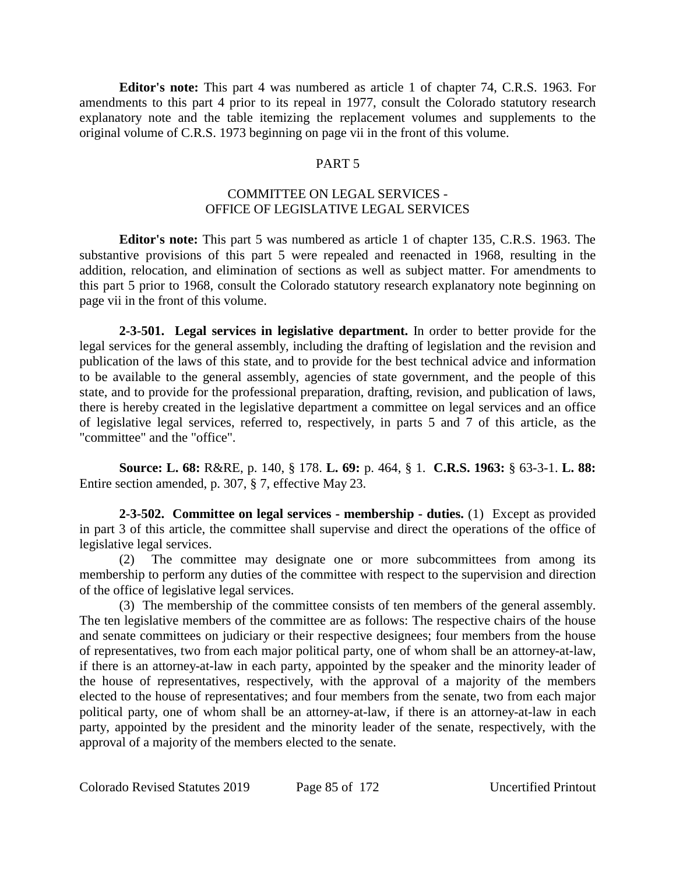**Editor's note:** This part 4 was numbered as article 1 of chapter 74, C.R.S. 1963. For amendments to this part 4 prior to its repeal in 1977, consult the Colorado statutory research explanatory note and the table itemizing the replacement volumes and supplements to the original volume of C.R.S. 1973 beginning on page vii in the front of this volume.

### PART 5

### COMMITTEE ON LEGAL SERVICES - OFFICE OF LEGISLATIVE LEGAL SERVICES

**Editor's note:** This part 5 was numbered as article 1 of chapter 135, C.R.S. 1963. The substantive provisions of this part 5 were repealed and reenacted in 1968, resulting in the addition, relocation, and elimination of sections as well as subject matter. For amendments to this part 5 prior to 1968, consult the Colorado statutory research explanatory note beginning on page vii in the front of this volume.

**2-3-501. Legal services in legislative department.** In order to better provide for the legal services for the general assembly, including the drafting of legislation and the revision and publication of the laws of this state, and to provide for the best technical advice and information to be available to the general assembly, agencies of state government, and the people of this state, and to provide for the professional preparation, drafting, revision, and publication of laws, there is hereby created in the legislative department a committee on legal services and an office of legislative legal services, referred to, respectively, in parts 5 and 7 of this article, as the "committee" and the "office".

**Source: L. 68:** R&RE, p. 140, § 178. **L. 69:** p. 464, § 1. **C.R.S. 1963:** § 63-3-1. **L. 88:** Entire section amended, p. 307, § 7, effective May 23.

**2-3-502. Committee on legal services - membership - duties.** (1) Except as provided in part 3 of this article, the committee shall supervise and direct the operations of the office of legislative legal services.

(2) The committee may designate one or more subcommittees from among its membership to perform any duties of the committee with respect to the supervision and direction of the office of legislative legal services.

(3) The membership of the committee consists of ten members of the general assembly. The ten legislative members of the committee are as follows: The respective chairs of the house and senate committees on judiciary or their respective designees; four members from the house of representatives, two from each major political party, one of whom shall be an attorney-at-law, if there is an attorney-at-law in each party, appointed by the speaker and the minority leader of the house of representatives, respectively, with the approval of a majority of the members elected to the house of representatives; and four members from the senate, two from each major political party, one of whom shall be an attorney-at-law, if there is an attorney-at-law in each party, appointed by the president and the minority leader of the senate, respectively, with the approval of a majority of the members elected to the senate.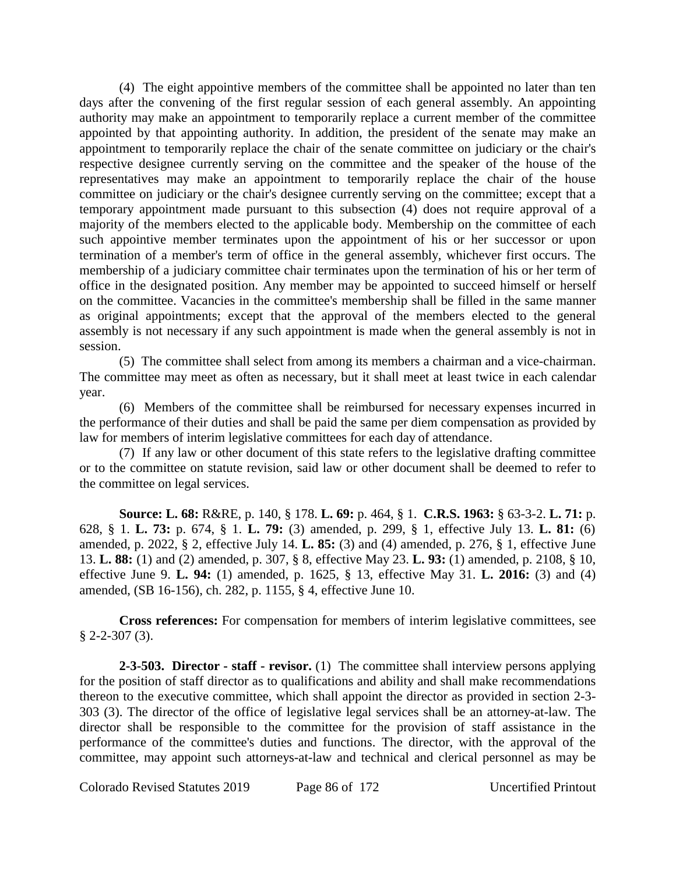(4) The eight appointive members of the committee shall be appointed no later than ten days after the convening of the first regular session of each general assembly. An appointing authority may make an appointment to temporarily replace a current member of the committee appointed by that appointing authority. In addition, the president of the senate may make an appointment to temporarily replace the chair of the senate committee on judiciary or the chair's respective designee currently serving on the committee and the speaker of the house of the representatives may make an appointment to temporarily replace the chair of the house committee on judiciary or the chair's designee currently serving on the committee; except that a temporary appointment made pursuant to this subsection (4) does not require approval of a majority of the members elected to the applicable body. Membership on the committee of each such appointive member terminates upon the appointment of his or her successor or upon termination of a member's term of office in the general assembly, whichever first occurs. The membership of a judiciary committee chair terminates upon the termination of his or her term of office in the designated position. Any member may be appointed to succeed himself or herself on the committee. Vacancies in the committee's membership shall be filled in the same manner as original appointments; except that the approval of the members elected to the general assembly is not necessary if any such appointment is made when the general assembly is not in session.

(5) The committee shall select from among its members a chairman and a vice-chairman. The committee may meet as often as necessary, but it shall meet at least twice in each calendar year.

(6) Members of the committee shall be reimbursed for necessary expenses incurred in the performance of their duties and shall be paid the same per diem compensation as provided by law for members of interim legislative committees for each day of attendance.

(7) If any law or other document of this state refers to the legislative drafting committee or to the committee on statute revision, said law or other document shall be deemed to refer to the committee on legal services.

**Source: L. 68:** R&RE, p. 140, § 178. **L. 69:** p. 464, § 1. **C.R.S. 1963:** § 63-3-2. **L. 71:** p. 628, § 1. **L. 73:** p. 674, § 1. **L. 79:** (3) amended, p. 299, § 1, effective July 13. **L. 81:** (6) amended, p. 2022, § 2, effective July 14. **L. 85:** (3) and (4) amended, p. 276, § 1, effective June 13. **L. 88:** (1) and (2) amended, p. 307, § 8, effective May 23. **L. 93:** (1) amended, p. 2108, § 10, effective June 9. **L. 94:** (1) amended, p. 1625, § 13, effective May 31. **L. 2016:** (3) and (4) amended, (SB 16-156), ch. 282, p. 1155, § 4, effective June 10.

**Cross references:** For compensation for members of interim legislative committees, see  $§$  2-2-307 (3).

**2-3-503. Director - staff - revisor.** (1) The committee shall interview persons applying for the position of staff director as to qualifications and ability and shall make recommendations thereon to the executive committee, which shall appoint the director as provided in section 2-3- 303 (3). The director of the office of legislative legal services shall be an attorney-at-law. The director shall be responsible to the committee for the provision of staff assistance in the performance of the committee's duties and functions. The director, with the approval of the committee, may appoint such attorneys-at-law and technical and clerical personnel as may be

Colorado Revised Statutes 2019 Page 86 of 172 Uncertified Printout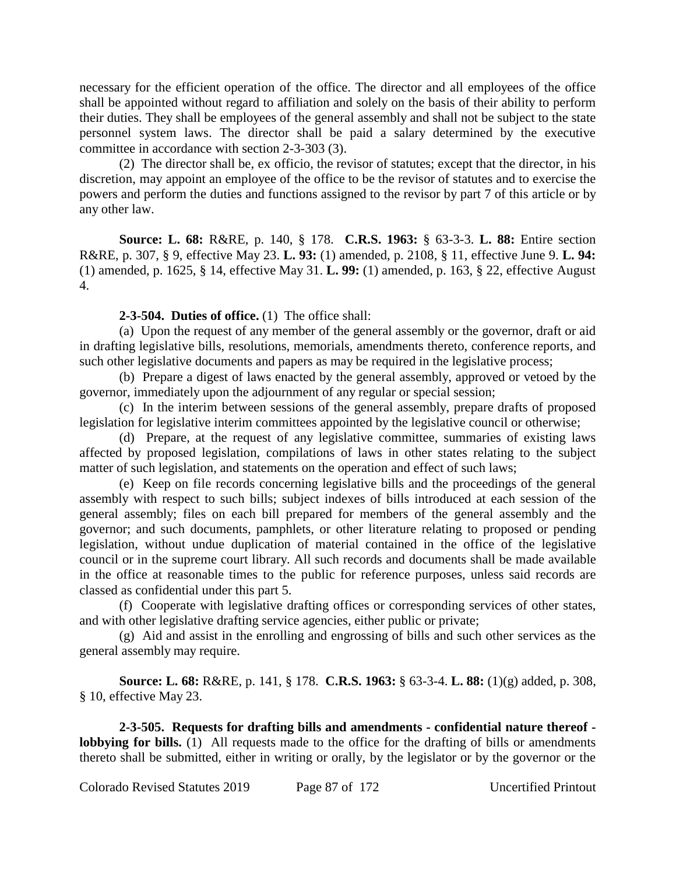necessary for the efficient operation of the office. The director and all employees of the office shall be appointed without regard to affiliation and solely on the basis of their ability to perform their duties. They shall be employees of the general assembly and shall not be subject to the state personnel system laws. The director shall be paid a salary determined by the executive committee in accordance with section 2-3-303 (3).

(2) The director shall be, ex officio, the revisor of statutes; except that the director, in his discretion, may appoint an employee of the office to be the revisor of statutes and to exercise the powers and perform the duties and functions assigned to the revisor by part 7 of this article or by any other law.

**Source: L. 68:** R&RE, p. 140, § 178. **C.R.S. 1963:** § 63-3-3. **L. 88:** Entire section R&RE, p. 307, § 9, effective May 23. **L. 93:** (1) amended, p. 2108, § 11, effective June 9. **L. 94:** (1) amended, p. 1625, § 14, effective May 31. **L. 99:** (1) amended, p. 163, § 22, effective August 4.

### **2-3-504. Duties of office.** (1) The office shall:

(a) Upon the request of any member of the general assembly or the governor, draft or aid in drafting legislative bills, resolutions, memorials, amendments thereto, conference reports, and such other legislative documents and papers as may be required in the legislative process;

(b) Prepare a digest of laws enacted by the general assembly, approved or vetoed by the governor, immediately upon the adjournment of any regular or special session;

(c) In the interim between sessions of the general assembly, prepare drafts of proposed legislation for legislative interim committees appointed by the legislative council or otherwise;

(d) Prepare, at the request of any legislative committee, summaries of existing laws affected by proposed legislation, compilations of laws in other states relating to the subject matter of such legislation, and statements on the operation and effect of such laws;

(e) Keep on file records concerning legislative bills and the proceedings of the general assembly with respect to such bills; subject indexes of bills introduced at each session of the general assembly; files on each bill prepared for members of the general assembly and the governor; and such documents, pamphlets, or other literature relating to proposed or pending legislation, without undue duplication of material contained in the office of the legislative council or in the supreme court library. All such records and documents shall be made available in the office at reasonable times to the public for reference purposes, unless said records are classed as confidential under this part 5.

(f) Cooperate with legislative drafting offices or corresponding services of other states, and with other legislative drafting service agencies, either public or private;

(g) Aid and assist in the enrolling and engrossing of bills and such other services as the general assembly may require.

**Source: L. 68:** R&RE, p. 141, § 178. **C.R.S. 1963:** § 63-3-4. **L. 88:** (1)(g) added, p. 308, § 10, effective May 23.

**2-3-505. Requests for drafting bills and amendments - confidential nature thereof lobbying for bills.** (1) All requests made to the office for the drafting of bills or amendments thereto shall be submitted, either in writing or orally, by the legislator or by the governor or the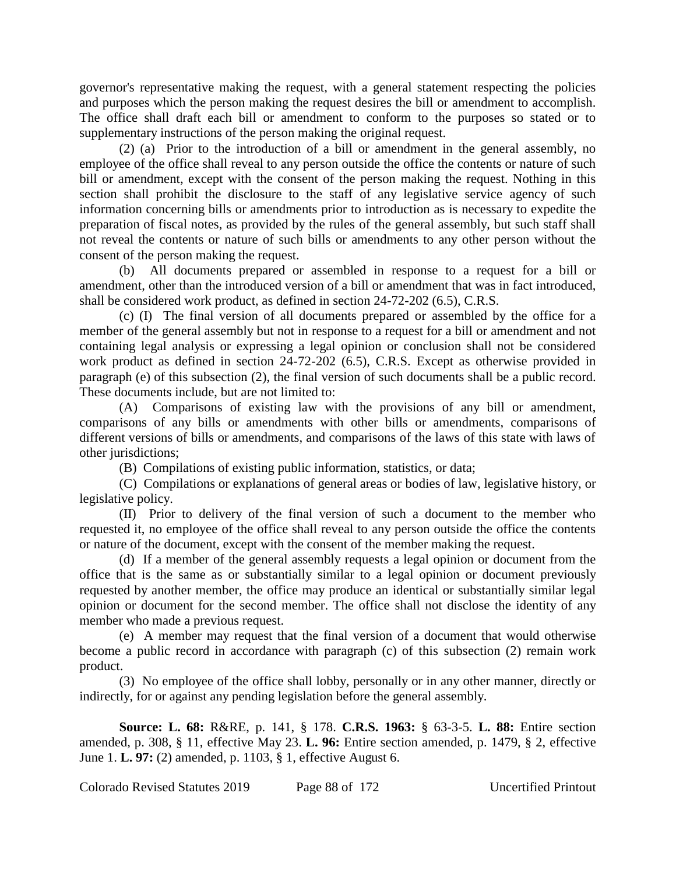governor's representative making the request, with a general statement respecting the policies and purposes which the person making the request desires the bill or amendment to accomplish. The office shall draft each bill or amendment to conform to the purposes so stated or to supplementary instructions of the person making the original request.

(2) (a) Prior to the introduction of a bill or amendment in the general assembly, no employee of the office shall reveal to any person outside the office the contents or nature of such bill or amendment, except with the consent of the person making the request. Nothing in this section shall prohibit the disclosure to the staff of any legislative service agency of such information concerning bills or amendments prior to introduction as is necessary to expedite the preparation of fiscal notes, as provided by the rules of the general assembly, but such staff shall not reveal the contents or nature of such bills or amendments to any other person without the consent of the person making the request.

(b) All documents prepared or assembled in response to a request for a bill or amendment, other than the introduced version of a bill or amendment that was in fact introduced, shall be considered work product, as defined in section 24-72-202 (6.5), C.R.S.

(c) (I) The final version of all documents prepared or assembled by the office for a member of the general assembly but not in response to a request for a bill or amendment and not containing legal analysis or expressing a legal opinion or conclusion shall not be considered work product as defined in section 24-72-202 (6.5), C.R.S. Except as otherwise provided in paragraph (e) of this subsection (2), the final version of such documents shall be a public record. These documents include, but are not limited to:

(A) Comparisons of existing law with the provisions of any bill or amendment, comparisons of any bills or amendments with other bills or amendments, comparisons of different versions of bills or amendments, and comparisons of the laws of this state with laws of other jurisdictions;

(B) Compilations of existing public information, statistics, or data;

(C) Compilations or explanations of general areas or bodies of law, legislative history, or legislative policy.

(II) Prior to delivery of the final version of such a document to the member who requested it, no employee of the office shall reveal to any person outside the office the contents or nature of the document, except with the consent of the member making the request.

(d) If a member of the general assembly requests a legal opinion or document from the office that is the same as or substantially similar to a legal opinion or document previously requested by another member, the office may produce an identical or substantially similar legal opinion or document for the second member. The office shall not disclose the identity of any member who made a previous request.

(e) A member may request that the final version of a document that would otherwise become a public record in accordance with paragraph (c) of this subsection (2) remain work product.

(3) No employee of the office shall lobby, personally or in any other manner, directly or indirectly, for or against any pending legislation before the general assembly.

**Source: L. 68:** R&RE, p. 141, § 178. **C.R.S. 1963:** § 63-3-5. **L. 88:** Entire section amended, p. 308, § 11, effective May 23. **L. 96:** Entire section amended, p. 1479, § 2, effective June 1. **L. 97:** (2) amended, p. 1103, § 1, effective August 6.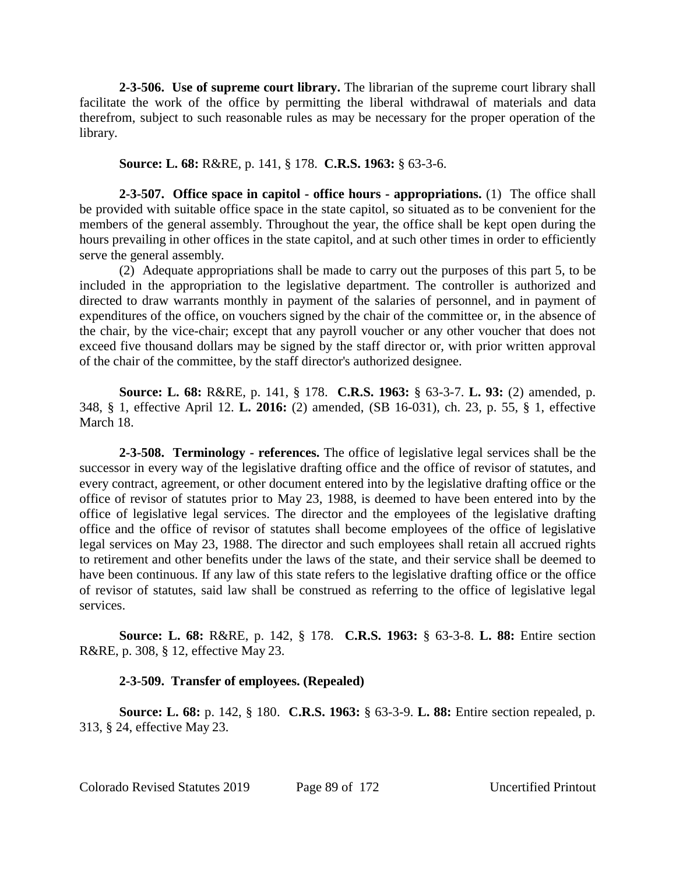**2-3-506. Use of supreme court library.** The librarian of the supreme court library shall facilitate the work of the office by permitting the liberal withdrawal of materials and data therefrom, subject to such reasonable rules as may be necessary for the proper operation of the library.

#### **Source: L. 68:** R&RE, p. 141, § 178. **C.R.S. 1963:** § 63-3-6.

**2-3-507. Office space in capitol - office hours - appropriations.** (1) The office shall be provided with suitable office space in the state capitol, so situated as to be convenient for the members of the general assembly. Throughout the year, the office shall be kept open during the hours prevailing in other offices in the state capitol, and at such other times in order to efficiently serve the general assembly.

(2) Adequate appropriations shall be made to carry out the purposes of this part 5, to be included in the appropriation to the legislative department. The controller is authorized and directed to draw warrants monthly in payment of the salaries of personnel, and in payment of expenditures of the office, on vouchers signed by the chair of the committee or, in the absence of the chair, by the vice-chair; except that any payroll voucher or any other voucher that does not exceed five thousand dollars may be signed by the staff director or, with prior written approval of the chair of the committee, by the staff director's authorized designee.

**Source: L. 68:** R&RE, p. 141, § 178. **C.R.S. 1963:** § 63-3-7. **L. 93:** (2) amended, p. 348, § 1, effective April 12. **L. 2016:** (2) amended, (SB 16-031), ch. 23, p. 55, § 1, effective March 18.

**2-3-508. Terminology - references.** The office of legislative legal services shall be the successor in every way of the legislative drafting office and the office of revisor of statutes, and every contract, agreement, or other document entered into by the legislative drafting office or the office of revisor of statutes prior to May 23, 1988, is deemed to have been entered into by the office of legislative legal services. The director and the employees of the legislative drafting office and the office of revisor of statutes shall become employees of the office of legislative legal services on May 23, 1988. The director and such employees shall retain all accrued rights to retirement and other benefits under the laws of the state, and their service shall be deemed to have been continuous. If any law of this state refers to the legislative drafting office or the office of revisor of statutes, said law shall be construed as referring to the office of legislative legal services.

**Source: L. 68:** R&RE, p. 142, § 178. **C.R.S. 1963:** § 63-3-8. **L. 88:** Entire section R&RE, p. 308, § 12, effective May 23.

#### **2-3-509. Transfer of employees. (Repealed)**

**Source: L. 68:** p. 142, § 180. **C.R.S. 1963:** § 63-3-9. **L. 88:** Entire section repealed, p. 313, § 24, effective May 23.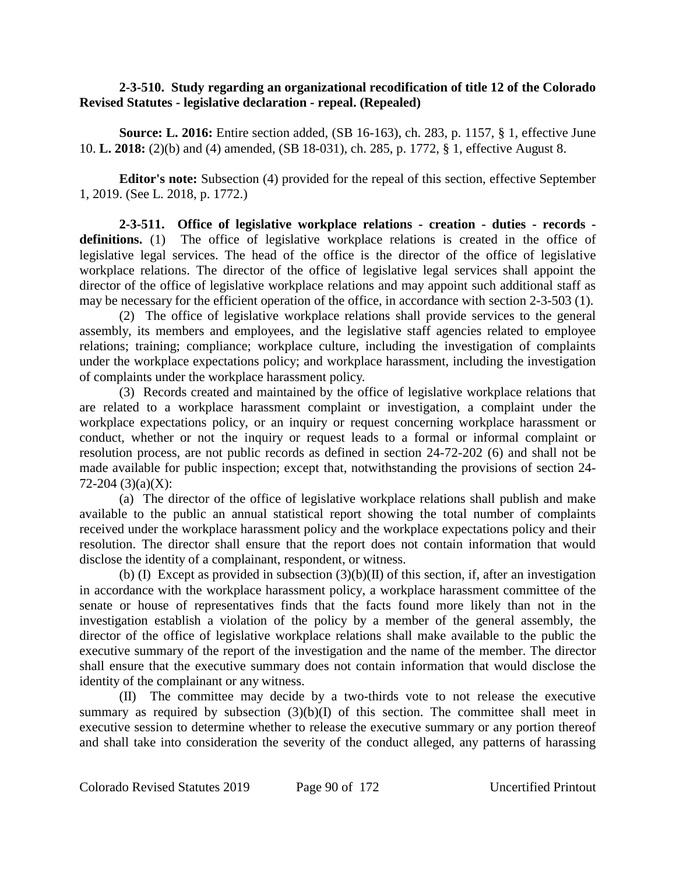### **2-3-510. Study regarding an organizational recodification of title 12 of the Colorado Revised Statutes - legislative declaration - repeal. (Repealed)**

**Source: L. 2016:** Entire section added, (SB 16-163), ch. 283, p. 1157, § 1, effective June 10. **L. 2018:** (2)(b) and (4) amended, (SB 18-031), ch. 285, p. 1772, § 1, effective August 8.

**Editor's note:** Subsection (4) provided for the repeal of this section, effective September 1, 2019. (See L. 2018, p. 1772.)

**2-3-511. Office of legislative workplace relations - creation - duties - records**  definitions. (1) The office of legislative workplace relations is created in the office of legislative legal services. The head of the office is the director of the office of legislative workplace relations. The director of the office of legislative legal services shall appoint the director of the office of legislative workplace relations and may appoint such additional staff as may be necessary for the efficient operation of the office, in accordance with section 2-3-503 (1).

(2) The office of legislative workplace relations shall provide services to the general assembly, its members and employees, and the legislative staff agencies related to employee relations; training; compliance; workplace culture, including the investigation of complaints under the workplace expectations policy; and workplace harassment, including the investigation of complaints under the workplace harassment policy.

(3) Records created and maintained by the office of legislative workplace relations that are related to a workplace harassment complaint or investigation, a complaint under the workplace expectations policy, or an inquiry or request concerning workplace harassment or conduct, whether or not the inquiry or request leads to a formal or informal complaint or resolution process, are not public records as defined in section 24-72-202 (6) and shall not be made available for public inspection; except that, notwithstanding the provisions of section 24- 72-204 (3)(a)(X):

(a) The director of the office of legislative workplace relations shall publish and make available to the public an annual statistical report showing the total number of complaints received under the workplace harassment policy and the workplace expectations policy and their resolution. The director shall ensure that the report does not contain information that would disclose the identity of a complainant, respondent, or witness.

(b) (I) Except as provided in subsection  $(3)(b)(II)$  of this section, if, after an investigation in accordance with the workplace harassment policy, a workplace harassment committee of the senate or house of representatives finds that the facts found more likely than not in the investigation establish a violation of the policy by a member of the general assembly, the director of the office of legislative workplace relations shall make available to the public the executive summary of the report of the investigation and the name of the member. The director shall ensure that the executive summary does not contain information that would disclose the identity of the complainant or any witness.

(II) The committee may decide by a two-thirds vote to not release the executive summary as required by subsection  $(3)(b)(I)$  of this section. The committee shall meet in executive session to determine whether to release the executive summary or any portion thereof and shall take into consideration the severity of the conduct alleged, any patterns of harassing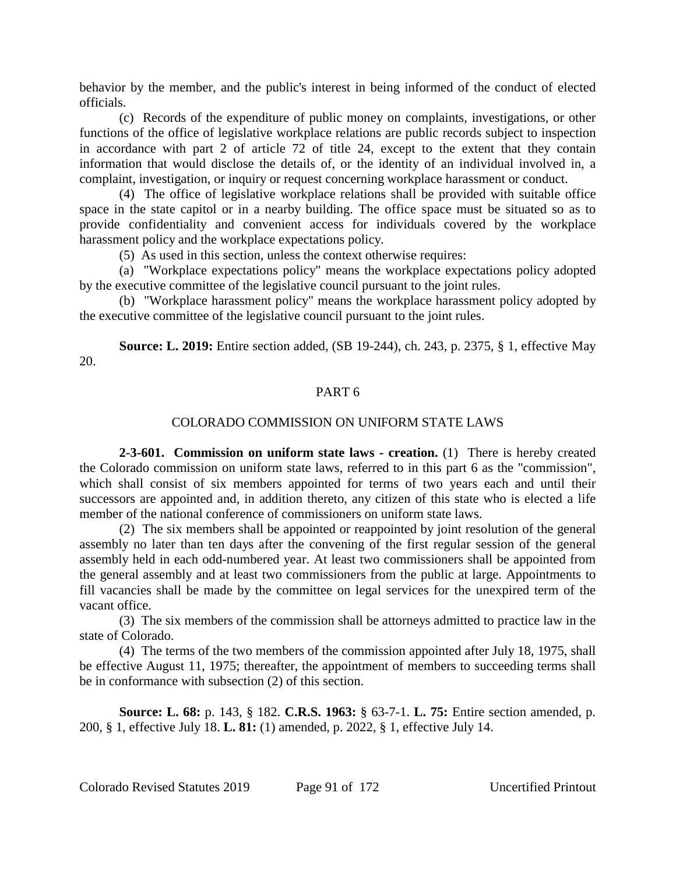behavior by the member, and the public's interest in being informed of the conduct of elected officials.

(c) Records of the expenditure of public money on complaints, investigations, or other functions of the office of legislative workplace relations are public records subject to inspection in accordance with part 2 of article 72 of title 24, except to the extent that they contain information that would disclose the details of, or the identity of an individual involved in, a complaint, investigation, or inquiry or request concerning workplace harassment or conduct.

(4) The office of legislative workplace relations shall be provided with suitable office space in the state capitol or in a nearby building. The office space must be situated so as to provide confidentiality and convenient access for individuals covered by the workplace harassment policy and the workplace expectations policy.

(5) As used in this section, unless the context otherwise requires:

(a) "Workplace expectations policy" means the workplace expectations policy adopted by the executive committee of the legislative council pursuant to the joint rules.

(b) "Workplace harassment policy" means the workplace harassment policy adopted by the executive committee of the legislative council pursuant to the joint rules.

**Source: L. 2019:** Entire section added, (SB 19-244), ch. 243, p. 2375, § 1, effective May 20.

#### PART 6

#### COLORADO COMMISSION ON UNIFORM STATE LAWS

**2-3-601. Commission on uniform state laws - creation.** (1) There is hereby created the Colorado commission on uniform state laws, referred to in this part 6 as the "commission", which shall consist of six members appointed for terms of two years each and until their successors are appointed and, in addition thereto, any citizen of this state who is elected a life member of the national conference of commissioners on uniform state laws.

(2) The six members shall be appointed or reappointed by joint resolution of the general assembly no later than ten days after the convening of the first regular session of the general assembly held in each odd-numbered year. At least two commissioners shall be appointed from the general assembly and at least two commissioners from the public at large. Appointments to fill vacancies shall be made by the committee on legal services for the unexpired term of the vacant office.

(3) The six members of the commission shall be attorneys admitted to practice law in the state of Colorado.

(4) The terms of the two members of the commission appointed after July 18, 1975, shall be effective August 11, 1975; thereafter, the appointment of members to succeeding terms shall be in conformance with subsection (2) of this section.

**Source: L. 68:** p. 143, § 182. **C.R.S. 1963:** § 63-7-1. **L. 75:** Entire section amended, p. 200, § 1, effective July 18. **L. 81:** (1) amended, p. 2022, § 1, effective July 14.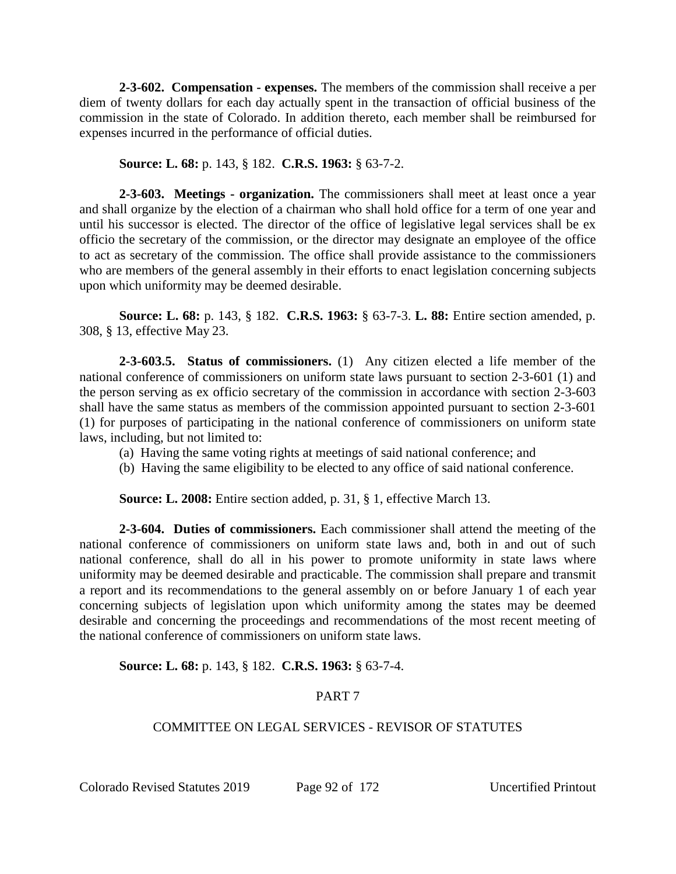**2-3-602. Compensation - expenses.** The members of the commission shall receive a per diem of twenty dollars for each day actually spent in the transaction of official business of the commission in the state of Colorado. In addition thereto, each member shall be reimbursed for expenses incurred in the performance of official duties.

**Source: L. 68:** p. 143, § 182. **C.R.S. 1963:** § 63-7-2.

**2-3-603. Meetings - organization.** The commissioners shall meet at least once a year and shall organize by the election of a chairman who shall hold office for a term of one year and until his successor is elected. The director of the office of legislative legal services shall be ex officio the secretary of the commission, or the director may designate an employee of the office to act as secretary of the commission. The office shall provide assistance to the commissioners who are members of the general assembly in their efforts to enact legislation concerning subjects upon which uniformity may be deemed desirable.

**Source: L. 68:** p. 143, § 182. **C.R.S. 1963:** § 63-7-3. **L. 88:** Entire section amended, p. 308, § 13, effective May 23.

**2-3-603.5. Status of commissioners.** (1) Any citizen elected a life member of the national conference of commissioners on uniform state laws pursuant to section 2-3-601 (1) and the person serving as ex officio secretary of the commission in accordance with section 2-3-603 shall have the same status as members of the commission appointed pursuant to section 2-3-601 (1) for purposes of participating in the national conference of commissioners on uniform state laws, including, but not limited to:

- (a) Having the same voting rights at meetings of said national conference; and
- (b) Having the same eligibility to be elected to any office of said national conference.

**Source: L. 2008:** Entire section added, p. 31, § 1, effective March 13.

**2-3-604. Duties of commissioners.** Each commissioner shall attend the meeting of the national conference of commissioners on uniform state laws and, both in and out of such national conference, shall do all in his power to promote uniformity in state laws where uniformity may be deemed desirable and practicable. The commission shall prepare and transmit a report and its recommendations to the general assembly on or before January 1 of each year concerning subjects of legislation upon which uniformity among the states may be deemed desirable and concerning the proceedings and recommendations of the most recent meeting of the national conference of commissioners on uniform state laws.

# **Source: L. 68:** p. 143, § 182. **C.R.S. 1963:** § 63-7-4.

# PART 7

# COMMITTEE ON LEGAL SERVICES - REVISOR OF STATUTES

Colorado Revised Statutes 2019 Page 92 of 172 Uncertified Printout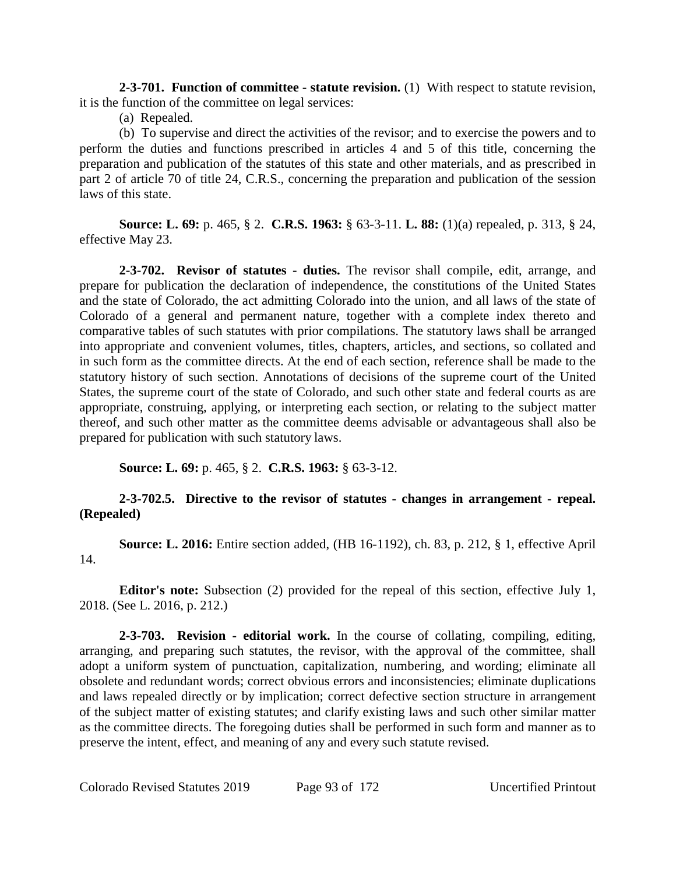**2-3-701. Function of committee - statute revision.** (1) With respect to statute revision, it is the function of the committee on legal services:

(a) Repealed.

(b) To supervise and direct the activities of the revisor; and to exercise the powers and to perform the duties and functions prescribed in articles 4 and 5 of this title, concerning the preparation and publication of the statutes of this state and other materials, and as prescribed in part 2 of article 70 of title 24, C.R.S., concerning the preparation and publication of the session laws of this state.

**Source: L. 69:** p. 465, § 2. **C.R.S. 1963:** § 63-3-11. **L. 88:** (1)(a) repealed, p. 313, § 24, effective May 23.

**2-3-702. Revisor of statutes - duties.** The revisor shall compile, edit, arrange, and prepare for publication the declaration of independence, the constitutions of the United States and the state of Colorado, the act admitting Colorado into the union, and all laws of the state of Colorado of a general and permanent nature, together with a complete index thereto and comparative tables of such statutes with prior compilations. The statutory laws shall be arranged into appropriate and convenient volumes, titles, chapters, articles, and sections, so collated and in such form as the committee directs. At the end of each section, reference shall be made to the statutory history of such section. Annotations of decisions of the supreme court of the United States, the supreme court of the state of Colorado, and such other state and federal courts as are appropriate, construing, applying, or interpreting each section, or relating to the subject matter thereof, and such other matter as the committee deems advisable or advantageous shall also be prepared for publication with such statutory laws.

**Source: L. 69:** p. 465, § 2. **C.R.S. 1963:** § 63-3-12.

# **2-3-702.5. Directive to the revisor of statutes - changes in arrangement - repeal. (Repealed)**

**Source: L. 2016:** Entire section added, (HB 16-1192), ch. 83, p. 212, § 1, effective April 14.

**Editor's note:** Subsection (2) provided for the repeal of this section, effective July 1, 2018. (See L. 2016, p. 212.)

**2-3-703. Revision - editorial work.** In the course of collating, compiling, editing, arranging, and preparing such statutes, the revisor, with the approval of the committee, shall adopt a uniform system of punctuation, capitalization, numbering, and wording; eliminate all obsolete and redundant words; correct obvious errors and inconsistencies; eliminate duplications and laws repealed directly or by implication; correct defective section structure in arrangement of the subject matter of existing statutes; and clarify existing laws and such other similar matter as the committee directs. The foregoing duties shall be performed in such form and manner as to preserve the intent, effect, and meaning of any and every such statute revised.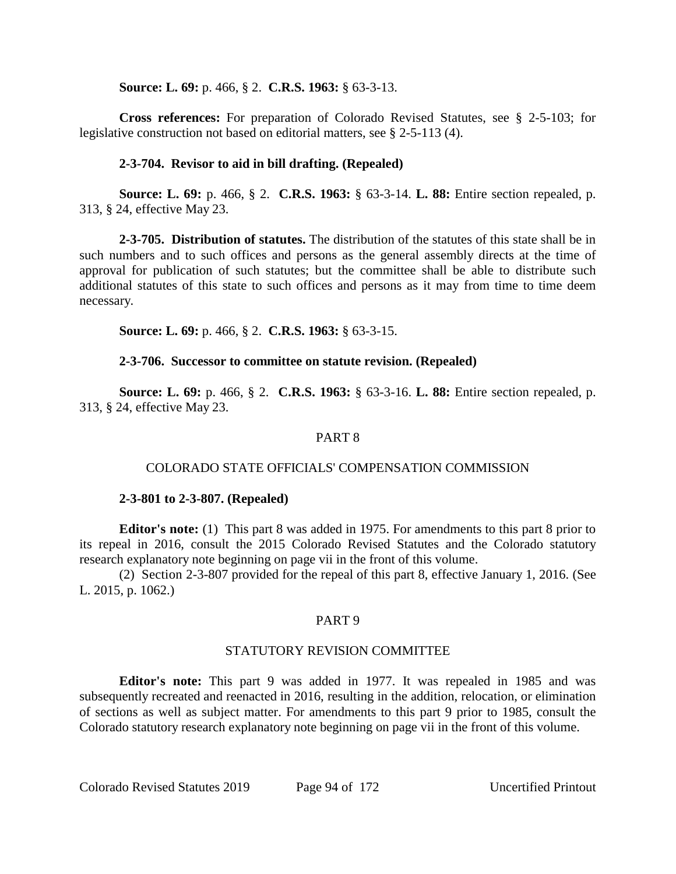**Source: L. 69:** p. 466, § 2. **C.R.S. 1963:** § 63-3-13.

**Cross references:** For preparation of Colorado Revised Statutes, see § 2-5-103; for legislative construction not based on editorial matters, see § 2-5-113 (4).

## **2-3-704. Revisor to aid in bill drafting. (Repealed)**

**Source: L. 69:** p. 466, § 2. **C.R.S. 1963:** § 63-3-14. **L. 88:** Entire section repealed, p. 313, § 24, effective May 23.

**2-3-705. Distribution of statutes.** The distribution of the statutes of this state shall be in such numbers and to such offices and persons as the general assembly directs at the time of approval for publication of such statutes; but the committee shall be able to distribute such additional statutes of this state to such offices and persons as it may from time to time deem necessary.

**Source: L. 69:** p. 466, § 2. **C.R.S. 1963:** § 63-3-15.

### **2-3-706. Successor to committee on statute revision. (Repealed)**

**Source: L. 69:** p. 466, § 2. **C.R.S. 1963:** § 63-3-16. **L. 88:** Entire section repealed, p. 313, § 24, effective May 23.

## PART 8

### COLORADO STATE OFFICIALS' COMPENSATION COMMISSION

### **2-3-801 to 2-3-807. (Repealed)**

**Editor's note:** (1) This part 8 was added in 1975. For amendments to this part 8 prior to its repeal in 2016, consult the 2015 Colorado Revised Statutes and the Colorado statutory research explanatory note beginning on page vii in the front of this volume.

(2) Section 2-3-807 provided for the repeal of this part 8, effective January 1, 2016. (See L. 2015, p. 1062.)

# PART 9

### STATUTORY REVISION COMMITTEE

**Editor's note:** This part 9 was added in 1977. It was repealed in 1985 and was subsequently recreated and reenacted in 2016, resulting in the addition, relocation, or elimination of sections as well as subject matter. For amendments to this part 9 prior to 1985, consult the Colorado statutory research explanatory note beginning on page vii in the front of this volume.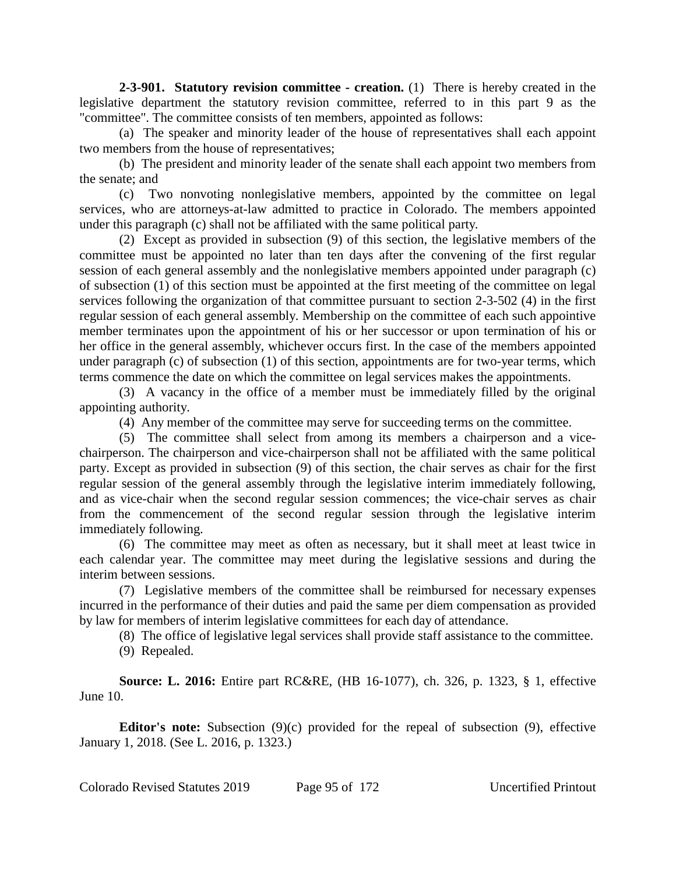**2-3-901. Statutory revision committee - creation.** (1) There is hereby created in the legislative department the statutory revision committee, referred to in this part 9 as the "committee". The committee consists of ten members, appointed as follows:

(a) The speaker and minority leader of the house of representatives shall each appoint two members from the house of representatives;

(b) The president and minority leader of the senate shall each appoint two members from the senate; and

(c) Two nonvoting nonlegislative members, appointed by the committee on legal services, who are attorneys-at-law admitted to practice in Colorado. The members appointed under this paragraph (c) shall not be affiliated with the same political party.

(2) Except as provided in subsection (9) of this section, the legislative members of the committee must be appointed no later than ten days after the convening of the first regular session of each general assembly and the nonlegislative members appointed under paragraph (c) of subsection (1) of this section must be appointed at the first meeting of the committee on legal services following the organization of that committee pursuant to section 2-3-502 (4) in the first regular session of each general assembly. Membership on the committee of each such appointive member terminates upon the appointment of his or her successor or upon termination of his or her office in the general assembly, whichever occurs first. In the case of the members appointed under paragraph (c) of subsection (1) of this section, appointments are for two-year terms, which terms commence the date on which the committee on legal services makes the appointments.

(3) A vacancy in the office of a member must be immediately filled by the original appointing authority.

(4) Any member of the committee may serve for succeeding terms on the committee.

(5) The committee shall select from among its members a chairperson and a vicechairperson. The chairperson and vice-chairperson shall not be affiliated with the same political party. Except as provided in subsection (9) of this section, the chair serves as chair for the first regular session of the general assembly through the legislative interim immediately following, and as vice-chair when the second regular session commences; the vice-chair serves as chair from the commencement of the second regular session through the legislative interim immediately following.

(6) The committee may meet as often as necessary, but it shall meet at least twice in each calendar year. The committee may meet during the legislative sessions and during the interim between sessions.

(7) Legislative members of the committee shall be reimbursed for necessary expenses incurred in the performance of their duties and paid the same per diem compensation as provided by law for members of interim legislative committees for each day of attendance.

(8) The office of legislative legal services shall provide staff assistance to the committee.

(9) Repealed.

**Source: L. 2016:** Entire part RC&RE, (HB 16-1077), ch. 326, p. 1323, § 1, effective June 10.

**Editor's note:** Subsection (9)(c) provided for the repeal of subsection (9), effective January 1, 2018. (See L. 2016, p. 1323.)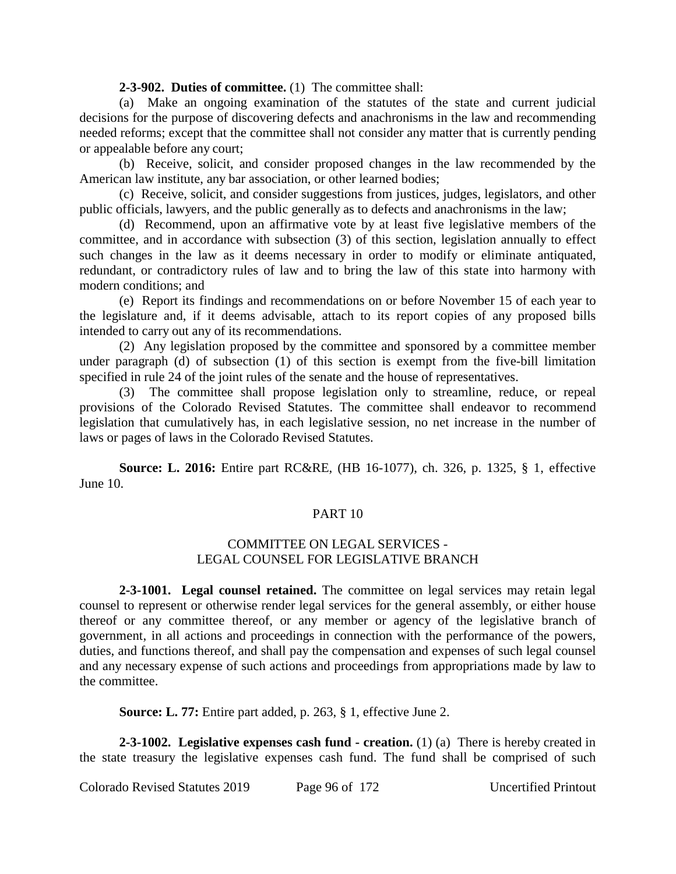#### **2-3-902. Duties of committee.** (1) The committee shall:

(a) Make an ongoing examination of the statutes of the state and current judicial decisions for the purpose of discovering defects and anachronisms in the law and recommending needed reforms; except that the committee shall not consider any matter that is currently pending or appealable before any court;

(b) Receive, solicit, and consider proposed changes in the law recommended by the American law institute, any bar association, or other learned bodies;

(c) Receive, solicit, and consider suggestions from justices, judges, legislators, and other public officials, lawyers, and the public generally as to defects and anachronisms in the law;

(d) Recommend, upon an affirmative vote by at least five legislative members of the committee, and in accordance with subsection (3) of this section, legislation annually to effect such changes in the law as it deems necessary in order to modify or eliminate antiquated, redundant, or contradictory rules of law and to bring the law of this state into harmony with modern conditions; and

(e) Report its findings and recommendations on or before November 15 of each year to the legislature and, if it deems advisable, attach to its report copies of any proposed bills intended to carry out any of its recommendations.

(2) Any legislation proposed by the committee and sponsored by a committee member under paragraph (d) of subsection (1) of this section is exempt from the five-bill limitation specified in rule 24 of the joint rules of the senate and the house of representatives.

The committee shall propose legislation only to streamline, reduce, or repeal provisions of the Colorado Revised Statutes. The committee shall endeavor to recommend legislation that cumulatively has, in each legislative session, no net increase in the number of laws or pages of laws in the Colorado Revised Statutes.

**Source: L. 2016:** Entire part RC&RE, (HB 16-1077), ch. 326, p. 1325, § 1, effective June 10.

# PART 10

### COMMITTEE ON LEGAL SERVICES - LEGAL COUNSEL FOR LEGISLATIVE BRANCH

**2-3-1001. Legal counsel retained.** The committee on legal services may retain legal counsel to represent or otherwise render legal services for the general assembly, or either house thereof or any committee thereof, or any member or agency of the legislative branch of government, in all actions and proceedings in connection with the performance of the powers, duties, and functions thereof, and shall pay the compensation and expenses of such legal counsel and any necessary expense of such actions and proceedings from appropriations made by law to the committee.

**Source: L. 77:** Entire part added, p. 263, § 1, effective June 2.

**2-3-1002. Legislative expenses cash fund - creation.** (1) (a) There is hereby created in the state treasury the legislative expenses cash fund. The fund shall be comprised of such

Colorado Revised Statutes 2019 Page 96 of 172 Uncertified Printout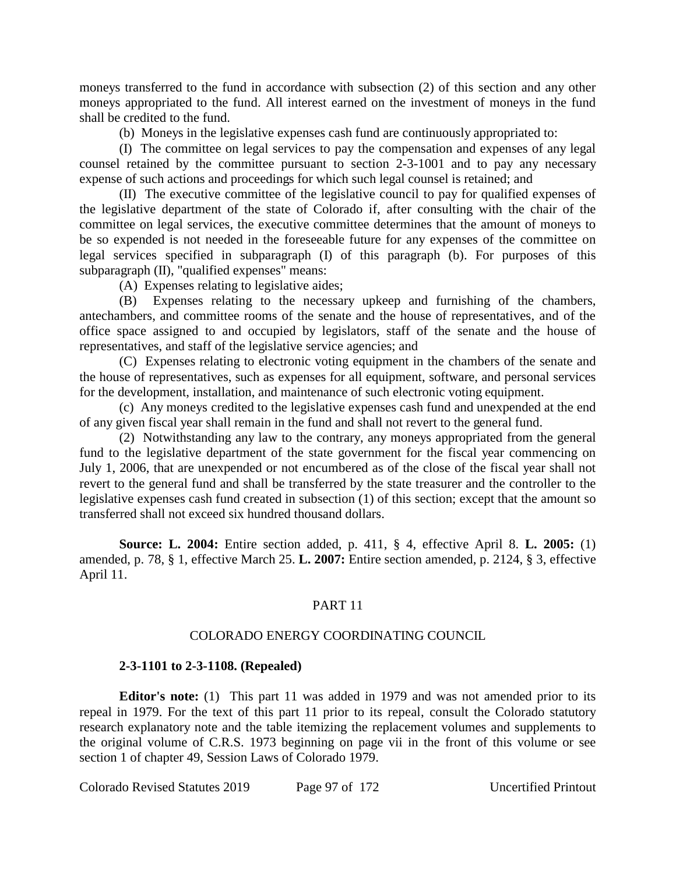moneys transferred to the fund in accordance with subsection (2) of this section and any other moneys appropriated to the fund. All interest earned on the investment of moneys in the fund shall be credited to the fund.

(b) Moneys in the legislative expenses cash fund are continuously appropriated to:

(I) The committee on legal services to pay the compensation and expenses of any legal counsel retained by the committee pursuant to section 2-3-1001 and to pay any necessary expense of such actions and proceedings for which such legal counsel is retained; and

(II) The executive committee of the legislative council to pay for qualified expenses of the legislative department of the state of Colorado if, after consulting with the chair of the committee on legal services, the executive committee determines that the amount of moneys to be so expended is not needed in the foreseeable future for any expenses of the committee on legal services specified in subparagraph (I) of this paragraph (b). For purposes of this subparagraph (II), "qualified expenses" means:

(A) Expenses relating to legislative aides;

(B) Expenses relating to the necessary upkeep and furnishing of the chambers, antechambers, and committee rooms of the senate and the house of representatives, and of the office space assigned to and occupied by legislators, staff of the senate and the house of representatives, and staff of the legislative service agencies; and

(C) Expenses relating to electronic voting equipment in the chambers of the senate and the house of representatives, such as expenses for all equipment, software, and personal services for the development, installation, and maintenance of such electronic voting equipment.

(c) Any moneys credited to the legislative expenses cash fund and unexpended at the end of any given fiscal year shall remain in the fund and shall not revert to the general fund.

(2) Notwithstanding any law to the contrary, any moneys appropriated from the general fund to the legislative department of the state government for the fiscal year commencing on July 1, 2006, that are unexpended or not encumbered as of the close of the fiscal year shall not revert to the general fund and shall be transferred by the state treasurer and the controller to the legislative expenses cash fund created in subsection (1) of this section; except that the amount so transferred shall not exceed six hundred thousand dollars.

**Source: L. 2004:** Entire section added, p. 411, § 4, effective April 8. **L. 2005:** (1) amended, p. 78, § 1, effective March 25. **L. 2007:** Entire section amended, p. 2124, § 3, effective April 11.

# PART 11

### COLORADO ENERGY COORDINATING COUNCIL

### **2-3-1101 to 2-3-1108. (Repealed)**

**Editor's note:** (1) This part 11 was added in 1979 and was not amended prior to its repeal in 1979. For the text of this part 11 prior to its repeal, consult the Colorado statutory research explanatory note and the table itemizing the replacement volumes and supplements to the original volume of C.R.S. 1973 beginning on page vii in the front of this volume or see section 1 of chapter 49, Session Laws of Colorado 1979.

Colorado Revised Statutes 2019 Page 97 of 172 Uncertified Printout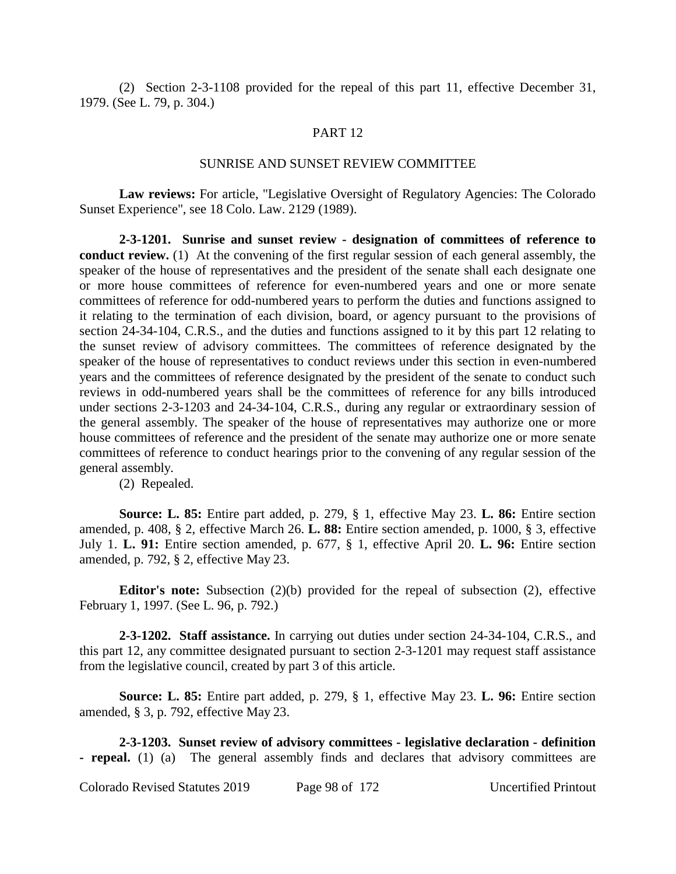(2) Section 2-3-1108 provided for the repeal of this part 11, effective December 31, 1979. (See L. 79, p. 304.)

#### PART 12

#### SUNRISE AND SUNSET REVIEW COMMITTEE

**Law reviews:** For article, "Legislative Oversight of Regulatory Agencies: The Colorado Sunset Experience", see 18 Colo. Law. 2129 (1989).

**2-3-1201. Sunrise and sunset review - designation of committees of reference to conduct review.** (1) At the convening of the first regular session of each general assembly, the speaker of the house of representatives and the president of the senate shall each designate one or more house committees of reference for even-numbered years and one or more senate committees of reference for odd-numbered years to perform the duties and functions assigned to it relating to the termination of each division, board, or agency pursuant to the provisions of section 24-34-104, C.R.S., and the duties and functions assigned to it by this part 12 relating to the sunset review of advisory committees. The committees of reference designated by the speaker of the house of representatives to conduct reviews under this section in even-numbered years and the committees of reference designated by the president of the senate to conduct such reviews in odd-numbered years shall be the committees of reference for any bills introduced under sections 2-3-1203 and 24-34-104, C.R.S., during any regular or extraordinary session of the general assembly. The speaker of the house of representatives may authorize one or more house committees of reference and the president of the senate may authorize one or more senate committees of reference to conduct hearings prior to the convening of any regular session of the general assembly.

(2) Repealed.

**Source: L. 85:** Entire part added, p. 279, § 1, effective May 23. **L. 86:** Entire section amended, p. 408, § 2, effective March 26. **L. 88:** Entire section amended, p. 1000, § 3, effective July 1. **L. 91:** Entire section amended, p. 677, § 1, effective April 20. **L. 96:** Entire section amended, p. 792, § 2, effective May 23.

**Editor's note:** Subsection (2)(b) provided for the repeal of subsection (2), effective February 1, 1997. (See L. 96, p. 792.)

**2-3-1202. Staff assistance.** In carrying out duties under section 24-34-104, C.R.S., and this part 12, any committee designated pursuant to section 2-3-1201 may request staff assistance from the legislative council, created by part 3 of this article.

**Source: L. 85:** Entire part added, p. 279, § 1, effective May 23. **L. 96:** Entire section amended, § 3, p. 792, effective May 23.

**2-3-1203. Sunset review of advisory committees - legislative declaration - definition - repeal.** (1) (a) The general assembly finds and declares that advisory committees are

Colorado Revised Statutes 2019 Page 98 of 172 Uncertified Printout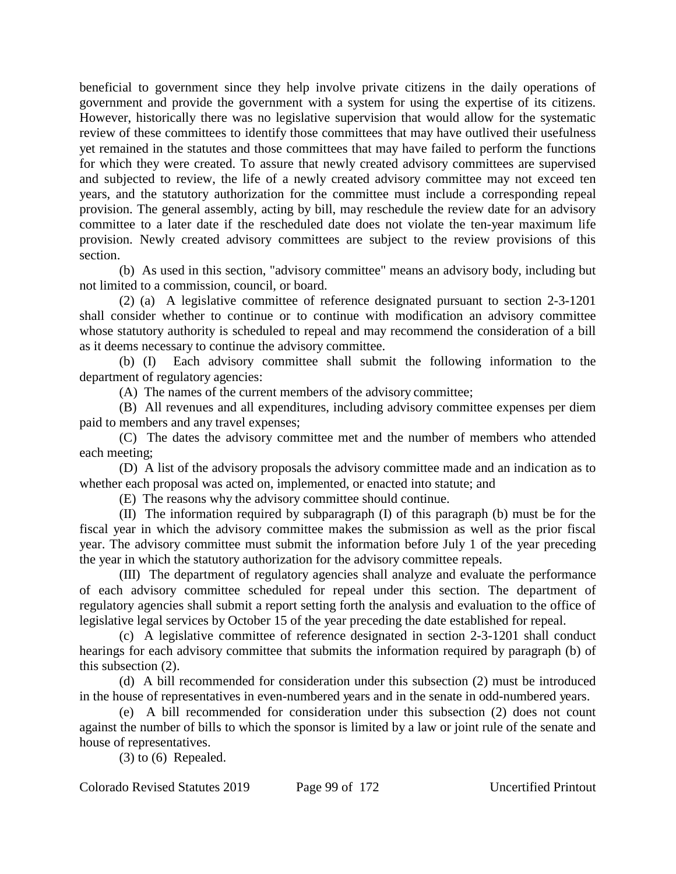beneficial to government since they help involve private citizens in the daily operations of government and provide the government with a system for using the expertise of its citizens. However, historically there was no legislative supervision that would allow for the systematic review of these committees to identify those committees that may have outlived their usefulness yet remained in the statutes and those committees that may have failed to perform the functions for which they were created. To assure that newly created advisory committees are supervised and subjected to review, the life of a newly created advisory committee may not exceed ten years, and the statutory authorization for the committee must include a corresponding repeal provision. The general assembly, acting by bill, may reschedule the review date for an advisory committee to a later date if the rescheduled date does not violate the ten-year maximum life provision. Newly created advisory committees are subject to the review provisions of this section.

(b) As used in this section, "advisory committee" means an advisory body, including but not limited to a commission, council, or board.

(2) (a) A legislative committee of reference designated pursuant to section 2-3-1201 shall consider whether to continue or to continue with modification an advisory committee whose statutory authority is scheduled to repeal and may recommend the consideration of a bill as it deems necessary to continue the advisory committee.

(b) (I) Each advisory committee shall submit the following information to the department of regulatory agencies:

(A) The names of the current members of the advisory committee;

(B) All revenues and all expenditures, including advisory committee expenses per diem paid to members and any travel expenses;

(C) The dates the advisory committee met and the number of members who attended each meeting;

(D) A list of the advisory proposals the advisory committee made and an indication as to whether each proposal was acted on, implemented, or enacted into statute; and

(E) The reasons why the advisory committee should continue.

(II) The information required by subparagraph (I) of this paragraph (b) must be for the fiscal year in which the advisory committee makes the submission as well as the prior fiscal year. The advisory committee must submit the information before July 1 of the year preceding the year in which the statutory authorization for the advisory committee repeals.

(III) The department of regulatory agencies shall analyze and evaluate the performance of each advisory committee scheduled for repeal under this section. The department of regulatory agencies shall submit a report setting forth the analysis and evaluation to the office of legislative legal services by October 15 of the year preceding the date established for repeal.

(c) A legislative committee of reference designated in section 2-3-1201 shall conduct hearings for each advisory committee that submits the information required by paragraph (b) of this subsection (2).

(d) A bill recommended for consideration under this subsection (2) must be introduced in the house of representatives in even-numbered years and in the senate in odd-numbered years.

(e) A bill recommended for consideration under this subsection (2) does not count against the number of bills to which the sponsor is limited by a law or joint rule of the senate and house of representatives.

(3) to (6) Repealed.

Colorado Revised Statutes 2019 Page 99 of 172 Uncertified Printout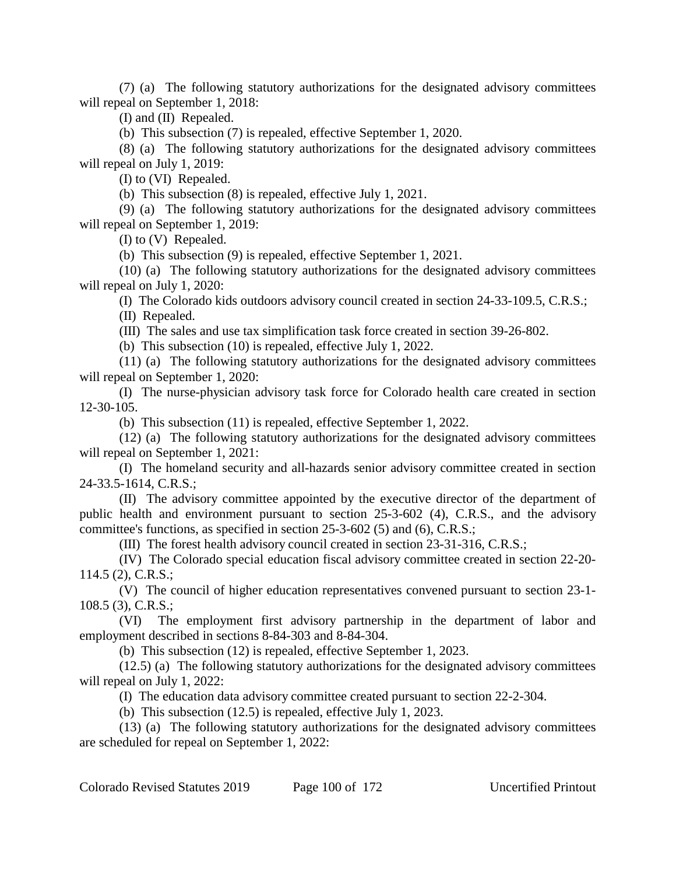(7) (a) The following statutory authorizations for the designated advisory committees will repeal on September 1, 2018:

(I) and (II) Repealed.

(b) This subsection (7) is repealed, effective September 1, 2020.

(8) (a) The following statutory authorizations for the designated advisory committees will repeal on July 1, 2019:

(I) to (VI) Repealed.

(b) This subsection (8) is repealed, effective July 1, 2021.

(9) (a) The following statutory authorizations for the designated advisory committees will repeal on September 1, 2019:

(I) to (V) Repealed.

(b) This subsection (9) is repealed, effective September 1, 2021.

(10) (a) The following statutory authorizations for the designated advisory committees will repeal on July 1, 2020:

(I) The Colorado kids outdoors advisory council created in section 24-33-109.5, C.R.S.;

(II) Repealed.

(III) The sales and use tax simplification task force created in section 39-26-802.

(b) This subsection (10) is repealed, effective July 1, 2022.

(11) (a) The following statutory authorizations for the designated advisory committees will repeal on September 1, 2020:

(I) The nurse-physician advisory task force for Colorado health care created in section 12-30-105.

(b) This subsection (11) is repealed, effective September 1, 2022.

(12) (a) The following statutory authorizations for the designated advisory committees will repeal on September 1, 2021:

(I) The homeland security and all-hazards senior advisory committee created in section 24-33.5-1614, C.R.S.;

(II) The advisory committee appointed by the executive director of the department of public health and environment pursuant to section 25-3-602 (4), C.R.S., and the advisory committee's functions, as specified in section 25-3-602 (5) and (6), C.R.S.;

(III) The forest health advisory council created in section 23-31-316, C.R.S.;

(IV) The Colorado special education fiscal advisory committee created in section 22-20- 114.5 (2), C.R.S.;

(V) The council of higher education representatives convened pursuant to section 23-1- 108.5 (3), C.R.S.;

(VI) The employment first advisory partnership in the department of labor and employment described in sections 8-84-303 and 8-84-304.

(b) This subsection (12) is repealed, effective September 1, 2023.

(12.5) (a) The following statutory authorizations for the designated advisory committees will repeal on July 1, 2022:

(I) The education data advisory committee created pursuant to section 22-2-304.

(b) This subsection (12.5) is repealed, effective July 1, 2023.

(13) (a) The following statutory authorizations for the designated advisory committees are scheduled for repeal on September 1, 2022: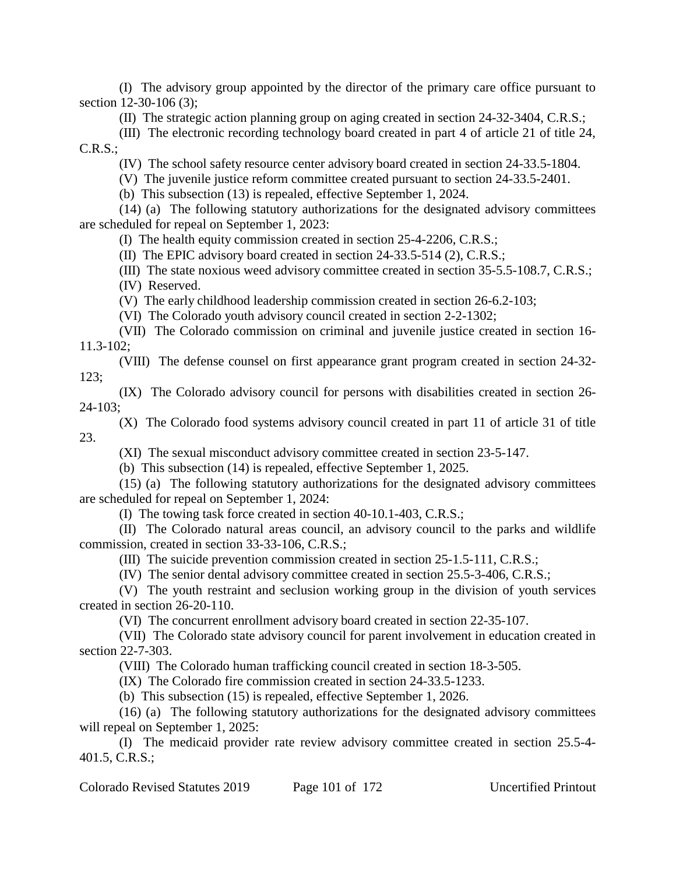(I) The advisory group appointed by the director of the primary care office pursuant to section 12-30-106 (3);

(II) The strategic action planning group on aging created in section 24-32-3404, C.R.S.;

(III) The electronic recording technology board created in part 4 of article 21 of title 24,  $C.R.S.:$ 

(IV) The school safety resource center advisory board created in section 24-33.5-1804.

(V) The juvenile justice reform committee created pursuant to section 24-33.5-2401.

(b) This subsection (13) is repealed, effective September 1, 2024.

(14) (a) The following statutory authorizations for the designated advisory committees are scheduled for repeal on September 1, 2023:

(I) The health equity commission created in section 25-4-2206, C.R.S.;

(II) The EPIC advisory board created in section 24-33.5-514 (2), C.R.S.;

(III) The state noxious weed advisory committee created in section 35-5.5-108.7, C.R.S.; (IV) Reserved.

(V) The early childhood leadership commission created in section 26-6.2-103;

(VI) The Colorado youth advisory council created in section 2-2-1302;

(VII) The Colorado commission on criminal and juvenile justice created in section 16- 11.3-102;

(VIII) The defense counsel on first appearance grant program created in section 24-32- 123;

(IX) The Colorado advisory council for persons with disabilities created in section 26- 24-103;

(X) The Colorado food systems advisory council created in part 11 of article 31 of title 23.

(XI) The sexual misconduct advisory committee created in section 23-5-147.

(b) This subsection (14) is repealed, effective September 1, 2025.

(15) (a) The following statutory authorizations for the designated advisory committees are scheduled for repeal on September 1, 2024:

(I) The towing task force created in section 40-10.1-403, C.R.S.;

(II) The Colorado natural areas council, an advisory council to the parks and wildlife commission, created in section 33-33-106, C.R.S.;

(III) The suicide prevention commission created in section 25-1.5-111, C.R.S.;

(IV) The senior dental advisory committee created in section 25.5-3-406, C.R.S.;

(V) The youth restraint and seclusion working group in the division of youth services created in section 26-20-110.

(VI) The concurrent enrollment advisory board created in section 22-35-107.

(VII) The Colorado state advisory council for parent involvement in education created in section 22-7-303.

(VIII) The Colorado human trafficking council created in section 18-3-505.

(IX) The Colorado fire commission created in section 24-33.5-1233.

(b) This subsection (15) is repealed, effective September 1, 2026.

(16) (a) The following statutory authorizations for the designated advisory committees will repeal on September 1, 2025:

(I) The medicaid provider rate review advisory committee created in section 25.5-4- 401.5, C.R.S.;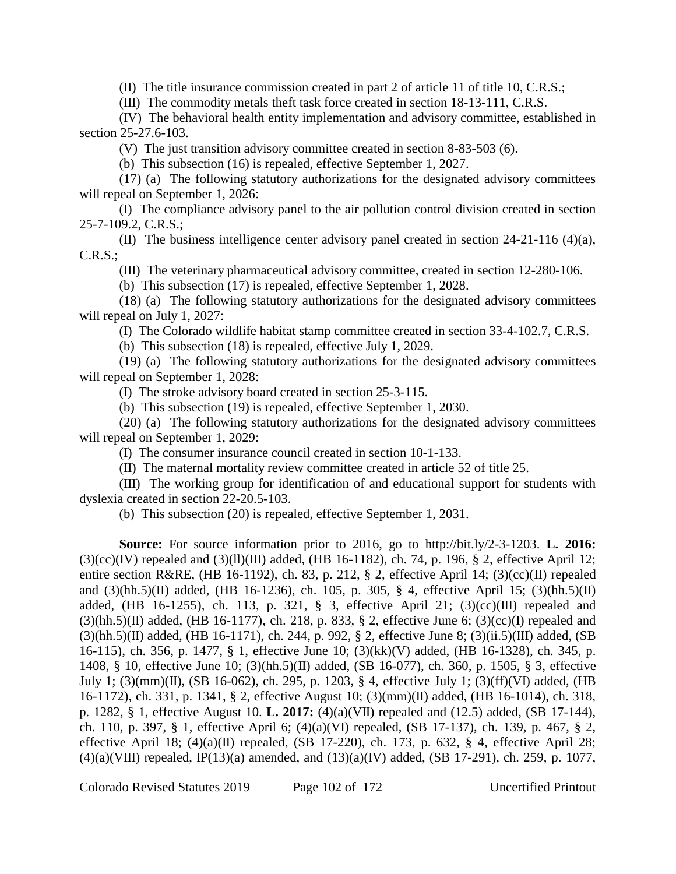(II) The title insurance commission created in part 2 of article 11 of title 10, C.R.S.;

(III) The commodity metals theft task force created in section 18-13-111, C.R.S.

(IV) The behavioral health entity implementation and advisory committee, established in section 25-27.6-103.

(V) The just transition advisory committee created in section 8-83-503 (6).

(b) This subsection (16) is repealed, effective September 1, 2027.

(17) (a) The following statutory authorizations for the designated advisory committees will repeal on September 1, 2026:

(I) The compliance advisory panel to the air pollution control division created in section 25-7-109.2, C.R.S.;

(II) The business intelligence center advisory panel created in section 24-21-116 (4)(a), C.R.S.;

(III) The veterinary pharmaceutical advisory committee, created in section 12-280-106.

(b) This subsection (17) is repealed, effective September 1, 2028.

(18) (a) The following statutory authorizations for the designated advisory committees will repeal on July 1, 2027:

(I) The Colorado wildlife habitat stamp committee created in section 33-4-102.7, C.R.S.

(b) This subsection (18) is repealed, effective July 1, 2029.

(19) (a) The following statutory authorizations for the designated advisory committees will repeal on September 1, 2028:

(I) The stroke advisory board created in section 25-3-115.

(b) This subsection (19) is repealed, effective September 1, 2030.

(20) (a) The following statutory authorizations for the designated advisory committees will repeal on September 1, 2029:

(I) The consumer insurance council created in section 10-1-133.

(II) The maternal mortality review committee created in article 52 of title 25.

(III) The working group for identification of and educational support for students with dyslexia created in section 22-20.5-103.

(b) This subsection (20) is repealed, effective September 1, 2031.

**Source:** For source information prior to 2016, go to http://bit.ly/2-3-1203. **L. 2016:**  $(3)(cc)(IV)$  repealed and  $(3)(ll)(III)$  added, (HB 16-1182), ch. 74, p. 196, § 2, effective April 12; entire section R&RE, (HB 16-1192), ch. 83, p. 212, § 2, effective April 14; (3)(cc)(II) repealed and (3)(hh.5)(II) added, (HB 16-1236), ch. 105, p. 305, § 4, effective April 15; (3)(hh.5)(II) added, (HB 16-1255), ch. 113, p. 321, § 3, effective April 21;  $(3)(cc)(III)$  repealed and  $(3)(hh.5)(II)$  added, (HB 16-1177), ch. 218, p. 833, § 2, effective June 6; (3)(cc)(I) repealed and (3)(hh.5)(II) added, (HB 16-1171), ch. 244, p. 992, § 2, effective June 8; (3)(ii.5)(III) added, (SB 16-115), ch. 356, p. 1477, § 1, effective June 10; (3)(kk)(V) added, (HB 16-1328), ch. 345, p. 1408, § 10, effective June 10; (3)(hh.5)(II) added, (SB 16-077), ch. 360, p. 1505, § 3, effective July 1; (3)(mm)(II), (SB 16-062), ch. 295, p. 1203, § 4, effective July 1; (3)(ff)(VI) added, (HB 16-1172), ch. 331, p. 1341, § 2, effective August 10; (3)(mm)(II) added, (HB 16-1014), ch. 318, p. 1282, § 1, effective August 10. **L. 2017:** (4)(a)(VII) repealed and (12.5) added, (SB 17-144), ch. 110, p. 397, § 1, effective April 6; (4)(a)(VI) repealed, (SB 17-137), ch. 139, p. 467, § 2, effective April 18;  $(4)(a)(II)$  repealed,  $(SB 17-220)$ , ch. 173, p. 632, § 4, effective April 28;  $(4)(a)(VIII)$  repealed, IP(13)(a) amended, and  $(13)(a)(IV)$  added, (SB 17-291), ch. 259, p. 1077,

Colorado Revised Statutes 2019 Page 102 of 172 Uncertified Printout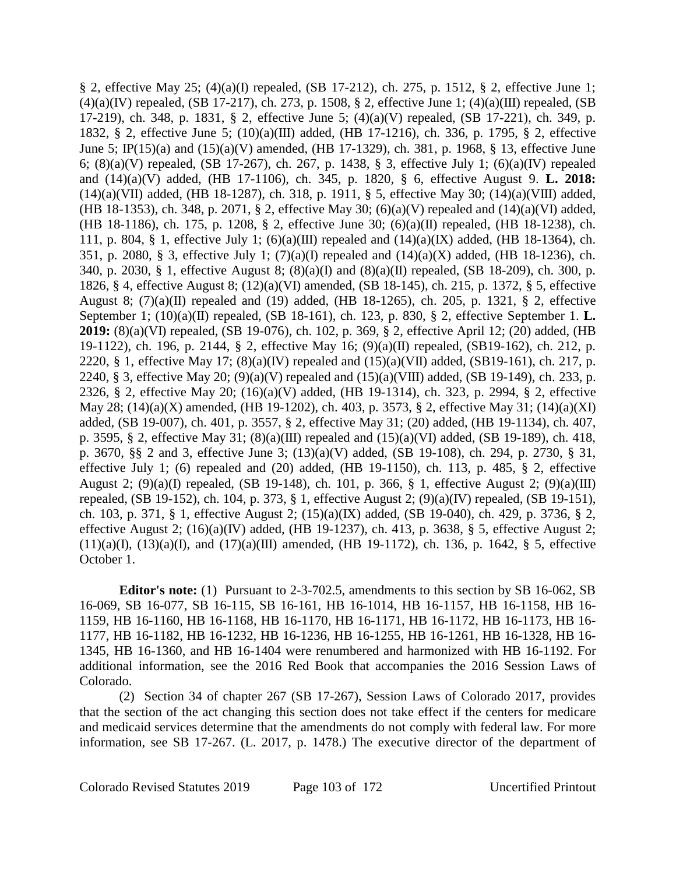§ 2, effective May 25; (4)(a)(I) repealed, (SB 17-212), ch. 275, p. 1512, § 2, effective June 1;  $(4)(a)(IV)$  repealed, (SB 17-217), ch. 273, p. 1508, § 2, effective June 1;  $(4)(a)(III)$  repealed, (SB 17-219), ch. 348, p. 1831, § 2, effective June 5; (4)(a)(V) repealed, (SB 17-221), ch. 349, p. 1832, § 2, effective June 5; (10)(a)(III) added, (HB 17-1216), ch. 336, p. 1795, § 2, effective June 5; IP(15)(a) and (15)(a)(V) amended, (HB 17-1329), ch. 381, p. 1968, § 13, effective June 6; (8)(a)(V) repealed, (SB 17-267), ch. 267, p. 1438, § 3, effective July 1; (6)(a)(IV) repealed and (14)(a)(V) added, (HB 17-1106), ch. 345, p. 1820, § 6, effective August 9. **L. 2018:** (14)(a)(VII) added, (HB 18-1287), ch. 318, p. 1911, § 5, effective May 30; (14)(a)(VIII) added, (HB 18-1353), ch. 348, p. 2071, § 2, effective May 30; (6)(a)(V) repealed and (14)(a)(VI) added, (HB 18-1186), ch. 175, p. 1208, § 2, effective June 30; (6)(a)(II) repealed, (HB 18-1238), ch. 111, p. 804, § 1, effective July 1;  $(6)(a)(III)$  repealed and  $(14)(a)(IX)$  added, (HB 18-1364), ch. 351, p. 2080, § 3, effective July 1; (7)(a)(I) repealed and (14)(a)(X) added, (HB 18-1236), ch. 340, p. 2030, § 1, effective August 8; (8)(a)(I) and (8)(a)(II) repealed, (SB 18-209), ch. 300, p. 1826, § 4, effective August 8; (12)(a)(VI) amended, (SB 18-145), ch. 215, p. 1372, § 5, effective August 8;  $(7)(a)(II)$  repealed and  $(19)$  added,  $(HB 18-1265)$ , ch. 205, p. 1321, § 2, effective September 1; (10)(a)(II) repealed, (SB 18-161), ch. 123, p. 830, § 2, effective September 1. **L. 2019:** (8)(a)(VI) repealed, (SB 19-076), ch. 102, p. 369, § 2, effective April 12; (20) added, (HB 19-1122), ch. 196, p. 2144, § 2, effective May 16; (9)(a)(II) repealed, (SB19-162), ch. 212, p. 2220, § 1, effective May 17;  $(8)(a)(IV)$  repealed and  $(15)(a)(VII)$  added,  $(SB19-161)$ , ch. 217, p. 2240, § 3, effective May 20; (9)(a)(V) repealed and  $(15)(a)(VIII)$  added, (SB 19-149), ch. 233, p. 2326, § 2, effective May 20; (16)(a)(V) added, (HB 19-1314), ch. 323, p. 2994, § 2, effective May 28; (14)(a)(X) amended, (HB 19-1202), ch. 403, p. 3573, § 2, effective May 31; (14)(a)(XI) added, (SB 19-007), ch. 401, p. 3557, § 2, effective May 31; (20) added, (HB 19-1134), ch. 407, p. 3595, § 2, effective May 31; (8)(a)(III) repealed and (15)(a)(VI) added, (SB 19-189), ch. 418, p. 3670, §§ 2 and 3, effective June 3; (13)(a)(V) added, (SB 19-108), ch. 294, p. 2730, § 31, effective July 1; (6) repealed and (20) added, (HB 19-1150), ch. 113, p. 485,  $\S$  2, effective August 2; (9)(a)(I) repealed, (SB 19-148), ch. 101, p. 366, § 1, effective August 2; (9)(a)(III) repealed, (SB 19-152), ch. 104, p. 373, § 1, effective August 2; (9)(a)(IV) repealed, (SB 19-151), ch. 103, p. 371, § 1, effective August 2; (15)(a)(IX) added, (SB 19-040), ch. 429, p. 3736, § 2, effective August 2; (16)(a)(IV) added, (HB 19-1237), ch. 413, p. 3638, § 5, effective August 2;  $(11)(a)(I)$ ,  $(13)(a)(I)$ , and  $(17)(a)(III)$  amended,  $(HB 19-1172)$ , ch. 136, p. 1642, § 5, effective October 1.

**Editor's note:** (1) Pursuant to 2-3-702.5, amendments to this section by SB 16-062, SB 16-069, SB 16-077, SB 16-115, SB 16-161, HB 16-1014, HB 16-1157, HB 16-1158, HB 16- 1159, HB 16-1160, HB 16-1168, HB 16-1170, HB 16-1171, HB 16-1172, HB 16-1173, HB 16- 1177, HB 16-1182, HB 16-1232, HB 16-1236, HB 16-1255, HB 16-1261, HB 16-1328, HB 16- 1345, HB 16-1360, and HB 16-1404 were renumbered and harmonized with HB 16-1192. For additional information, see the 2016 Red Book that accompanies the 2016 Session Laws of Colorado.

(2) Section 34 of chapter 267 (SB 17-267), Session Laws of Colorado 2017, provides that the section of the act changing this section does not take effect if the centers for medicare and medicaid services determine that the amendments do not comply with federal law. For more information, see SB 17-267. (L. 2017, p. 1478.) The executive director of the department of

Colorado Revised Statutes 2019 Page 103 of 172 Uncertified Printout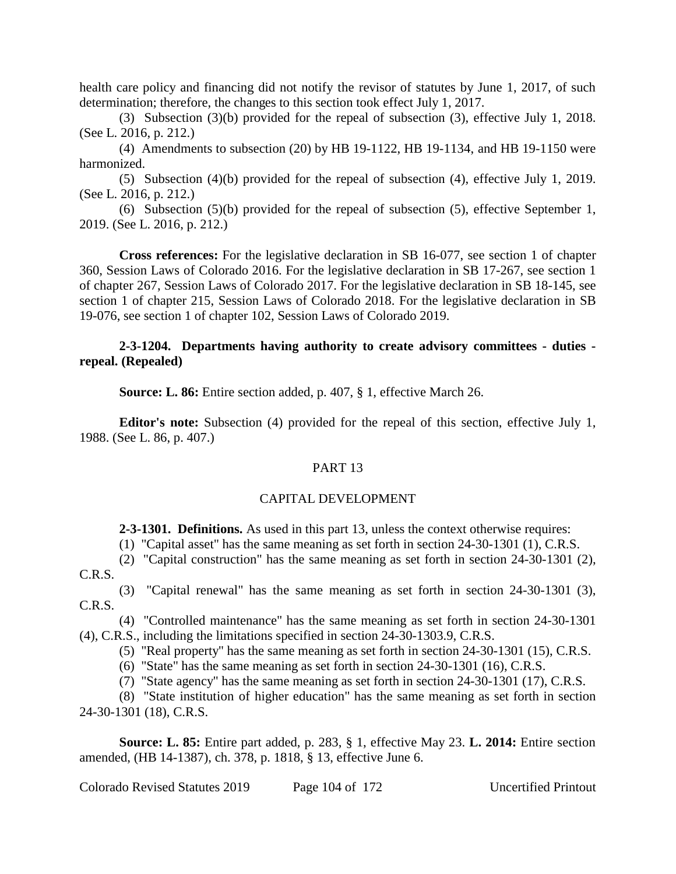health care policy and financing did not notify the revisor of statutes by June 1, 2017, of such determination; therefore, the changes to this section took effect July 1, 2017.

(3) Subsection (3)(b) provided for the repeal of subsection (3), effective July 1, 2018. (See L. 2016, p. 212.)

(4) Amendments to subsection (20) by HB 19-1122, HB 19-1134, and HB 19-1150 were harmonized.

(5) Subsection (4)(b) provided for the repeal of subsection (4), effective July 1, 2019. (See L. 2016, p. 212.)

(6) Subsection (5)(b) provided for the repeal of subsection (5), effective September 1, 2019. (See L. 2016, p. 212.)

**Cross references:** For the legislative declaration in SB 16-077, see section 1 of chapter 360, Session Laws of Colorado 2016. For the legislative declaration in SB 17-267, see section 1 of chapter 267, Session Laws of Colorado 2017. For the legislative declaration in SB 18-145, see section 1 of chapter 215, Session Laws of Colorado 2018. For the legislative declaration in SB 19-076, see section 1 of chapter 102, Session Laws of Colorado 2019.

### **2-3-1204. Departments having authority to create advisory committees - duties repeal. (Repealed)**

**Source: L. 86:** Entire section added, p. 407, § 1, effective March 26.

**Editor's note:** Subsection (4) provided for the repeal of this section, effective July 1, 1988. (See L. 86, p. 407.)

### PART 13

### CAPITAL DEVELOPMENT

**2-3-1301. Definitions.** As used in this part 13, unless the context otherwise requires:

(1) "Capital asset" has the same meaning as set forth in section 24-30-1301 (1), C.R.S.

(2) "Capital construction" has the same meaning as set forth in section 24-30-1301 (2), C.R.S.

(3) "Capital renewal" has the same meaning as set forth in section 24-30-1301 (3), C.R.S.

(4) "Controlled maintenance" has the same meaning as set forth in section 24-30-1301 (4), C.R.S., including the limitations specified in section 24-30-1303.9, C.R.S.

(5) "Real property" has the same meaning as set forth in section 24-30-1301 (15), C.R.S.

(6) "State" has the same meaning as set forth in section 24-30-1301 (16), C.R.S.

(7) "State agency" has the same meaning as set forth in section 24-30-1301 (17), C.R.S.

(8) "State institution of higher education" has the same meaning as set forth in section 24-30-1301 (18), C.R.S.

**Source: L. 85:** Entire part added, p. 283, § 1, effective May 23. **L. 2014:** Entire section amended, (HB 14-1387), ch. 378, p. 1818, § 13, effective June 6.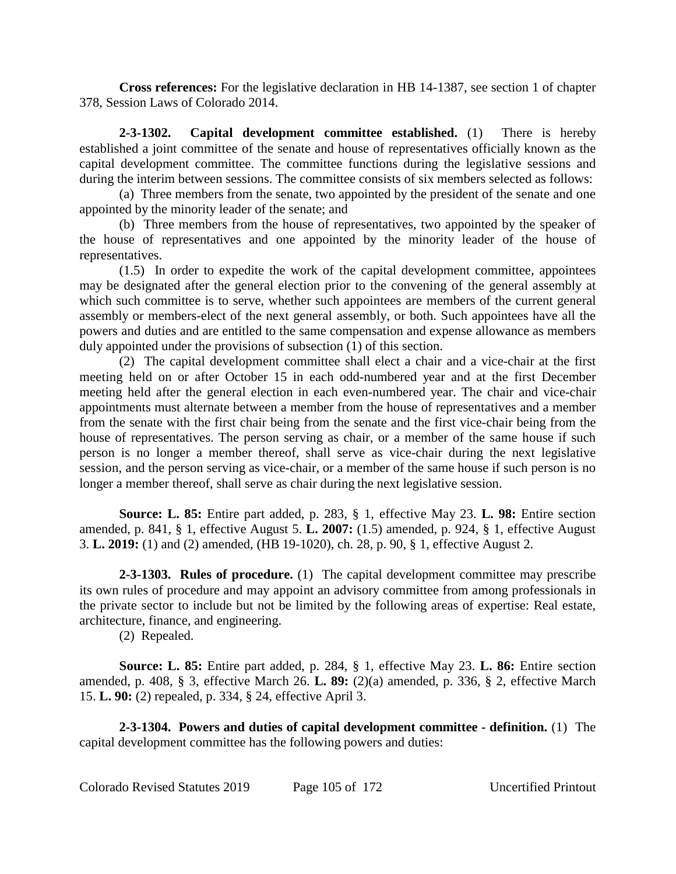**Cross references:** For the legislative declaration in HB 14-1387, see section 1 of chapter 378, Session Laws of Colorado 2014.

**2-3-1302. Capital development committee established.** (1) There is hereby established a joint committee of the senate and house of representatives officially known as the capital development committee. The committee functions during the legislative sessions and during the interim between sessions. The committee consists of six members selected as follows:

(a) Three members from the senate, two appointed by the president of the senate and one appointed by the minority leader of the senate; and

(b) Three members from the house of representatives, two appointed by the speaker of the house of representatives and one appointed by the minority leader of the house of representatives.

(1.5) In order to expedite the work of the capital development committee, appointees may be designated after the general election prior to the convening of the general assembly at which such committee is to serve, whether such appointees are members of the current general assembly or members-elect of the next general assembly, or both. Such appointees have all the powers and duties and are entitled to the same compensation and expense allowance as members duly appointed under the provisions of subsection (1) of this section.

(2) The capital development committee shall elect a chair and a vice-chair at the first meeting held on or after October 15 in each odd-numbered year and at the first December meeting held after the general election in each even-numbered year. The chair and vice-chair appointments must alternate between a member from the house of representatives and a member from the senate with the first chair being from the senate and the first vice-chair being from the house of representatives. The person serving as chair, or a member of the same house if such person is no longer a member thereof, shall serve as vice-chair during the next legislative session, and the person serving as vice-chair, or a member of the same house if such person is no longer a member thereof, shall serve as chair during the next legislative session.

**Source: L. 85:** Entire part added, p. 283, § 1, effective May 23. **L. 98:** Entire section amended, p. 841, § 1, effective August 5. **L. 2007:** (1.5) amended, p. 924, § 1, effective August 3. **L. 2019:** (1) and (2) amended, (HB 19-1020), ch. 28, p. 90, § 1, effective August 2.

**2-3-1303. Rules of procedure.** (1) The capital development committee may prescribe its own rules of procedure and may appoint an advisory committee from among professionals in the private sector to include but not be limited by the following areas of expertise: Real estate, architecture, finance, and engineering.

(2) Repealed.

**Source: L. 85:** Entire part added, p. 284, § 1, effective May 23. **L. 86:** Entire section amended, p. 408, § 3, effective March 26. **L. 89:** (2)(a) amended, p. 336, § 2, effective March 15. **L. 90:** (2) repealed, p. 334, § 24, effective April 3.

**2-3-1304. Powers and duties of capital development committee - definition.** (1) The capital development committee has the following powers and duties: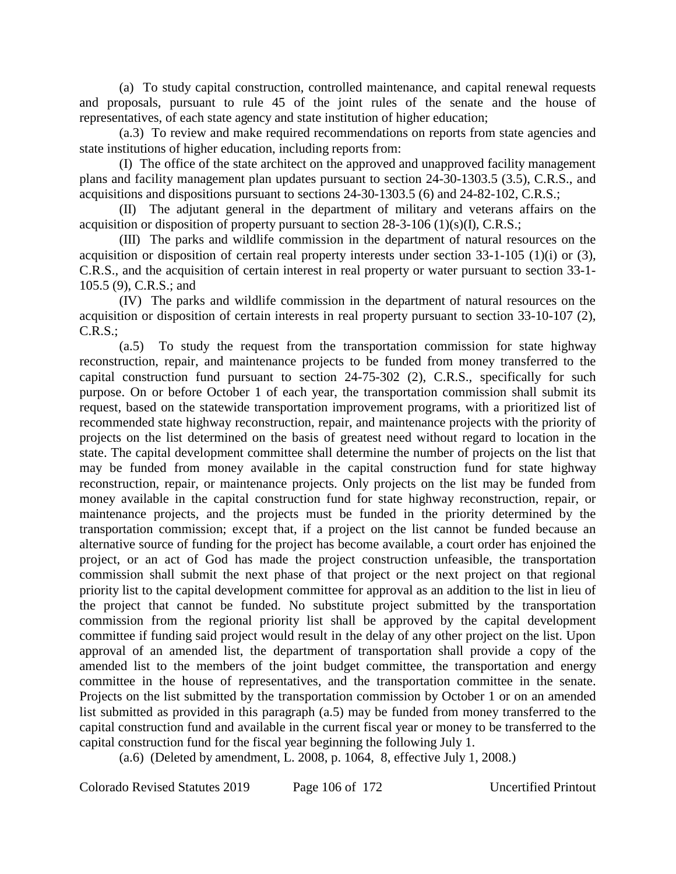(a) To study capital construction, controlled maintenance, and capital renewal requests and proposals, pursuant to rule 45 of the joint rules of the senate and the house of representatives, of each state agency and state institution of higher education;

(a.3) To review and make required recommendations on reports from state agencies and state institutions of higher education, including reports from:

(I) The office of the state architect on the approved and unapproved facility management plans and facility management plan updates pursuant to section 24-30-1303.5 (3.5), C.R.S., and acquisitions and dispositions pursuant to sections 24-30-1303.5 (6) and 24-82-102, C.R.S.;

(II) The adjutant general in the department of military and veterans affairs on the acquisition or disposition of property pursuant to section  $28-3-106$  (1)(s)(I), C.R.S.;

(III) The parks and wildlife commission in the department of natural resources on the acquisition or disposition of certain real property interests under section 33-1-105 (1)(i) or (3), C.R.S., and the acquisition of certain interest in real property or water pursuant to section 33-1- 105.5 (9), C.R.S.; and

(IV) The parks and wildlife commission in the department of natural resources on the acquisition or disposition of certain interests in real property pursuant to section 33-10-107 (2), C.R.S.;

(a.5) To study the request from the transportation commission for state highway reconstruction, repair, and maintenance projects to be funded from money transferred to the capital construction fund pursuant to section 24-75-302 (2), C.R.S., specifically for such purpose. On or before October 1 of each year, the transportation commission shall submit its request, based on the statewide transportation improvement programs, with a prioritized list of recommended state highway reconstruction, repair, and maintenance projects with the priority of projects on the list determined on the basis of greatest need without regard to location in the state. The capital development committee shall determine the number of projects on the list that may be funded from money available in the capital construction fund for state highway reconstruction, repair, or maintenance projects. Only projects on the list may be funded from money available in the capital construction fund for state highway reconstruction, repair, or maintenance projects, and the projects must be funded in the priority determined by the transportation commission; except that, if a project on the list cannot be funded because an alternative source of funding for the project has become available, a court order has enjoined the project, or an act of God has made the project construction unfeasible, the transportation commission shall submit the next phase of that project or the next project on that regional priority list to the capital development committee for approval as an addition to the list in lieu of the project that cannot be funded. No substitute project submitted by the transportation commission from the regional priority list shall be approved by the capital development committee if funding said project would result in the delay of any other project on the list. Upon approval of an amended list, the department of transportation shall provide a copy of the amended list to the members of the joint budget committee, the transportation and energy committee in the house of representatives, and the transportation committee in the senate. Projects on the list submitted by the transportation commission by October 1 or on an amended list submitted as provided in this paragraph (a.5) may be funded from money transferred to the capital construction fund and available in the current fiscal year or money to be transferred to the capital construction fund for the fiscal year beginning the following July 1.

(a.6) (Deleted by amendment, L. 2008, p. 1064, 8, effective July 1, 2008.)

Colorado Revised Statutes 2019 Page 106 of 172 Uncertified Printout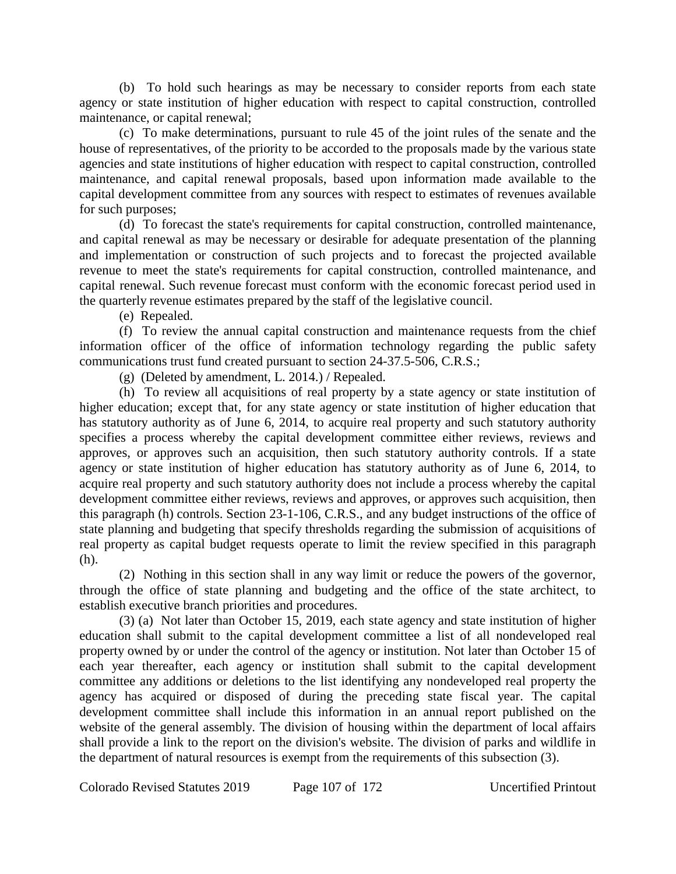(b) To hold such hearings as may be necessary to consider reports from each state agency or state institution of higher education with respect to capital construction, controlled maintenance, or capital renewal;

(c) To make determinations, pursuant to rule 45 of the joint rules of the senate and the house of representatives, of the priority to be accorded to the proposals made by the various state agencies and state institutions of higher education with respect to capital construction, controlled maintenance, and capital renewal proposals, based upon information made available to the capital development committee from any sources with respect to estimates of revenues available for such purposes;

(d) To forecast the state's requirements for capital construction, controlled maintenance, and capital renewal as may be necessary or desirable for adequate presentation of the planning and implementation or construction of such projects and to forecast the projected available revenue to meet the state's requirements for capital construction, controlled maintenance, and capital renewal. Such revenue forecast must conform with the economic forecast period used in the quarterly revenue estimates prepared by the staff of the legislative council.

(e) Repealed.

(f) To review the annual capital construction and maintenance requests from the chief information officer of the office of information technology regarding the public safety communications trust fund created pursuant to section 24-37.5-506, C.R.S.;

(g) (Deleted by amendment, L. 2014.) / Repealed.

(h) To review all acquisitions of real property by a state agency or state institution of higher education; except that, for any state agency or state institution of higher education that has statutory authority as of June 6, 2014, to acquire real property and such statutory authority specifies a process whereby the capital development committee either reviews, reviews and approves, or approves such an acquisition, then such statutory authority controls. If a state agency or state institution of higher education has statutory authority as of June 6, 2014, to acquire real property and such statutory authority does not include a process whereby the capital development committee either reviews, reviews and approves, or approves such acquisition, then this paragraph (h) controls. Section 23-1-106, C.R.S., and any budget instructions of the office of state planning and budgeting that specify thresholds regarding the submission of acquisitions of real property as capital budget requests operate to limit the review specified in this paragraph (h).

(2) Nothing in this section shall in any way limit or reduce the powers of the governor, through the office of state planning and budgeting and the office of the state architect, to establish executive branch priorities and procedures.

(3) (a) Not later than October 15, 2019, each state agency and state institution of higher education shall submit to the capital development committee a list of all nondeveloped real property owned by or under the control of the agency or institution. Not later than October 15 of each year thereafter, each agency or institution shall submit to the capital development committee any additions or deletions to the list identifying any nondeveloped real property the agency has acquired or disposed of during the preceding state fiscal year. The capital development committee shall include this information in an annual report published on the website of the general assembly. The division of housing within the department of local affairs shall provide a link to the report on the division's website. The division of parks and wildlife in the department of natural resources is exempt from the requirements of this subsection (3).

Colorado Revised Statutes 2019 Page 107 of 172 Uncertified Printout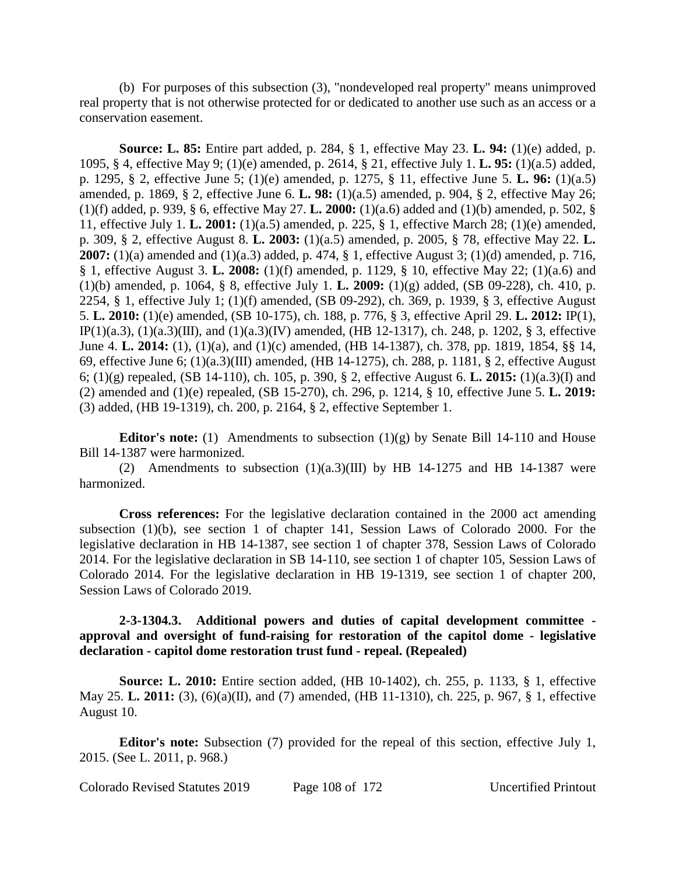(b) For purposes of this subsection (3), "nondeveloped real property" means unimproved real property that is not otherwise protected for or dedicated to another use such as an access or a conservation easement.

**Source: L. 85:** Entire part added, p. 284, § 1, effective May 23. **L. 94:** (1)(e) added, p. 1095, § 4, effective May 9; (1)(e) amended, p. 2614, § 21, effective July 1. **L. 95:** (1)(a.5) added, p. 1295, § 2, effective June 5; (1)(e) amended, p. 1275, § 11, effective June 5. **L. 96:** (1)(a.5) amended, p. 1869, § 2, effective June 6. **L. 98:** (1)(a.5) amended, p. 904, § 2, effective May 26; (1)(f) added, p. 939, § 6, effective May 27. **L. 2000:** (1)(a.6) added and (1)(b) amended, p. 502, § 11, effective July 1. **L. 2001:** (1)(a.5) amended, p. 225, § 1, effective March 28; (1)(e) amended, p. 309, § 2, effective August 8. **L. 2003:** (1)(a.5) amended, p. 2005, § 78, effective May 22. **L. 2007:** (1)(a) amended and (1)(a.3) added, p. 474, § 1, effective August 3; (1)(d) amended, p. 716, § 1, effective August 3. **L. 2008:** (1)(f) amended, p. 1129, § 10, effective May 22; (1)(a.6) and (1)(b) amended, p. 1064, § 8, effective July 1. **L. 2009:** (1)(g) added, (SB 09-228), ch. 410, p. 2254, § 1, effective July 1; (1)(f) amended, (SB 09-292), ch. 369, p. 1939, § 3, effective August 5. **L. 2010:** (1)(e) amended, (SB 10-175), ch. 188, p. 776, § 3, effective April 29. **L. 2012:** IP(1), IP(1)(a.3), (1)(a.3)(III), and (1)(a.3)(IV) amended, (HB 12-1317), ch. 248, p. 1202, § 3, effective June 4. **L. 2014:** (1), (1)(a), and (1)(c) amended, (HB 14-1387), ch. 378, pp. 1819, 1854, §§ 14, 69, effective June 6; (1)(a.3)(III) amended, (HB 14-1275), ch. 288, p. 1181, § 2, effective August 6; (1)(g) repealed, (SB 14-110), ch. 105, p. 390, § 2, effective August 6. **L. 2015:** (1)(a.3)(I) and (2) amended and (1)(e) repealed, (SB 15-270), ch. 296, p. 1214, § 10, effective June 5. **L. 2019:** (3) added, (HB 19-1319), ch. 200, p. 2164, § 2, effective September 1.

**Editor's note:** (1) Amendments to subsection  $(1)(g)$  by Senate Bill 14-110 and House Bill 14-1387 were harmonized.

(2) Amendments to subsection  $(1)(a.3)(III)$  by HB 14-1275 and HB 14-1387 were harmonized.

**Cross references:** For the legislative declaration contained in the 2000 act amending subsection (1)(b), see section 1 of chapter 141, Session Laws of Colorado 2000. For the legislative declaration in HB 14-1387, see section 1 of chapter 378, Session Laws of Colorado 2014. For the legislative declaration in SB 14-110, see section 1 of chapter 105, Session Laws of Colorado 2014. For the legislative declaration in HB 19-1319, see section 1 of chapter 200, Session Laws of Colorado 2019.

## **2-3-1304.3. Additional powers and duties of capital development committee approval and oversight of fund-raising for restoration of the capitol dome - legislative declaration - capitol dome restoration trust fund - repeal. (Repealed)**

**Source: L. 2010:** Entire section added, (HB 10-1402), ch. 255, p. 1133, § 1, effective May 25. **L. 2011:** (3), (6)(a)(II), and (7) amended, (HB 11-1310), ch. 225, p. 967, § 1, effective August 10.

**Editor's note:** Subsection (7) provided for the repeal of this section, effective July 1, 2015. (See L. 2011, p. 968.)

Colorado Revised Statutes 2019 Page 108 of 172 Uncertified Printout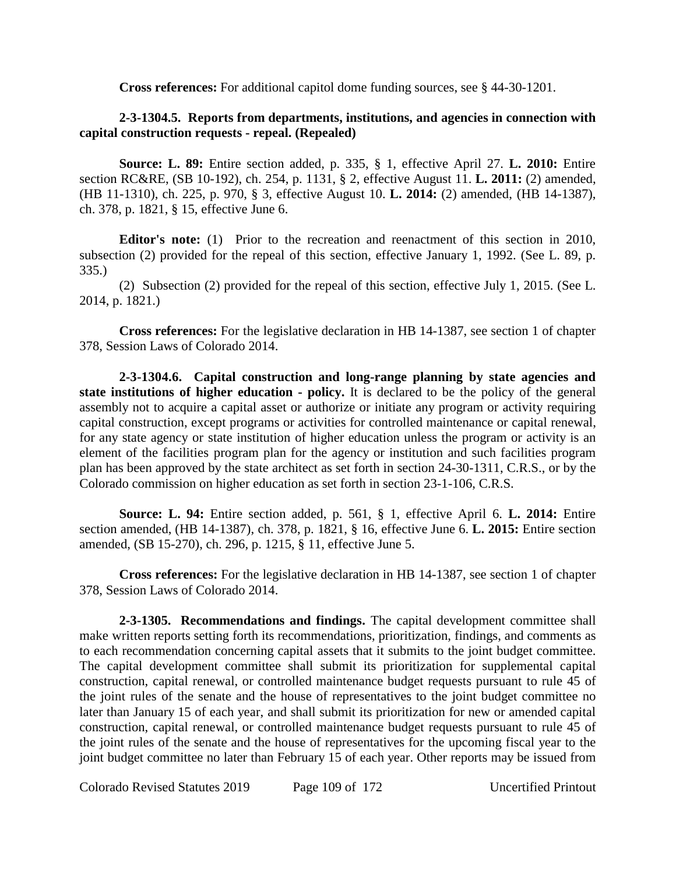**Cross references:** For additional capitol dome funding sources, see § 44-30-1201.

# **2-3-1304.5. Reports from departments, institutions, and agencies in connection with capital construction requests - repeal. (Repealed)**

**Source: L. 89:** Entire section added, p. 335, § 1, effective April 27. **L. 2010:** Entire section RC&RE, (SB 10-192), ch. 254, p. 1131, § 2, effective August 11. **L. 2011:** (2) amended, (HB 11-1310), ch. 225, p. 970, § 3, effective August 10. **L. 2014:** (2) amended, (HB 14-1387), ch. 378, p. 1821, § 15, effective June 6.

**Editor's note:** (1) Prior to the recreation and reenactment of this section in 2010, subsection (2) provided for the repeal of this section, effective January 1, 1992. (See L. 89, p. 335.)

(2) Subsection (2) provided for the repeal of this section, effective July 1, 2015. (See L. 2014, p. 1821.)

**Cross references:** For the legislative declaration in HB 14-1387, see section 1 of chapter 378, Session Laws of Colorado 2014.

**2-3-1304.6. Capital construction and long-range planning by state agencies and state institutions of higher education - policy.** It is declared to be the policy of the general assembly not to acquire a capital asset or authorize or initiate any program or activity requiring capital construction, except programs or activities for controlled maintenance or capital renewal, for any state agency or state institution of higher education unless the program or activity is an element of the facilities program plan for the agency or institution and such facilities program plan has been approved by the state architect as set forth in section 24-30-1311, C.R.S., or by the Colorado commission on higher education as set forth in section 23-1-106, C.R.S.

**Source: L. 94:** Entire section added, p. 561, § 1, effective April 6. **L. 2014:** Entire section amended, (HB 14-1387), ch. 378, p. 1821, § 16, effective June 6. **L. 2015:** Entire section amended, (SB 15-270), ch. 296, p. 1215, § 11, effective June 5.

**Cross references:** For the legislative declaration in HB 14-1387, see section 1 of chapter 378, Session Laws of Colorado 2014.

**2-3-1305. Recommendations and findings.** The capital development committee shall make written reports setting forth its recommendations, prioritization, findings, and comments as to each recommendation concerning capital assets that it submits to the joint budget committee. The capital development committee shall submit its prioritization for supplemental capital construction, capital renewal, or controlled maintenance budget requests pursuant to rule 45 of the joint rules of the senate and the house of representatives to the joint budget committee no later than January 15 of each year, and shall submit its prioritization for new or amended capital construction, capital renewal, or controlled maintenance budget requests pursuant to rule 45 of the joint rules of the senate and the house of representatives for the upcoming fiscal year to the joint budget committee no later than February 15 of each year. Other reports may be issued from

Colorado Revised Statutes 2019 Page 109 of 172 Uncertified Printout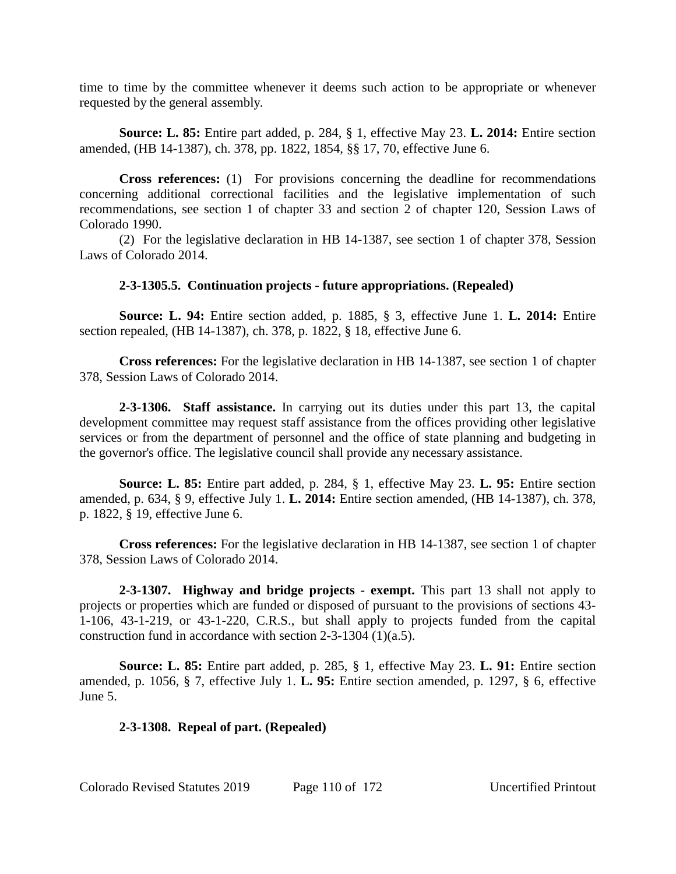time to time by the committee whenever it deems such action to be appropriate or whenever requested by the general assembly.

**Source: L. 85:** Entire part added, p. 284, § 1, effective May 23. **L. 2014:** Entire section amended, (HB 14-1387), ch. 378, pp. 1822, 1854, §§ 17, 70, effective June 6.

**Cross references:** (1) For provisions concerning the deadline for recommendations concerning additional correctional facilities and the legislative implementation of such recommendations, see section 1 of chapter 33 and section 2 of chapter 120, Session Laws of Colorado 1990.

(2) For the legislative declaration in HB 14-1387, see section 1 of chapter 378, Session Laws of Colorado 2014.

## **2-3-1305.5. Continuation projects - future appropriations. (Repealed)**

**Source: L. 94:** Entire section added, p. 1885, § 3, effective June 1. **L. 2014:** Entire section repealed, (HB 14-1387), ch. 378, p. 1822, § 18, effective June 6.

**Cross references:** For the legislative declaration in HB 14-1387, see section 1 of chapter 378, Session Laws of Colorado 2014.

**2-3-1306. Staff assistance.** In carrying out its duties under this part 13, the capital development committee may request staff assistance from the offices providing other legislative services or from the department of personnel and the office of state planning and budgeting in the governor's office. The legislative council shall provide any necessary assistance.

**Source: L. 85:** Entire part added, p. 284, § 1, effective May 23. **L. 95:** Entire section amended, p. 634, § 9, effective July 1. **L. 2014:** Entire section amended, (HB 14-1387), ch. 378, p. 1822, § 19, effective June 6.

**Cross references:** For the legislative declaration in HB 14-1387, see section 1 of chapter 378, Session Laws of Colorado 2014.

**2-3-1307. Highway and bridge projects - exempt.** This part 13 shall not apply to projects or properties which are funded or disposed of pursuant to the provisions of sections 43- 1-106, 43-1-219, or 43-1-220, C.R.S., but shall apply to projects funded from the capital construction fund in accordance with section 2-3-1304 (1)(a.5).

**Source: L. 85:** Entire part added, p. 285, § 1, effective May 23. **L. 91:** Entire section amended, p. 1056, § 7, effective July 1. **L. 95:** Entire section amended, p. 1297, § 6, effective June 5.

## **2-3-1308. Repeal of part. (Repealed)**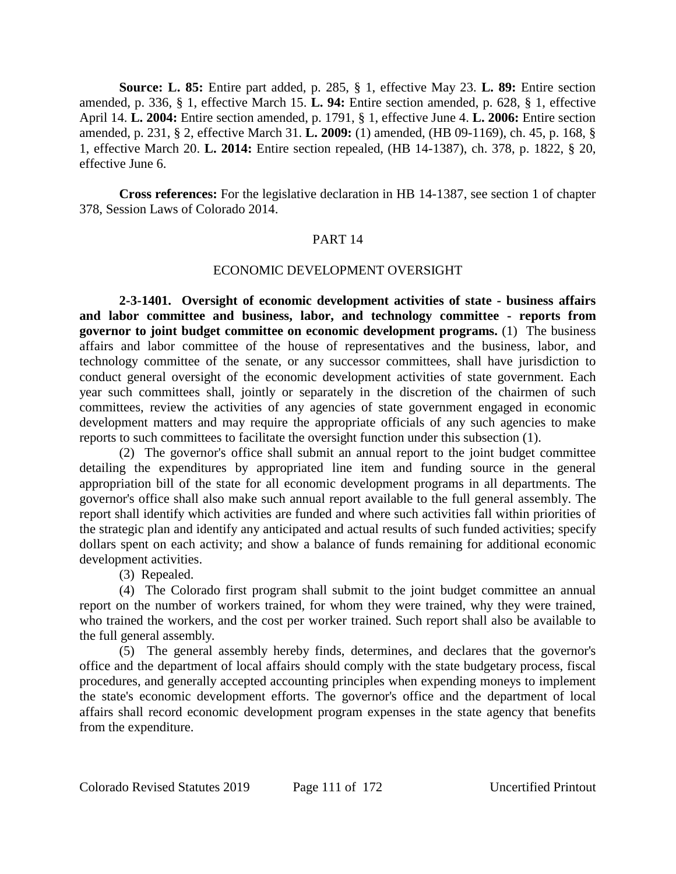**Source: L. 85:** Entire part added, p. 285, § 1, effective May 23. **L. 89:** Entire section amended, p. 336, § 1, effective March 15. **L. 94:** Entire section amended, p. 628, § 1, effective April 14. **L. 2004:** Entire section amended, p. 1791, § 1, effective June 4. **L. 2006:** Entire section amended, p. 231, § 2, effective March 31. **L. 2009:** (1) amended, (HB 09-1169), ch. 45, p. 168, § 1, effective March 20. **L. 2014:** Entire section repealed, (HB 14-1387), ch. 378, p. 1822, § 20, effective June 6.

**Cross references:** For the legislative declaration in HB 14-1387, see section 1 of chapter 378, Session Laws of Colorado 2014.

#### PART 14

#### ECONOMIC DEVELOPMENT OVERSIGHT

**2-3-1401. Oversight of economic development activities of state - business affairs and labor committee and business, labor, and technology committee - reports from governor to joint budget committee on economic development programs.** (1) The business affairs and labor committee of the house of representatives and the business, labor, and technology committee of the senate, or any successor committees, shall have jurisdiction to conduct general oversight of the economic development activities of state government. Each year such committees shall, jointly or separately in the discretion of the chairmen of such committees, review the activities of any agencies of state government engaged in economic development matters and may require the appropriate officials of any such agencies to make reports to such committees to facilitate the oversight function under this subsection (1).

(2) The governor's office shall submit an annual report to the joint budget committee detailing the expenditures by appropriated line item and funding source in the general appropriation bill of the state for all economic development programs in all departments. The governor's office shall also make such annual report available to the full general assembly. The report shall identify which activities are funded and where such activities fall within priorities of the strategic plan and identify any anticipated and actual results of such funded activities; specify dollars spent on each activity; and show a balance of funds remaining for additional economic development activities.

(3) Repealed.

(4) The Colorado first program shall submit to the joint budget committee an annual report on the number of workers trained, for whom they were trained, why they were trained, who trained the workers, and the cost per worker trained. Such report shall also be available to the full general assembly.

(5) The general assembly hereby finds, determines, and declares that the governor's office and the department of local affairs should comply with the state budgetary process, fiscal procedures, and generally accepted accounting principles when expending moneys to implement the state's economic development efforts. The governor's office and the department of local affairs shall record economic development program expenses in the state agency that benefits from the expenditure.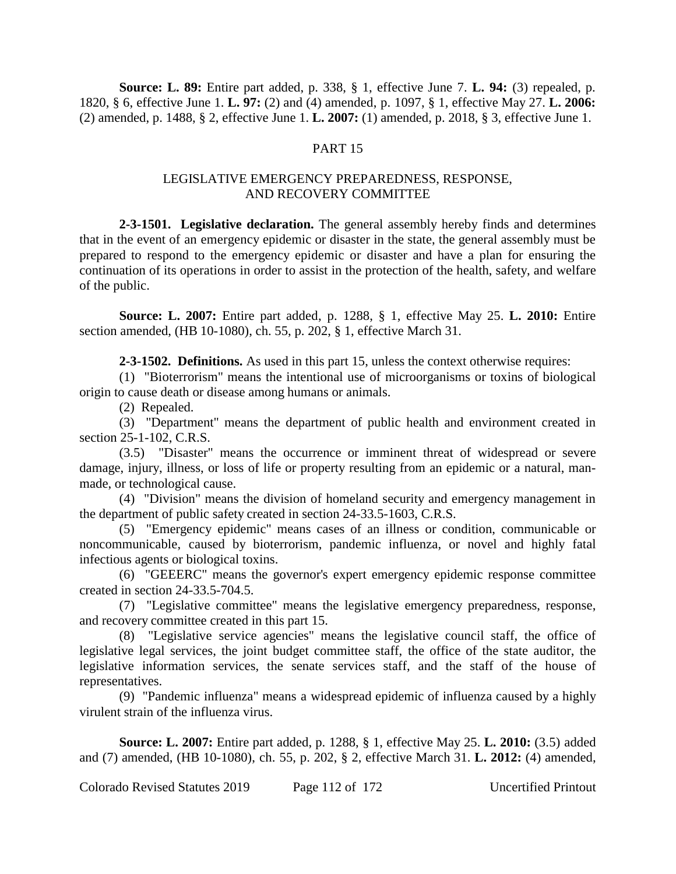**Source: L. 89:** Entire part added, p. 338, § 1, effective June 7. **L. 94:** (3) repealed, p. 1820, § 6, effective June 1. **L. 97:** (2) and (4) amended, p. 1097, § 1, effective May 27. **L. 2006:** (2) amended, p. 1488, § 2, effective June 1. **L. 2007:** (1) amended, p. 2018, § 3, effective June 1.

## PART 15

## LEGISLATIVE EMERGENCY PREPAREDNESS, RESPONSE, AND RECOVERY COMMITTEE

**2-3-1501. Legislative declaration.** The general assembly hereby finds and determines that in the event of an emergency epidemic or disaster in the state, the general assembly must be prepared to respond to the emergency epidemic or disaster and have a plan for ensuring the continuation of its operations in order to assist in the protection of the health, safety, and welfare of the public.

**Source: L. 2007:** Entire part added, p. 1288, § 1, effective May 25. **L. 2010:** Entire section amended, (HB 10-1080), ch. 55, p. 202, § 1, effective March 31.

**2-3-1502. Definitions.** As used in this part 15, unless the context otherwise requires:

(1) "Bioterrorism" means the intentional use of microorganisms or toxins of biological origin to cause death or disease among humans or animals.

(2) Repealed.

(3) "Department" means the department of public health and environment created in section 25-1-102, C.R.S.

(3.5) "Disaster" means the occurrence or imminent threat of widespread or severe damage, injury, illness, or loss of life or property resulting from an epidemic or a natural, manmade, or technological cause.

(4) "Division" means the division of homeland security and emergency management in the department of public safety created in section 24-33.5-1603, C.R.S.

(5) "Emergency epidemic" means cases of an illness or condition, communicable or noncommunicable, caused by bioterrorism, pandemic influenza, or novel and highly fatal infectious agents or biological toxins.

(6) "GEEERC" means the governor's expert emergency epidemic response committee created in section 24-33.5-704.5.

(7) "Legislative committee" means the legislative emergency preparedness, response, and recovery committee created in this part 15.

(8) "Legislative service agencies" means the legislative council staff, the office of legislative legal services, the joint budget committee staff, the office of the state auditor, the legislative information services, the senate services staff, and the staff of the house of representatives.

(9) "Pandemic influenza" means a widespread epidemic of influenza caused by a highly virulent strain of the influenza virus.

**Source: L. 2007:** Entire part added, p. 1288, § 1, effective May 25. **L. 2010:** (3.5) added and (7) amended, (HB 10-1080), ch. 55, p. 202, § 2, effective March 31. **L. 2012:** (4) amended,

Colorado Revised Statutes 2019 Page 112 of 172 Uncertified Printout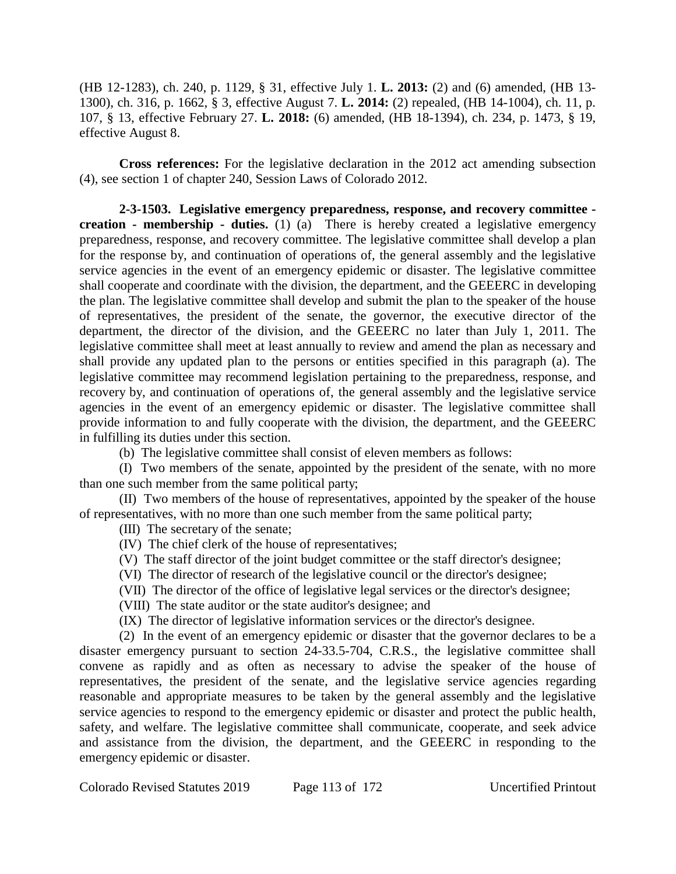(HB 12-1283), ch. 240, p. 1129, § 31, effective July 1. **L. 2013:** (2) and (6) amended, (HB 13- 1300), ch. 316, p. 1662, § 3, effective August 7. **L. 2014:** (2) repealed, (HB 14-1004), ch. 11, p. 107, § 13, effective February 27. **L. 2018:** (6) amended, (HB 18-1394), ch. 234, p. 1473, § 19, effective August 8.

**Cross references:** For the legislative declaration in the 2012 act amending subsection (4), see section 1 of chapter 240, Session Laws of Colorado 2012.

**2-3-1503. Legislative emergency preparedness, response, and recovery committee creation - membership - duties.** (1) (a) There is hereby created a legislative emergency preparedness, response, and recovery committee. The legislative committee shall develop a plan for the response by, and continuation of operations of, the general assembly and the legislative service agencies in the event of an emergency epidemic or disaster. The legislative committee shall cooperate and coordinate with the division, the department, and the GEEERC in developing the plan. The legislative committee shall develop and submit the plan to the speaker of the house of representatives, the president of the senate, the governor, the executive director of the department, the director of the division, and the GEEERC no later than July 1, 2011. The legislative committee shall meet at least annually to review and amend the plan as necessary and shall provide any updated plan to the persons or entities specified in this paragraph (a). The legislative committee may recommend legislation pertaining to the preparedness, response, and recovery by, and continuation of operations of, the general assembly and the legislative service agencies in the event of an emergency epidemic or disaster. The legislative committee shall provide information to and fully cooperate with the division, the department, and the GEEERC in fulfilling its duties under this section.

(b) The legislative committee shall consist of eleven members as follows:

(I) Two members of the senate, appointed by the president of the senate, with no more than one such member from the same political party;

(II) Two members of the house of representatives, appointed by the speaker of the house of representatives, with no more than one such member from the same political party;

(III) The secretary of the senate;

- (IV) The chief clerk of the house of representatives;
- (V) The staff director of the joint budget committee or the staff director's designee;
- (VI) The director of research of the legislative council or the director's designee;
- (VII) The director of the office of legislative legal services or the director's designee;
- (VIII) The state auditor or the state auditor's designee; and
- (IX) The director of legislative information services or the director's designee.

(2) In the event of an emergency epidemic or disaster that the governor declares to be a disaster emergency pursuant to section 24-33.5-704, C.R.S., the legislative committee shall convene as rapidly and as often as necessary to advise the speaker of the house of representatives, the president of the senate, and the legislative service agencies regarding reasonable and appropriate measures to be taken by the general assembly and the legislative service agencies to respond to the emergency epidemic or disaster and protect the public health, safety, and welfare. The legislative committee shall communicate, cooperate, and seek advice and assistance from the division, the department, and the GEEERC in responding to the emergency epidemic or disaster.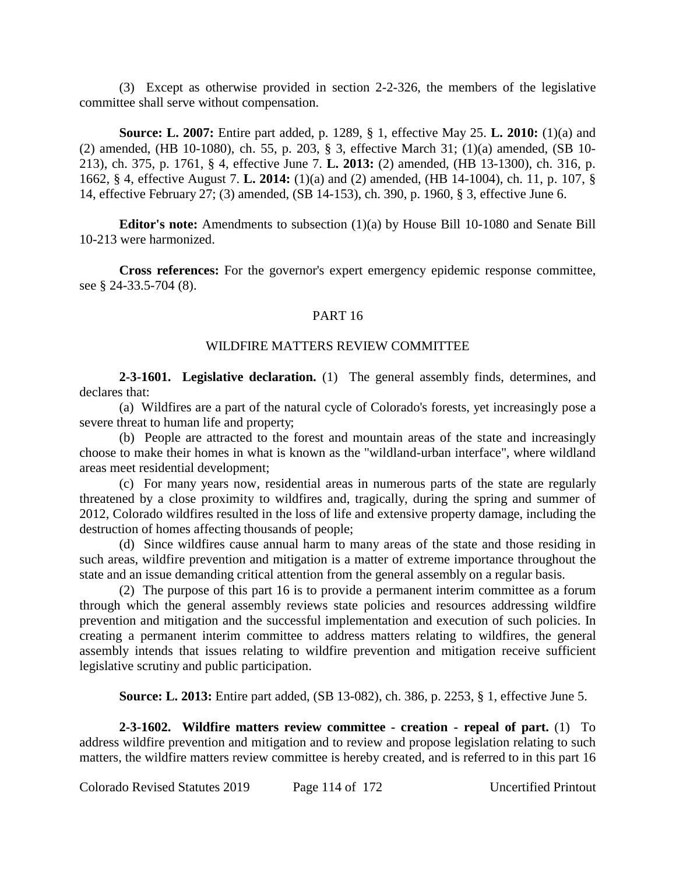(3) Except as otherwise provided in section 2-2-326, the members of the legislative committee shall serve without compensation.

**Source: L. 2007:** Entire part added, p. 1289, § 1, effective May 25. **L. 2010:** (1)(a) and (2) amended, (HB 10-1080), ch. 55, p. 203, § 3, effective March 31; (1)(a) amended, (SB 10- 213), ch. 375, p. 1761, § 4, effective June 7. **L. 2013:** (2) amended, (HB 13-1300), ch. 316, p. 1662, § 4, effective August 7. **L. 2014:** (1)(a) and (2) amended, (HB 14-1004), ch. 11, p. 107, § 14, effective February 27; (3) amended, (SB 14-153), ch. 390, p. 1960, § 3, effective June 6.

**Editor's note:** Amendments to subsection (1)(a) by House Bill 10-1080 and Senate Bill 10-213 were harmonized.

**Cross references:** For the governor's expert emergency epidemic response committee, see § 24-33.5-704 (8).

## PART 16

#### WILDFIRE MATTERS REVIEW COMMITTEE

**2-3-1601. Legislative declaration.** (1) The general assembly finds, determines, and declares that:

(a) Wildfires are a part of the natural cycle of Colorado's forests, yet increasingly pose a severe threat to human life and property;

(b) People are attracted to the forest and mountain areas of the state and increasingly choose to make their homes in what is known as the "wildland-urban interface", where wildland areas meet residential development;

(c) For many years now, residential areas in numerous parts of the state are regularly threatened by a close proximity to wildfires and, tragically, during the spring and summer of 2012, Colorado wildfires resulted in the loss of life and extensive property damage, including the destruction of homes affecting thousands of people;

(d) Since wildfires cause annual harm to many areas of the state and those residing in such areas, wildfire prevention and mitigation is a matter of extreme importance throughout the state and an issue demanding critical attention from the general assembly on a regular basis.

(2) The purpose of this part 16 is to provide a permanent interim committee as a forum through which the general assembly reviews state policies and resources addressing wildfire prevention and mitigation and the successful implementation and execution of such policies. In creating a permanent interim committee to address matters relating to wildfires, the general assembly intends that issues relating to wildfire prevention and mitigation receive sufficient legislative scrutiny and public participation.

**Source: L. 2013:** Entire part added, (SB 13-082), ch. 386, p. 2253, § 1, effective June 5.

**2-3-1602. Wildfire matters review committee - creation - repeal of part.** (1) To address wildfire prevention and mitigation and to review and propose legislation relating to such matters, the wildfire matters review committee is hereby created, and is referred to in this part 16

Colorado Revised Statutes 2019 Page 114 of 172 Uncertified Printout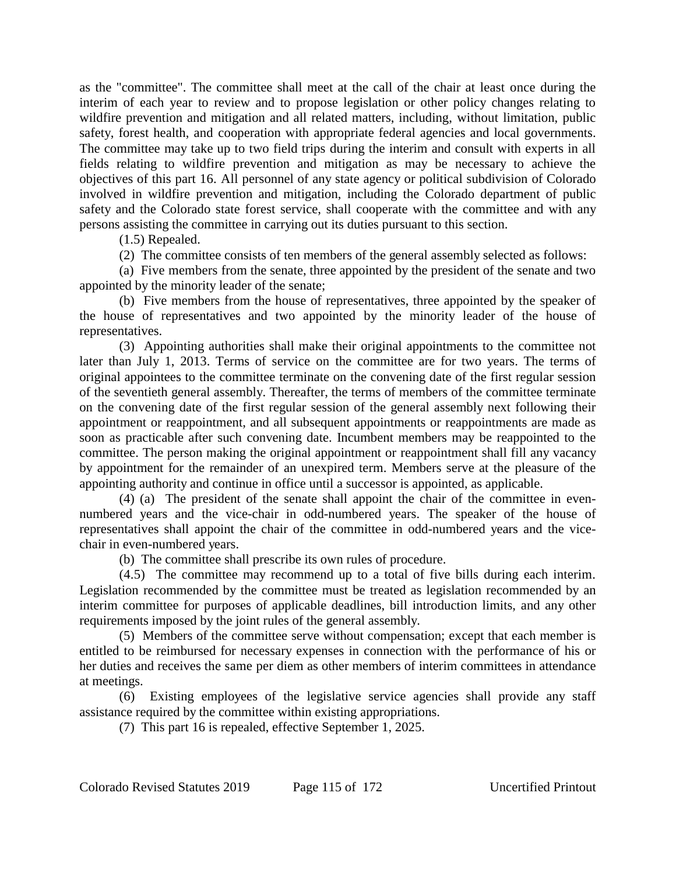as the "committee". The committee shall meet at the call of the chair at least once during the interim of each year to review and to propose legislation or other policy changes relating to wildfire prevention and mitigation and all related matters, including, without limitation, public safety, forest health, and cooperation with appropriate federal agencies and local governments. The committee may take up to two field trips during the interim and consult with experts in all fields relating to wildfire prevention and mitigation as may be necessary to achieve the objectives of this part 16. All personnel of any state agency or political subdivision of Colorado involved in wildfire prevention and mitigation, including the Colorado department of public safety and the Colorado state forest service, shall cooperate with the committee and with any persons assisting the committee in carrying out its duties pursuant to this section.

(1.5) Repealed.

(2) The committee consists of ten members of the general assembly selected as follows:

(a) Five members from the senate, three appointed by the president of the senate and two appointed by the minority leader of the senate;

(b) Five members from the house of representatives, three appointed by the speaker of the house of representatives and two appointed by the minority leader of the house of representatives.

(3) Appointing authorities shall make their original appointments to the committee not later than July 1, 2013. Terms of service on the committee are for two years. The terms of original appointees to the committee terminate on the convening date of the first regular session of the seventieth general assembly. Thereafter, the terms of members of the committee terminate on the convening date of the first regular session of the general assembly next following their appointment or reappointment, and all subsequent appointments or reappointments are made as soon as practicable after such convening date. Incumbent members may be reappointed to the committee. The person making the original appointment or reappointment shall fill any vacancy by appointment for the remainder of an unexpired term. Members serve at the pleasure of the appointing authority and continue in office until a successor is appointed, as applicable.

(4) (a) The president of the senate shall appoint the chair of the committee in evennumbered years and the vice-chair in odd-numbered years. The speaker of the house of representatives shall appoint the chair of the committee in odd-numbered years and the vicechair in even-numbered years.

(b) The committee shall prescribe its own rules of procedure.

(4.5) The committee may recommend up to a total of five bills during each interim. Legislation recommended by the committee must be treated as legislation recommended by an interim committee for purposes of applicable deadlines, bill introduction limits, and any other requirements imposed by the joint rules of the general assembly.

(5) Members of the committee serve without compensation; except that each member is entitled to be reimbursed for necessary expenses in connection with the performance of his or her duties and receives the same per diem as other members of interim committees in attendance at meetings.

(6) Existing employees of the legislative service agencies shall provide any staff assistance required by the committee within existing appropriations.

(7) This part 16 is repealed, effective September 1, 2025.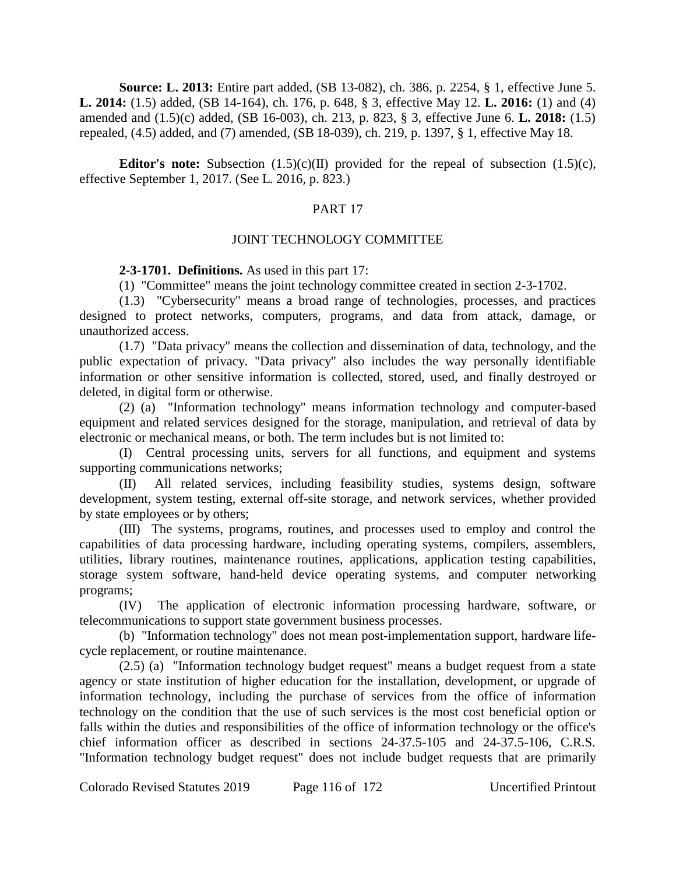**Source: L. 2013:** Entire part added, (SB 13-082), ch. 386, p. 2254, § 1, effective June 5. **L. 2014:** (1.5) added, (SB 14-164), ch. 176, p. 648, § 3, effective May 12. **L. 2016:** (1) and (4) amended and (1.5)(c) added, (SB 16-003), ch. 213, p. 823, § 3, effective June 6. **L. 2018:** (1.5) repealed, (4.5) added, and (7) amended, (SB 18-039), ch. 219, p. 1397, § 1, effective May 18.

**Editor's note:** Subsection  $(1.5)(c)(II)$  provided for the repeal of subsection  $(1.5)(c)$ , effective September 1, 2017. (See L. 2016, p. 823.)

# PART 17

## JOINT TECHNOLOGY COMMITTEE

**2-3-1701. Definitions.** As used in this part 17:

(1) "Committee" means the joint technology committee created in section 2-3-1702.

(1.3) "Cybersecurity" means a broad range of technologies, processes, and practices designed to protect networks, computers, programs, and data from attack, damage, or unauthorized access.

(1.7) "Data privacy" means the collection and dissemination of data, technology, and the public expectation of privacy. "Data privacy" also includes the way personally identifiable information or other sensitive information is collected, stored, used, and finally destroyed or deleted, in digital form or otherwise.

(2) (a) "Information technology" means information technology and computer-based equipment and related services designed for the storage, manipulation, and retrieval of data by electronic or mechanical means, or both. The term includes but is not limited to:

(I) Central processing units, servers for all functions, and equipment and systems supporting communications networks;

(II) All related services, including feasibility studies, systems design, software development, system testing, external off-site storage, and network services, whether provided by state employees or by others;

(III) The systems, programs, routines, and processes used to employ and control the capabilities of data processing hardware, including operating systems, compilers, assemblers, utilities, library routines, maintenance routines, applications, application testing capabilities, storage system software, hand-held device operating systems, and computer networking programs;

(IV) The application of electronic information processing hardware, software, or telecommunications to support state government business processes.

(b) "Information technology" does not mean post-implementation support, hardware lifecycle replacement, or routine maintenance.

(2.5) (a) "Information technology budget request" means a budget request from a state agency or state institution of higher education for the installation, development, or upgrade of information technology, including the purchase of services from the office of information technology on the condition that the use of such services is the most cost beneficial option or falls within the duties and responsibilities of the office of information technology or the office's chief information officer as described in sections 24-37.5-105 and 24-37.5-106, C.R.S. "Information technology budget request" does not include budget requests that are primarily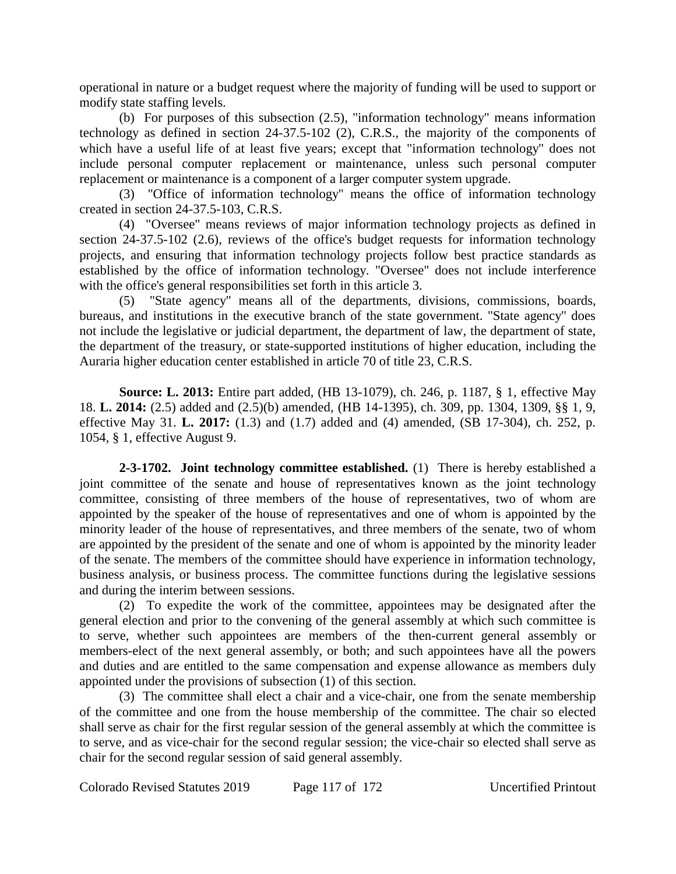operational in nature or a budget request where the majority of funding will be used to support or modify state staffing levels.

(b) For purposes of this subsection (2.5), "information technology" means information technology as defined in section 24-37.5-102 (2), C.R.S., the majority of the components of which have a useful life of at least five years; except that "information technology" does not include personal computer replacement or maintenance, unless such personal computer replacement or maintenance is a component of a larger computer system upgrade.

(3) "Office of information technology" means the office of information technology created in section 24-37.5-103, C.R.S.

(4) "Oversee" means reviews of major information technology projects as defined in section 24-37.5-102 (2.6), reviews of the office's budget requests for information technology projects, and ensuring that information technology projects follow best practice standards as established by the office of information technology. "Oversee" does not include interference with the office's general responsibilities set forth in this article 3.

(5) "State agency" means all of the departments, divisions, commissions, boards, bureaus, and institutions in the executive branch of the state government. "State agency" does not include the legislative or judicial department, the department of law, the department of state, the department of the treasury, or state-supported institutions of higher education, including the Auraria higher education center established in article 70 of title 23, C.R.S.

**Source: L. 2013:** Entire part added, (HB 13-1079), ch. 246, p. 1187, § 1, effective May 18. **L. 2014:** (2.5) added and (2.5)(b) amended, (HB 14-1395), ch. 309, pp. 1304, 1309, §§ 1, 9, effective May 31. **L. 2017:** (1.3) and (1.7) added and (4) amended, (SB 17-304), ch. 252, p. 1054, § 1, effective August 9.

**2-3-1702. Joint technology committee established.** (1) There is hereby established a joint committee of the senate and house of representatives known as the joint technology committee, consisting of three members of the house of representatives, two of whom are appointed by the speaker of the house of representatives and one of whom is appointed by the minority leader of the house of representatives, and three members of the senate, two of whom are appointed by the president of the senate and one of whom is appointed by the minority leader of the senate. The members of the committee should have experience in information technology, business analysis, or business process. The committee functions during the legislative sessions and during the interim between sessions.

(2) To expedite the work of the committee, appointees may be designated after the general election and prior to the convening of the general assembly at which such committee is to serve, whether such appointees are members of the then-current general assembly or members-elect of the next general assembly, or both; and such appointees have all the powers and duties and are entitled to the same compensation and expense allowance as members duly appointed under the provisions of subsection (1) of this section.

(3) The committee shall elect a chair and a vice-chair, one from the senate membership of the committee and one from the house membership of the committee. The chair so elected shall serve as chair for the first regular session of the general assembly at which the committee is to serve, and as vice-chair for the second regular session; the vice-chair so elected shall serve as chair for the second regular session of said general assembly.

Colorado Revised Statutes 2019 Page 117 of 172 Uncertified Printout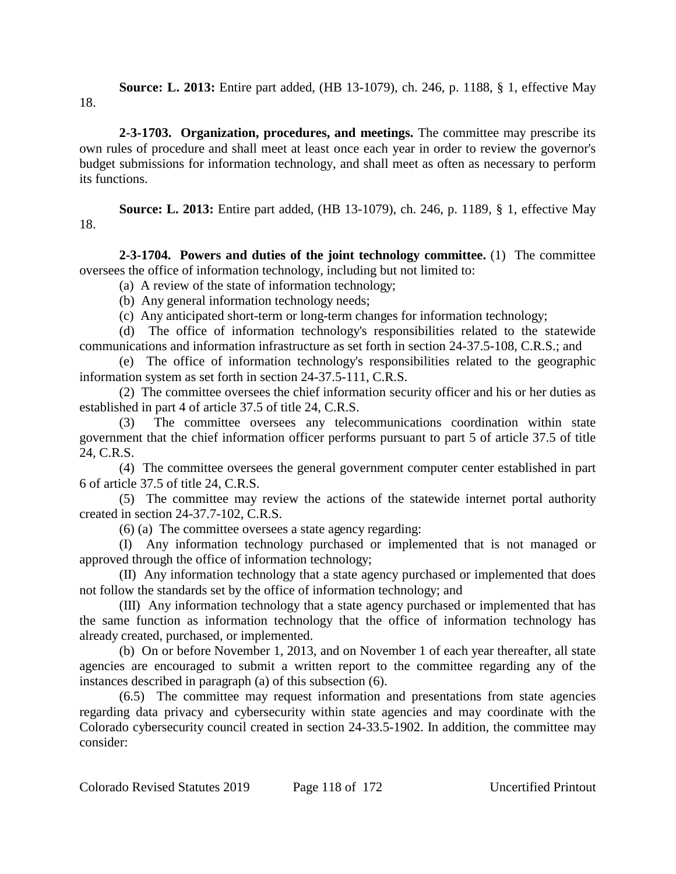**Source: L. 2013:** Entire part added, (HB 13-1079), ch. 246, p. 1188, § 1, effective May 18.

**2-3-1703. Organization, procedures, and meetings.** The committee may prescribe its own rules of procedure and shall meet at least once each year in order to review the governor's budget submissions for information technology, and shall meet as often as necessary to perform its functions.

**Source: L. 2013:** Entire part added, (HB 13-1079), ch. 246, p. 1189, § 1, effective May 18.

**2-3-1704. Powers and duties of the joint technology committee.** (1) The committee oversees the office of information technology, including but not limited to:

(a) A review of the state of information technology;

(b) Any general information technology needs;

(c) Any anticipated short-term or long-term changes for information technology;

(d) The office of information technology's responsibilities related to the statewide communications and information infrastructure as set forth in section 24-37.5-108, C.R.S.; and

(e) The office of information technology's responsibilities related to the geographic information system as set forth in section 24-37.5-111, C.R.S.

(2) The committee oversees the chief information security officer and his or her duties as established in part 4 of article 37.5 of title 24, C.R.S.

(3) The committee oversees any telecommunications coordination within state government that the chief information officer performs pursuant to part 5 of article 37.5 of title 24, C.R.S.

(4) The committee oversees the general government computer center established in part 6 of article 37.5 of title 24, C.R.S.

(5) The committee may review the actions of the statewide internet portal authority created in section 24-37.7-102, C.R.S.

(6) (a) The committee oversees a state agency regarding:

(I) Any information technology purchased or implemented that is not managed or approved through the office of information technology;

(II) Any information technology that a state agency purchased or implemented that does not follow the standards set by the office of information technology; and

(III) Any information technology that a state agency purchased or implemented that has the same function as information technology that the office of information technology has already created, purchased, or implemented.

(b) On or before November 1, 2013, and on November 1 of each year thereafter, all state agencies are encouraged to submit a written report to the committee regarding any of the instances described in paragraph (a) of this subsection (6).

(6.5) The committee may request information and presentations from state agencies regarding data privacy and cybersecurity within state agencies and may coordinate with the Colorado cybersecurity council created in section 24-33.5-1902. In addition, the committee may consider: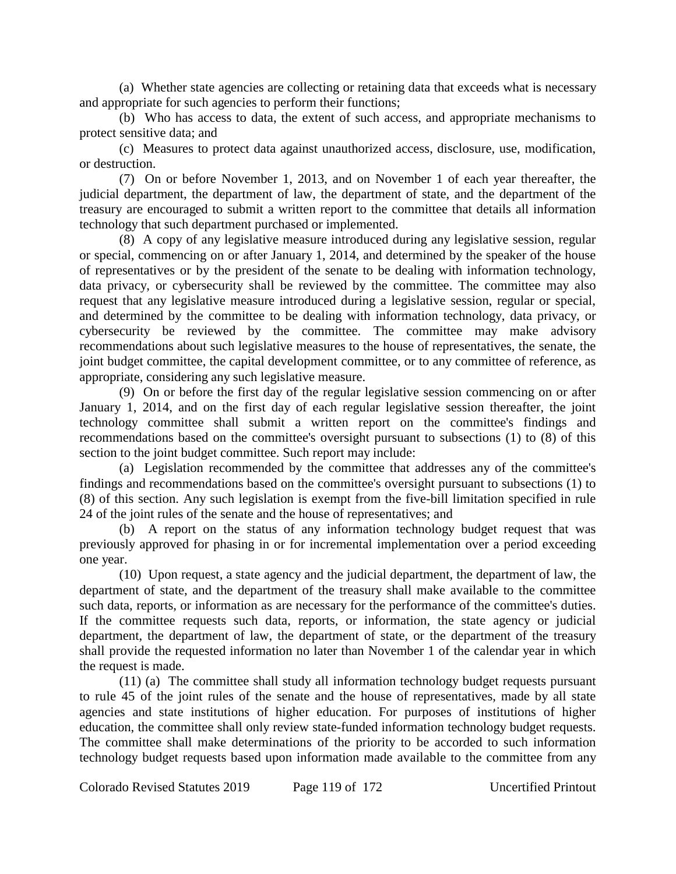(a) Whether state agencies are collecting or retaining data that exceeds what is necessary and appropriate for such agencies to perform their functions;

(b) Who has access to data, the extent of such access, and appropriate mechanisms to protect sensitive data; and

(c) Measures to protect data against unauthorized access, disclosure, use, modification, or destruction.

(7) On or before November 1, 2013, and on November 1 of each year thereafter, the judicial department, the department of law, the department of state, and the department of the treasury are encouraged to submit a written report to the committee that details all information technology that such department purchased or implemented.

(8) A copy of any legislative measure introduced during any legislative session, regular or special, commencing on or after January 1, 2014, and determined by the speaker of the house of representatives or by the president of the senate to be dealing with information technology, data privacy, or cybersecurity shall be reviewed by the committee. The committee may also request that any legislative measure introduced during a legislative session, regular or special, and determined by the committee to be dealing with information technology, data privacy, or cybersecurity be reviewed by the committee. The committee may make advisory recommendations about such legislative measures to the house of representatives, the senate, the joint budget committee, the capital development committee, or to any committee of reference, as appropriate, considering any such legislative measure.

(9) On or before the first day of the regular legislative session commencing on or after January 1, 2014, and on the first day of each regular legislative session thereafter, the joint technology committee shall submit a written report on the committee's findings and recommendations based on the committee's oversight pursuant to subsections (1) to (8) of this section to the joint budget committee. Such report may include:

(a) Legislation recommended by the committee that addresses any of the committee's findings and recommendations based on the committee's oversight pursuant to subsections (1) to (8) of this section. Any such legislation is exempt from the five-bill limitation specified in rule 24 of the joint rules of the senate and the house of representatives; and

(b) A report on the status of any information technology budget request that was previously approved for phasing in or for incremental implementation over a period exceeding one year.

(10) Upon request, a state agency and the judicial department, the department of law, the department of state, and the department of the treasury shall make available to the committee such data, reports, or information as are necessary for the performance of the committee's duties. If the committee requests such data, reports, or information, the state agency or judicial department, the department of law, the department of state, or the department of the treasury shall provide the requested information no later than November 1 of the calendar year in which the request is made.

(11) (a) The committee shall study all information technology budget requests pursuant to rule 45 of the joint rules of the senate and the house of representatives, made by all state agencies and state institutions of higher education. For purposes of institutions of higher education, the committee shall only review state-funded information technology budget requests. The committee shall make determinations of the priority to be accorded to such information technology budget requests based upon information made available to the committee from any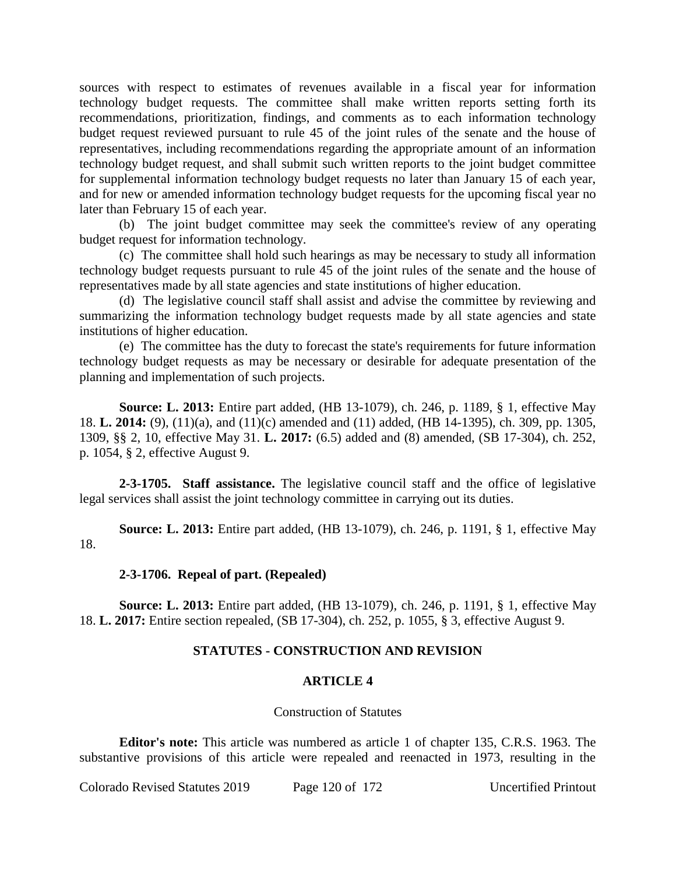sources with respect to estimates of revenues available in a fiscal year for information technology budget requests. The committee shall make written reports setting forth its recommendations, prioritization, findings, and comments as to each information technology budget request reviewed pursuant to rule 45 of the joint rules of the senate and the house of representatives, including recommendations regarding the appropriate amount of an information technology budget request, and shall submit such written reports to the joint budget committee for supplemental information technology budget requests no later than January 15 of each year, and for new or amended information technology budget requests for the upcoming fiscal year no later than February 15 of each year.

(b) The joint budget committee may seek the committee's review of any operating budget request for information technology.

(c) The committee shall hold such hearings as may be necessary to study all information technology budget requests pursuant to rule 45 of the joint rules of the senate and the house of representatives made by all state agencies and state institutions of higher education.

(d) The legislative council staff shall assist and advise the committee by reviewing and summarizing the information technology budget requests made by all state agencies and state institutions of higher education.

(e) The committee has the duty to forecast the state's requirements for future information technology budget requests as may be necessary or desirable for adequate presentation of the planning and implementation of such projects.

**Source: L. 2013:** Entire part added, (HB 13-1079), ch. 246, p. 1189, § 1, effective May 18. **L. 2014:** (9), (11)(a), and (11)(c) amended and (11) added, (HB 14-1395), ch. 309, pp. 1305, 1309, §§ 2, 10, effective May 31. **L. 2017:** (6.5) added and (8) amended, (SB 17-304), ch. 252, p. 1054, § 2, effective August 9.

**2-3-1705. Staff assistance.** The legislative council staff and the office of legislative legal services shall assist the joint technology committee in carrying out its duties.

**Source: L. 2013:** Entire part added, (HB 13-1079), ch. 246, p. 1191, § 1, effective May 18.

## **2-3-1706. Repeal of part. (Repealed)**

**Source: L. 2013:** Entire part added, (HB 13-1079), ch. 246, p. 1191, § 1, effective May 18. **L. 2017:** Entire section repealed, (SB 17-304), ch. 252, p. 1055, § 3, effective August 9.

## **STATUTES - CONSTRUCTION AND REVISION**

## **ARTICLE 4**

#### Construction of Statutes

**Editor's note:** This article was numbered as article 1 of chapter 135, C.R.S. 1963. The substantive provisions of this article were repealed and reenacted in 1973, resulting in the

Colorado Revised Statutes 2019 Page 120 of 172 Uncertified Printout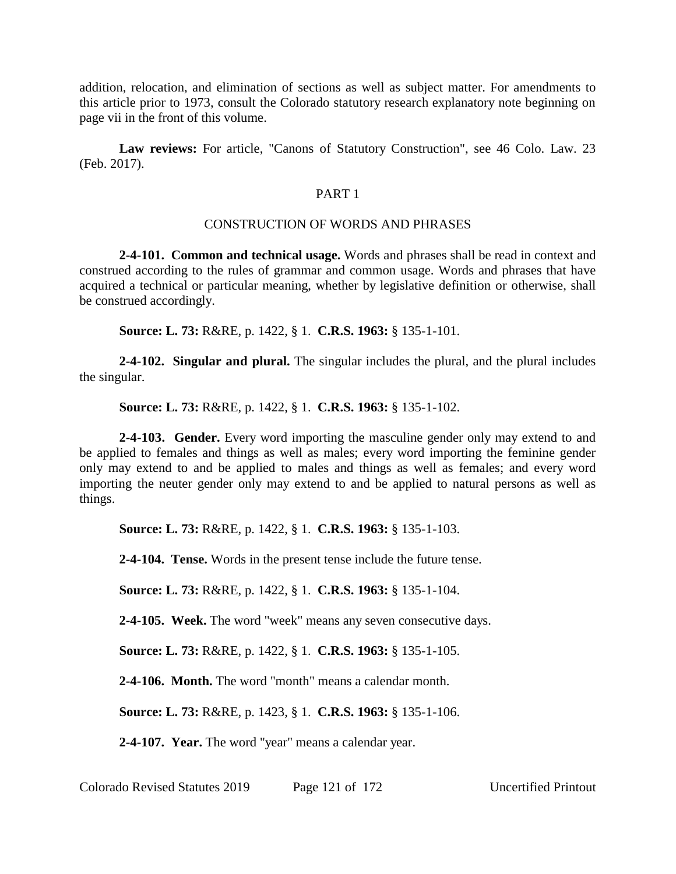addition, relocation, and elimination of sections as well as subject matter. For amendments to this article prior to 1973, consult the Colorado statutory research explanatory note beginning on page vii in the front of this volume.

**Law reviews:** For article, "Canons of Statutory Construction", see 46 Colo. Law. 23 (Feb. 2017).

## PART 1

#### CONSTRUCTION OF WORDS AND PHRASES

**2-4-101. Common and technical usage.** Words and phrases shall be read in context and construed according to the rules of grammar and common usage. Words and phrases that have acquired a technical or particular meaning, whether by legislative definition or otherwise, shall be construed accordingly.

**Source: L. 73:** R&RE, p. 1422, § 1. **C.R.S. 1963:** § 135-1-101.

**2-4-102. Singular and plural.** The singular includes the plural, and the plural includes the singular.

**Source: L. 73:** R&RE, p. 1422, § 1. **C.R.S. 1963:** § 135-1-102.

**2-4-103. Gender.** Every word importing the masculine gender only may extend to and be applied to females and things as well as males; every word importing the feminine gender only may extend to and be applied to males and things as well as females; and every word importing the neuter gender only may extend to and be applied to natural persons as well as things.

**Source: L. 73:** R&RE, p. 1422, § 1. **C.R.S. 1963:** § 135-1-103.

**2-4-104. Tense.** Words in the present tense include the future tense.

**Source: L. 73:** R&RE, p. 1422, § 1. **C.R.S. 1963:** § 135-1-104.

**2-4-105. Week.** The word "week" means any seven consecutive days.

**Source: L. 73:** R&RE, p. 1422, § 1. **C.R.S. 1963:** § 135-1-105.

**2-4-106. Month.** The word "month" means a calendar month.

**Source: L. 73:** R&RE, p. 1423, § 1. **C.R.S. 1963:** § 135-1-106.

**2-4-107. Year.** The word "year" means a calendar year.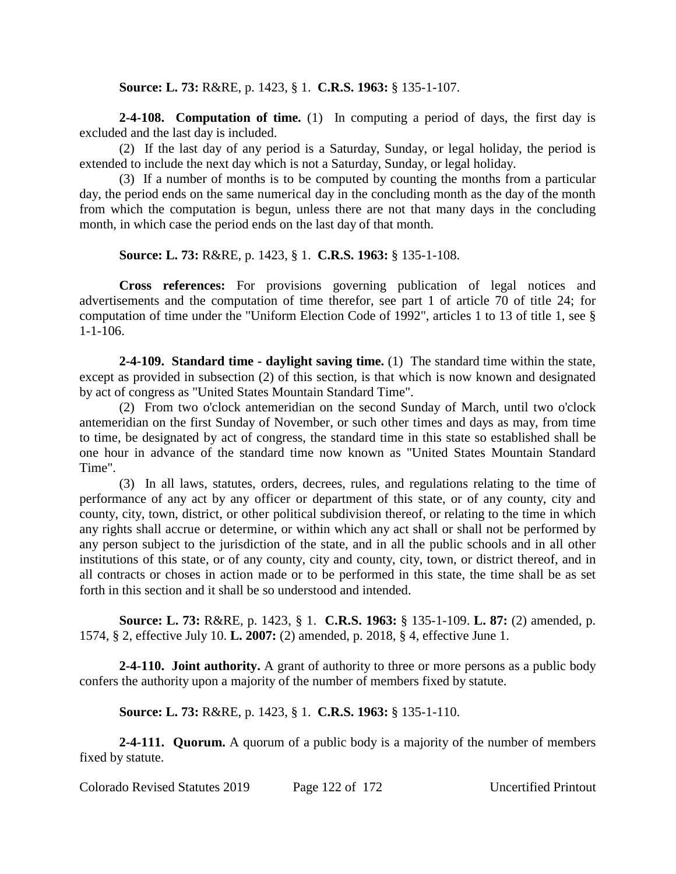**Source: L. 73:** R&RE, p. 1423, § 1. **C.R.S. 1963:** § 135-1-107.

**2-4-108. Computation of time.** (1) In computing a period of days, the first day is excluded and the last day is included.

(2) If the last day of any period is a Saturday, Sunday, or legal holiday, the period is extended to include the next day which is not a Saturday, Sunday, or legal holiday.

(3) If a number of months is to be computed by counting the months from a particular day, the period ends on the same numerical day in the concluding month as the day of the month from which the computation is begun, unless there are not that many days in the concluding month, in which case the period ends on the last day of that month.

**Source: L. 73:** R&RE, p. 1423, § 1. **C.R.S. 1963:** § 135-1-108.

**Cross references:** For provisions governing publication of legal notices and advertisements and the computation of time therefor, see part 1 of article 70 of title 24; for computation of time under the "Uniform Election Code of 1992", articles 1 to 13 of title 1, see § 1-1-106.

**2-4-109. Standard time - daylight saving time.** (1) The standard time within the state, except as provided in subsection (2) of this section, is that which is now known and designated by act of congress as "United States Mountain Standard Time".

(2) From two o'clock antemeridian on the second Sunday of March, until two o'clock antemeridian on the first Sunday of November, or such other times and days as may, from time to time, be designated by act of congress, the standard time in this state so established shall be one hour in advance of the standard time now known as "United States Mountain Standard Time".

(3) In all laws, statutes, orders, decrees, rules, and regulations relating to the time of performance of any act by any officer or department of this state, or of any county, city and county, city, town, district, or other political subdivision thereof, or relating to the time in which any rights shall accrue or determine, or within which any act shall or shall not be performed by any person subject to the jurisdiction of the state, and in all the public schools and in all other institutions of this state, or of any county, city and county, city, town, or district thereof, and in all contracts or choses in action made or to be performed in this state, the time shall be as set forth in this section and it shall be so understood and intended.

**Source: L. 73:** R&RE, p. 1423, § 1. **C.R.S. 1963:** § 135-1-109. **L. 87:** (2) amended, p. 1574, § 2, effective July 10. **L. 2007:** (2) amended, p. 2018, § 4, effective June 1.

**2-4-110. Joint authority.** A grant of authority to three or more persons as a public body confers the authority upon a majority of the number of members fixed by statute.

**Source: L. 73:** R&RE, p. 1423, § 1. **C.R.S. 1963:** § 135-1-110.

**2-4-111. Quorum.** A quorum of a public body is a majority of the number of members fixed by statute.

Colorado Revised Statutes 2019 Page 122 of 172 Uncertified Printout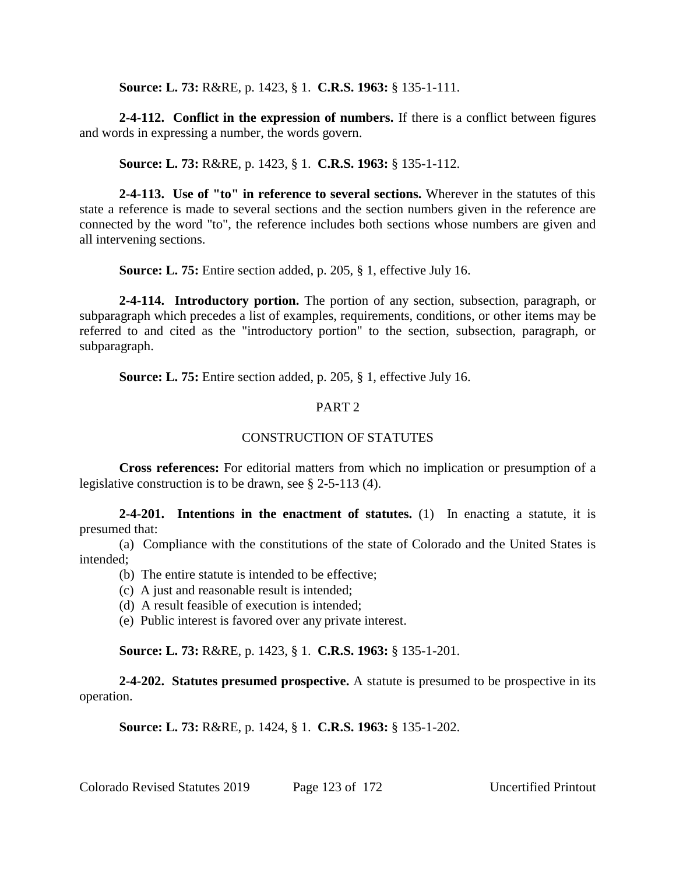**Source: L. 73:** R&RE, p. 1423, § 1. **C.R.S. 1963:** § 135-1-111.

**2-4-112. Conflict in the expression of numbers.** If there is a conflict between figures and words in expressing a number, the words govern.

**Source: L. 73:** R&RE, p. 1423, § 1. **C.R.S. 1963:** § 135-1-112.

**2-4-113. Use of "to" in reference to several sections.** Wherever in the statutes of this state a reference is made to several sections and the section numbers given in the reference are connected by the word "to", the reference includes both sections whose numbers are given and all intervening sections.

**Source: L. 75:** Entire section added, p. 205, § 1, effective July 16.

**2-4-114. Introductory portion.** The portion of any section, subsection, paragraph, or subparagraph which precedes a list of examples, requirements, conditions, or other items may be referred to and cited as the "introductory portion" to the section, subsection, paragraph, or subparagraph.

**Source: L. 75:** Entire section added, p. 205, § 1, effective July 16.

# PART 2

# CONSTRUCTION OF STATUTES

**Cross references:** For editorial matters from which no implication or presumption of a legislative construction is to be drawn, see § 2-5-113 (4).

**2-4-201. Intentions in the enactment of statutes.** (1) In enacting a statute, it is presumed that:

(a) Compliance with the constitutions of the state of Colorado and the United States is intended;

- (b) The entire statute is intended to be effective;
- (c) A just and reasonable result is intended;
- (d) A result feasible of execution is intended;
- (e) Public interest is favored over any private interest.

**Source: L. 73:** R&RE, p. 1423, § 1. **C.R.S. 1963:** § 135-1-201.

**2-4-202. Statutes presumed prospective.** A statute is presumed to be prospective in its operation.

**Source: L. 73:** R&RE, p. 1424, § 1. **C.R.S. 1963:** § 135-1-202.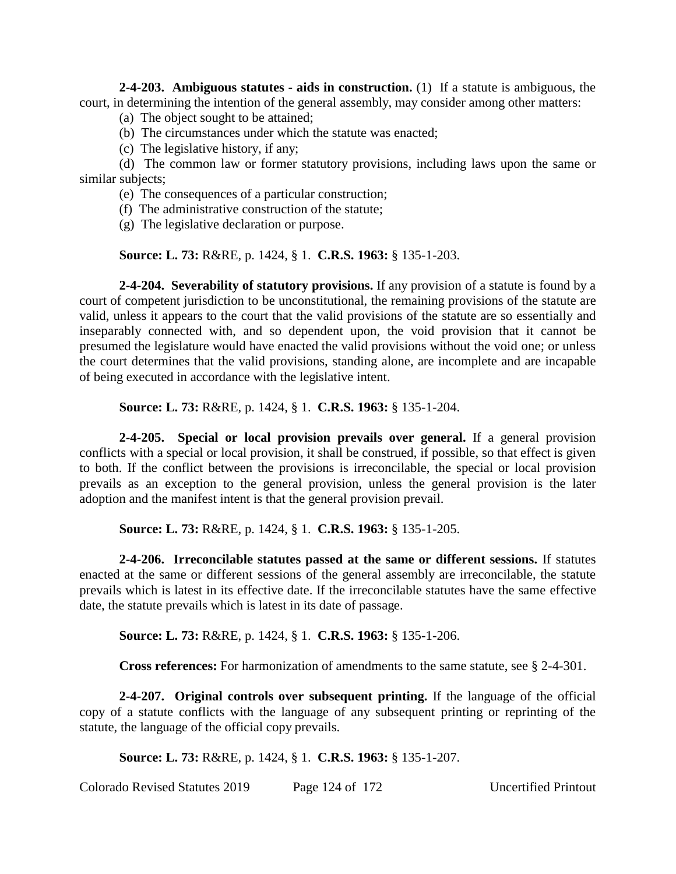**2-4-203. Ambiguous statutes - aids in construction.** (1) If a statute is ambiguous, the court, in determining the intention of the general assembly, may consider among other matters:

- (a) The object sought to be attained;
- (b) The circumstances under which the statute was enacted;
- (c) The legislative history, if any;

(d) The common law or former statutory provisions, including laws upon the same or similar subjects;

- (e) The consequences of a particular construction;
- (f) The administrative construction of the statute;
- (g) The legislative declaration or purpose.

**Source: L. 73:** R&RE, p. 1424, § 1. **C.R.S. 1963:** § 135-1-203.

**2-4-204. Severability of statutory provisions.** If any provision of a statute is found by a court of competent jurisdiction to be unconstitutional, the remaining provisions of the statute are valid, unless it appears to the court that the valid provisions of the statute are so essentially and inseparably connected with, and so dependent upon, the void provision that it cannot be presumed the legislature would have enacted the valid provisions without the void one; or unless the court determines that the valid provisions, standing alone, are incomplete and are incapable of being executed in accordance with the legislative intent.

**Source: L. 73:** R&RE, p. 1424, § 1. **C.R.S. 1963:** § 135-1-204.

**2-4-205. Special or local provision prevails over general.** If a general provision conflicts with a special or local provision, it shall be construed, if possible, so that effect is given to both. If the conflict between the provisions is irreconcilable, the special or local provision prevails as an exception to the general provision, unless the general provision is the later adoption and the manifest intent is that the general provision prevail.

**Source: L. 73:** R&RE, p. 1424, § 1. **C.R.S. 1963:** § 135-1-205.

**2-4-206. Irreconcilable statutes passed at the same or different sessions.** If statutes enacted at the same or different sessions of the general assembly are irreconcilable, the statute prevails which is latest in its effective date. If the irreconcilable statutes have the same effective date, the statute prevails which is latest in its date of passage.

**Source: L. 73:** R&RE, p. 1424, § 1. **C.R.S. 1963:** § 135-1-206.

**Cross references:** For harmonization of amendments to the same statute, see § 2-4-301.

**2-4-207. Original controls over subsequent printing.** If the language of the official copy of a statute conflicts with the language of any subsequent printing or reprinting of the statute, the language of the official copy prevails.

**Source: L. 73:** R&RE, p. 1424, § 1. **C.R.S. 1963:** § 135-1-207.

Colorado Revised Statutes 2019 Page 124 of 172 Uncertified Printout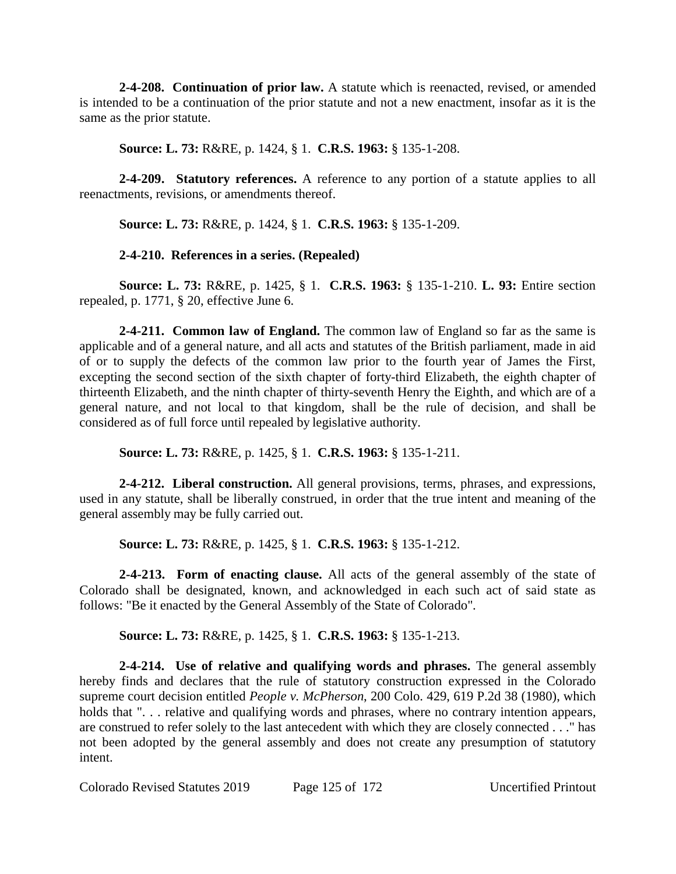**2-4-208. Continuation of prior law.** A statute which is reenacted, revised, or amended is intended to be a continuation of the prior statute and not a new enactment, insofar as it is the same as the prior statute.

**Source: L. 73:** R&RE, p. 1424, § 1. **C.R.S. 1963:** § 135-1-208.

**2-4-209. Statutory references.** A reference to any portion of a statute applies to all reenactments, revisions, or amendments thereof.

**Source: L. 73:** R&RE, p. 1424, § 1. **C.R.S. 1963:** § 135-1-209.

**2-4-210. References in a series. (Repealed)**

**Source: L. 73:** R&RE, p. 1425, § 1. **C.R.S. 1963:** § 135-1-210. **L. 93:** Entire section repealed, p. 1771, § 20, effective June 6.

**2-4-211. Common law of England.** The common law of England so far as the same is applicable and of a general nature, and all acts and statutes of the British parliament, made in aid of or to supply the defects of the common law prior to the fourth year of James the First, excepting the second section of the sixth chapter of forty-third Elizabeth, the eighth chapter of thirteenth Elizabeth, and the ninth chapter of thirty-seventh Henry the Eighth, and which are of a general nature, and not local to that kingdom, shall be the rule of decision, and shall be considered as of full force until repealed by legislative authority.

**Source: L. 73:** R&RE, p. 1425, § 1. **C.R.S. 1963:** § 135-1-211.

**2-4-212. Liberal construction.** All general provisions, terms, phrases, and expressions, used in any statute, shall be liberally construed, in order that the true intent and meaning of the general assembly may be fully carried out.

**Source: L. 73:** R&RE, p. 1425, § 1. **C.R.S. 1963:** § 135-1-212.

**2-4-213. Form of enacting clause.** All acts of the general assembly of the state of Colorado shall be designated, known, and acknowledged in each such act of said state as follows: "Be it enacted by the General Assembly of the State of Colorado".

**Source: L. 73:** R&RE, p. 1425, § 1. **C.R.S. 1963:** § 135-1-213.

**2-4-214. Use of relative and qualifying words and phrases.** The general assembly hereby finds and declares that the rule of statutory construction expressed in the Colorado supreme court decision entitled *People v. McPherson*, 200 Colo. 429, 619 P.2d 38 (1980), which holds that "... relative and qualifying words and phrases, where no contrary intention appears, are construed to refer solely to the last antecedent with which they are closely connected . . ." has not been adopted by the general assembly and does not create any presumption of statutory intent.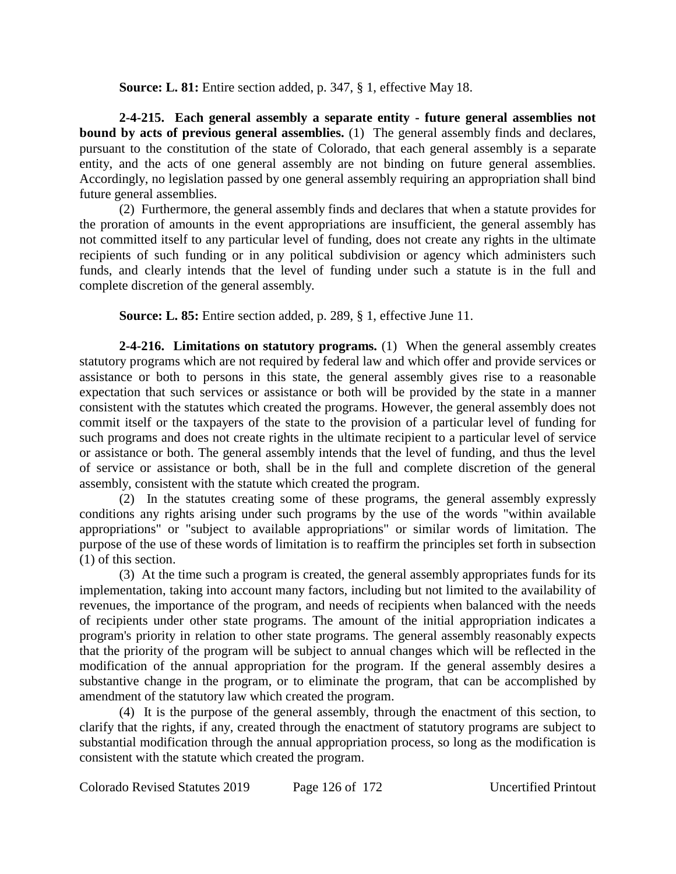**Source: L. 81:** Entire section added, p. 347, § 1, effective May 18.

**2-4-215. Each general assembly a separate entity - future general assemblies not bound by acts of previous general assemblies.** (1) The general assembly finds and declares, pursuant to the constitution of the state of Colorado, that each general assembly is a separate entity, and the acts of one general assembly are not binding on future general assemblies. Accordingly, no legislation passed by one general assembly requiring an appropriation shall bind future general assemblies.

(2) Furthermore, the general assembly finds and declares that when a statute provides for the proration of amounts in the event appropriations are insufficient, the general assembly has not committed itself to any particular level of funding, does not create any rights in the ultimate recipients of such funding or in any political subdivision or agency which administers such funds, and clearly intends that the level of funding under such a statute is in the full and complete discretion of the general assembly.

**Source: L. 85:** Entire section added, p. 289, § 1, effective June 11.

**2-4-216. Limitations on statutory programs.** (1) When the general assembly creates statutory programs which are not required by federal law and which offer and provide services or assistance or both to persons in this state, the general assembly gives rise to a reasonable expectation that such services or assistance or both will be provided by the state in a manner consistent with the statutes which created the programs. However, the general assembly does not commit itself or the taxpayers of the state to the provision of a particular level of funding for such programs and does not create rights in the ultimate recipient to a particular level of service or assistance or both. The general assembly intends that the level of funding, and thus the level of service or assistance or both, shall be in the full and complete discretion of the general assembly, consistent with the statute which created the program.

(2) In the statutes creating some of these programs, the general assembly expressly conditions any rights arising under such programs by the use of the words "within available appropriations" or "subject to available appropriations" or similar words of limitation. The purpose of the use of these words of limitation is to reaffirm the principles set forth in subsection (1) of this section.

(3) At the time such a program is created, the general assembly appropriates funds for its implementation, taking into account many factors, including but not limited to the availability of revenues, the importance of the program, and needs of recipients when balanced with the needs of recipients under other state programs. The amount of the initial appropriation indicates a program's priority in relation to other state programs. The general assembly reasonably expects that the priority of the program will be subject to annual changes which will be reflected in the modification of the annual appropriation for the program. If the general assembly desires a substantive change in the program, or to eliminate the program, that can be accomplished by amendment of the statutory law which created the program.

(4) It is the purpose of the general assembly, through the enactment of this section, to clarify that the rights, if any, created through the enactment of statutory programs are subject to substantial modification through the annual appropriation process, so long as the modification is consistent with the statute which created the program.

Colorado Revised Statutes 2019 Page 126 of 172 Uncertified Printout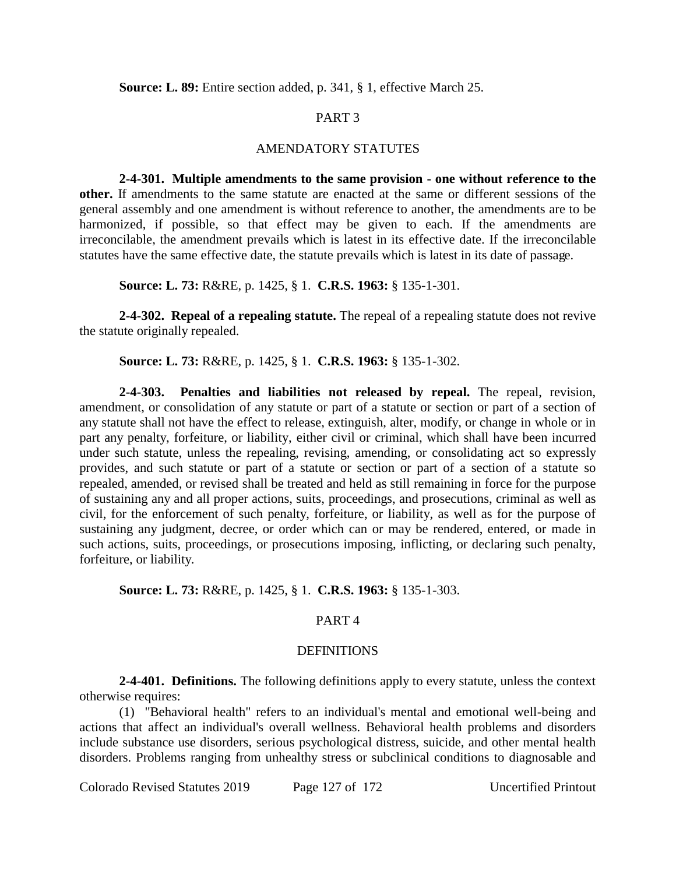**Source: L. 89:** Entire section added, p. 341, § 1, effective March 25.

# PART 3

## AMENDATORY STATUTES

**2-4-301. Multiple amendments to the same provision - one without reference to the other.** If amendments to the same statute are enacted at the same or different sessions of the general assembly and one amendment is without reference to another, the amendments are to be harmonized, if possible, so that effect may be given to each. If the amendments are irreconcilable, the amendment prevails which is latest in its effective date. If the irreconcilable statutes have the same effective date, the statute prevails which is latest in its date of passage.

**Source: L. 73:** R&RE, p. 1425, § 1. **C.R.S. 1963:** § 135-1-301.

**2-4-302. Repeal of a repealing statute.** The repeal of a repealing statute does not revive the statute originally repealed.

**Source: L. 73:** R&RE, p. 1425, § 1. **C.R.S. 1963:** § 135-1-302.

**2-4-303. Penalties and liabilities not released by repeal.** The repeal, revision, amendment, or consolidation of any statute or part of a statute or section or part of a section of any statute shall not have the effect to release, extinguish, alter, modify, or change in whole or in part any penalty, forfeiture, or liability, either civil or criminal, which shall have been incurred under such statute, unless the repealing, revising, amending, or consolidating act so expressly provides, and such statute or part of a statute or section or part of a section of a statute so repealed, amended, or revised shall be treated and held as still remaining in force for the purpose of sustaining any and all proper actions, suits, proceedings, and prosecutions, criminal as well as civil, for the enforcement of such penalty, forfeiture, or liability, as well as for the purpose of sustaining any judgment, decree, or order which can or may be rendered, entered, or made in such actions, suits, proceedings, or prosecutions imposing, inflicting, or declaring such penalty, forfeiture, or liability.

# **Source: L. 73:** R&RE, p. 1425, § 1. **C.R.S. 1963:** § 135-1-303.

# PART 4

## DEFINITIONS

**2-4-401. Definitions.** The following definitions apply to every statute, unless the context otherwise requires:

(1) "Behavioral health" refers to an individual's mental and emotional well-being and actions that affect an individual's overall wellness. Behavioral health problems and disorders include substance use disorders, serious psychological distress, suicide, and other mental health disorders. Problems ranging from unhealthy stress or subclinical conditions to diagnosable and

Colorado Revised Statutes 2019 Page 127 of 172 Uncertified Printout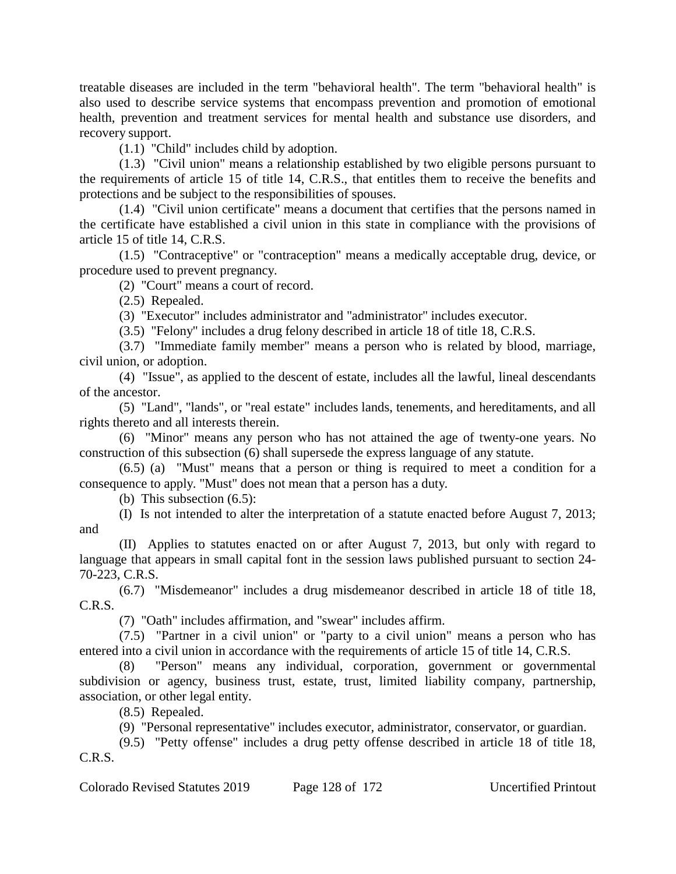treatable diseases are included in the term "behavioral health". The term "behavioral health" is also used to describe service systems that encompass prevention and promotion of emotional health, prevention and treatment services for mental health and substance use disorders, and recovery support.

(1.1) "Child" includes child by adoption.

(1.3) "Civil union" means a relationship established by two eligible persons pursuant to the requirements of article 15 of title 14, C.R.S., that entitles them to receive the benefits and protections and be subject to the responsibilities of spouses.

(1.4) "Civil union certificate" means a document that certifies that the persons named in the certificate have established a civil union in this state in compliance with the provisions of article 15 of title 14, C.R.S.

(1.5) "Contraceptive" or "contraception" means a medically acceptable drug, device, or procedure used to prevent pregnancy.

(2) "Court" means a court of record.

(2.5) Repealed.

(3) "Executor" includes administrator and "administrator" includes executor.

(3.5) "Felony" includes a drug felony described in article 18 of title 18, C.R.S.

(3.7) "Immediate family member" means a person who is related by blood, marriage, civil union, or adoption.

(4) "Issue", as applied to the descent of estate, includes all the lawful, lineal descendants of the ancestor.

(5) "Land", "lands", or "real estate" includes lands, tenements, and hereditaments, and all rights thereto and all interests therein.

(6) "Minor" means any person who has not attained the age of twenty-one years. No construction of this subsection (6) shall supersede the express language of any statute.

(6.5) (a) "Must" means that a person or thing is required to meet a condition for a consequence to apply. "Must" does not mean that a person has a duty.

(b) This subsection (6.5):

(I) Is not intended to alter the interpretation of a statute enacted before August 7, 2013; and

(II) Applies to statutes enacted on or after August 7, 2013, but only with regard to language that appears in small capital font in the session laws published pursuant to section 24- 70-223, C.R.S.

(6.7) "Misdemeanor" includes a drug misdemeanor described in article 18 of title 18, C.R.S.

(7) "Oath" includes affirmation, and "swear" includes affirm.

(7.5) "Partner in a civil union" or "party to a civil union" means a person who has entered into a civil union in accordance with the requirements of article 15 of title 14, C.R.S.

(8) "Person" means any individual, corporation, government or governmental subdivision or agency, business trust, estate, trust, limited liability company, partnership, association, or other legal entity.

(8.5) Repealed.

(9) "Personal representative" includes executor, administrator, conservator, or guardian.

(9.5) "Petty offense" includes a drug petty offense described in article 18 of title 18, C.R.S.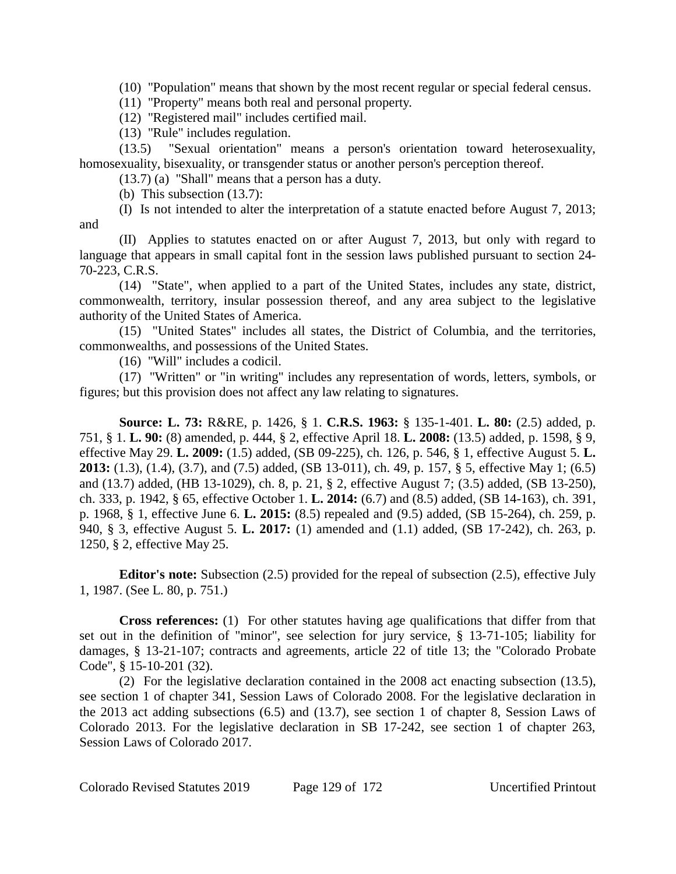(10) "Population" means that shown by the most recent regular or special federal census.

(11) "Property" means both real and personal property.

(12) "Registered mail" includes certified mail.

(13) "Rule" includes regulation.

(13.5) "Sexual orientation" means a person's orientation toward heterosexuality, homosexuality, bisexuality, or transgender status or another person's perception thereof.

(13.7) (a) "Shall" means that a person has a duty.

(b) This subsection (13.7):

(I) Is not intended to alter the interpretation of a statute enacted before August 7, 2013; and

(II) Applies to statutes enacted on or after August 7, 2013, but only with regard to language that appears in small capital font in the session laws published pursuant to section 24- 70-223, C.R.S.

(14) "State", when applied to a part of the United States, includes any state, district, commonwealth, territory, insular possession thereof, and any area subject to the legislative authority of the United States of America.

(15) "United States" includes all states, the District of Columbia, and the territories, commonwealths, and possessions of the United States.

(16) "Will" includes a codicil.

(17) "Written" or "in writing" includes any representation of words, letters, symbols, or figures; but this provision does not affect any law relating to signatures.

**Source: L. 73:** R&RE, p. 1426, § 1. **C.R.S. 1963:** § 135-1-401. **L. 80:** (2.5) added, p. 751, § 1. **L. 90:** (8) amended, p. 444, § 2, effective April 18. **L. 2008:** (13.5) added, p. 1598, § 9, effective May 29. **L. 2009:** (1.5) added, (SB 09-225), ch. 126, p. 546, § 1, effective August 5. **L. 2013:** (1.3), (1.4), (3.7), and (7.5) added, (SB 13-011), ch. 49, p. 157, § 5, effective May 1; (6.5) and (13.7) added, (HB 13-1029), ch. 8, p. 21, § 2, effective August 7; (3.5) added, (SB 13-250), ch. 333, p. 1942, § 65, effective October 1. **L. 2014:** (6.7) and (8.5) added, (SB 14-163), ch. 391, p. 1968, § 1, effective June 6. **L. 2015:** (8.5) repealed and (9.5) added, (SB 15-264), ch. 259, p. 940, § 3, effective August 5. **L. 2017:** (1) amended and (1.1) added, (SB 17-242), ch. 263, p. 1250, § 2, effective May 25.

**Editor's note:** Subsection (2.5) provided for the repeal of subsection (2.5), effective July 1, 1987. (See L. 80, p. 751.)

**Cross references:** (1) For other statutes having age qualifications that differ from that set out in the definition of "minor", see selection for jury service, § 13-71-105; liability for damages, § 13-21-107; contracts and agreements, article 22 of title 13; the "Colorado Probate Code", § 15-10-201 (32).

(2) For the legislative declaration contained in the 2008 act enacting subsection (13.5), see section 1 of chapter 341, Session Laws of Colorado 2008. For the legislative declaration in the 2013 act adding subsections (6.5) and (13.7), see section 1 of chapter 8, Session Laws of Colorado 2013. For the legislative declaration in SB 17-242, see section 1 of chapter 263, Session Laws of Colorado 2017.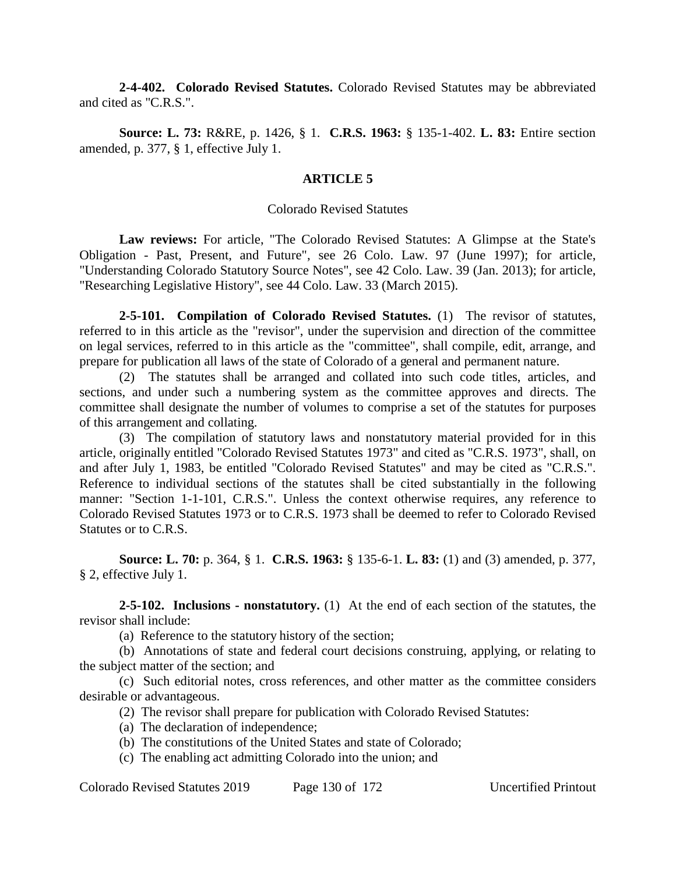**2-4-402. Colorado Revised Statutes.** Colorado Revised Statutes may be abbreviated and cited as "C.R.S.".

**Source: L. 73:** R&RE, p. 1426, § 1. **C.R.S. 1963:** § 135-1-402. **L. 83:** Entire section amended, p. 377, § 1, effective July 1.

#### **ARTICLE 5**

#### Colorado Revised Statutes

**Law reviews:** For article, "The Colorado Revised Statutes: A Glimpse at the State's Obligation - Past, Present, and Future", see 26 Colo. Law. 97 (June 1997); for article, "Understanding Colorado Statutory Source Notes", see 42 Colo. Law. 39 (Jan. 2013); for article, "Researching Legislative History", see 44 Colo. Law. 33 (March 2015).

**2-5-101. Compilation of Colorado Revised Statutes.** (1) The revisor of statutes, referred to in this article as the "revisor", under the supervision and direction of the committee on legal services, referred to in this article as the "committee", shall compile, edit, arrange, and prepare for publication all laws of the state of Colorado of a general and permanent nature.

(2) The statutes shall be arranged and collated into such code titles, articles, and sections, and under such a numbering system as the committee approves and directs. The committee shall designate the number of volumes to comprise a set of the statutes for purposes of this arrangement and collating.

(3) The compilation of statutory laws and nonstatutory material provided for in this article, originally entitled "Colorado Revised Statutes 1973" and cited as "C.R.S. 1973", shall, on and after July 1, 1983, be entitled "Colorado Revised Statutes" and may be cited as "C.R.S.". Reference to individual sections of the statutes shall be cited substantially in the following manner: "Section 1-1-101, C.R.S.". Unless the context otherwise requires, any reference to Colorado Revised Statutes 1973 or to C.R.S. 1973 shall be deemed to refer to Colorado Revised Statutes or to C.R.S.

**Source: L. 70:** p. 364, § 1. **C.R.S. 1963:** § 135-6-1. **L. 83:** (1) and (3) amended, p. 377, § 2, effective July 1.

**2-5-102. Inclusions - nonstatutory.** (1) At the end of each section of the statutes, the revisor shall include:

(a) Reference to the statutory history of the section;

(b) Annotations of state and federal court decisions construing, applying, or relating to the subject matter of the section; and

(c) Such editorial notes, cross references, and other matter as the committee considers desirable or advantageous.

(2) The revisor shall prepare for publication with Colorado Revised Statutes:

- (a) The declaration of independence;
- (b) The constitutions of the United States and state of Colorado;
- (c) The enabling act admitting Colorado into the union; and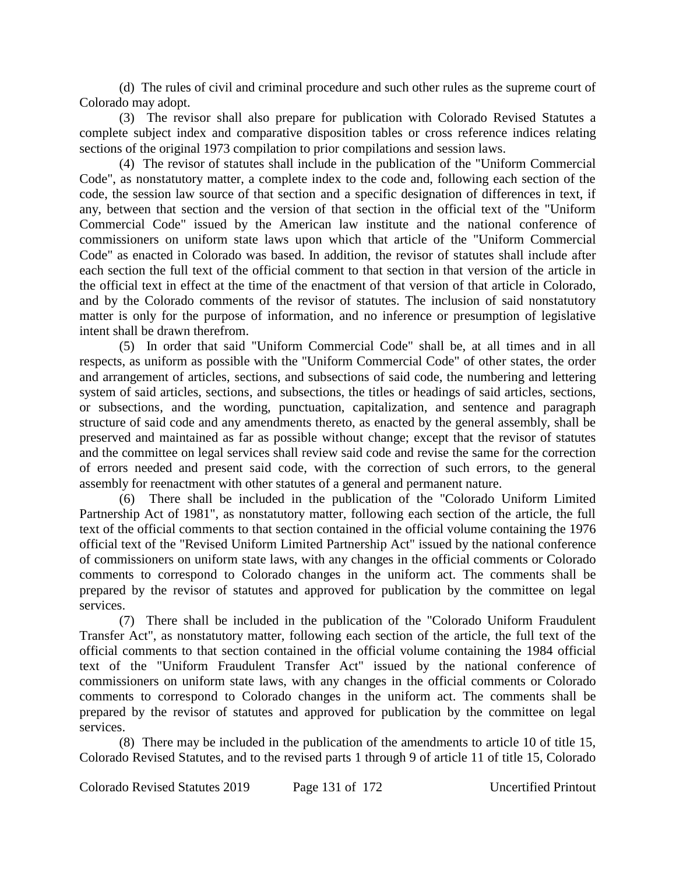(d) The rules of civil and criminal procedure and such other rules as the supreme court of Colorado may adopt.

(3) The revisor shall also prepare for publication with Colorado Revised Statutes a complete subject index and comparative disposition tables or cross reference indices relating sections of the original 1973 compilation to prior compilations and session laws.

(4) The revisor of statutes shall include in the publication of the "Uniform Commercial Code", as nonstatutory matter, a complete index to the code and, following each section of the code, the session law source of that section and a specific designation of differences in text, if any, between that section and the version of that section in the official text of the "Uniform Commercial Code" issued by the American law institute and the national conference of commissioners on uniform state laws upon which that article of the "Uniform Commercial Code" as enacted in Colorado was based. In addition, the revisor of statutes shall include after each section the full text of the official comment to that section in that version of the article in the official text in effect at the time of the enactment of that version of that article in Colorado, and by the Colorado comments of the revisor of statutes. The inclusion of said nonstatutory matter is only for the purpose of information, and no inference or presumption of legislative intent shall be drawn therefrom.

(5) In order that said "Uniform Commercial Code" shall be, at all times and in all respects, as uniform as possible with the "Uniform Commercial Code" of other states, the order and arrangement of articles, sections, and subsections of said code, the numbering and lettering system of said articles, sections, and subsections, the titles or headings of said articles, sections, or subsections, and the wording, punctuation, capitalization, and sentence and paragraph structure of said code and any amendments thereto, as enacted by the general assembly, shall be preserved and maintained as far as possible without change; except that the revisor of statutes and the committee on legal services shall review said code and revise the same for the correction of errors needed and present said code, with the correction of such errors, to the general assembly for reenactment with other statutes of a general and permanent nature.

(6) There shall be included in the publication of the "Colorado Uniform Limited Partnership Act of 1981", as nonstatutory matter, following each section of the article, the full text of the official comments to that section contained in the official volume containing the 1976 official text of the "Revised Uniform Limited Partnership Act" issued by the national conference of commissioners on uniform state laws, with any changes in the official comments or Colorado comments to correspond to Colorado changes in the uniform act. The comments shall be prepared by the revisor of statutes and approved for publication by the committee on legal services.

(7) There shall be included in the publication of the "Colorado Uniform Fraudulent Transfer Act", as nonstatutory matter, following each section of the article, the full text of the official comments to that section contained in the official volume containing the 1984 official text of the "Uniform Fraudulent Transfer Act" issued by the national conference of commissioners on uniform state laws, with any changes in the official comments or Colorado comments to correspond to Colorado changes in the uniform act. The comments shall be prepared by the revisor of statutes and approved for publication by the committee on legal services.

(8) There may be included in the publication of the amendments to article 10 of title 15, Colorado Revised Statutes, and to the revised parts 1 through 9 of article 11 of title 15, Colorado

Colorado Revised Statutes 2019 Page 131 of 172 Uncertified Printout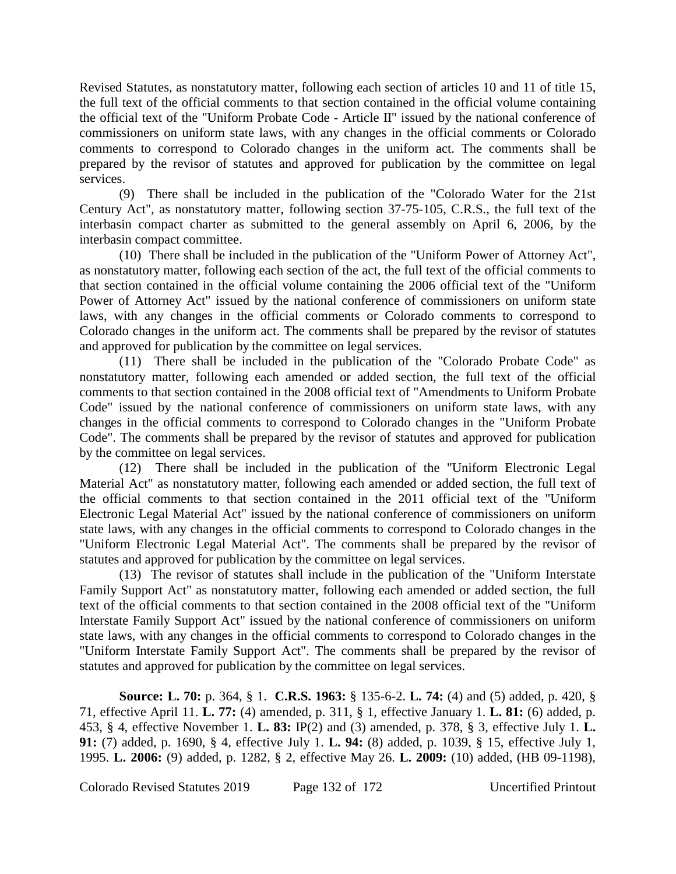Revised Statutes, as nonstatutory matter, following each section of articles 10 and 11 of title 15, the full text of the official comments to that section contained in the official volume containing the official text of the "Uniform Probate Code - Article II" issued by the national conference of commissioners on uniform state laws, with any changes in the official comments or Colorado comments to correspond to Colorado changes in the uniform act. The comments shall be prepared by the revisor of statutes and approved for publication by the committee on legal services.

(9) There shall be included in the publication of the "Colorado Water for the 21st Century Act", as nonstatutory matter, following section 37-75-105, C.R.S., the full text of the interbasin compact charter as submitted to the general assembly on April 6, 2006, by the interbasin compact committee.

(10) There shall be included in the publication of the "Uniform Power of Attorney Act", as nonstatutory matter, following each section of the act, the full text of the official comments to that section contained in the official volume containing the 2006 official text of the "Uniform Power of Attorney Act" issued by the national conference of commissioners on uniform state laws, with any changes in the official comments or Colorado comments to correspond to Colorado changes in the uniform act. The comments shall be prepared by the revisor of statutes and approved for publication by the committee on legal services.

(11) There shall be included in the publication of the "Colorado Probate Code" as nonstatutory matter, following each amended or added section, the full text of the official comments to that section contained in the 2008 official text of "Amendments to Uniform Probate Code" issued by the national conference of commissioners on uniform state laws, with any changes in the official comments to correspond to Colorado changes in the "Uniform Probate Code". The comments shall be prepared by the revisor of statutes and approved for publication by the committee on legal services.

(12) There shall be included in the publication of the "Uniform Electronic Legal Material Act" as nonstatutory matter, following each amended or added section, the full text of the official comments to that section contained in the 2011 official text of the "Uniform Electronic Legal Material Act" issued by the national conference of commissioners on uniform state laws, with any changes in the official comments to correspond to Colorado changes in the "Uniform Electronic Legal Material Act". The comments shall be prepared by the revisor of statutes and approved for publication by the committee on legal services.

(13) The revisor of statutes shall include in the publication of the "Uniform Interstate Family Support Act" as nonstatutory matter, following each amended or added section, the full text of the official comments to that section contained in the 2008 official text of the "Uniform Interstate Family Support Act" issued by the national conference of commissioners on uniform state laws, with any changes in the official comments to correspond to Colorado changes in the "Uniform Interstate Family Support Act". The comments shall be prepared by the revisor of statutes and approved for publication by the committee on legal services.

**Source: L. 70:** p. 364, § 1. **C.R.S. 1963:** § 135-6-2. **L. 74:** (4) and (5) added, p. 420, § 71, effective April 11. **L. 77:** (4) amended, p. 311, § 1, effective January 1. **L. 81:** (6) added, p. 453, § 4, effective November 1. **L. 83:** IP(2) and (3) amended, p. 378, § 3, effective July 1. **L. 91:** (7) added, p. 1690, § 4, effective July 1. **L. 94:** (8) added, p. 1039, § 15, effective July 1, 1995. **L. 2006:** (9) added, p. 1282, § 2, effective May 26. **L. 2009:** (10) added, (HB 09-1198),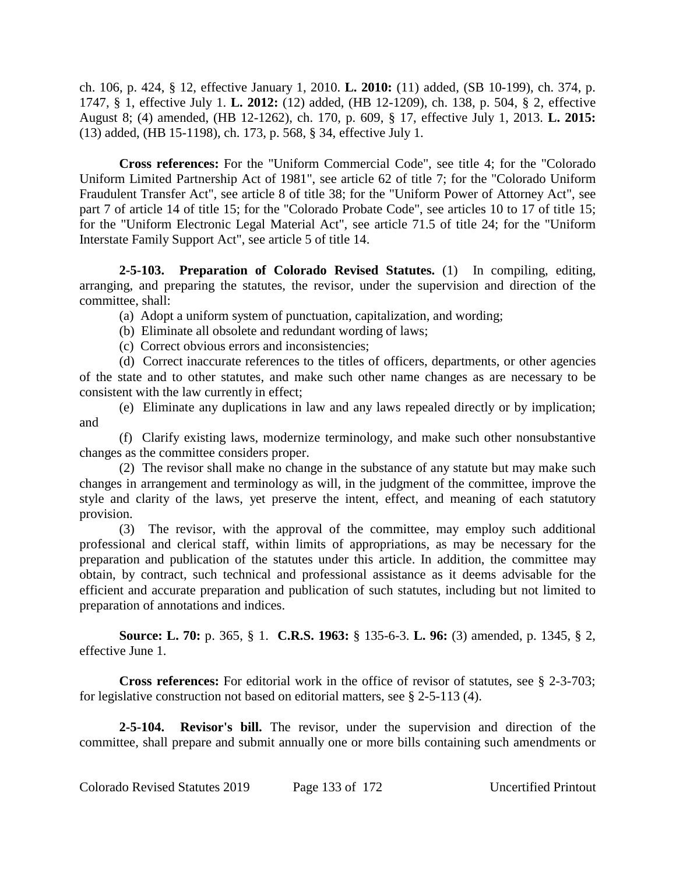ch. 106, p. 424, § 12, effective January 1, 2010. **L. 2010:** (11) added, (SB 10-199), ch. 374, p. 1747, § 1, effective July 1. **L. 2012:** (12) added, (HB 12-1209), ch. 138, p. 504, § 2, effective August 8; (4) amended, (HB 12-1262), ch. 170, p. 609, § 17, effective July 1, 2013. **L. 2015:** (13) added, (HB 15-1198), ch. 173, p. 568, § 34, effective July 1.

**Cross references:** For the "Uniform Commercial Code", see title 4; for the "Colorado Uniform Limited Partnership Act of 1981", see article 62 of title 7; for the "Colorado Uniform Fraudulent Transfer Act", see article 8 of title 38; for the "Uniform Power of Attorney Act", see part 7 of article 14 of title 15; for the "Colorado Probate Code", see articles 10 to 17 of title 15; for the "Uniform Electronic Legal Material Act", see article 71.5 of title 24; for the "Uniform Interstate Family Support Act", see article 5 of title 14.

**2-5-103. Preparation of Colorado Revised Statutes.** (1) In compiling, editing, arranging, and preparing the statutes, the revisor, under the supervision and direction of the committee, shall:

(a) Adopt a uniform system of punctuation, capitalization, and wording;

(b) Eliminate all obsolete and redundant wording of laws;

(c) Correct obvious errors and inconsistencies;

(d) Correct inaccurate references to the titles of officers, departments, or other agencies of the state and to other statutes, and make such other name changes as are necessary to be consistent with the law currently in effect;

(e) Eliminate any duplications in law and any laws repealed directly or by implication; and

(f) Clarify existing laws, modernize terminology, and make such other nonsubstantive changes as the committee considers proper.

(2) The revisor shall make no change in the substance of any statute but may make such changes in arrangement and terminology as will, in the judgment of the committee, improve the style and clarity of the laws, yet preserve the intent, effect, and meaning of each statutory provision.

(3) The revisor, with the approval of the committee, may employ such additional professional and clerical staff, within limits of appropriations, as may be necessary for the preparation and publication of the statutes under this article. In addition, the committee may obtain, by contract, such technical and professional assistance as it deems advisable for the efficient and accurate preparation and publication of such statutes, including but not limited to preparation of annotations and indices.

**Source: L. 70:** p. 365, § 1. **C.R.S. 1963:** § 135-6-3. **L. 96:** (3) amended, p. 1345, § 2, effective June 1.

**Cross references:** For editorial work in the office of revisor of statutes, see § 2-3-703; for legislative construction not based on editorial matters, see § 2-5-113 (4).

**2-5-104. Revisor's bill.** The revisor, under the supervision and direction of the committee, shall prepare and submit annually one or more bills containing such amendments or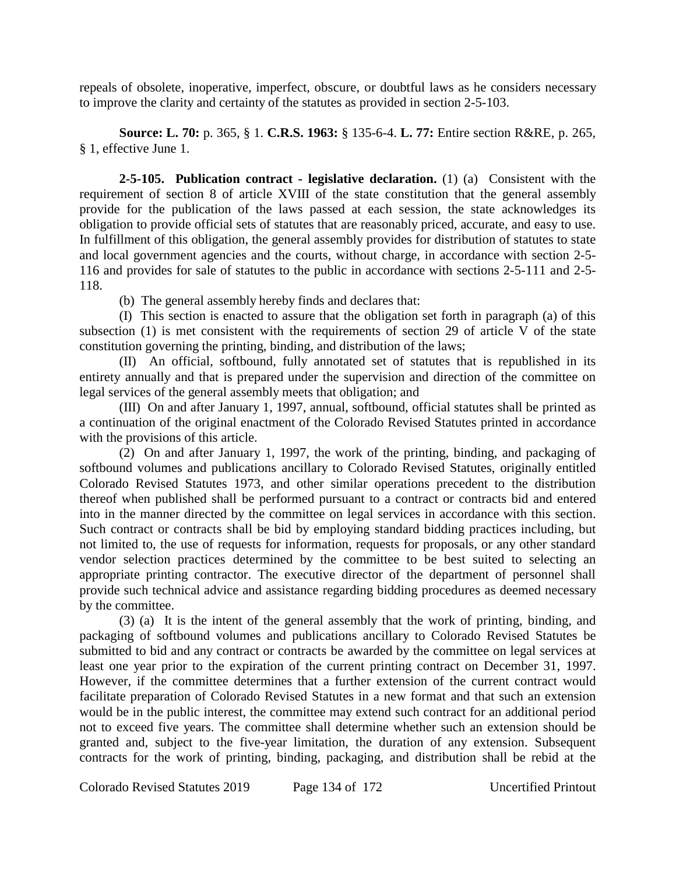repeals of obsolete, inoperative, imperfect, obscure, or doubtful laws as he considers necessary to improve the clarity and certainty of the statutes as provided in section 2-5-103.

**Source: L. 70:** p. 365, § 1. **C.R.S. 1963:** § 135-6-4. **L. 77:** Entire section R&RE, p. 265, § 1, effective June 1.

**2-5-105. Publication contract - legislative declaration.** (1) (a) Consistent with the requirement of section 8 of article XVIII of the state constitution that the general assembly provide for the publication of the laws passed at each session, the state acknowledges its obligation to provide official sets of statutes that are reasonably priced, accurate, and easy to use. In fulfillment of this obligation, the general assembly provides for distribution of statutes to state and local government agencies and the courts, without charge, in accordance with section 2-5- 116 and provides for sale of statutes to the public in accordance with sections 2-5-111 and 2-5- 118.

(b) The general assembly hereby finds and declares that:

(I) This section is enacted to assure that the obligation set forth in paragraph (a) of this subsection (1) is met consistent with the requirements of section 29 of article V of the state constitution governing the printing, binding, and distribution of the laws;

(II) An official, softbound, fully annotated set of statutes that is republished in its entirety annually and that is prepared under the supervision and direction of the committee on legal services of the general assembly meets that obligation; and

(III) On and after January 1, 1997, annual, softbound, official statutes shall be printed as a continuation of the original enactment of the Colorado Revised Statutes printed in accordance with the provisions of this article.

(2) On and after January 1, 1997, the work of the printing, binding, and packaging of softbound volumes and publications ancillary to Colorado Revised Statutes, originally entitled Colorado Revised Statutes 1973, and other similar operations precedent to the distribution thereof when published shall be performed pursuant to a contract or contracts bid and entered into in the manner directed by the committee on legal services in accordance with this section. Such contract or contracts shall be bid by employing standard bidding practices including, but not limited to, the use of requests for information, requests for proposals, or any other standard vendor selection practices determined by the committee to be best suited to selecting an appropriate printing contractor. The executive director of the department of personnel shall provide such technical advice and assistance regarding bidding procedures as deemed necessary by the committee.

(3) (a) It is the intent of the general assembly that the work of printing, binding, and packaging of softbound volumes and publications ancillary to Colorado Revised Statutes be submitted to bid and any contract or contracts be awarded by the committee on legal services at least one year prior to the expiration of the current printing contract on December 31, 1997. However, if the committee determines that a further extension of the current contract would facilitate preparation of Colorado Revised Statutes in a new format and that such an extension would be in the public interest, the committee may extend such contract for an additional period not to exceed five years. The committee shall determine whether such an extension should be granted and, subject to the five-year limitation, the duration of any extension. Subsequent contracts for the work of printing, binding, packaging, and distribution shall be rebid at the

Colorado Revised Statutes 2019 Page 134 of 172 Uncertified Printout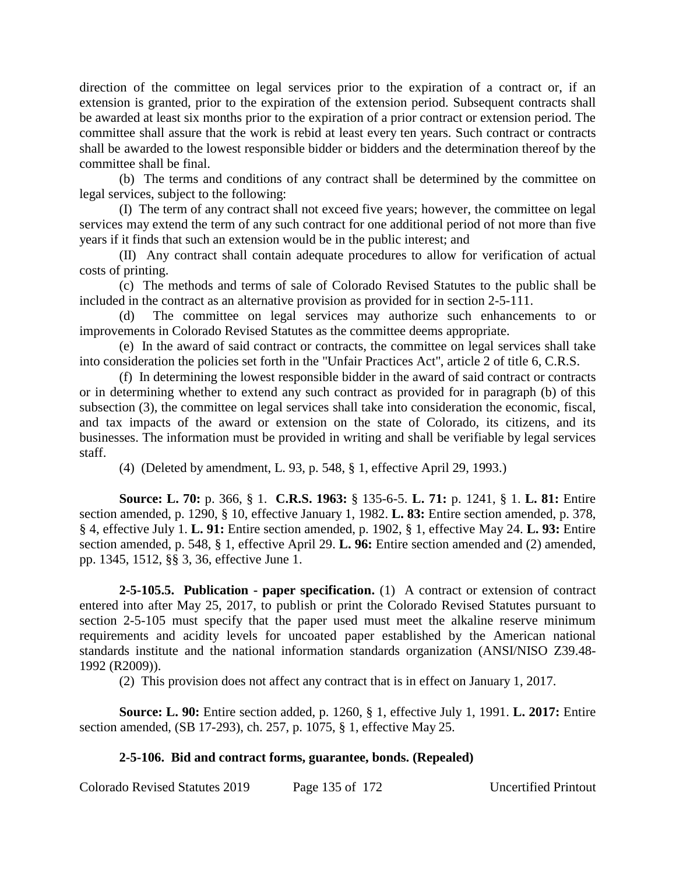direction of the committee on legal services prior to the expiration of a contract or, if an extension is granted, prior to the expiration of the extension period. Subsequent contracts shall be awarded at least six months prior to the expiration of a prior contract or extension period. The committee shall assure that the work is rebid at least every ten years. Such contract or contracts shall be awarded to the lowest responsible bidder or bidders and the determination thereof by the committee shall be final.

(b) The terms and conditions of any contract shall be determined by the committee on legal services, subject to the following:

(I) The term of any contract shall not exceed five years; however, the committee on legal services may extend the term of any such contract for one additional period of not more than five years if it finds that such an extension would be in the public interest; and

(II) Any contract shall contain adequate procedures to allow for verification of actual costs of printing.

(c) The methods and terms of sale of Colorado Revised Statutes to the public shall be included in the contract as an alternative provision as provided for in section 2-5-111.

(d) The committee on legal services may authorize such enhancements to or improvements in Colorado Revised Statutes as the committee deems appropriate.

(e) In the award of said contract or contracts, the committee on legal services shall take into consideration the policies set forth in the "Unfair Practices Act", article 2 of title 6, C.R.S.

(f) In determining the lowest responsible bidder in the award of said contract or contracts or in determining whether to extend any such contract as provided for in paragraph (b) of this subsection (3), the committee on legal services shall take into consideration the economic, fiscal, and tax impacts of the award or extension on the state of Colorado, its citizens, and its businesses. The information must be provided in writing and shall be verifiable by legal services staff.

(4) (Deleted by amendment, L. 93, p. 548, § 1, effective April 29, 1993.)

**Source: L. 70:** p. 366, § 1. **C.R.S. 1963:** § 135-6-5. **L. 71:** p. 1241, § 1. **L. 81:** Entire section amended, p. 1290, § 10, effective January 1, 1982. **L. 83:** Entire section amended, p. 378, § 4, effective July 1. **L. 91:** Entire section amended, p. 1902, § 1, effective May 24. **L. 93:** Entire section amended, p. 548, § 1, effective April 29. **L. 96:** Entire section amended and (2) amended, pp. 1345, 1512, §§ 3, 36, effective June 1.

**2-5-105.5. Publication - paper specification.** (1) A contract or extension of contract entered into after May 25, 2017, to publish or print the Colorado Revised Statutes pursuant to section 2-5-105 must specify that the paper used must meet the alkaline reserve minimum requirements and acidity levels for uncoated paper established by the American national standards institute and the national information standards organization (ANSI/NISO Z39.48- 1992 (R2009)).

(2) This provision does not affect any contract that is in effect on January 1, 2017.

**Source: L. 90:** Entire section added, p. 1260, § 1, effective July 1, 1991. **L. 2017:** Entire section amended, (SB 17-293), ch. 257, p. 1075, § 1, effective May 25.

# **2-5-106. Bid and contract forms, guarantee, bonds. (Repealed)**

Colorado Revised Statutes 2019 Page 135 of 172 Uncertified Printout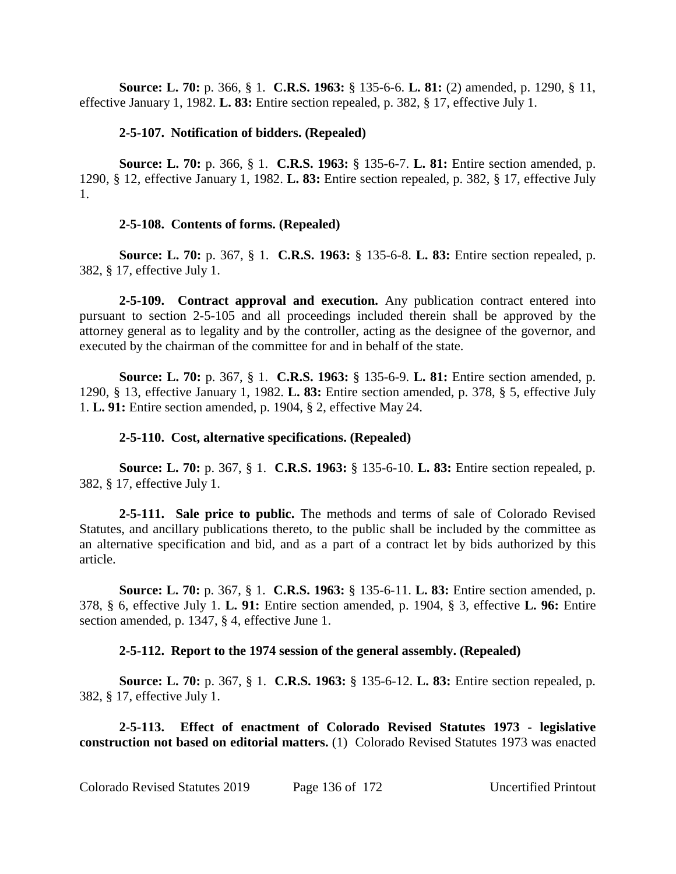**Source: L. 70:** p. 366, § 1. **C.R.S. 1963:** § 135-6-6. **L. 81:** (2) amended, p. 1290, § 11, effective January 1, 1982. **L. 83:** Entire section repealed, p. 382, § 17, effective July 1.

## **2-5-107. Notification of bidders. (Repealed)**

**Source: L. 70:** p. 366, § 1. **C.R.S. 1963:** § 135-6-7. **L. 81:** Entire section amended, p. 1290, § 12, effective January 1, 1982. **L. 83:** Entire section repealed, p. 382, § 17, effective July 1.

# **2-5-108. Contents of forms. (Repealed)**

**Source: L. 70:** p. 367, § 1. **C.R.S. 1963:** § 135-6-8. **L. 83:** Entire section repealed, p. 382, § 17, effective July 1.

**2-5-109. Contract approval and execution.** Any publication contract entered into pursuant to section 2-5-105 and all proceedings included therein shall be approved by the attorney general as to legality and by the controller, acting as the designee of the governor, and executed by the chairman of the committee for and in behalf of the state.

**Source: L. 70:** p. 367, § 1. **C.R.S. 1963:** § 135-6-9. **L. 81:** Entire section amended, p. 1290, § 13, effective January 1, 1982. **L. 83:** Entire section amended, p. 378, § 5, effective July 1. **L. 91:** Entire section amended, p. 1904, § 2, effective May 24.

# **2-5-110. Cost, alternative specifications. (Repealed)**

**Source: L. 70:** p. 367, § 1. **C.R.S. 1963:** § 135-6-10. **L. 83:** Entire section repealed, p. 382, § 17, effective July 1.

**2-5-111. Sale price to public.** The methods and terms of sale of Colorado Revised Statutes, and ancillary publications thereto, to the public shall be included by the committee as an alternative specification and bid, and as a part of a contract let by bids authorized by this article.

**Source: L. 70:** p. 367, § 1. **C.R.S. 1963:** § 135-6-11. **L. 83:** Entire section amended, p. 378, § 6, effective July 1. **L. 91:** Entire section amended, p. 1904, § 3, effective **L. 96:** Entire section amended, p. 1347, § 4, effective June 1.

# **2-5-112. Report to the 1974 session of the general assembly. (Repealed)**

**Source: L. 70:** p. 367, § 1. **C.R.S. 1963:** § 135-6-12. **L. 83:** Entire section repealed, p. 382, § 17, effective July 1.

**2-5-113. Effect of enactment of Colorado Revised Statutes 1973 - legislative construction not based on editorial matters.** (1) Colorado Revised Statutes 1973 was enacted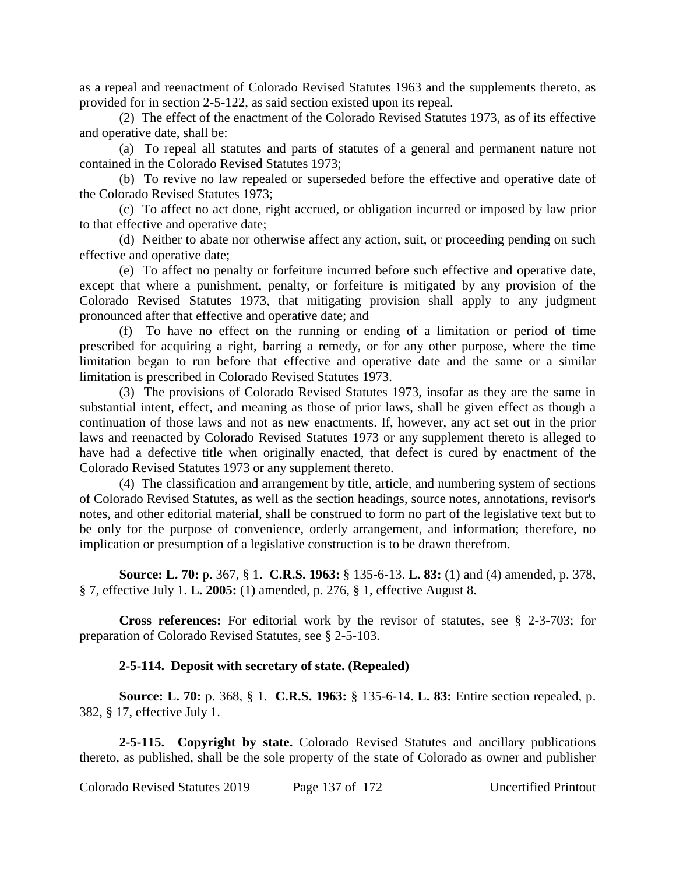as a repeal and reenactment of Colorado Revised Statutes 1963 and the supplements thereto, as provided for in section 2-5-122, as said section existed upon its repeal.

(2) The effect of the enactment of the Colorado Revised Statutes 1973, as of its effective and operative date, shall be:

(a) To repeal all statutes and parts of statutes of a general and permanent nature not contained in the Colorado Revised Statutes 1973;

(b) To revive no law repealed or superseded before the effective and operative date of the Colorado Revised Statutes 1973;

(c) To affect no act done, right accrued, or obligation incurred or imposed by law prior to that effective and operative date;

(d) Neither to abate nor otherwise affect any action, suit, or proceeding pending on such effective and operative date;

(e) To affect no penalty or forfeiture incurred before such effective and operative date, except that where a punishment, penalty, or forfeiture is mitigated by any provision of the Colorado Revised Statutes 1973, that mitigating provision shall apply to any judgment pronounced after that effective and operative date; and

(f) To have no effect on the running or ending of a limitation or period of time prescribed for acquiring a right, barring a remedy, or for any other purpose, where the time limitation began to run before that effective and operative date and the same or a similar limitation is prescribed in Colorado Revised Statutes 1973.

(3) The provisions of Colorado Revised Statutes 1973, insofar as they are the same in substantial intent, effect, and meaning as those of prior laws, shall be given effect as though a continuation of those laws and not as new enactments. If, however, any act set out in the prior laws and reenacted by Colorado Revised Statutes 1973 or any supplement thereto is alleged to have had a defective title when originally enacted, that defect is cured by enactment of the Colorado Revised Statutes 1973 or any supplement thereto.

(4) The classification and arrangement by title, article, and numbering system of sections of Colorado Revised Statutes, as well as the section headings, source notes, annotations, revisor's notes, and other editorial material, shall be construed to form no part of the legislative text but to be only for the purpose of convenience, orderly arrangement, and information; therefore, no implication or presumption of a legislative construction is to be drawn therefrom.

**Source: L. 70:** p. 367, § 1. **C.R.S. 1963:** § 135-6-13. **L. 83:** (1) and (4) amended, p. 378, § 7, effective July 1. **L. 2005:** (1) amended, p. 276, § 1, effective August 8.

**Cross references:** For editorial work by the revisor of statutes, see § 2-3-703; for preparation of Colorado Revised Statutes, see § 2-5-103.

## **2-5-114. Deposit with secretary of state. (Repealed)**

**Source: L. 70:** p. 368, § 1. **C.R.S. 1963:** § 135-6-14. **L. 83:** Entire section repealed, p. 382, § 17, effective July 1.

**2-5-115. Copyright by state.** Colorado Revised Statutes and ancillary publications thereto, as published, shall be the sole property of the state of Colorado as owner and publisher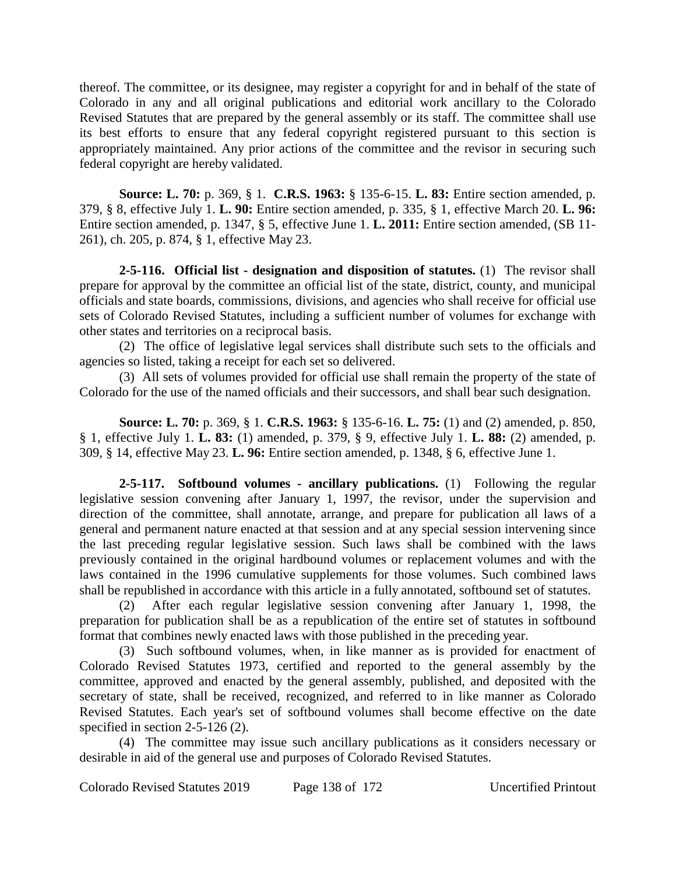thereof. The committee, or its designee, may register a copyright for and in behalf of the state of Colorado in any and all original publications and editorial work ancillary to the Colorado Revised Statutes that are prepared by the general assembly or its staff. The committee shall use its best efforts to ensure that any federal copyright registered pursuant to this section is appropriately maintained. Any prior actions of the committee and the revisor in securing such federal copyright are hereby validated.

**Source: L. 70:** p. 369, § 1. **C.R.S. 1963:** § 135-6-15. **L. 83:** Entire section amended, p. 379, § 8, effective July 1. **L. 90:** Entire section amended, p. 335, § 1, effective March 20. **L. 96:** Entire section amended, p. 1347, § 5, effective June 1. **L. 2011:** Entire section amended, (SB 11- 261), ch. 205, p. 874, § 1, effective May 23.

**2-5-116. Official list - designation and disposition of statutes.** (1) The revisor shall prepare for approval by the committee an official list of the state, district, county, and municipal officials and state boards, commissions, divisions, and agencies who shall receive for official use sets of Colorado Revised Statutes, including a sufficient number of volumes for exchange with other states and territories on a reciprocal basis.

(2) The office of legislative legal services shall distribute such sets to the officials and agencies so listed, taking a receipt for each set so delivered.

(3) All sets of volumes provided for official use shall remain the property of the state of Colorado for the use of the named officials and their successors, and shall bear such designation.

**Source: L. 70:** p. 369, § 1. **C.R.S. 1963:** § 135-6-16. **L. 75:** (1) and (2) amended, p. 850, § 1, effective July 1. **L. 83:** (1) amended, p. 379, § 9, effective July 1. **L. 88:** (2) amended, p. 309, § 14, effective May 23. **L. 96:** Entire section amended, p. 1348, § 6, effective June 1.

**2-5-117. Softbound volumes - ancillary publications.** (1) Following the regular legislative session convening after January 1, 1997, the revisor, under the supervision and direction of the committee, shall annotate, arrange, and prepare for publication all laws of a general and permanent nature enacted at that session and at any special session intervening since the last preceding regular legislative session. Such laws shall be combined with the laws previously contained in the original hardbound volumes or replacement volumes and with the laws contained in the 1996 cumulative supplements for those volumes. Such combined laws shall be republished in accordance with this article in a fully annotated, softbound set of statutes.

(2) After each regular legislative session convening after January 1, 1998, the preparation for publication shall be as a republication of the entire set of statutes in softbound format that combines newly enacted laws with those published in the preceding year.

(3) Such softbound volumes, when, in like manner as is provided for enactment of Colorado Revised Statutes 1973, certified and reported to the general assembly by the committee, approved and enacted by the general assembly, published, and deposited with the secretary of state, shall be received, recognized, and referred to in like manner as Colorado Revised Statutes. Each year's set of softbound volumes shall become effective on the date specified in section 2-5-126 (2).

(4) The committee may issue such ancillary publications as it considers necessary or desirable in aid of the general use and purposes of Colorado Revised Statutes.

Colorado Revised Statutes 2019 Page 138 of 172 Uncertified Printout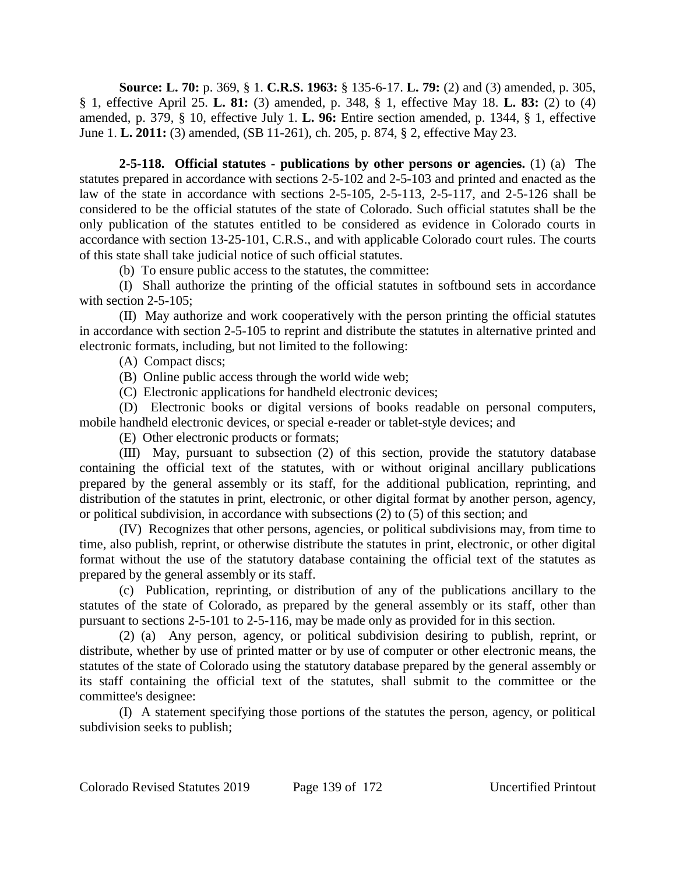**Source: L. 70:** p. 369, § 1. **C.R.S. 1963:** § 135-6-17. **L. 79:** (2) and (3) amended, p. 305, § 1, effective April 25. **L. 81:** (3) amended, p. 348, § 1, effective May 18. **L. 83:** (2) to (4) amended, p. 379, § 10, effective July 1. **L. 96:** Entire section amended, p. 1344, § 1, effective June 1. **L. 2011:** (3) amended, (SB 11-261), ch. 205, p. 874, § 2, effective May 23.

**2-5-118. Official statutes - publications by other persons or agencies.** (1) (a) The statutes prepared in accordance with sections 2-5-102 and 2-5-103 and printed and enacted as the law of the state in accordance with sections 2-5-105, 2-5-113, 2-5-117, and 2-5-126 shall be considered to be the official statutes of the state of Colorado. Such official statutes shall be the only publication of the statutes entitled to be considered as evidence in Colorado courts in accordance with section 13-25-101, C.R.S., and with applicable Colorado court rules. The courts of this state shall take judicial notice of such official statutes.

(b) To ensure public access to the statutes, the committee:

(I) Shall authorize the printing of the official statutes in softbound sets in accordance with section 2-5-105:

(II) May authorize and work cooperatively with the person printing the official statutes in accordance with section 2-5-105 to reprint and distribute the statutes in alternative printed and electronic formats, including, but not limited to the following:

(A) Compact discs;

(B) Online public access through the world wide web;

(C) Electronic applications for handheld electronic devices;

(D) Electronic books or digital versions of books readable on personal computers, mobile handheld electronic devices, or special e-reader or tablet-style devices; and

(E) Other electronic products or formats;

(III) May, pursuant to subsection (2) of this section, provide the statutory database containing the official text of the statutes, with or without original ancillary publications prepared by the general assembly or its staff, for the additional publication, reprinting, and distribution of the statutes in print, electronic, or other digital format by another person, agency, or political subdivision, in accordance with subsections (2) to (5) of this section; and

(IV) Recognizes that other persons, agencies, or political subdivisions may, from time to time, also publish, reprint, or otherwise distribute the statutes in print, electronic, or other digital format without the use of the statutory database containing the official text of the statutes as prepared by the general assembly or its staff.

(c) Publication, reprinting, or distribution of any of the publications ancillary to the statutes of the state of Colorado, as prepared by the general assembly or its staff, other than pursuant to sections 2-5-101 to 2-5-116, may be made only as provided for in this section.

(2) (a) Any person, agency, or political subdivision desiring to publish, reprint, or distribute, whether by use of printed matter or by use of computer or other electronic means, the statutes of the state of Colorado using the statutory database prepared by the general assembly or its staff containing the official text of the statutes, shall submit to the committee or the committee's designee:

(I) A statement specifying those portions of the statutes the person, agency, or political subdivision seeks to publish;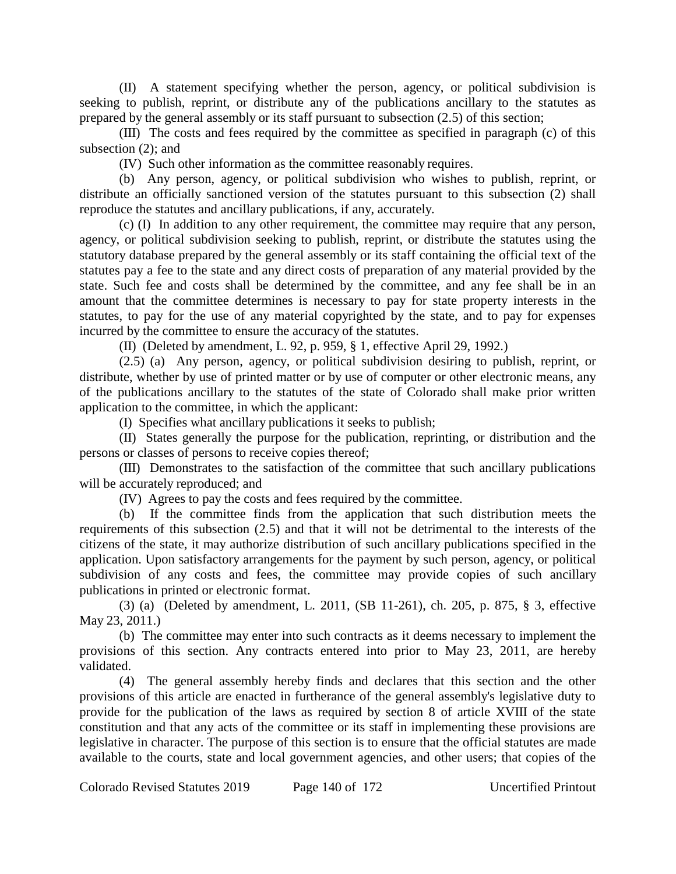(II) A statement specifying whether the person, agency, or political subdivision is seeking to publish, reprint, or distribute any of the publications ancillary to the statutes as prepared by the general assembly or its staff pursuant to subsection (2.5) of this section;

(III) The costs and fees required by the committee as specified in paragraph (c) of this subsection (2); and

(IV) Such other information as the committee reasonably requires.

(b) Any person, agency, or political subdivision who wishes to publish, reprint, or distribute an officially sanctioned version of the statutes pursuant to this subsection (2) shall reproduce the statutes and ancillary publications, if any, accurately.

(c) (I) In addition to any other requirement, the committee may require that any person, agency, or political subdivision seeking to publish, reprint, or distribute the statutes using the statutory database prepared by the general assembly or its staff containing the official text of the statutes pay a fee to the state and any direct costs of preparation of any material provided by the state. Such fee and costs shall be determined by the committee, and any fee shall be in an amount that the committee determines is necessary to pay for state property interests in the statutes, to pay for the use of any material copyrighted by the state, and to pay for expenses incurred by the committee to ensure the accuracy of the statutes.

(II) (Deleted by amendment, L. 92, p. 959, § 1, effective April 29, 1992.)

(2.5) (a) Any person, agency, or political subdivision desiring to publish, reprint, or distribute, whether by use of printed matter or by use of computer or other electronic means, any of the publications ancillary to the statutes of the state of Colorado shall make prior written application to the committee, in which the applicant:

(I) Specifies what ancillary publications it seeks to publish;

(II) States generally the purpose for the publication, reprinting, or distribution and the persons or classes of persons to receive copies thereof;

(III) Demonstrates to the satisfaction of the committee that such ancillary publications will be accurately reproduced; and

(IV) Agrees to pay the costs and fees required by the committee.

(b) If the committee finds from the application that such distribution meets the requirements of this subsection (2.5) and that it will not be detrimental to the interests of the citizens of the state, it may authorize distribution of such ancillary publications specified in the application. Upon satisfactory arrangements for the payment by such person, agency, or political subdivision of any costs and fees, the committee may provide copies of such ancillary publications in printed or electronic format.

(3) (a) (Deleted by amendment, L. 2011, (SB 11-261), ch. 205, p. 875, § 3, effective May 23, 2011.)

(b) The committee may enter into such contracts as it deems necessary to implement the provisions of this section. Any contracts entered into prior to May 23, 2011, are hereby validated.

(4) The general assembly hereby finds and declares that this section and the other provisions of this article are enacted in furtherance of the general assembly's legislative duty to provide for the publication of the laws as required by section 8 of article XVIII of the state constitution and that any acts of the committee or its staff in implementing these provisions are legislative in character. The purpose of this section is to ensure that the official statutes are made available to the courts, state and local government agencies, and other users; that copies of the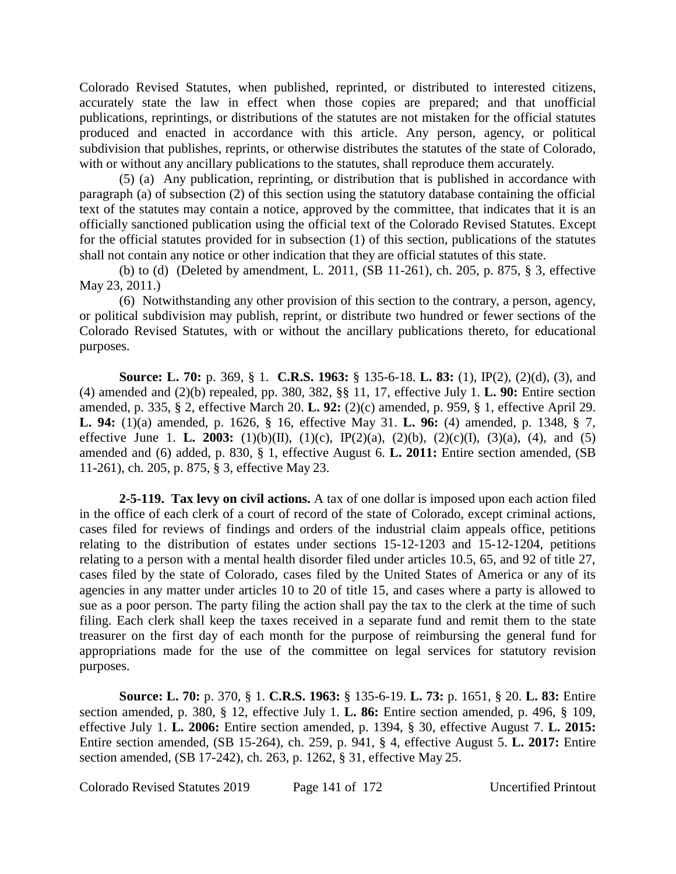Colorado Revised Statutes, when published, reprinted, or distributed to interested citizens, accurately state the law in effect when those copies are prepared; and that unofficial publications, reprintings, or distributions of the statutes are not mistaken for the official statutes produced and enacted in accordance with this article. Any person, agency, or political subdivision that publishes, reprints, or otherwise distributes the statutes of the state of Colorado, with or without any ancillary publications to the statutes, shall reproduce them accurately.

(5) (a) Any publication, reprinting, or distribution that is published in accordance with paragraph (a) of subsection (2) of this section using the statutory database containing the official text of the statutes may contain a notice, approved by the committee, that indicates that it is an officially sanctioned publication using the official text of the Colorado Revised Statutes. Except for the official statutes provided for in subsection (1) of this section, publications of the statutes shall not contain any notice or other indication that they are official statutes of this state.

(b) to (d) (Deleted by amendment, L. 2011, (SB 11-261), ch. 205, p. 875, § 3, effective May 23, 2011.)

(6) Notwithstanding any other provision of this section to the contrary, a person, agency, or political subdivision may publish, reprint, or distribute two hundred or fewer sections of the Colorado Revised Statutes, with or without the ancillary publications thereto, for educational purposes.

**Source: L. 70:** p. 369, § 1. **C.R.S. 1963:** § 135-6-18. **L. 83:** (1), IP(2), (2)(d), (3), and (4) amended and (2)(b) repealed, pp. 380, 382, §§ 11, 17, effective July 1. **L. 90:** Entire section amended, p. 335, § 2, effective March 20. **L. 92:** (2)(c) amended, p. 959, § 1, effective April 29. **L. 94:** (1)(a) amended, p. 1626, § 16, effective May 31. **L. 96:** (4) amended, p. 1348, § 7, effective June 1. **L. 2003:** (1)(b)(II), (1)(c), IP(2)(a), (2)(b), (2)(c)(I), (3)(a), (4), and (5) amended and (6) added, p. 830, § 1, effective August 6. **L. 2011:** Entire section amended, (SB 11-261), ch. 205, p. 875, § 3, effective May 23.

**2-5-119. Tax levy on civil actions.** A tax of one dollar is imposed upon each action filed in the office of each clerk of a court of record of the state of Colorado, except criminal actions, cases filed for reviews of findings and orders of the industrial claim appeals office, petitions relating to the distribution of estates under sections 15-12-1203 and 15-12-1204, petitions relating to a person with a mental health disorder filed under articles 10.5, 65, and 92 of title 27, cases filed by the state of Colorado, cases filed by the United States of America or any of its agencies in any matter under articles 10 to 20 of title 15, and cases where a party is allowed to sue as a poor person. The party filing the action shall pay the tax to the clerk at the time of such filing. Each clerk shall keep the taxes received in a separate fund and remit them to the state treasurer on the first day of each month for the purpose of reimbursing the general fund for appropriations made for the use of the committee on legal services for statutory revision purposes.

**Source: L. 70:** p. 370, § 1. **C.R.S. 1963:** § 135-6-19. **L. 73:** p. 1651, § 20. **L. 83:** Entire section amended, p. 380, § 12, effective July 1. **L. 86:** Entire section amended, p. 496, § 109, effective July 1. **L. 2006:** Entire section amended, p. 1394, § 30, effective August 7. **L. 2015:** Entire section amended, (SB 15-264), ch. 259, p. 941, § 4, effective August 5. **L. 2017:** Entire section amended, (SB 17-242), ch. 263, p. 1262, § 31, effective May 25.

Colorado Revised Statutes 2019 Page 141 of 172 Uncertified Printout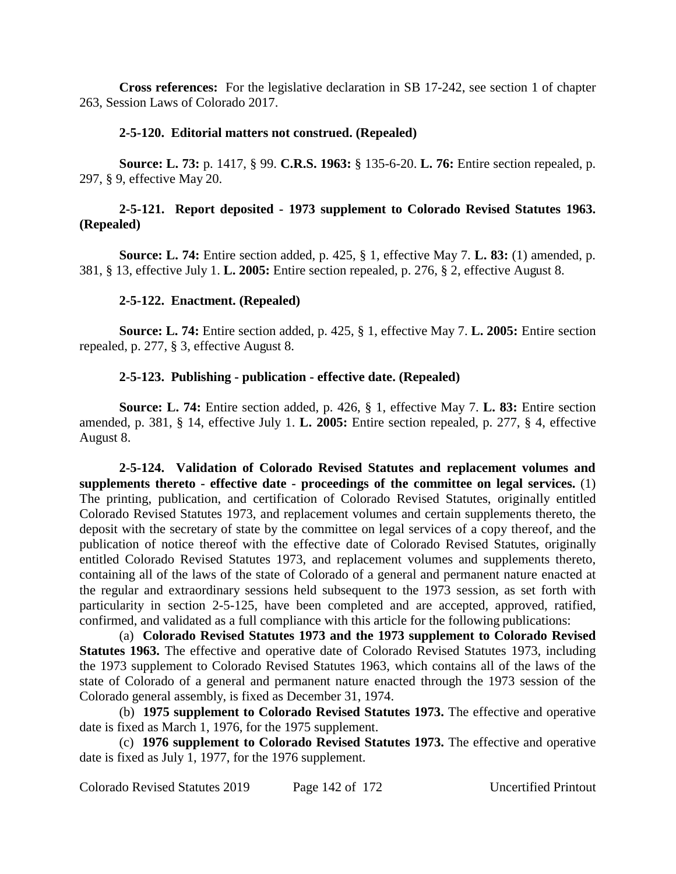**Cross references:** For the legislative declaration in SB 17-242, see section 1 of chapter 263, Session Laws of Colorado 2017.

## **2-5-120. Editorial matters not construed. (Repealed)**

**Source: L. 73:** p. 1417, § 99. **C.R.S. 1963:** § 135-6-20. **L. 76:** Entire section repealed, p. 297, § 9, effective May 20.

# **2-5-121. Report deposited - 1973 supplement to Colorado Revised Statutes 1963. (Repealed)**

**Source: L. 74:** Entire section added, p. 425, § 1, effective May 7. **L. 83:** (1) amended, p. 381, § 13, effective July 1. **L. 2005:** Entire section repealed, p. 276, § 2, effective August 8.

# **2-5-122. Enactment. (Repealed)**

**Source: L. 74:** Entire section added, p. 425, § 1, effective May 7. **L. 2005:** Entire section repealed, p. 277, § 3, effective August 8.

# **2-5-123. Publishing - publication - effective date. (Repealed)**

**Source: L. 74:** Entire section added, p. 426, § 1, effective May 7. **L. 83:** Entire section amended, p. 381, § 14, effective July 1. **L. 2005:** Entire section repealed, p. 277, § 4, effective August 8.

**2-5-124. Validation of Colorado Revised Statutes and replacement volumes and supplements thereto - effective date - proceedings of the committee on legal services.** (1) The printing, publication, and certification of Colorado Revised Statutes, originally entitled Colorado Revised Statutes 1973, and replacement volumes and certain supplements thereto, the deposit with the secretary of state by the committee on legal services of a copy thereof, and the publication of notice thereof with the effective date of Colorado Revised Statutes, originally entitled Colorado Revised Statutes 1973, and replacement volumes and supplements thereto, containing all of the laws of the state of Colorado of a general and permanent nature enacted at the regular and extraordinary sessions held subsequent to the 1973 session, as set forth with particularity in section 2-5-125, have been completed and are accepted, approved, ratified, confirmed, and validated as a full compliance with this article for the following publications:

(a) **Colorado Revised Statutes 1973 and the 1973 supplement to Colorado Revised Statutes 1963.** The effective and operative date of Colorado Revised Statutes 1973, including the 1973 supplement to Colorado Revised Statutes 1963, which contains all of the laws of the state of Colorado of a general and permanent nature enacted through the 1973 session of the Colorado general assembly, is fixed as December 31, 1974.

(b) **1975 supplement to Colorado Revised Statutes 1973.** The effective and operative date is fixed as March 1, 1976, for the 1975 supplement.

(c) **1976 supplement to Colorado Revised Statutes 1973.** The effective and operative date is fixed as July 1, 1977, for the 1976 supplement.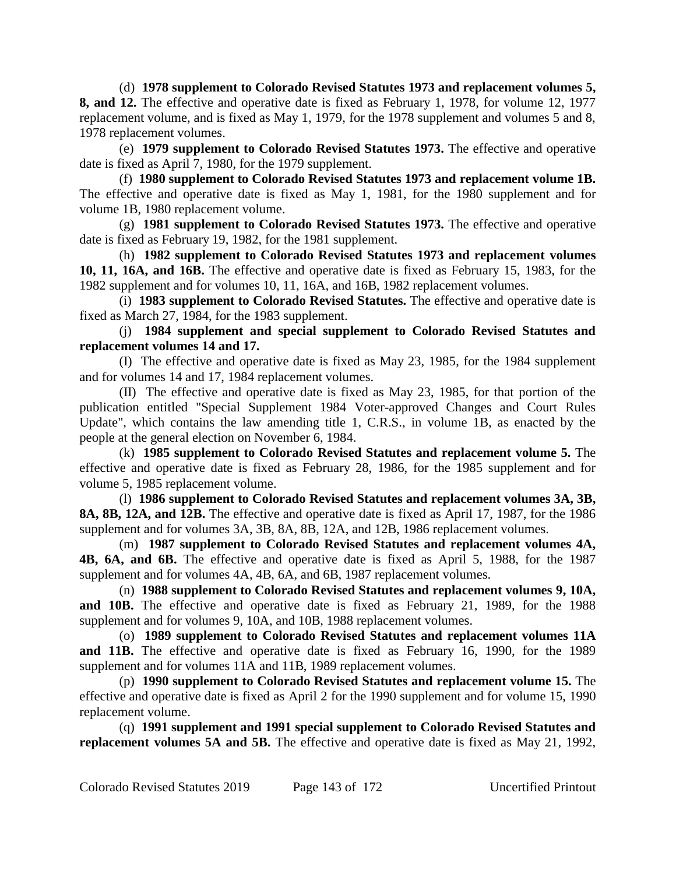(d) **1978 supplement to Colorado Revised Statutes 1973 and replacement volumes 5, 8, and 12.** The effective and operative date is fixed as February 1, 1978, for volume 12, 1977 replacement volume, and is fixed as May 1, 1979, for the 1978 supplement and volumes 5 and 8, 1978 replacement volumes.

(e) **1979 supplement to Colorado Revised Statutes 1973.** The effective and operative date is fixed as April 7, 1980, for the 1979 supplement.

(f) **1980 supplement to Colorado Revised Statutes 1973 and replacement volume 1B.** The effective and operative date is fixed as May 1, 1981, for the 1980 supplement and for volume 1B, 1980 replacement volume.

(g) **1981 supplement to Colorado Revised Statutes 1973.** The effective and operative date is fixed as February 19, 1982, for the 1981 supplement.

(h) **1982 supplement to Colorado Revised Statutes 1973 and replacement volumes 10, 11, 16A, and 16B.** The effective and operative date is fixed as February 15, 1983, for the 1982 supplement and for volumes 10, 11, 16A, and 16B, 1982 replacement volumes.

(i) **1983 supplement to Colorado Revised Statutes.** The effective and operative date is fixed as March 27, 1984, for the 1983 supplement.

(j) **1984 supplement and special supplement to Colorado Revised Statutes and replacement volumes 14 and 17.**

(I) The effective and operative date is fixed as May 23, 1985, for the 1984 supplement and for volumes 14 and 17, 1984 replacement volumes.

(II) The effective and operative date is fixed as May 23, 1985, for that portion of the publication entitled "Special Supplement 1984 Voter-approved Changes and Court Rules Update", which contains the law amending title 1, C.R.S., in volume 1B, as enacted by the people at the general election on November 6, 1984.

(k) **1985 supplement to Colorado Revised Statutes and replacement volume 5.** The effective and operative date is fixed as February 28, 1986, for the 1985 supplement and for volume 5, 1985 replacement volume.

(l) **1986 supplement to Colorado Revised Statutes and replacement volumes 3A, 3B, 8A, 8B, 12A, and 12B.** The effective and operative date is fixed as April 17, 1987, for the 1986 supplement and for volumes 3A, 3B, 8A, 8B, 12A, and 12B, 1986 replacement volumes.

(m) **1987 supplement to Colorado Revised Statutes and replacement volumes 4A, 4B, 6A, and 6B.** The effective and operative date is fixed as April 5, 1988, for the 1987 supplement and for volumes 4A, 4B, 6A, and 6B, 1987 replacement volumes.

(n) **1988 supplement to Colorado Revised Statutes and replacement volumes 9, 10A, and 10B.** The effective and operative date is fixed as February 21, 1989, for the 1988 supplement and for volumes 9, 10A, and 10B, 1988 replacement volumes.

(o) **1989 supplement to Colorado Revised Statutes and replacement volumes 11A and 11B.** The effective and operative date is fixed as February 16, 1990, for the 1989 supplement and for volumes 11A and 11B, 1989 replacement volumes.

(p) **1990 supplement to Colorado Revised Statutes and replacement volume 15.** The effective and operative date is fixed as April 2 for the 1990 supplement and for volume 15, 1990 replacement volume.

(q) **1991 supplement and 1991 special supplement to Colorado Revised Statutes and replacement volumes 5A and 5B.** The effective and operative date is fixed as May 21, 1992,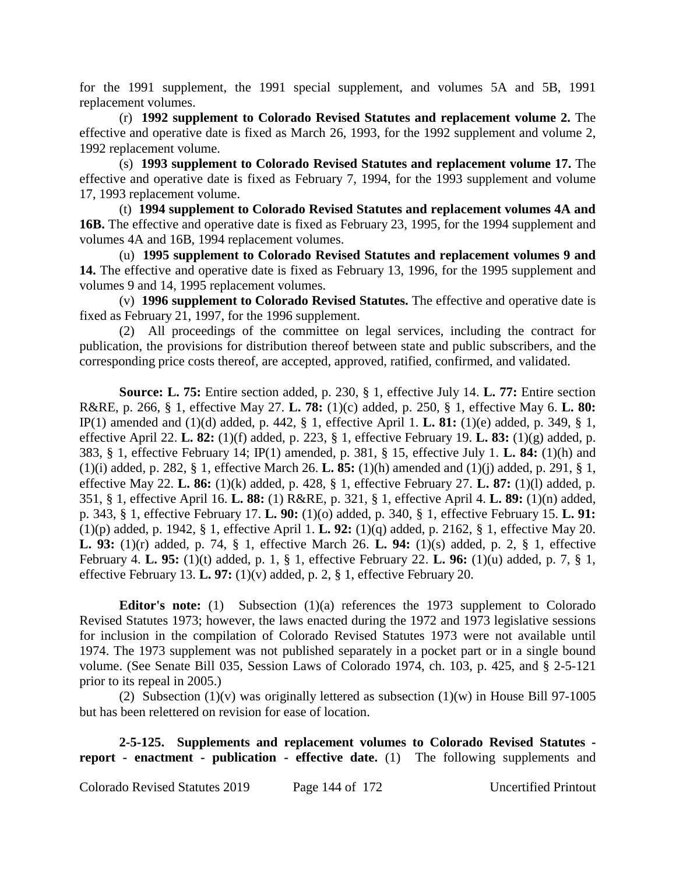for the 1991 supplement, the 1991 special supplement, and volumes 5A and 5B, 1991 replacement volumes.

(r) **1992 supplement to Colorado Revised Statutes and replacement volume 2.** The effective and operative date is fixed as March 26, 1993, for the 1992 supplement and volume 2, 1992 replacement volume.

(s) **1993 supplement to Colorado Revised Statutes and replacement volume 17.** The effective and operative date is fixed as February 7, 1994, for the 1993 supplement and volume 17, 1993 replacement volume.

(t) **1994 supplement to Colorado Revised Statutes and replacement volumes 4A and 16B.** The effective and operative date is fixed as February 23, 1995, for the 1994 supplement and volumes 4A and 16B, 1994 replacement volumes.

(u) **1995 supplement to Colorado Revised Statutes and replacement volumes 9 and 14.** The effective and operative date is fixed as February 13, 1996, for the 1995 supplement and volumes 9 and 14, 1995 replacement volumes.

(v) **1996 supplement to Colorado Revised Statutes.** The effective and operative date is fixed as February 21, 1997, for the 1996 supplement.

(2) All proceedings of the committee on legal services, including the contract for publication, the provisions for distribution thereof between state and public subscribers, and the corresponding price costs thereof, are accepted, approved, ratified, confirmed, and validated.

**Source: L. 75:** Entire section added, p. 230, § 1, effective July 14. **L. 77:** Entire section R&RE, p. 266, § 1, effective May 27. **L. 78:** (1)(c) added, p. 250, § 1, effective May 6. **L. 80:** IP(1) amended and (1)(d) added, p. 442, § 1, effective April 1. **L. 81:** (1)(e) added, p. 349, § 1, effective April 22. **L. 82:** (1)(f) added, p. 223, § 1, effective February 19. **L. 83:** (1)(g) added, p. 383, § 1, effective February 14; IP(1) amended, p. 381, § 15, effective July 1. **L. 84:** (1)(h) and (1)(i) added, p. 282, § 1, effective March 26. **L. 85:** (1)(h) amended and (1)(j) added, p. 291, § 1, effective May 22. **L. 86:** (1)(k) added, p. 428, § 1, effective February 27. **L. 87:** (1)(l) added, p. 351, § 1, effective April 16. **L. 88:** (1) R&RE, p. 321, § 1, effective April 4. **L. 89:** (1)(n) added, p. 343, § 1, effective February 17. **L. 90:** (1)(o) added, p. 340, § 1, effective February 15. **L. 91:** (1)(p) added, p. 1942, § 1, effective April 1. **L. 92:** (1)(q) added, p. 2162, § 1, effective May 20. **L. 93:** (1)(r) added, p. 74, § 1, effective March 26. **L. 94:** (1)(s) added, p. 2, § 1, effective February 4. **L. 95:** (1)(t) added, p. 1, § 1, effective February 22. **L. 96:** (1)(u) added, p. 7, § 1, effective February 13. **L. 97:** (1)(v) added, p. 2, § 1, effective February 20.

**Editor's note:** (1) Subsection (1)(a) references the 1973 supplement to Colorado Revised Statutes 1973; however, the laws enacted during the 1972 and 1973 legislative sessions for inclusion in the compilation of Colorado Revised Statutes 1973 were not available until 1974. The 1973 supplement was not published separately in a pocket part or in a single bound volume. (See Senate Bill 035, Session Laws of Colorado 1974, ch. 103, p. 425, and § 2-5-121 prior to its repeal in 2005.)

(2) Subsection  $(1)(v)$  was originally lettered as subsection  $(1)(w)$  in House Bill 97-1005 but has been relettered on revision for ease of location.

**2-5-125. Supplements and replacement volumes to Colorado Revised Statutes report - enactment - publication - effective date.** (1) The following supplements and

Colorado Revised Statutes 2019 Page 144 of 172 Uncertified Printout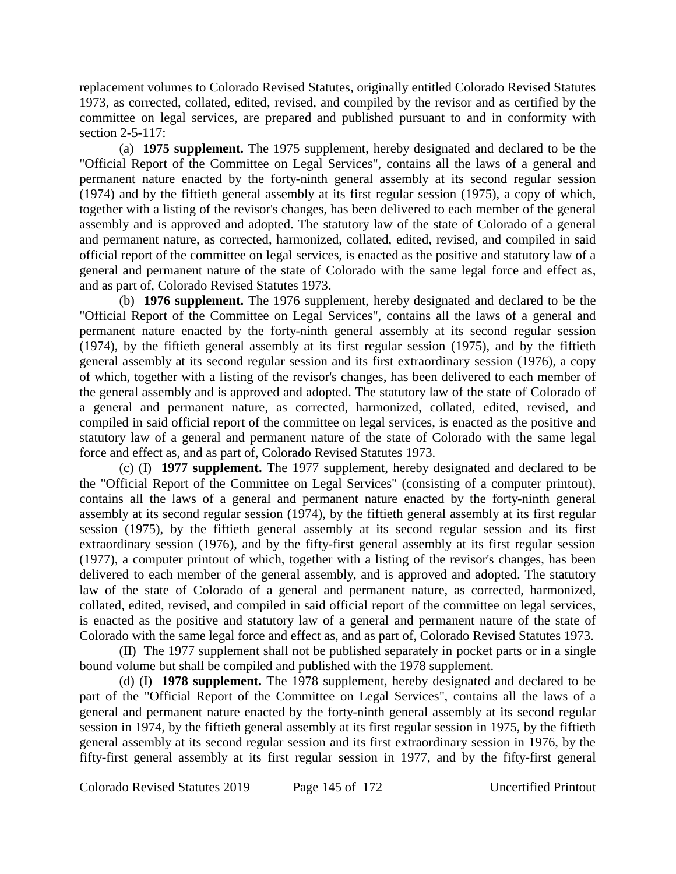replacement volumes to Colorado Revised Statutes, originally entitled Colorado Revised Statutes 1973, as corrected, collated, edited, revised, and compiled by the revisor and as certified by the committee on legal services, are prepared and published pursuant to and in conformity with section 2-5-117:

(a) **1975 supplement.** The 1975 supplement, hereby designated and declared to be the "Official Report of the Committee on Legal Services", contains all the laws of a general and permanent nature enacted by the forty-ninth general assembly at its second regular session (1974) and by the fiftieth general assembly at its first regular session (1975), a copy of which, together with a listing of the revisor's changes, has been delivered to each member of the general assembly and is approved and adopted. The statutory law of the state of Colorado of a general and permanent nature, as corrected, harmonized, collated, edited, revised, and compiled in said official report of the committee on legal services, is enacted as the positive and statutory law of a general and permanent nature of the state of Colorado with the same legal force and effect as, and as part of, Colorado Revised Statutes 1973.

(b) **1976 supplement.** The 1976 supplement, hereby designated and declared to be the "Official Report of the Committee on Legal Services", contains all the laws of a general and permanent nature enacted by the forty-ninth general assembly at its second regular session (1974), by the fiftieth general assembly at its first regular session (1975), and by the fiftieth general assembly at its second regular session and its first extraordinary session (1976), a copy of which, together with a listing of the revisor's changes, has been delivered to each member of the general assembly and is approved and adopted. The statutory law of the state of Colorado of a general and permanent nature, as corrected, harmonized, collated, edited, revised, and compiled in said official report of the committee on legal services, is enacted as the positive and statutory law of a general and permanent nature of the state of Colorado with the same legal force and effect as, and as part of, Colorado Revised Statutes 1973.

(c) (I) **1977 supplement.** The 1977 supplement, hereby designated and declared to be the "Official Report of the Committee on Legal Services" (consisting of a computer printout), contains all the laws of a general and permanent nature enacted by the forty-ninth general assembly at its second regular session (1974), by the fiftieth general assembly at its first regular session (1975), by the fiftieth general assembly at its second regular session and its first extraordinary session (1976), and by the fifty-first general assembly at its first regular session (1977), a computer printout of which, together with a listing of the revisor's changes, has been delivered to each member of the general assembly, and is approved and adopted. The statutory law of the state of Colorado of a general and permanent nature, as corrected, harmonized, collated, edited, revised, and compiled in said official report of the committee on legal services, is enacted as the positive and statutory law of a general and permanent nature of the state of Colorado with the same legal force and effect as, and as part of, Colorado Revised Statutes 1973.

(II) The 1977 supplement shall not be published separately in pocket parts or in a single bound volume but shall be compiled and published with the 1978 supplement.

(d) (I) **1978 supplement.** The 1978 supplement, hereby designated and declared to be part of the "Official Report of the Committee on Legal Services", contains all the laws of a general and permanent nature enacted by the forty-ninth general assembly at its second regular session in 1974, by the fiftieth general assembly at its first regular session in 1975, by the fiftieth general assembly at its second regular session and its first extraordinary session in 1976, by the fifty-first general assembly at its first regular session in 1977, and by the fifty-first general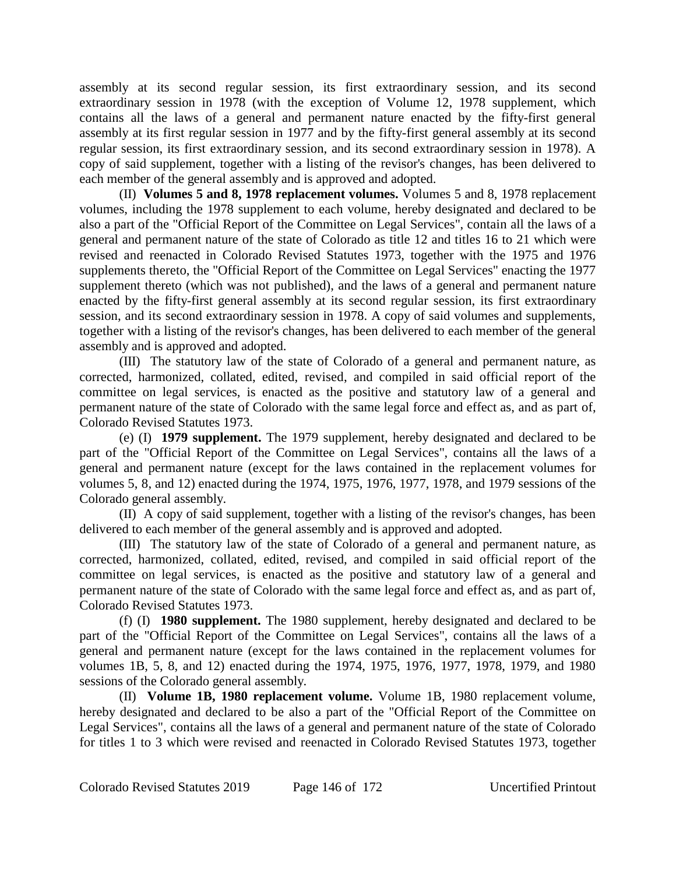assembly at its second regular session, its first extraordinary session, and its second extraordinary session in 1978 (with the exception of Volume 12, 1978 supplement, which contains all the laws of a general and permanent nature enacted by the fifty-first general assembly at its first regular session in 1977 and by the fifty-first general assembly at its second regular session, its first extraordinary session, and its second extraordinary session in 1978). A copy of said supplement, together with a listing of the revisor's changes, has been delivered to each member of the general assembly and is approved and adopted.

(II) **Volumes 5 and 8, 1978 replacement volumes.** Volumes 5 and 8, 1978 replacement volumes, including the 1978 supplement to each volume, hereby designated and declared to be also a part of the "Official Report of the Committee on Legal Services", contain all the laws of a general and permanent nature of the state of Colorado as title 12 and titles 16 to 21 which were revised and reenacted in Colorado Revised Statutes 1973, together with the 1975 and 1976 supplements thereto, the "Official Report of the Committee on Legal Services" enacting the 1977 supplement thereto (which was not published), and the laws of a general and permanent nature enacted by the fifty-first general assembly at its second regular session, its first extraordinary session, and its second extraordinary session in 1978. A copy of said volumes and supplements, together with a listing of the revisor's changes, has been delivered to each member of the general assembly and is approved and adopted.

(III) The statutory law of the state of Colorado of a general and permanent nature, as corrected, harmonized, collated, edited, revised, and compiled in said official report of the committee on legal services, is enacted as the positive and statutory law of a general and permanent nature of the state of Colorado with the same legal force and effect as, and as part of, Colorado Revised Statutes 1973.

(e) (I) **1979 supplement.** The 1979 supplement, hereby designated and declared to be part of the "Official Report of the Committee on Legal Services", contains all the laws of a general and permanent nature (except for the laws contained in the replacement volumes for volumes 5, 8, and 12) enacted during the 1974, 1975, 1976, 1977, 1978, and 1979 sessions of the Colorado general assembly.

(II) A copy of said supplement, together with a listing of the revisor's changes, has been delivered to each member of the general assembly and is approved and adopted.

(III) The statutory law of the state of Colorado of a general and permanent nature, as corrected, harmonized, collated, edited, revised, and compiled in said official report of the committee on legal services, is enacted as the positive and statutory law of a general and permanent nature of the state of Colorado with the same legal force and effect as, and as part of, Colorado Revised Statutes 1973.

(f) (I) **1980 supplement.** The 1980 supplement, hereby designated and declared to be part of the "Official Report of the Committee on Legal Services", contains all the laws of a general and permanent nature (except for the laws contained in the replacement volumes for volumes 1B, 5, 8, and 12) enacted during the 1974, 1975, 1976, 1977, 1978, 1979, and 1980 sessions of the Colorado general assembly.

(II) **Volume 1B, 1980 replacement volume.** Volume 1B, 1980 replacement volume, hereby designated and declared to be also a part of the "Official Report of the Committee on Legal Services", contains all the laws of a general and permanent nature of the state of Colorado for titles 1 to 3 which were revised and reenacted in Colorado Revised Statutes 1973, together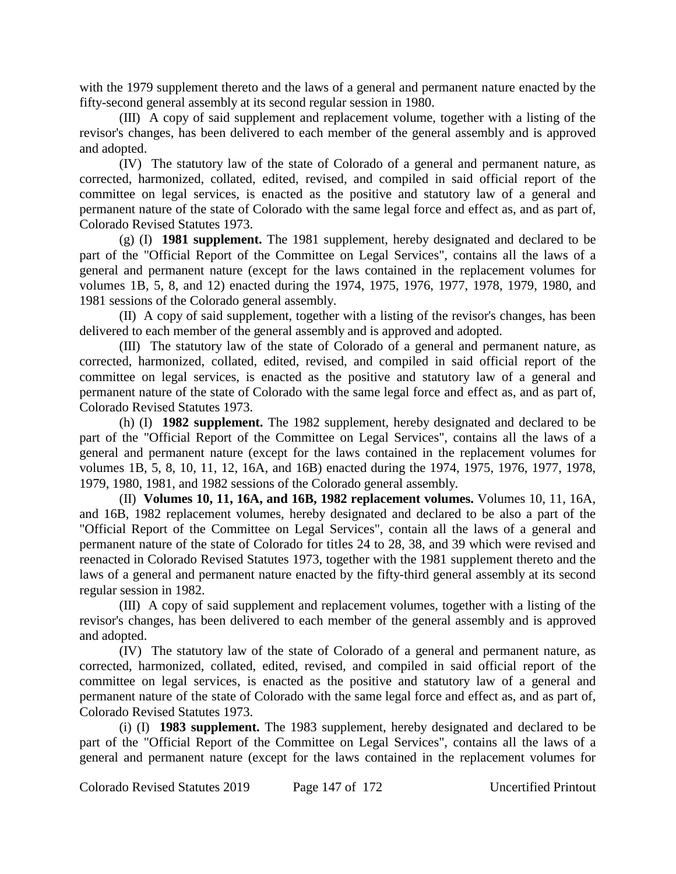with the 1979 supplement thereto and the laws of a general and permanent nature enacted by the fifty-second general assembly at its second regular session in 1980.

(III) A copy of said supplement and replacement volume, together with a listing of the revisor's changes, has been delivered to each member of the general assembly and is approved and adopted.

(IV) The statutory law of the state of Colorado of a general and permanent nature, as corrected, harmonized, collated, edited, revised, and compiled in said official report of the committee on legal services, is enacted as the positive and statutory law of a general and permanent nature of the state of Colorado with the same legal force and effect as, and as part of, Colorado Revised Statutes 1973.

(g) (I) **1981 supplement.** The 1981 supplement, hereby designated and declared to be part of the "Official Report of the Committee on Legal Services", contains all the laws of a general and permanent nature (except for the laws contained in the replacement volumes for volumes 1B, 5, 8, and 12) enacted during the 1974, 1975, 1976, 1977, 1978, 1979, 1980, and 1981 sessions of the Colorado general assembly.

(II) A copy of said supplement, together with a listing of the revisor's changes, has been delivered to each member of the general assembly and is approved and adopted.

(III) The statutory law of the state of Colorado of a general and permanent nature, as corrected, harmonized, collated, edited, revised, and compiled in said official report of the committee on legal services, is enacted as the positive and statutory law of a general and permanent nature of the state of Colorado with the same legal force and effect as, and as part of, Colorado Revised Statutes 1973.

(h) (I) **1982 supplement.** The 1982 supplement, hereby designated and declared to be part of the "Official Report of the Committee on Legal Services", contains all the laws of a general and permanent nature (except for the laws contained in the replacement volumes for volumes 1B, 5, 8, 10, 11, 12, 16A, and 16B) enacted during the 1974, 1975, 1976, 1977, 1978, 1979, 1980, 1981, and 1982 sessions of the Colorado general assembly.

(II) **Volumes 10, 11, 16A, and 16B, 1982 replacement volumes.** Volumes 10, 11, 16A, and 16B, 1982 replacement volumes, hereby designated and declared to be also a part of the "Official Report of the Committee on Legal Services", contain all the laws of a general and permanent nature of the state of Colorado for titles 24 to 28, 38, and 39 which were revised and reenacted in Colorado Revised Statutes 1973, together with the 1981 supplement thereto and the laws of a general and permanent nature enacted by the fifty-third general assembly at its second regular session in 1982.

(III) A copy of said supplement and replacement volumes, together with a listing of the revisor's changes, has been delivered to each member of the general assembly and is approved and adopted.

(IV) The statutory law of the state of Colorado of a general and permanent nature, as corrected, harmonized, collated, edited, revised, and compiled in said official report of the committee on legal services, is enacted as the positive and statutory law of a general and permanent nature of the state of Colorado with the same legal force and effect as, and as part of, Colorado Revised Statutes 1973.

(i) (I) **1983 supplement.** The 1983 supplement, hereby designated and declared to be part of the "Official Report of the Committee on Legal Services", contains all the laws of a general and permanent nature (except for the laws contained in the replacement volumes for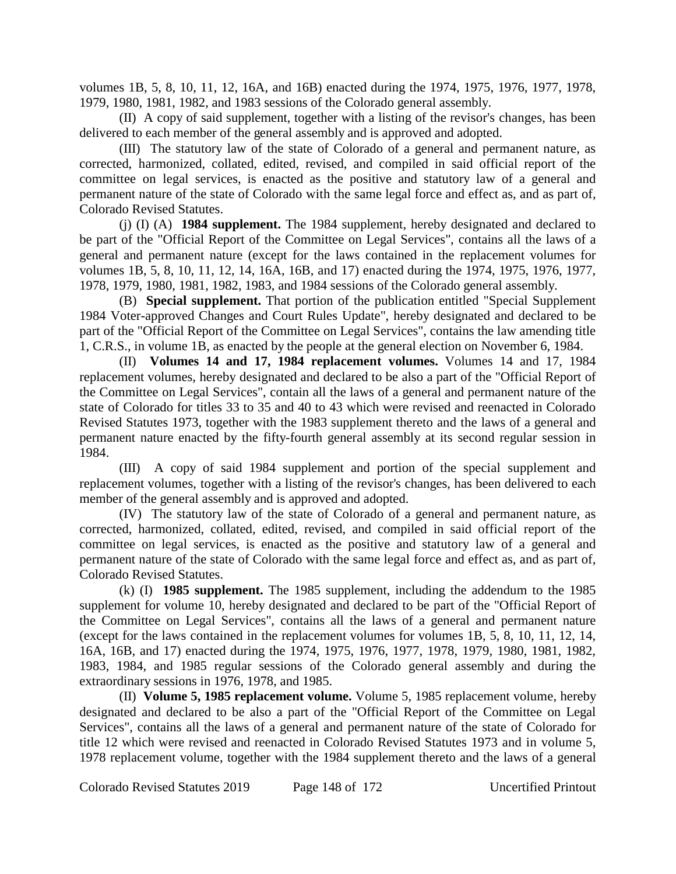volumes 1B, 5, 8, 10, 11, 12, 16A, and 16B) enacted during the 1974, 1975, 1976, 1977, 1978, 1979, 1980, 1981, 1982, and 1983 sessions of the Colorado general assembly.

(II) A copy of said supplement, together with a listing of the revisor's changes, has been delivered to each member of the general assembly and is approved and adopted.

(III) The statutory law of the state of Colorado of a general and permanent nature, as corrected, harmonized, collated, edited, revised, and compiled in said official report of the committee on legal services, is enacted as the positive and statutory law of a general and permanent nature of the state of Colorado with the same legal force and effect as, and as part of, Colorado Revised Statutes.

(j) (I) (A) **1984 supplement.** The 1984 supplement, hereby designated and declared to be part of the "Official Report of the Committee on Legal Services", contains all the laws of a general and permanent nature (except for the laws contained in the replacement volumes for volumes 1B, 5, 8, 10, 11, 12, 14, 16A, 16B, and 17) enacted during the 1974, 1975, 1976, 1977, 1978, 1979, 1980, 1981, 1982, 1983, and 1984 sessions of the Colorado general assembly.

(B) **Special supplement.** That portion of the publication entitled "Special Supplement 1984 Voter-approved Changes and Court Rules Update", hereby designated and declared to be part of the "Official Report of the Committee on Legal Services", contains the law amending title 1, C.R.S., in volume 1B, as enacted by the people at the general election on November 6, 1984.

(II) **Volumes 14 and 17, 1984 replacement volumes.** Volumes 14 and 17, 1984 replacement volumes, hereby designated and declared to be also a part of the "Official Report of the Committee on Legal Services", contain all the laws of a general and permanent nature of the state of Colorado for titles 33 to 35 and 40 to 43 which were revised and reenacted in Colorado Revised Statutes 1973, together with the 1983 supplement thereto and the laws of a general and permanent nature enacted by the fifty-fourth general assembly at its second regular session in 1984.

(III) A copy of said 1984 supplement and portion of the special supplement and replacement volumes, together with a listing of the revisor's changes, has been delivered to each member of the general assembly and is approved and adopted.

(IV) The statutory law of the state of Colorado of a general and permanent nature, as corrected, harmonized, collated, edited, revised, and compiled in said official report of the committee on legal services, is enacted as the positive and statutory law of a general and permanent nature of the state of Colorado with the same legal force and effect as, and as part of, Colorado Revised Statutes.

(k) (I) **1985 supplement.** The 1985 supplement, including the addendum to the 1985 supplement for volume 10, hereby designated and declared to be part of the "Official Report of the Committee on Legal Services", contains all the laws of a general and permanent nature (except for the laws contained in the replacement volumes for volumes 1B, 5, 8, 10, 11, 12, 14, 16A, 16B, and 17) enacted during the 1974, 1975, 1976, 1977, 1978, 1979, 1980, 1981, 1982, 1983, 1984, and 1985 regular sessions of the Colorado general assembly and during the extraordinary sessions in 1976, 1978, and 1985.

(II) **Volume 5, 1985 replacement volume.** Volume 5, 1985 replacement volume, hereby designated and declared to be also a part of the "Official Report of the Committee on Legal Services", contains all the laws of a general and permanent nature of the state of Colorado for title 12 which were revised and reenacted in Colorado Revised Statutes 1973 and in volume 5, 1978 replacement volume, together with the 1984 supplement thereto and the laws of a general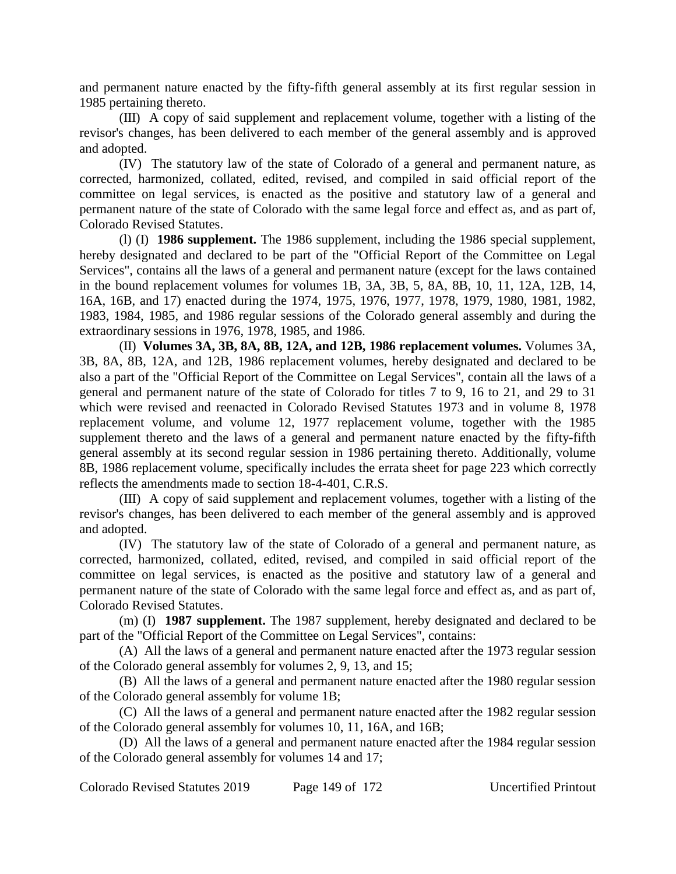and permanent nature enacted by the fifty-fifth general assembly at its first regular session in 1985 pertaining thereto.

(III) A copy of said supplement and replacement volume, together with a listing of the revisor's changes, has been delivered to each member of the general assembly and is approved and adopted.

(IV) The statutory law of the state of Colorado of a general and permanent nature, as corrected, harmonized, collated, edited, revised, and compiled in said official report of the committee on legal services, is enacted as the positive and statutory law of a general and permanent nature of the state of Colorado with the same legal force and effect as, and as part of, Colorado Revised Statutes.

(l) (I) **1986 supplement.** The 1986 supplement, including the 1986 special supplement, hereby designated and declared to be part of the "Official Report of the Committee on Legal Services", contains all the laws of a general and permanent nature (except for the laws contained in the bound replacement volumes for volumes 1B, 3A, 3B, 5, 8A, 8B, 10, 11, 12A, 12B, 14, 16A, 16B, and 17) enacted during the 1974, 1975, 1976, 1977, 1978, 1979, 1980, 1981, 1982, 1983, 1984, 1985, and 1986 regular sessions of the Colorado general assembly and during the extraordinary sessions in 1976, 1978, 1985, and 1986.

(II) **Volumes 3A, 3B, 8A, 8B, 12A, and 12B, 1986 replacement volumes.** Volumes 3A, 3B, 8A, 8B, 12A, and 12B, 1986 replacement volumes, hereby designated and declared to be also a part of the "Official Report of the Committee on Legal Services", contain all the laws of a general and permanent nature of the state of Colorado for titles 7 to 9, 16 to 21, and 29 to 31 which were revised and reenacted in Colorado Revised Statutes 1973 and in volume 8, 1978 replacement volume, and volume 12, 1977 replacement volume, together with the 1985 supplement thereto and the laws of a general and permanent nature enacted by the fifty-fifth general assembly at its second regular session in 1986 pertaining thereto. Additionally, volume 8B, 1986 replacement volume, specifically includes the errata sheet for page 223 which correctly reflects the amendments made to section 18-4-401, C.R.S.

(III) A copy of said supplement and replacement volumes, together with a listing of the revisor's changes, has been delivered to each member of the general assembly and is approved and adopted.

(IV) The statutory law of the state of Colorado of a general and permanent nature, as corrected, harmonized, collated, edited, revised, and compiled in said official report of the committee on legal services, is enacted as the positive and statutory law of a general and permanent nature of the state of Colorado with the same legal force and effect as, and as part of, Colorado Revised Statutes.

(m) (I) **1987 supplement.** The 1987 supplement, hereby designated and declared to be part of the "Official Report of the Committee on Legal Services", contains:

(A) All the laws of a general and permanent nature enacted after the 1973 regular session of the Colorado general assembly for volumes 2, 9, 13, and 15;

(B) All the laws of a general and permanent nature enacted after the 1980 regular session of the Colorado general assembly for volume 1B;

(C) All the laws of a general and permanent nature enacted after the 1982 regular session of the Colorado general assembly for volumes 10, 11, 16A, and 16B;

(D) All the laws of a general and permanent nature enacted after the 1984 regular session of the Colorado general assembly for volumes 14 and 17;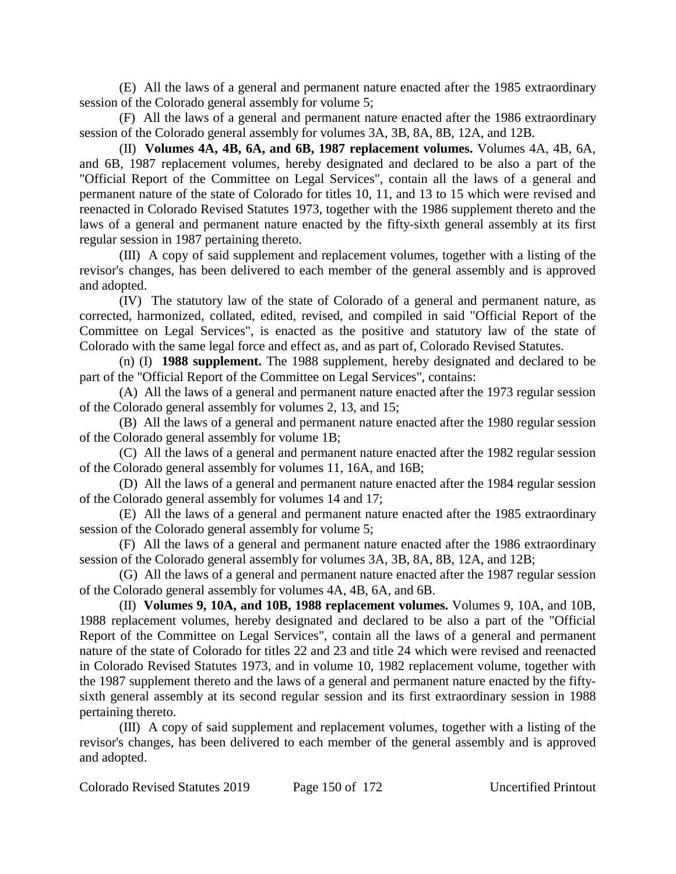(E) All the laws of a general and permanent nature enacted after the 1985 extraordinary session of the Colorado general assembly for volume 5;

(F) All the laws of a general and permanent nature enacted after the 1986 extraordinary session of the Colorado general assembly for volumes 3A, 3B, 8A, 8B, 12A, and 12B.

(II) **Volumes 4A, 4B, 6A, and 6B, 1987 replacement volumes.** Volumes 4A, 4B, 6A, and 6B, 1987 replacement volumes, hereby designated and declared to be also a part of the "Official Report of the Committee on Legal Services", contain all the laws of a general and permanent nature of the state of Colorado for titles 10, 11, and 13 to 15 which were revised and reenacted in Colorado Revised Statutes 1973, together with the 1986 supplement thereto and the laws of a general and permanent nature enacted by the fifty-sixth general assembly at its first regular session in 1987 pertaining thereto.

(III) A copy of said supplement and replacement volumes, together with a listing of the revisor's changes, has been delivered to each member of the general assembly and is approved and adopted.

(IV) The statutory law of the state of Colorado of a general and permanent nature, as corrected, harmonized, collated, edited, revised, and compiled in said "Official Report of the Committee on Legal Services", is enacted as the positive and statutory law of the state of Colorado with the same legal force and effect as, and as part of, Colorado Revised Statutes.

(n) (I) **1988 supplement.** The 1988 supplement, hereby designated and declared to be part of the "Official Report of the Committee on Legal Services", contains:

(A) All the laws of a general and permanent nature enacted after the 1973 regular session of the Colorado general assembly for volumes 2, 13, and 15;

(B) All the laws of a general and permanent nature enacted after the 1980 regular session of the Colorado general assembly for volume 1B;

(C) All the laws of a general and permanent nature enacted after the 1982 regular session of the Colorado general assembly for volumes 11, 16A, and 16B;

(D) All the laws of a general and permanent nature enacted after the 1984 regular session of the Colorado general assembly for volumes 14 and 17;

(E) All the laws of a general and permanent nature enacted after the 1985 extraordinary session of the Colorado general assembly for volume 5;

(F) All the laws of a general and permanent nature enacted after the 1986 extraordinary session of the Colorado general assembly for volumes 3A, 3B, 8A, 8B, 12A, and 12B;

(G) All the laws of a general and permanent nature enacted after the 1987 regular session of the Colorado general assembly for volumes 4A, 4B, 6A, and 6B.

(II) **Volumes 9, 10A, and 10B, 1988 replacement volumes.** Volumes 9, 10A, and 10B, 1988 replacement volumes, hereby designated and declared to be also a part of the "Official Report of the Committee on Legal Services", contain all the laws of a general and permanent nature of the state of Colorado for titles 22 and 23 and title 24 which were revised and reenacted in Colorado Revised Statutes 1973, and in volume 10, 1982 replacement volume, together with the 1987 supplement thereto and the laws of a general and permanent nature enacted by the fiftysixth general assembly at its second regular session and its first extraordinary session in 1988 pertaining thereto.

(III) A copy of said supplement and replacement volumes, together with a listing of the revisor's changes, has been delivered to each member of the general assembly and is approved and adopted.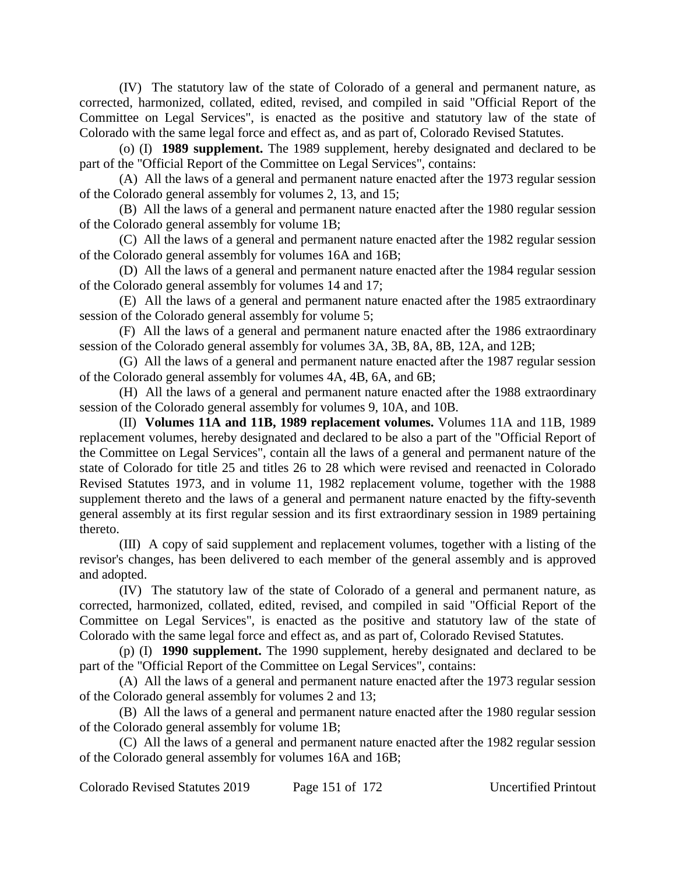(IV) The statutory law of the state of Colorado of a general and permanent nature, as corrected, harmonized, collated, edited, revised, and compiled in said "Official Report of the Committee on Legal Services", is enacted as the positive and statutory law of the state of Colorado with the same legal force and effect as, and as part of, Colorado Revised Statutes.

(o) (I) **1989 supplement.** The 1989 supplement, hereby designated and declared to be part of the "Official Report of the Committee on Legal Services", contains:

(A) All the laws of a general and permanent nature enacted after the 1973 regular session of the Colorado general assembly for volumes 2, 13, and 15;

(B) All the laws of a general and permanent nature enacted after the 1980 regular session of the Colorado general assembly for volume 1B;

(C) All the laws of a general and permanent nature enacted after the 1982 regular session of the Colorado general assembly for volumes 16A and 16B;

(D) All the laws of a general and permanent nature enacted after the 1984 regular session of the Colorado general assembly for volumes 14 and 17;

(E) All the laws of a general and permanent nature enacted after the 1985 extraordinary session of the Colorado general assembly for volume 5;

(F) All the laws of a general and permanent nature enacted after the 1986 extraordinary session of the Colorado general assembly for volumes 3A, 3B, 8A, 8B, 12A, and 12B;

(G) All the laws of a general and permanent nature enacted after the 1987 regular session of the Colorado general assembly for volumes 4A, 4B, 6A, and 6B;

(H) All the laws of a general and permanent nature enacted after the 1988 extraordinary session of the Colorado general assembly for volumes 9, 10A, and 10B.

(II) **Volumes 11A and 11B, 1989 replacement volumes.** Volumes 11A and 11B, 1989 replacement volumes, hereby designated and declared to be also a part of the "Official Report of the Committee on Legal Services", contain all the laws of a general and permanent nature of the state of Colorado for title 25 and titles 26 to 28 which were revised and reenacted in Colorado Revised Statutes 1973, and in volume 11, 1982 replacement volume, together with the 1988 supplement thereto and the laws of a general and permanent nature enacted by the fifty-seventh general assembly at its first regular session and its first extraordinary session in 1989 pertaining thereto.

(III) A copy of said supplement and replacement volumes, together with a listing of the revisor's changes, has been delivered to each member of the general assembly and is approved and adopted.

(IV) The statutory law of the state of Colorado of a general and permanent nature, as corrected, harmonized, collated, edited, revised, and compiled in said "Official Report of the Committee on Legal Services", is enacted as the positive and statutory law of the state of Colorado with the same legal force and effect as, and as part of, Colorado Revised Statutes.

(p) (I) **1990 supplement.** The 1990 supplement, hereby designated and declared to be part of the "Official Report of the Committee on Legal Services", contains:

(A) All the laws of a general and permanent nature enacted after the 1973 regular session of the Colorado general assembly for volumes 2 and 13;

(B) All the laws of a general and permanent nature enacted after the 1980 regular session of the Colorado general assembly for volume 1B;

(C) All the laws of a general and permanent nature enacted after the 1982 regular session of the Colorado general assembly for volumes 16A and 16B;

Colorado Revised Statutes 2019 Page 151 of 172 Uncertified Printout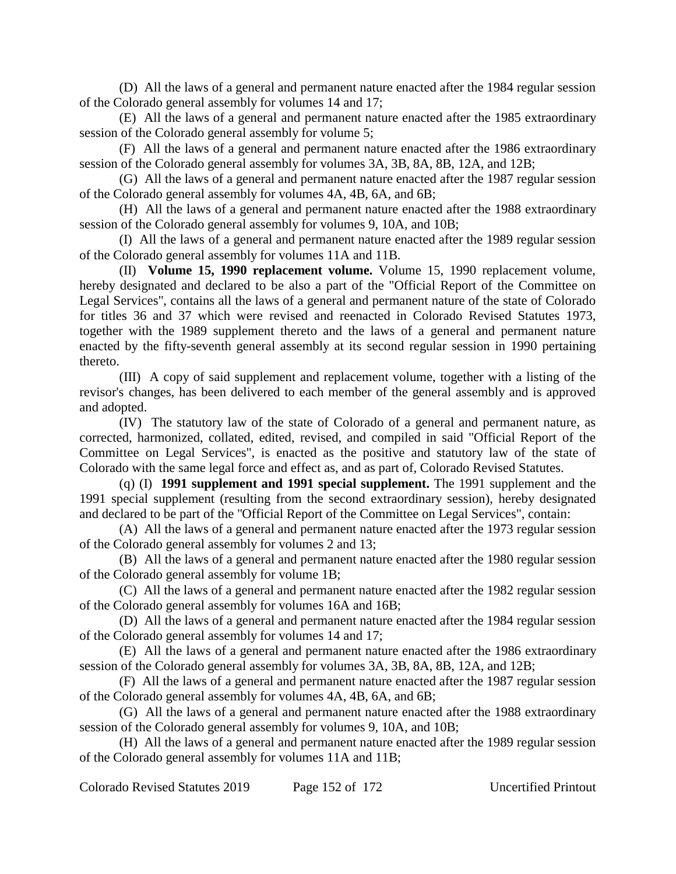(D) All the laws of a general and permanent nature enacted after the 1984 regular session of the Colorado general assembly for volumes 14 and 17;

(E) All the laws of a general and permanent nature enacted after the 1985 extraordinary session of the Colorado general assembly for volume 5;

(F) All the laws of a general and permanent nature enacted after the 1986 extraordinary session of the Colorado general assembly for volumes 3A, 3B, 8A, 8B, 12A, and 12B;

(G) All the laws of a general and permanent nature enacted after the 1987 regular session of the Colorado general assembly for volumes 4A, 4B, 6A, and 6B;

(H) All the laws of a general and permanent nature enacted after the 1988 extraordinary session of the Colorado general assembly for volumes 9, 10A, and 10B;

(I) All the laws of a general and permanent nature enacted after the 1989 regular session of the Colorado general assembly for volumes 11A and 11B.

(II) **Volume 15, 1990 replacement volume.** Volume 15, 1990 replacement volume, hereby designated and declared to be also a part of the "Official Report of the Committee on Legal Services", contains all the laws of a general and permanent nature of the state of Colorado for titles 36 and 37 which were revised and reenacted in Colorado Revised Statutes 1973, together with the 1989 supplement thereto and the laws of a general and permanent nature enacted by the fifty-seventh general assembly at its second regular session in 1990 pertaining thereto.

(III) A copy of said supplement and replacement volume, together with a listing of the revisor's changes, has been delivered to each member of the general assembly and is approved and adopted.

(IV) The statutory law of the state of Colorado of a general and permanent nature, as corrected, harmonized, collated, edited, revised, and compiled in said "Official Report of the Committee on Legal Services", is enacted as the positive and statutory law of the state of Colorado with the same legal force and effect as, and as part of, Colorado Revised Statutes.

(q) (I) **1991 supplement and 1991 special supplement.** The 1991 supplement and the 1991 special supplement (resulting from the second extraordinary session), hereby designated and declared to be part of the "Official Report of the Committee on Legal Services", contain:

(A) All the laws of a general and permanent nature enacted after the 1973 regular session of the Colorado general assembly for volumes 2 and 13;

(B) All the laws of a general and permanent nature enacted after the 1980 regular session of the Colorado general assembly for volume 1B;

(C) All the laws of a general and permanent nature enacted after the 1982 regular session of the Colorado general assembly for volumes 16A and 16B;

(D) All the laws of a general and permanent nature enacted after the 1984 regular session of the Colorado general assembly for volumes 14 and 17;

(E) All the laws of a general and permanent nature enacted after the 1986 extraordinary session of the Colorado general assembly for volumes 3A, 3B, 8A, 8B, 12A, and 12B;

(F) All the laws of a general and permanent nature enacted after the 1987 regular session of the Colorado general assembly for volumes 4A, 4B, 6A, and 6B;

(G) All the laws of a general and permanent nature enacted after the 1988 extraordinary session of the Colorado general assembly for volumes 9, 10A, and 10B;

(H) All the laws of a general and permanent nature enacted after the 1989 regular session of the Colorado general assembly for volumes 11A and 11B;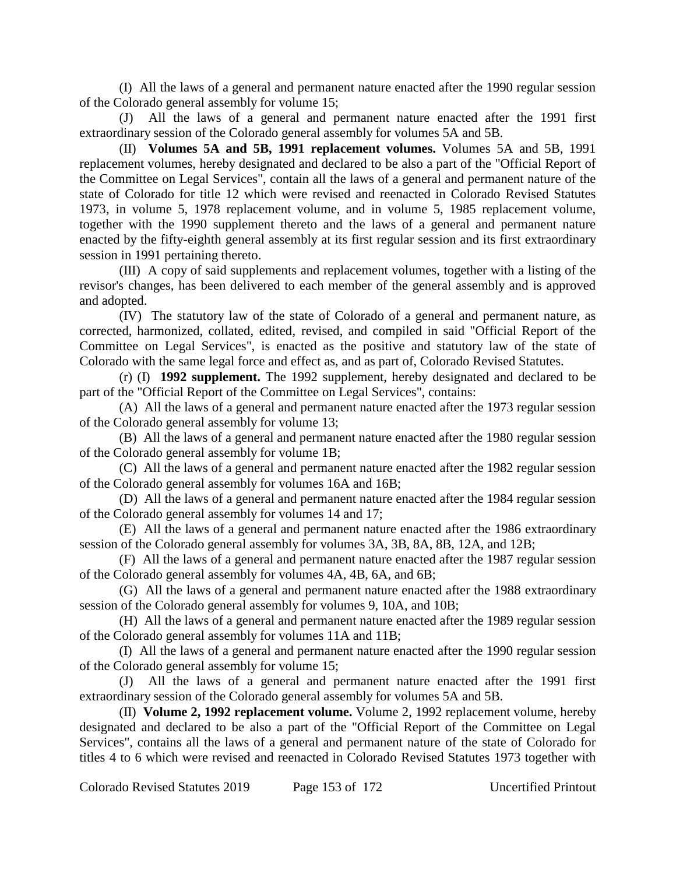(I) All the laws of a general and permanent nature enacted after the 1990 regular session of the Colorado general assembly for volume 15;

(J) All the laws of a general and permanent nature enacted after the 1991 first extraordinary session of the Colorado general assembly for volumes 5A and 5B.

(II) **Volumes 5A and 5B, 1991 replacement volumes.** Volumes 5A and 5B, 1991 replacement volumes, hereby designated and declared to be also a part of the "Official Report of the Committee on Legal Services", contain all the laws of a general and permanent nature of the state of Colorado for title 12 which were revised and reenacted in Colorado Revised Statutes 1973, in volume 5, 1978 replacement volume, and in volume 5, 1985 replacement volume, together with the 1990 supplement thereto and the laws of a general and permanent nature enacted by the fifty-eighth general assembly at its first regular session and its first extraordinary session in 1991 pertaining thereto.

(III) A copy of said supplements and replacement volumes, together with a listing of the revisor's changes, has been delivered to each member of the general assembly and is approved and adopted.

(IV) The statutory law of the state of Colorado of a general and permanent nature, as corrected, harmonized, collated, edited, revised, and compiled in said "Official Report of the Committee on Legal Services", is enacted as the positive and statutory law of the state of Colorado with the same legal force and effect as, and as part of, Colorado Revised Statutes.

(r) (I) **1992 supplement.** The 1992 supplement, hereby designated and declared to be part of the "Official Report of the Committee on Legal Services", contains:

(A) All the laws of a general and permanent nature enacted after the 1973 regular session of the Colorado general assembly for volume 13;

(B) All the laws of a general and permanent nature enacted after the 1980 regular session of the Colorado general assembly for volume 1B;

(C) All the laws of a general and permanent nature enacted after the 1982 regular session of the Colorado general assembly for volumes 16A and 16B;

(D) All the laws of a general and permanent nature enacted after the 1984 regular session of the Colorado general assembly for volumes 14 and 17;

(E) All the laws of a general and permanent nature enacted after the 1986 extraordinary session of the Colorado general assembly for volumes 3A, 3B, 8A, 8B, 12A, and 12B;

(F) All the laws of a general and permanent nature enacted after the 1987 regular session of the Colorado general assembly for volumes 4A, 4B, 6A, and 6B;

(G) All the laws of a general and permanent nature enacted after the 1988 extraordinary session of the Colorado general assembly for volumes 9, 10A, and 10B;

(H) All the laws of a general and permanent nature enacted after the 1989 regular session of the Colorado general assembly for volumes 11A and 11B;

(I) All the laws of a general and permanent nature enacted after the 1990 regular session of the Colorado general assembly for volume 15;

(J) All the laws of a general and permanent nature enacted after the 1991 first extraordinary session of the Colorado general assembly for volumes 5A and 5B.

(II) **Volume 2, 1992 replacement volume.** Volume 2, 1992 replacement volume, hereby designated and declared to be also a part of the "Official Report of the Committee on Legal Services", contains all the laws of a general and permanent nature of the state of Colorado for titles 4 to 6 which were revised and reenacted in Colorado Revised Statutes 1973 together with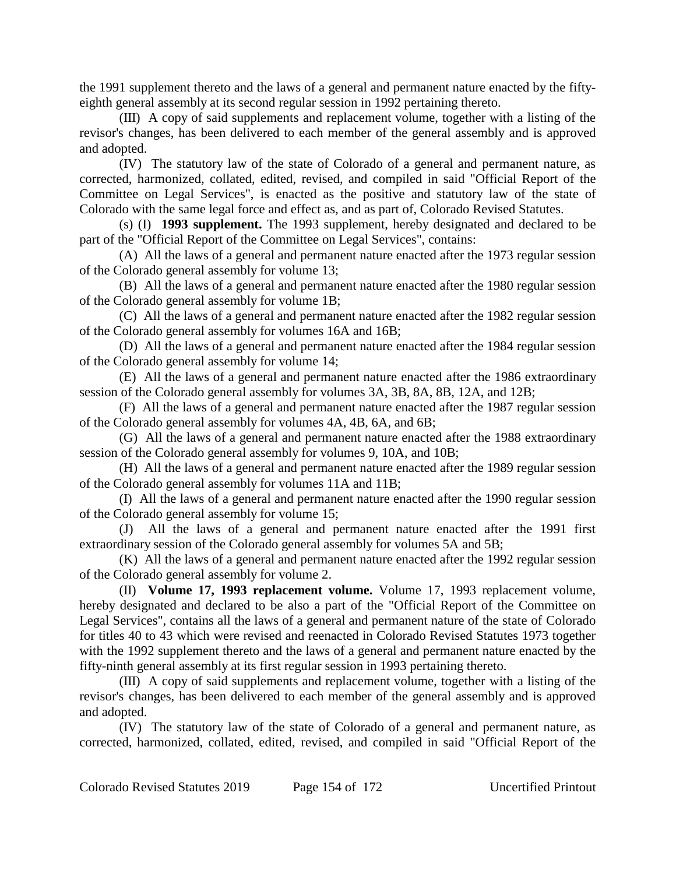the 1991 supplement thereto and the laws of a general and permanent nature enacted by the fiftyeighth general assembly at its second regular session in 1992 pertaining thereto.

(III) A copy of said supplements and replacement volume, together with a listing of the revisor's changes, has been delivered to each member of the general assembly and is approved and adopted.

(IV) The statutory law of the state of Colorado of a general and permanent nature, as corrected, harmonized, collated, edited, revised, and compiled in said "Official Report of the Committee on Legal Services", is enacted as the positive and statutory law of the state of Colorado with the same legal force and effect as, and as part of, Colorado Revised Statutes.

(s) (I) **1993 supplement.** The 1993 supplement, hereby designated and declared to be part of the "Official Report of the Committee on Legal Services", contains:

(A) All the laws of a general and permanent nature enacted after the 1973 regular session of the Colorado general assembly for volume 13;

(B) All the laws of a general and permanent nature enacted after the 1980 regular session of the Colorado general assembly for volume 1B;

(C) All the laws of a general and permanent nature enacted after the 1982 regular session of the Colorado general assembly for volumes 16A and 16B;

(D) All the laws of a general and permanent nature enacted after the 1984 regular session of the Colorado general assembly for volume 14;

(E) All the laws of a general and permanent nature enacted after the 1986 extraordinary session of the Colorado general assembly for volumes 3A, 3B, 8A, 8B, 12A, and 12B;

(F) All the laws of a general and permanent nature enacted after the 1987 regular session of the Colorado general assembly for volumes 4A, 4B, 6A, and 6B;

(G) All the laws of a general and permanent nature enacted after the 1988 extraordinary session of the Colorado general assembly for volumes 9, 10A, and 10B;

(H) All the laws of a general and permanent nature enacted after the 1989 regular session of the Colorado general assembly for volumes 11A and 11B;

(I) All the laws of a general and permanent nature enacted after the 1990 regular session of the Colorado general assembly for volume 15;

(J) All the laws of a general and permanent nature enacted after the 1991 first extraordinary session of the Colorado general assembly for volumes 5A and 5B;

(K) All the laws of a general and permanent nature enacted after the 1992 regular session of the Colorado general assembly for volume 2.

(II) **Volume 17, 1993 replacement volume.** Volume 17, 1993 replacement volume, hereby designated and declared to be also a part of the "Official Report of the Committee on Legal Services", contains all the laws of a general and permanent nature of the state of Colorado for titles 40 to 43 which were revised and reenacted in Colorado Revised Statutes 1973 together with the 1992 supplement thereto and the laws of a general and permanent nature enacted by the fifty-ninth general assembly at its first regular session in 1993 pertaining thereto.

(III) A copy of said supplements and replacement volume, together with a listing of the revisor's changes, has been delivered to each member of the general assembly and is approved and adopted.

(IV) The statutory law of the state of Colorado of a general and permanent nature, as corrected, harmonized, collated, edited, revised, and compiled in said "Official Report of the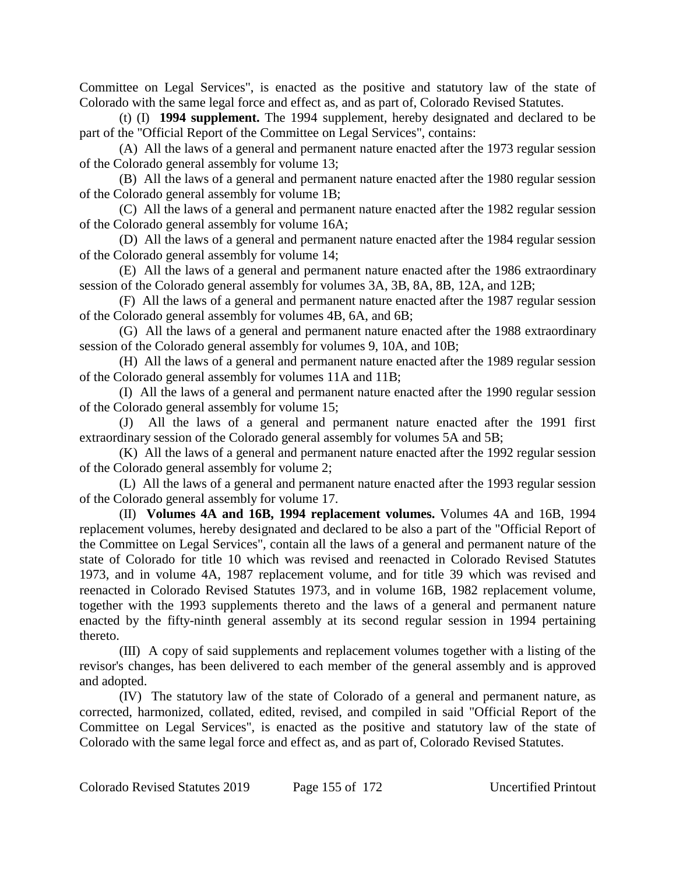Committee on Legal Services", is enacted as the positive and statutory law of the state of Colorado with the same legal force and effect as, and as part of, Colorado Revised Statutes.

(t) (I) **1994 supplement.** The 1994 supplement, hereby designated and declared to be part of the "Official Report of the Committee on Legal Services", contains:

(A) All the laws of a general and permanent nature enacted after the 1973 regular session of the Colorado general assembly for volume 13;

(B) All the laws of a general and permanent nature enacted after the 1980 regular session of the Colorado general assembly for volume 1B;

(C) All the laws of a general and permanent nature enacted after the 1982 regular session of the Colorado general assembly for volume 16A;

(D) All the laws of a general and permanent nature enacted after the 1984 regular session of the Colorado general assembly for volume 14;

(E) All the laws of a general and permanent nature enacted after the 1986 extraordinary session of the Colorado general assembly for volumes 3A, 3B, 8A, 8B, 12A, and 12B;

(F) All the laws of a general and permanent nature enacted after the 1987 regular session of the Colorado general assembly for volumes 4B, 6A, and 6B;

(G) All the laws of a general and permanent nature enacted after the 1988 extraordinary session of the Colorado general assembly for volumes 9, 10A, and 10B;

(H) All the laws of a general and permanent nature enacted after the 1989 regular session of the Colorado general assembly for volumes 11A and 11B;

(I) All the laws of a general and permanent nature enacted after the 1990 regular session of the Colorado general assembly for volume 15;

(J) All the laws of a general and permanent nature enacted after the 1991 first extraordinary session of the Colorado general assembly for volumes 5A and 5B;

(K) All the laws of a general and permanent nature enacted after the 1992 regular session of the Colorado general assembly for volume 2;

(L) All the laws of a general and permanent nature enacted after the 1993 regular session of the Colorado general assembly for volume 17.

(II) **Volumes 4A and 16B, 1994 replacement volumes.** Volumes 4A and 16B, 1994 replacement volumes, hereby designated and declared to be also a part of the "Official Report of the Committee on Legal Services", contain all the laws of a general and permanent nature of the state of Colorado for title 10 which was revised and reenacted in Colorado Revised Statutes 1973, and in volume 4A, 1987 replacement volume, and for title 39 which was revised and reenacted in Colorado Revised Statutes 1973, and in volume 16B, 1982 replacement volume, together with the 1993 supplements thereto and the laws of a general and permanent nature enacted by the fifty-ninth general assembly at its second regular session in 1994 pertaining thereto.

(III) A copy of said supplements and replacement volumes together with a listing of the revisor's changes, has been delivered to each member of the general assembly and is approved and adopted.

(IV) The statutory law of the state of Colorado of a general and permanent nature, as corrected, harmonized, collated, edited, revised, and compiled in said "Official Report of the Committee on Legal Services", is enacted as the positive and statutory law of the state of Colorado with the same legal force and effect as, and as part of, Colorado Revised Statutes.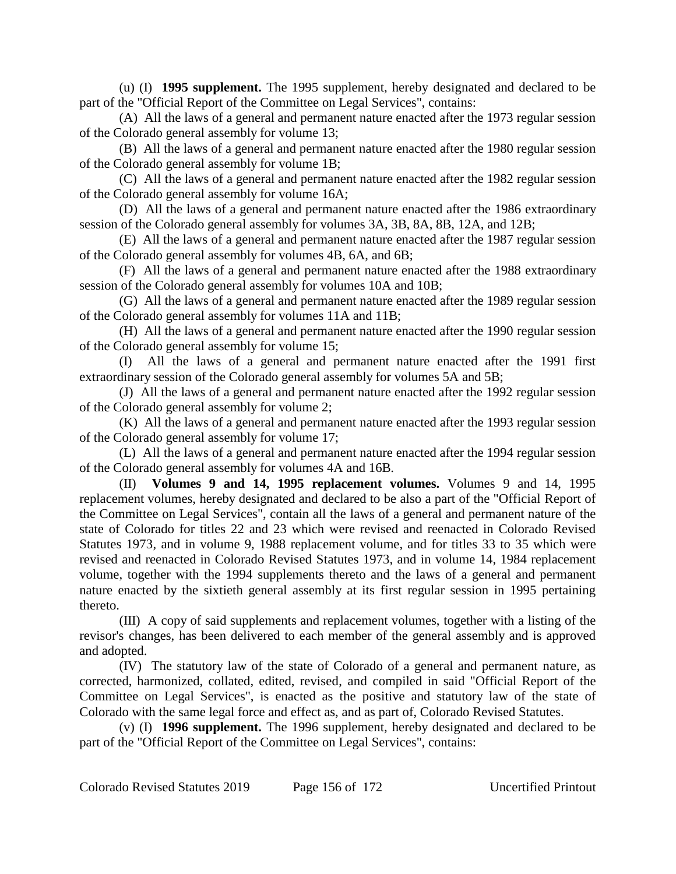(u) (I) **1995 supplement.** The 1995 supplement, hereby designated and declared to be part of the "Official Report of the Committee on Legal Services", contains:

(A) All the laws of a general and permanent nature enacted after the 1973 regular session of the Colorado general assembly for volume 13;

(B) All the laws of a general and permanent nature enacted after the 1980 regular session of the Colorado general assembly for volume 1B;

(C) All the laws of a general and permanent nature enacted after the 1982 regular session of the Colorado general assembly for volume 16A;

(D) All the laws of a general and permanent nature enacted after the 1986 extraordinary session of the Colorado general assembly for volumes 3A, 3B, 8A, 8B, 12A, and 12B;

(E) All the laws of a general and permanent nature enacted after the 1987 regular session of the Colorado general assembly for volumes 4B, 6A, and 6B;

(F) All the laws of a general and permanent nature enacted after the 1988 extraordinary session of the Colorado general assembly for volumes 10A and 10B;

(G) All the laws of a general and permanent nature enacted after the 1989 regular session of the Colorado general assembly for volumes 11A and 11B;

(H) All the laws of a general and permanent nature enacted after the 1990 regular session of the Colorado general assembly for volume 15;

(I) All the laws of a general and permanent nature enacted after the 1991 first extraordinary session of the Colorado general assembly for volumes 5A and 5B;

(J) All the laws of a general and permanent nature enacted after the 1992 regular session of the Colorado general assembly for volume 2;

(K) All the laws of a general and permanent nature enacted after the 1993 regular session of the Colorado general assembly for volume 17;

(L) All the laws of a general and permanent nature enacted after the 1994 regular session of the Colorado general assembly for volumes 4A and 16B.

(II) **Volumes 9 and 14, 1995 replacement volumes.** Volumes 9 and 14, 1995 replacement volumes, hereby designated and declared to be also a part of the "Official Report of the Committee on Legal Services", contain all the laws of a general and permanent nature of the state of Colorado for titles 22 and 23 which were revised and reenacted in Colorado Revised Statutes 1973, and in volume 9, 1988 replacement volume, and for titles 33 to 35 which were revised and reenacted in Colorado Revised Statutes 1973, and in volume 14, 1984 replacement volume, together with the 1994 supplements thereto and the laws of a general and permanent nature enacted by the sixtieth general assembly at its first regular session in 1995 pertaining thereto.

(III) A copy of said supplements and replacement volumes, together with a listing of the revisor's changes, has been delivered to each member of the general assembly and is approved and adopted.

(IV) The statutory law of the state of Colorado of a general and permanent nature, as corrected, harmonized, collated, edited, revised, and compiled in said "Official Report of the Committee on Legal Services", is enacted as the positive and statutory law of the state of Colorado with the same legal force and effect as, and as part of, Colorado Revised Statutes.

(v) (I) **1996 supplement.** The 1996 supplement, hereby designated and declared to be part of the "Official Report of the Committee on Legal Services", contains: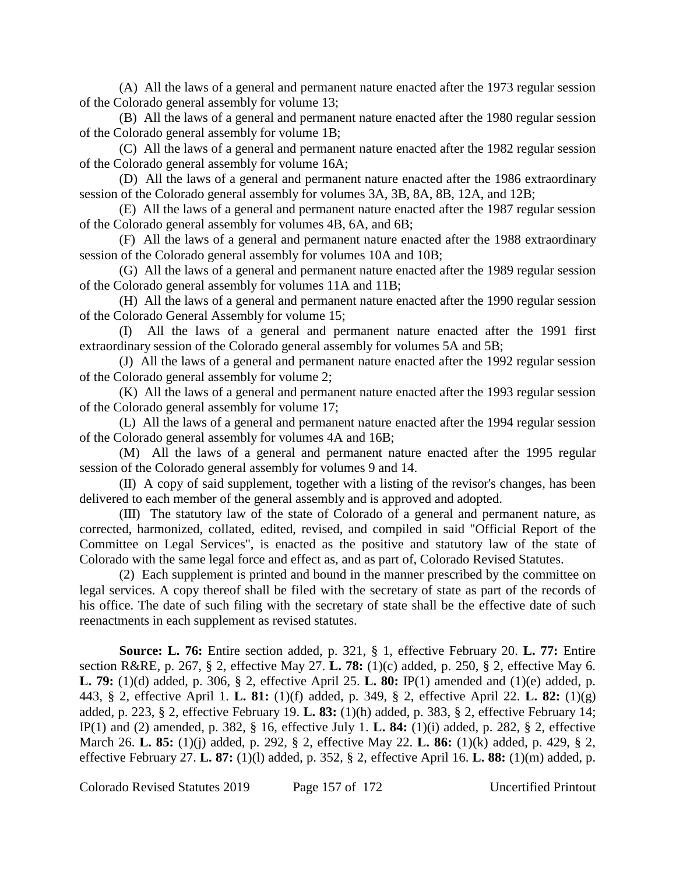(A) All the laws of a general and permanent nature enacted after the 1973 regular session of the Colorado general assembly for volume 13;

(B) All the laws of a general and permanent nature enacted after the 1980 regular session of the Colorado general assembly for volume 1B;

(C) All the laws of a general and permanent nature enacted after the 1982 regular session of the Colorado general assembly for volume 16A;

(D) All the laws of a general and permanent nature enacted after the 1986 extraordinary session of the Colorado general assembly for volumes 3A, 3B, 8A, 8B, 12A, and 12B;

(E) All the laws of a general and permanent nature enacted after the 1987 regular session of the Colorado general assembly for volumes 4B, 6A, and 6B;

(F) All the laws of a general and permanent nature enacted after the 1988 extraordinary session of the Colorado general assembly for volumes 10A and 10B;

(G) All the laws of a general and permanent nature enacted after the 1989 regular session of the Colorado general assembly for volumes 11A and 11B;

(H) All the laws of a general and permanent nature enacted after the 1990 regular session of the Colorado General Assembly for volume 15;

(I) All the laws of a general and permanent nature enacted after the 1991 first extraordinary session of the Colorado general assembly for volumes 5A and 5B;

(J) All the laws of a general and permanent nature enacted after the 1992 regular session of the Colorado general assembly for volume 2;

(K) All the laws of a general and permanent nature enacted after the 1993 regular session of the Colorado general assembly for volume 17;

(L) All the laws of a general and permanent nature enacted after the 1994 regular session of the Colorado general assembly for volumes 4A and 16B;

(M) All the laws of a general and permanent nature enacted after the 1995 regular session of the Colorado general assembly for volumes 9 and 14.

(II) A copy of said supplement, together with a listing of the revisor's changes, has been delivered to each member of the general assembly and is approved and adopted.

(III) The statutory law of the state of Colorado of a general and permanent nature, as corrected, harmonized, collated, edited, revised, and compiled in said "Official Report of the Committee on Legal Services", is enacted as the positive and statutory law of the state of Colorado with the same legal force and effect as, and as part of, Colorado Revised Statutes.

(2) Each supplement is printed and bound in the manner prescribed by the committee on legal services. A copy thereof shall be filed with the secretary of state as part of the records of his office. The date of such filing with the secretary of state shall be the effective date of such reenactments in each supplement as revised statutes.

**Source: L. 76:** Entire section added, p. 321, § 1, effective February 20. **L. 77:** Entire section R&RE, p. 267, § 2, effective May 27. **L. 78:** (1)(c) added, p. 250, § 2, effective May 6. **L. 79:** (1)(d) added, p. 306, § 2, effective April 25. **L. 80:** IP(1) amended and (1)(e) added, p. 443, § 2, effective April 1. **L. 81:** (1)(f) added, p. 349, § 2, effective April 22. **L. 82:** (1)(g) added, p. 223, § 2, effective February 19. **L. 83:** (1)(h) added, p. 383, § 2, effective February 14; IP(1) and (2) amended, p. 382, § 16, effective July 1. **L. 84:** (1)(i) added, p. 282, § 2, effective March 26. **L. 85:** (1)(j) added, p. 292, § 2, effective May 22. **L. 86:** (1)(k) added, p. 429, § 2, effective February 27. **L. 87:** (1)(l) added, p. 352, § 2, effective April 16. **L. 88:** (1)(m) added, p.

Colorado Revised Statutes 2019 Page 157 of 172 Uncertified Printout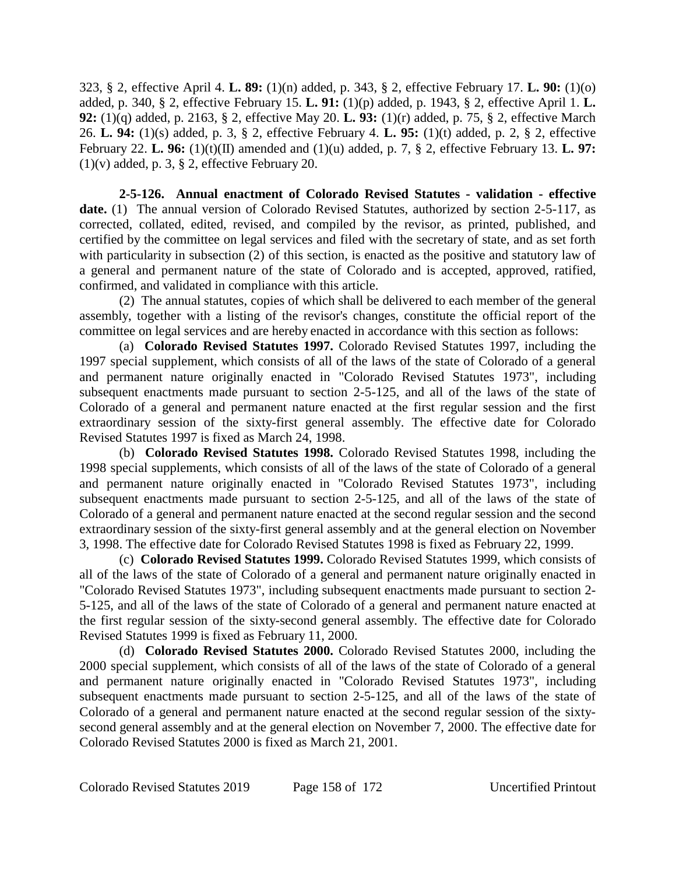323, § 2, effective April 4. **L. 89:** (1)(n) added, p. 343, § 2, effective February 17. **L. 90:** (1)(o) added, p. 340, § 2, effective February 15. **L. 91:** (1)(p) added, p. 1943, § 2, effective April 1. **L. 92:** (1)(q) added, p. 2163, § 2, effective May 20. **L. 93:** (1)(r) added, p. 75, § 2, effective March 26. **L. 94:** (1)(s) added, p. 3, § 2, effective February 4. **L. 95:** (1)(t) added, p. 2, § 2, effective February 22. **L. 96:** (1)(t)(II) amended and (1)(u) added, p. 7, § 2, effective February 13. **L. 97:**  $(1)(v)$  added, p. 3, § 2, effective February 20.

**2-5-126. Annual enactment of Colorado Revised Statutes - validation - effective** date. (1) The annual version of Colorado Revised Statutes, authorized by section 2-5-117, as corrected, collated, edited, revised, and compiled by the revisor, as printed, published, and certified by the committee on legal services and filed with the secretary of state, and as set forth with particularity in subsection (2) of this section, is enacted as the positive and statutory law of a general and permanent nature of the state of Colorado and is accepted, approved, ratified, confirmed, and validated in compliance with this article.

(2) The annual statutes, copies of which shall be delivered to each member of the general assembly, together with a listing of the revisor's changes, constitute the official report of the committee on legal services and are hereby enacted in accordance with this section as follows:

(a) **Colorado Revised Statutes 1997.** Colorado Revised Statutes 1997, including the 1997 special supplement, which consists of all of the laws of the state of Colorado of a general and permanent nature originally enacted in "Colorado Revised Statutes 1973", including subsequent enactments made pursuant to section 2-5-125, and all of the laws of the state of Colorado of a general and permanent nature enacted at the first regular session and the first extraordinary session of the sixty-first general assembly. The effective date for Colorado Revised Statutes 1997 is fixed as March 24, 1998.

(b) **Colorado Revised Statutes 1998.** Colorado Revised Statutes 1998, including the 1998 special supplements, which consists of all of the laws of the state of Colorado of a general and permanent nature originally enacted in "Colorado Revised Statutes 1973", including subsequent enactments made pursuant to section 2-5-125, and all of the laws of the state of Colorado of a general and permanent nature enacted at the second regular session and the second extraordinary session of the sixty-first general assembly and at the general election on November 3, 1998. The effective date for Colorado Revised Statutes 1998 is fixed as February 22, 1999.

(c) **Colorado Revised Statutes 1999.** Colorado Revised Statutes 1999, which consists of all of the laws of the state of Colorado of a general and permanent nature originally enacted in "Colorado Revised Statutes 1973", including subsequent enactments made pursuant to section 2- 5-125, and all of the laws of the state of Colorado of a general and permanent nature enacted at the first regular session of the sixty-second general assembly. The effective date for Colorado Revised Statutes 1999 is fixed as February 11, 2000.

(d) **Colorado Revised Statutes 2000.** Colorado Revised Statutes 2000, including the 2000 special supplement, which consists of all of the laws of the state of Colorado of a general and permanent nature originally enacted in "Colorado Revised Statutes 1973", including subsequent enactments made pursuant to section 2-5-125, and all of the laws of the state of Colorado of a general and permanent nature enacted at the second regular session of the sixtysecond general assembly and at the general election on November 7, 2000. The effective date for Colorado Revised Statutes 2000 is fixed as March 21, 2001.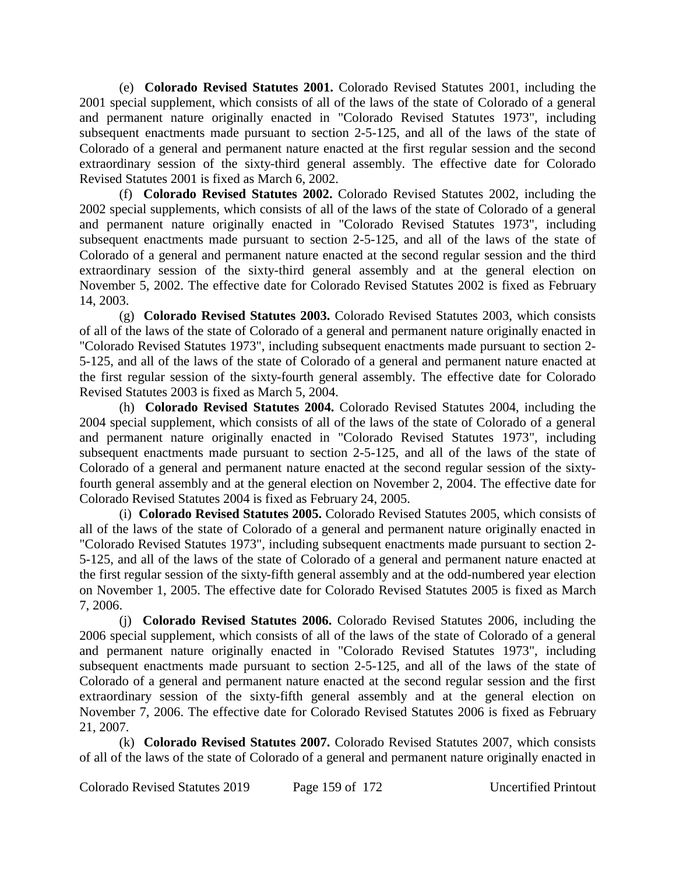(e) **Colorado Revised Statutes 2001.** Colorado Revised Statutes 2001, including the 2001 special supplement, which consists of all of the laws of the state of Colorado of a general and permanent nature originally enacted in "Colorado Revised Statutes 1973", including subsequent enactments made pursuant to section 2-5-125, and all of the laws of the state of Colorado of a general and permanent nature enacted at the first regular session and the second extraordinary session of the sixty-third general assembly. The effective date for Colorado Revised Statutes 2001 is fixed as March 6, 2002.

(f) **Colorado Revised Statutes 2002.** Colorado Revised Statutes 2002, including the 2002 special supplements, which consists of all of the laws of the state of Colorado of a general and permanent nature originally enacted in "Colorado Revised Statutes 1973", including subsequent enactments made pursuant to section 2-5-125, and all of the laws of the state of Colorado of a general and permanent nature enacted at the second regular session and the third extraordinary session of the sixty-third general assembly and at the general election on November 5, 2002. The effective date for Colorado Revised Statutes 2002 is fixed as February 14, 2003.

(g) **Colorado Revised Statutes 2003.** Colorado Revised Statutes 2003, which consists of all of the laws of the state of Colorado of a general and permanent nature originally enacted in "Colorado Revised Statutes 1973", including subsequent enactments made pursuant to section 2- 5-125, and all of the laws of the state of Colorado of a general and permanent nature enacted at the first regular session of the sixty-fourth general assembly. The effective date for Colorado Revised Statutes 2003 is fixed as March 5, 2004.

(h) **Colorado Revised Statutes 2004.** Colorado Revised Statutes 2004, including the 2004 special supplement, which consists of all of the laws of the state of Colorado of a general and permanent nature originally enacted in "Colorado Revised Statutes 1973", including subsequent enactments made pursuant to section 2-5-125, and all of the laws of the state of Colorado of a general and permanent nature enacted at the second regular session of the sixtyfourth general assembly and at the general election on November 2, 2004. The effective date for Colorado Revised Statutes 2004 is fixed as February 24, 2005.

(i) **Colorado Revised Statutes 2005.** Colorado Revised Statutes 2005, which consists of all of the laws of the state of Colorado of a general and permanent nature originally enacted in "Colorado Revised Statutes 1973", including subsequent enactments made pursuant to section 2- 5-125, and all of the laws of the state of Colorado of a general and permanent nature enacted at the first regular session of the sixty-fifth general assembly and at the odd-numbered year election on November 1, 2005. The effective date for Colorado Revised Statutes 2005 is fixed as March 7, 2006.

(j) **Colorado Revised Statutes 2006.** Colorado Revised Statutes 2006, including the 2006 special supplement, which consists of all of the laws of the state of Colorado of a general and permanent nature originally enacted in "Colorado Revised Statutes 1973", including subsequent enactments made pursuant to section 2-5-125, and all of the laws of the state of Colorado of a general and permanent nature enacted at the second regular session and the first extraordinary session of the sixty-fifth general assembly and at the general election on November 7, 2006. The effective date for Colorado Revised Statutes 2006 is fixed as February 21, 2007.

(k) **Colorado Revised Statutes 2007.** Colorado Revised Statutes 2007, which consists of all of the laws of the state of Colorado of a general and permanent nature originally enacted in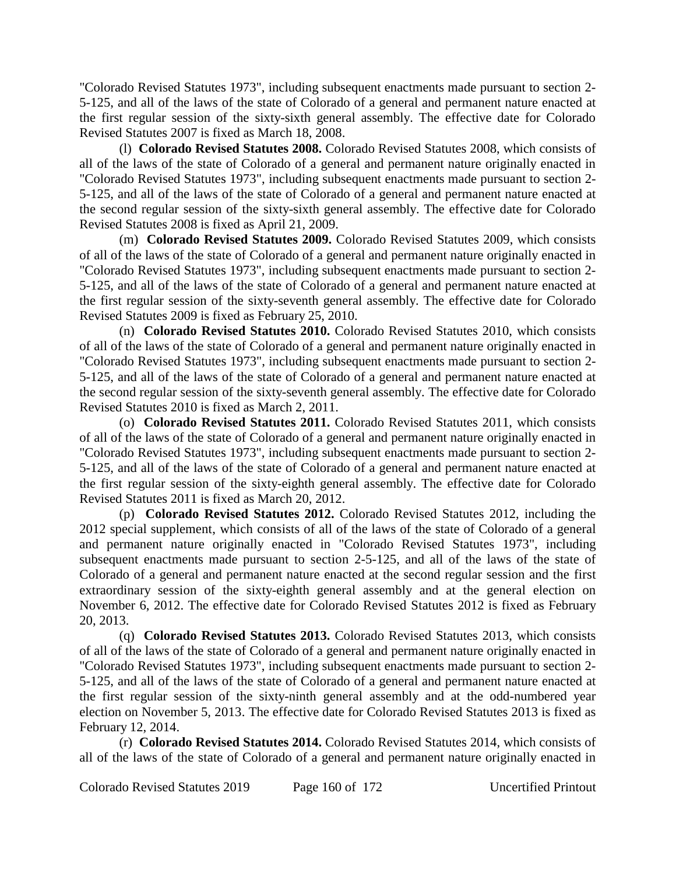"Colorado Revised Statutes 1973", including subsequent enactments made pursuant to section 2- 5-125, and all of the laws of the state of Colorado of a general and permanent nature enacted at the first regular session of the sixty-sixth general assembly. The effective date for Colorado Revised Statutes 2007 is fixed as March 18, 2008.

(l) **Colorado Revised Statutes 2008.** Colorado Revised Statutes 2008, which consists of all of the laws of the state of Colorado of a general and permanent nature originally enacted in "Colorado Revised Statutes 1973", including subsequent enactments made pursuant to section 2- 5-125, and all of the laws of the state of Colorado of a general and permanent nature enacted at the second regular session of the sixty-sixth general assembly. The effective date for Colorado Revised Statutes 2008 is fixed as April 21, 2009.

(m) **Colorado Revised Statutes 2009.** Colorado Revised Statutes 2009, which consists of all of the laws of the state of Colorado of a general and permanent nature originally enacted in "Colorado Revised Statutes 1973", including subsequent enactments made pursuant to section 2- 5-125, and all of the laws of the state of Colorado of a general and permanent nature enacted at the first regular session of the sixty-seventh general assembly. The effective date for Colorado Revised Statutes 2009 is fixed as February 25, 2010.

(n) **Colorado Revised Statutes 2010.** Colorado Revised Statutes 2010, which consists of all of the laws of the state of Colorado of a general and permanent nature originally enacted in "Colorado Revised Statutes 1973", including subsequent enactments made pursuant to section 2- 5-125, and all of the laws of the state of Colorado of a general and permanent nature enacted at the second regular session of the sixty-seventh general assembly. The effective date for Colorado Revised Statutes 2010 is fixed as March 2, 2011.

(o) **Colorado Revised Statutes 2011.** Colorado Revised Statutes 2011, which consists of all of the laws of the state of Colorado of a general and permanent nature originally enacted in "Colorado Revised Statutes 1973", including subsequent enactments made pursuant to section 2- 5-125, and all of the laws of the state of Colorado of a general and permanent nature enacted at the first regular session of the sixty-eighth general assembly. The effective date for Colorado Revised Statutes 2011 is fixed as March 20, 2012.

(p) **Colorado Revised Statutes 2012.** Colorado Revised Statutes 2012, including the 2012 special supplement, which consists of all of the laws of the state of Colorado of a general and permanent nature originally enacted in "Colorado Revised Statutes 1973", including subsequent enactments made pursuant to section 2-5-125, and all of the laws of the state of Colorado of a general and permanent nature enacted at the second regular session and the first extraordinary session of the sixty-eighth general assembly and at the general election on November 6, 2012. The effective date for Colorado Revised Statutes 2012 is fixed as February 20, 2013.

(q) **Colorado Revised Statutes 2013.** Colorado Revised Statutes 2013, which consists of all of the laws of the state of Colorado of a general and permanent nature originally enacted in "Colorado Revised Statutes 1973", including subsequent enactments made pursuant to section 2- 5-125, and all of the laws of the state of Colorado of a general and permanent nature enacted at the first regular session of the sixty-ninth general assembly and at the odd-numbered year election on November 5, 2013. The effective date for Colorado Revised Statutes 2013 is fixed as February 12, 2014.

(r) **Colorado Revised Statutes 2014.** Colorado Revised Statutes 2014, which consists of all of the laws of the state of Colorado of a general and permanent nature originally enacted in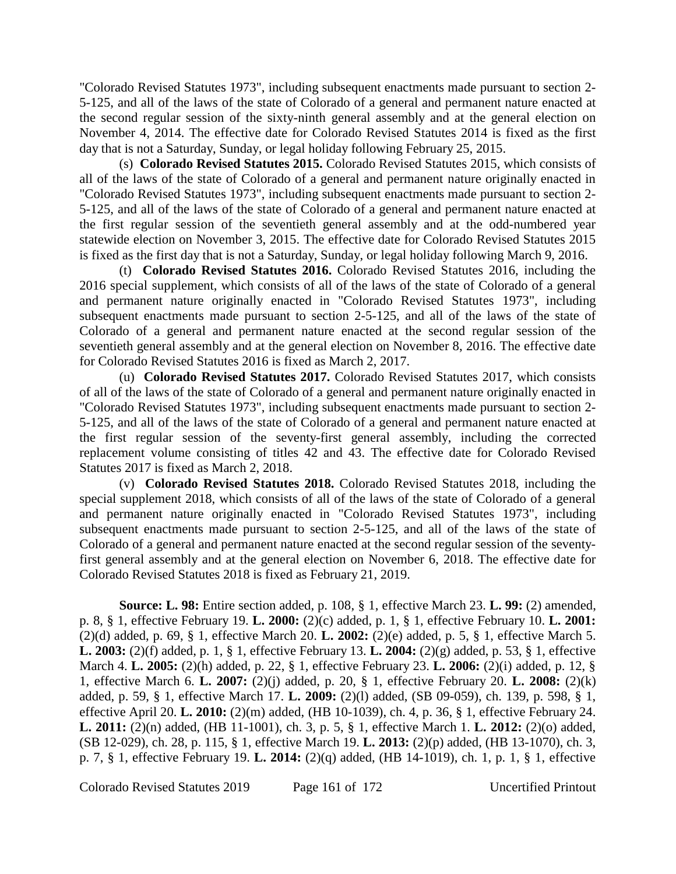"Colorado Revised Statutes 1973", including subsequent enactments made pursuant to section 2- 5-125, and all of the laws of the state of Colorado of a general and permanent nature enacted at the second regular session of the sixty-ninth general assembly and at the general election on November 4, 2014. The effective date for Colorado Revised Statutes 2014 is fixed as the first day that is not a Saturday, Sunday, or legal holiday following February 25, 2015.

(s) **Colorado Revised Statutes 2015.** Colorado Revised Statutes 2015, which consists of all of the laws of the state of Colorado of a general and permanent nature originally enacted in "Colorado Revised Statutes 1973", including subsequent enactments made pursuant to section 2- 5-125, and all of the laws of the state of Colorado of a general and permanent nature enacted at the first regular session of the seventieth general assembly and at the odd-numbered year statewide election on November 3, 2015. The effective date for Colorado Revised Statutes 2015 is fixed as the first day that is not a Saturday, Sunday, or legal holiday following March 9, 2016.

(t) **Colorado Revised Statutes 2016.** Colorado Revised Statutes 2016, including the 2016 special supplement, which consists of all of the laws of the state of Colorado of a general and permanent nature originally enacted in "Colorado Revised Statutes 1973", including subsequent enactments made pursuant to section 2-5-125, and all of the laws of the state of Colorado of a general and permanent nature enacted at the second regular session of the seventieth general assembly and at the general election on November 8, 2016. The effective date for Colorado Revised Statutes 2016 is fixed as March 2, 2017.

(u) **Colorado Revised Statutes 2017.** Colorado Revised Statutes 2017, which consists of all of the laws of the state of Colorado of a general and permanent nature originally enacted in "Colorado Revised Statutes 1973", including subsequent enactments made pursuant to section 2- 5-125, and all of the laws of the state of Colorado of a general and permanent nature enacted at the first regular session of the seventy-first general assembly, including the corrected replacement volume consisting of titles 42 and 43. The effective date for Colorado Revised Statutes 2017 is fixed as March 2, 2018.

(v) **Colorado Revised Statutes 2018.** Colorado Revised Statutes 2018, including the special supplement 2018, which consists of all of the laws of the state of Colorado of a general and permanent nature originally enacted in "Colorado Revised Statutes 1973", including subsequent enactments made pursuant to section 2-5-125, and all of the laws of the state of Colorado of a general and permanent nature enacted at the second regular session of the seventyfirst general assembly and at the general election on November 6, 2018. The effective date for Colorado Revised Statutes 2018 is fixed as February 21, 2019.

**Source: L. 98:** Entire section added, p. 108, § 1, effective March 23. **L. 99:** (2) amended, p. 8, § 1, effective February 19. **L. 2000:** (2)(c) added, p. 1, § 1, effective February 10. **L. 2001:** (2)(d) added, p. 69, § 1, effective March 20. **L. 2002:** (2)(e) added, p. 5, § 1, effective March 5. **L. 2003:** (2)(f) added, p. 1, § 1, effective February 13. **L. 2004:** (2)(g) added, p. 53, § 1, effective March 4. **L. 2005:** (2)(h) added, p. 22, § 1, effective February 23. **L. 2006:** (2)(i) added, p. 12, § 1, effective March 6. **L. 2007:** (2)(j) added, p. 20, § 1, effective February 20. **L. 2008:** (2)(k) added, p. 59, § 1, effective March 17. **L. 2009:** (2)(l) added, (SB 09-059), ch. 139, p. 598, § 1, effective April 20. **L. 2010:** (2)(m) added, (HB 10-1039), ch. 4, p. 36, § 1, effective February 24. **L. 2011:** (2)(n) added, (HB 11-1001), ch. 3, p. 5, § 1, effective March 1. **L. 2012:** (2)(o) added, (SB 12-029), ch. 28, p. 115, § 1, effective March 19. **L. 2013:** (2)(p) added, (HB 13-1070), ch. 3, p. 7, § 1, effective February 19. **L. 2014:** (2)(q) added, (HB 14-1019), ch. 1, p. 1, § 1, effective

Colorado Revised Statutes 2019 Page 161 of 172 Uncertified Printout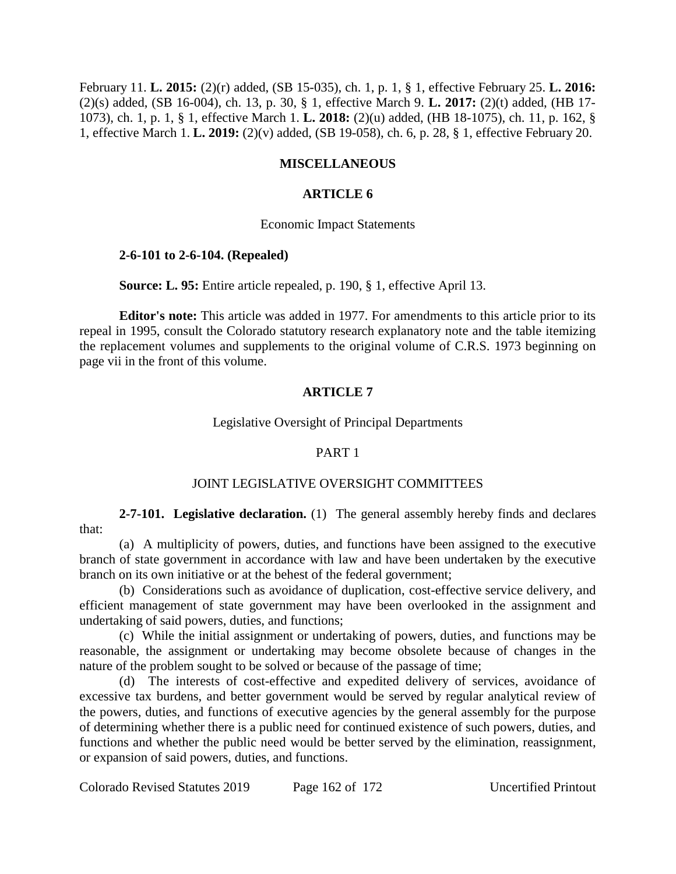February 11. **L. 2015:** (2)(r) added, (SB 15-035), ch. 1, p. 1, § 1, effective February 25. **L. 2016:** (2)(s) added, (SB 16-004), ch. 13, p. 30, § 1, effective March 9. **L. 2017:** (2)(t) added, (HB 17- 1073), ch. 1, p. 1, § 1, effective March 1. **L. 2018:** (2)(u) added, (HB 18-1075), ch. 11, p. 162, § 1, effective March 1. **L. 2019:** (2)(v) added, (SB 19-058), ch. 6, p. 28, § 1, effective February 20.

# **MISCELLANEOUS**

## **ARTICLE 6**

### Economic Impact Statements

### **2-6-101 to 2-6-104. (Repealed)**

**Source: L. 95:** Entire article repealed, p. 190, § 1, effective April 13.

**Editor's note:** This article was added in 1977. For amendments to this article prior to its repeal in 1995, consult the Colorado statutory research explanatory note and the table itemizing the replacement volumes and supplements to the original volume of C.R.S. 1973 beginning on page vii in the front of this volume.

# **ARTICLE 7**

#### Legislative Oversight of Principal Departments

### PART 1

### JOINT LEGISLATIVE OVERSIGHT COMMITTEES

**2-7-101. Legislative declaration.** (1) The general assembly hereby finds and declares that:

(a) A multiplicity of powers, duties, and functions have been assigned to the executive branch of state government in accordance with law and have been undertaken by the executive branch on its own initiative or at the behest of the federal government;

(b) Considerations such as avoidance of duplication, cost-effective service delivery, and efficient management of state government may have been overlooked in the assignment and undertaking of said powers, duties, and functions;

(c) While the initial assignment or undertaking of powers, duties, and functions may be reasonable, the assignment or undertaking may become obsolete because of changes in the nature of the problem sought to be solved or because of the passage of time;

(d) The interests of cost-effective and expedited delivery of services, avoidance of excessive tax burdens, and better government would be served by regular analytical review of the powers, duties, and functions of executive agencies by the general assembly for the purpose of determining whether there is a public need for continued existence of such powers, duties, and functions and whether the public need would be better served by the elimination, reassignment, or expansion of said powers, duties, and functions.

Colorado Revised Statutes 2019 Page 162 of 172 Uncertified Printout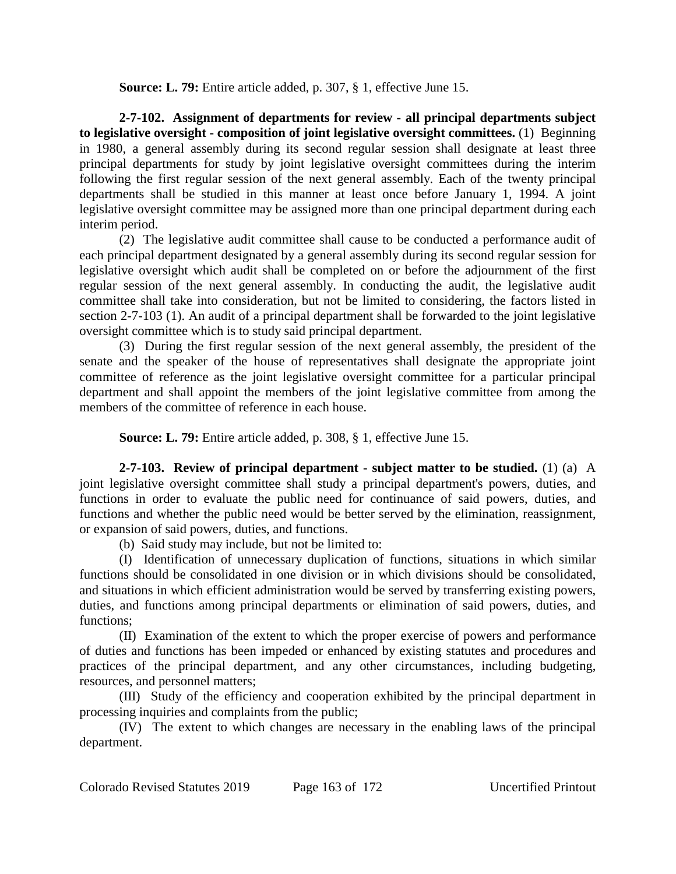**Source: L. 79:** Entire article added, p. 307, § 1, effective June 15.

**2-7-102. Assignment of departments for review - all principal departments subject to legislative oversight - composition of joint legislative oversight committees.** (1) Beginning in 1980, a general assembly during its second regular session shall designate at least three principal departments for study by joint legislative oversight committees during the interim following the first regular session of the next general assembly. Each of the twenty principal departments shall be studied in this manner at least once before January 1, 1994. A joint legislative oversight committee may be assigned more than one principal department during each interim period.

(2) The legislative audit committee shall cause to be conducted a performance audit of each principal department designated by a general assembly during its second regular session for legislative oversight which audit shall be completed on or before the adjournment of the first regular session of the next general assembly. In conducting the audit, the legislative audit committee shall take into consideration, but not be limited to considering, the factors listed in section 2-7-103 (1). An audit of a principal department shall be forwarded to the joint legislative oversight committee which is to study said principal department.

(3) During the first regular session of the next general assembly, the president of the senate and the speaker of the house of representatives shall designate the appropriate joint committee of reference as the joint legislative oversight committee for a particular principal department and shall appoint the members of the joint legislative committee from among the members of the committee of reference in each house.

**Source: L. 79:** Entire article added, p. 308, § 1, effective June 15.

**2-7-103. Review of principal department - subject matter to be studied.** (1) (a) A joint legislative oversight committee shall study a principal department's powers, duties, and functions in order to evaluate the public need for continuance of said powers, duties, and functions and whether the public need would be better served by the elimination, reassignment, or expansion of said powers, duties, and functions.

(b) Said study may include, but not be limited to:

(I) Identification of unnecessary duplication of functions, situations in which similar functions should be consolidated in one division or in which divisions should be consolidated, and situations in which efficient administration would be served by transferring existing powers, duties, and functions among principal departments or elimination of said powers, duties, and functions;

(II) Examination of the extent to which the proper exercise of powers and performance of duties and functions has been impeded or enhanced by existing statutes and procedures and practices of the principal department, and any other circumstances, including budgeting, resources, and personnel matters;

(III) Study of the efficiency and cooperation exhibited by the principal department in processing inquiries and complaints from the public;

(IV) The extent to which changes are necessary in the enabling laws of the principal department.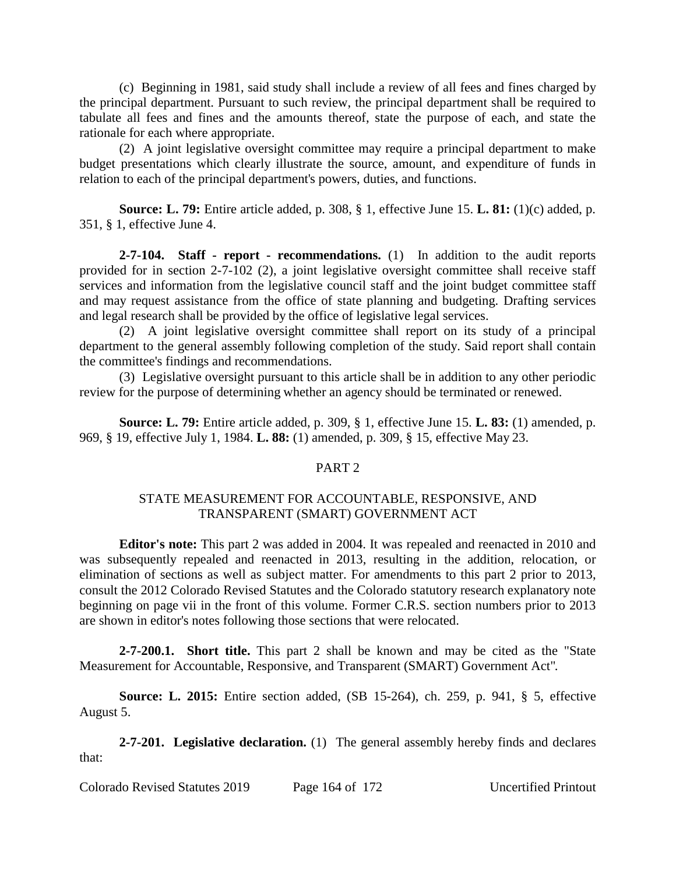(c) Beginning in 1981, said study shall include a review of all fees and fines charged by the principal department. Pursuant to such review, the principal department shall be required to tabulate all fees and fines and the amounts thereof, state the purpose of each, and state the rationale for each where appropriate.

(2) A joint legislative oversight committee may require a principal department to make budget presentations which clearly illustrate the source, amount, and expenditure of funds in relation to each of the principal department's powers, duties, and functions.

**Source: L. 79:** Entire article added, p. 308, § 1, effective June 15. **L. 81:** (1)(c) added, p. 351, § 1, effective June 4.

**2-7-104. Staff - report - recommendations.** (1) In addition to the audit reports provided for in section 2-7-102 (2), a joint legislative oversight committee shall receive staff services and information from the legislative council staff and the joint budget committee staff and may request assistance from the office of state planning and budgeting. Drafting services and legal research shall be provided by the office of legislative legal services.

(2) A joint legislative oversight committee shall report on its study of a principal department to the general assembly following completion of the study. Said report shall contain the committee's findings and recommendations.

(3) Legislative oversight pursuant to this article shall be in addition to any other periodic review for the purpose of determining whether an agency should be terminated or renewed.

**Source: L. 79:** Entire article added, p. 309, § 1, effective June 15. **L. 83:** (1) amended, p. 969, § 19, effective July 1, 1984. **L. 88:** (1) amended, p. 309, § 15, effective May 23.

# PART 2

# STATE MEASUREMENT FOR ACCOUNTABLE, RESPONSIVE, AND TRANSPARENT (SMART) GOVERNMENT ACT

**Editor's note:** This part 2 was added in 2004. It was repealed and reenacted in 2010 and was subsequently repealed and reenacted in 2013, resulting in the addition, relocation, or elimination of sections as well as subject matter. For amendments to this part 2 prior to 2013, consult the 2012 Colorado Revised Statutes and the Colorado statutory research explanatory note beginning on page vii in the front of this volume. Former C.R.S. section numbers prior to 2013 are shown in editor's notes following those sections that were relocated.

**2-7-200.1. Short title.** This part 2 shall be known and may be cited as the "State Measurement for Accountable, Responsive, and Transparent (SMART) Government Act".

**Source: L. 2015:** Entire section added, (SB 15-264), ch. 259, p. 941, § 5, effective August 5.

**2-7-201. Legislative declaration.** (1) The general assembly hereby finds and declares that:

Colorado Revised Statutes 2019 Page 164 of 172 Uncertified Printout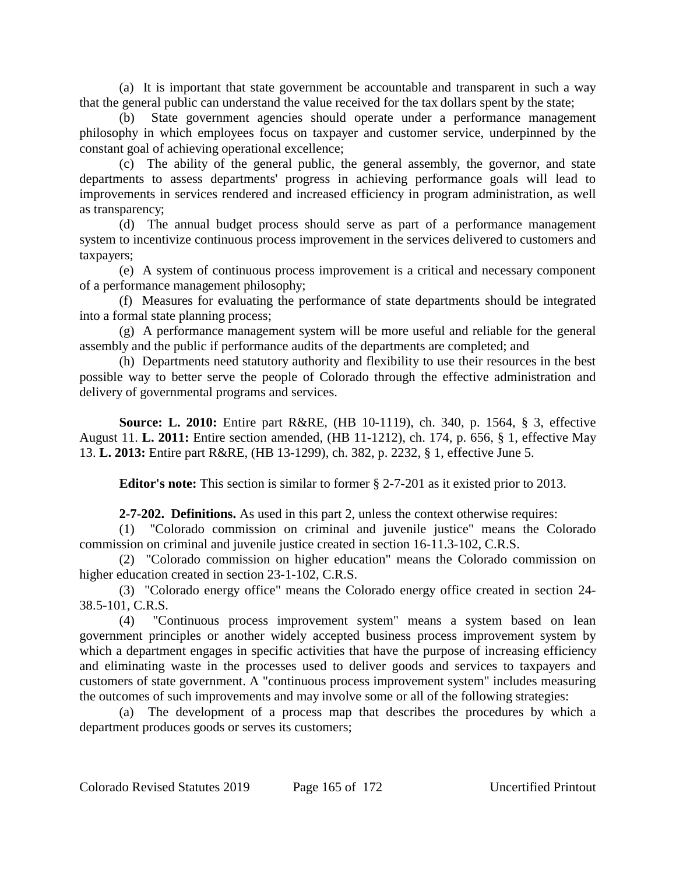(a) It is important that state government be accountable and transparent in such a way that the general public can understand the value received for the tax dollars spent by the state;

(b) State government agencies should operate under a performance management philosophy in which employees focus on taxpayer and customer service, underpinned by the constant goal of achieving operational excellence;

(c) The ability of the general public, the general assembly, the governor, and state departments to assess departments' progress in achieving performance goals will lead to improvements in services rendered and increased efficiency in program administration, as well as transparency;

(d) The annual budget process should serve as part of a performance management system to incentivize continuous process improvement in the services delivered to customers and taxpayers;

(e) A system of continuous process improvement is a critical and necessary component of a performance management philosophy;

(f) Measures for evaluating the performance of state departments should be integrated into a formal state planning process;

(g) A performance management system will be more useful and reliable for the general assembly and the public if performance audits of the departments are completed; and

(h) Departments need statutory authority and flexibility to use their resources in the best possible way to better serve the people of Colorado through the effective administration and delivery of governmental programs and services.

**Source: L. 2010:** Entire part R&RE, (HB 10-1119), ch. 340, p. 1564, § 3, effective August 11. **L. 2011:** Entire section amended, (HB 11-1212), ch. 174, p. 656, § 1, effective May 13. **L. 2013:** Entire part R&RE, (HB 13-1299), ch. 382, p. 2232, § 1, effective June 5.

**Editor's note:** This section is similar to former § 2-7-201 as it existed prior to 2013.

**2-7-202. Definitions.** As used in this part 2, unless the context otherwise requires:

(1) "Colorado commission on criminal and juvenile justice" means the Colorado commission on criminal and juvenile justice created in section 16-11.3-102, C.R.S.

(2) "Colorado commission on higher education" means the Colorado commission on higher education created in section 23-1-102, C.R.S.

(3) "Colorado energy office" means the Colorado energy office created in section 24- 38.5-101, C.R.S.

(4) "Continuous process improvement system" means a system based on lean government principles or another widely accepted business process improvement system by which a department engages in specific activities that have the purpose of increasing efficiency and eliminating waste in the processes used to deliver goods and services to taxpayers and customers of state government. A "continuous process improvement system" includes measuring the outcomes of such improvements and may involve some or all of the following strategies:

(a) The development of a process map that describes the procedures by which a department produces goods or serves its customers;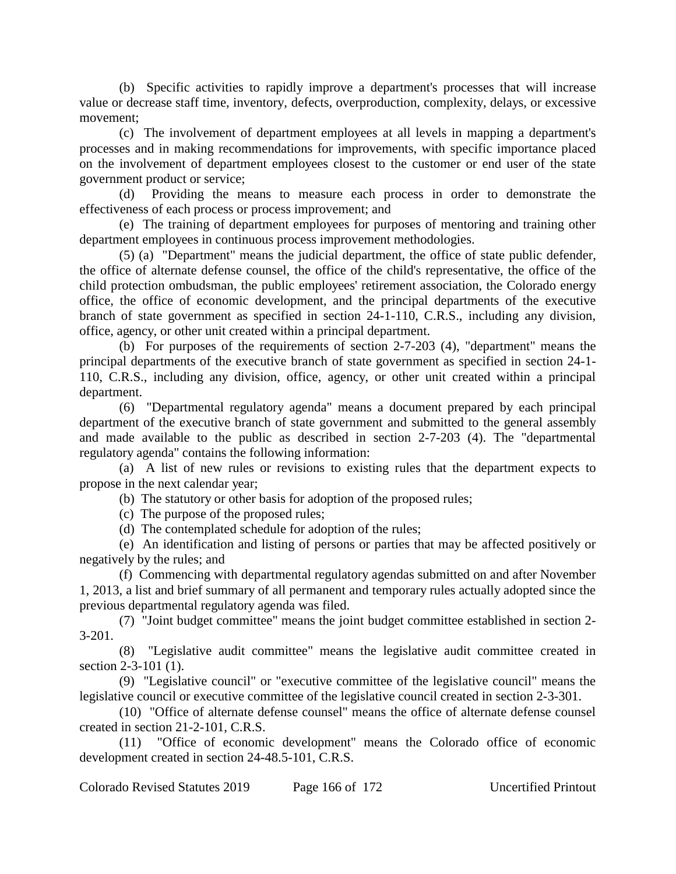(b) Specific activities to rapidly improve a department's processes that will increase value or decrease staff time, inventory, defects, overproduction, complexity, delays, or excessive movement;

(c) The involvement of department employees at all levels in mapping a department's processes and in making recommendations for improvements, with specific importance placed on the involvement of department employees closest to the customer or end user of the state government product or service;

(d) Providing the means to measure each process in order to demonstrate the effectiveness of each process or process improvement; and

(e) The training of department employees for purposes of mentoring and training other department employees in continuous process improvement methodologies.

(5) (a) "Department" means the judicial department, the office of state public defender, the office of alternate defense counsel, the office of the child's representative, the office of the child protection ombudsman, the public employees' retirement association, the Colorado energy office, the office of economic development, and the principal departments of the executive branch of state government as specified in section 24-1-110, C.R.S., including any division, office, agency, or other unit created within a principal department.

(b) For purposes of the requirements of section 2-7-203 (4), "department" means the principal departments of the executive branch of state government as specified in section 24-1- 110, C.R.S., including any division, office, agency, or other unit created within a principal department.

(6) "Departmental regulatory agenda" means a document prepared by each principal department of the executive branch of state government and submitted to the general assembly and made available to the public as described in section 2-7-203 (4). The "departmental regulatory agenda" contains the following information:

(a) A list of new rules or revisions to existing rules that the department expects to propose in the next calendar year;

(b) The statutory or other basis for adoption of the proposed rules;

(c) The purpose of the proposed rules;

(d) The contemplated schedule for adoption of the rules;

(e) An identification and listing of persons or parties that may be affected positively or negatively by the rules; and

(f) Commencing with departmental regulatory agendas submitted on and after November 1, 2013, a list and brief summary of all permanent and temporary rules actually adopted since the previous departmental regulatory agenda was filed.

(7) "Joint budget committee" means the joint budget committee established in section 2- 3-201.

(8) "Legislative audit committee" means the legislative audit committee created in section 2-3-101 (1).

(9) "Legislative council" or "executive committee of the legislative council" means the legislative council or executive committee of the legislative council created in section 2-3-301.

(10) "Office of alternate defense counsel" means the office of alternate defense counsel created in section 21-2-101, C.R.S.

(11) "Office of economic development" means the Colorado office of economic development created in section 24-48.5-101, C.R.S.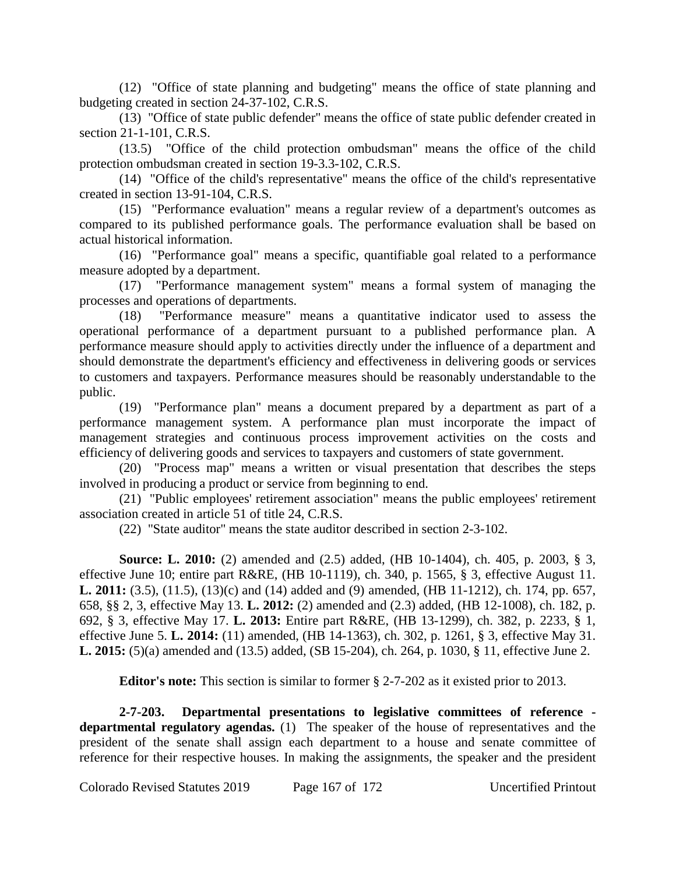(12) "Office of state planning and budgeting" means the office of state planning and budgeting created in section 24-37-102, C.R.S.

(13) "Office of state public defender" means the office of state public defender created in section 21-1-101, C.R.S.

(13.5) "Office of the child protection ombudsman" means the office of the child protection ombudsman created in section 19-3.3-102, C.R.S.

(14) "Office of the child's representative" means the office of the child's representative created in section 13-91-104, C.R.S.

(15) "Performance evaluation" means a regular review of a department's outcomes as compared to its published performance goals. The performance evaluation shall be based on actual historical information.

(16) "Performance goal" means a specific, quantifiable goal related to a performance measure adopted by a department.

(17) "Performance management system" means a formal system of managing the processes and operations of departments.

(18) "Performance measure" means a quantitative indicator used to assess the operational performance of a department pursuant to a published performance plan. A performance measure should apply to activities directly under the influence of a department and should demonstrate the department's efficiency and effectiveness in delivering goods or services to customers and taxpayers. Performance measures should be reasonably understandable to the public.

(19) "Performance plan" means a document prepared by a department as part of a performance management system. A performance plan must incorporate the impact of management strategies and continuous process improvement activities on the costs and efficiency of delivering goods and services to taxpayers and customers of state government.

(20) "Process map" means a written or visual presentation that describes the steps involved in producing a product or service from beginning to end.

(21) "Public employees' retirement association" means the public employees' retirement association created in article 51 of title 24, C.R.S.

(22) "State auditor" means the state auditor described in section 2-3-102.

**Source: L. 2010:** (2) amended and (2.5) added, (HB 10-1404), ch. 405, p. 2003, § 3, effective June 10; entire part R&RE, (HB 10-1119), ch. 340, p. 1565, § 3, effective August 11. **L. 2011:** (3.5), (11.5), (13)(c) and (14) added and (9) amended, (HB 11-1212), ch. 174, pp. 657, 658, §§ 2, 3, effective May 13. **L. 2012:** (2) amended and (2.3) added, (HB 12-1008), ch. 182, p. 692, § 3, effective May 17. **L. 2013:** Entire part R&RE, (HB 13-1299), ch. 382, p. 2233, § 1, effective June 5. **L. 2014:** (11) amended, (HB 14-1363), ch. 302, p. 1261, § 3, effective May 31. **L. 2015:** (5)(a) amended and (13.5) added, (SB 15-204), ch. 264, p. 1030, § 11, effective June 2.

**Editor's note:** This section is similar to former § 2-7-202 as it existed prior to 2013.

**2-7-203. Departmental presentations to legislative committees of reference departmental regulatory agendas.** (1) The speaker of the house of representatives and the president of the senate shall assign each department to a house and senate committee of reference for their respective houses. In making the assignments, the speaker and the president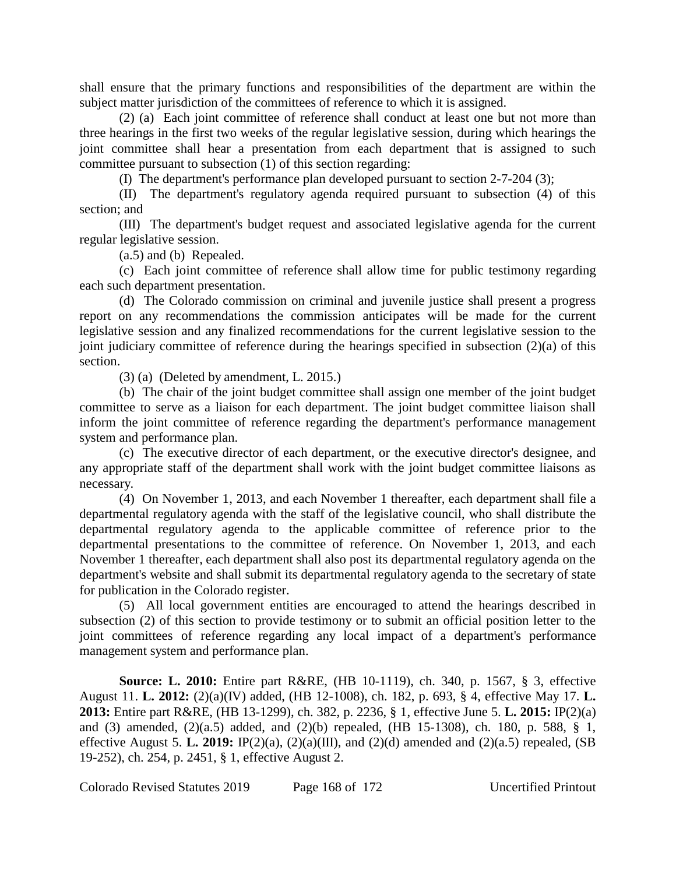shall ensure that the primary functions and responsibilities of the department are within the subject matter jurisdiction of the committees of reference to which it is assigned.

(2) (a) Each joint committee of reference shall conduct at least one but not more than three hearings in the first two weeks of the regular legislative session, during which hearings the joint committee shall hear a presentation from each department that is assigned to such committee pursuant to subsection (1) of this section regarding:

(I) The department's performance plan developed pursuant to section 2-7-204 (3);

(II) The department's regulatory agenda required pursuant to subsection (4) of this section; and

(III) The department's budget request and associated legislative agenda for the current regular legislative session.

(a.5) and (b) Repealed.

(c) Each joint committee of reference shall allow time for public testimony regarding each such department presentation.

(d) The Colorado commission on criminal and juvenile justice shall present a progress report on any recommendations the commission anticipates will be made for the current legislative session and any finalized recommendations for the current legislative session to the joint judiciary committee of reference during the hearings specified in subsection (2)(a) of this section.

(3) (a) (Deleted by amendment, L. 2015.)

(b) The chair of the joint budget committee shall assign one member of the joint budget committee to serve as a liaison for each department. The joint budget committee liaison shall inform the joint committee of reference regarding the department's performance management system and performance plan.

(c) The executive director of each department, or the executive director's designee, and any appropriate staff of the department shall work with the joint budget committee liaisons as necessary.

(4) On November 1, 2013, and each November 1 thereafter, each department shall file a departmental regulatory agenda with the staff of the legislative council, who shall distribute the departmental regulatory agenda to the applicable committee of reference prior to the departmental presentations to the committee of reference. On November 1, 2013, and each November 1 thereafter, each department shall also post its departmental regulatory agenda on the department's website and shall submit its departmental regulatory agenda to the secretary of state for publication in the Colorado register.

(5) All local government entities are encouraged to attend the hearings described in subsection (2) of this section to provide testimony or to submit an official position letter to the joint committees of reference regarding any local impact of a department's performance management system and performance plan.

**Source: L. 2010:** Entire part R&RE, (HB 10-1119), ch. 340, p. 1567, § 3, effective August 11. **L. 2012:** (2)(a)(IV) added, (HB 12-1008), ch. 182, p. 693, § 4, effective May 17. **L. 2013:** Entire part R&RE, (HB 13-1299), ch. 382, p. 2236, § 1, effective June 5. **L. 2015:** IP(2)(a) and (3) amended, (2)(a.5) added, and (2)(b) repealed, (HB 15-1308), ch. 180, p. 588, § 1, effective August 5. **L. 2019:** IP(2)(a), (2)(a)(III), and (2)(d) amended and (2)(a.5) repealed, (SB 19-252), ch. 254, p. 2451, § 1, effective August 2.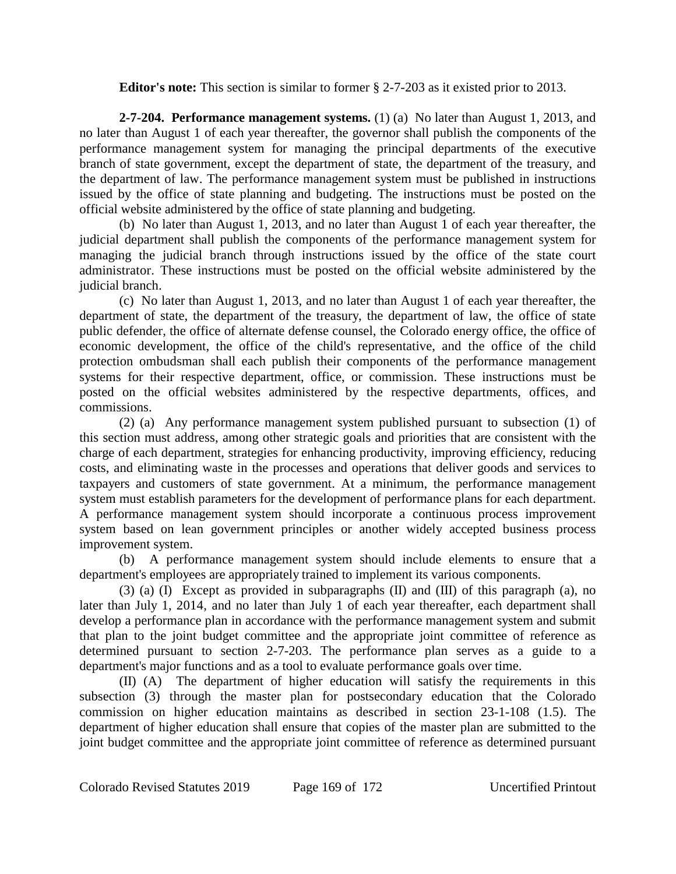**Editor's note:** This section is similar to former § 2-7-203 as it existed prior to 2013.

**2-7-204. Performance management systems.** (1) (a) No later than August 1, 2013, and no later than August 1 of each year thereafter, the governor shall publish the components of the performance management system for managing the principal departments of the executive branch of state government, except the department of state, the department of the treasury, and the department of law. The performance management system must be published in instructions issued by the office of state planning and budgeting. The instructions must be posted on the official website administered by the office of state planning and budgeting.

(b) No later than August 1, 2013, and no later than August 1 of each year thereafter, the judicial department shall publish the components of the performance management system for managing the judicial branch through instructions issued by the office of the state court administrator. These instructions must be posted on the official website administered by the judicial branch.

(c) No later than August 1, 2013, and no later than August 1 of each year thereafter, the department of state, the department of the treasury, the department of law, the office of state public defender, the office of alternate defense counsel, the Colorado energy office, the office of economic development, the office of the child's representative, and the office of the child protection ombudsman shall each publish their components of the performance management systems for their respective department, office, or commission. These instructions must be posted on the official websites administered by the respective departments, offices, and commissions.

(2) (a) Any performance management system published pursuant to subsection (1) of this section must address, among other strategic goals and priorities that are consistent with the charge of each department, strategies for enhancing productivity, improving efficiency, reducing costs, and eliminating waste in the processes and operations that deliver goods and services to taxpayers and customers of state government. At a minimum, the performance management system must establish parameters for the development of performance plans for each department. A performance management system should incorporate a continuous process improvement system based on lean government principles or another widely accepted business process improvement system.

(b) A performance management system should include elements to ensure that a department's employees are appropriately trained to implement its various components.

(3) (a) (I) Except as provided in subparagraphs (II) and (III) of this paragraph (a), no later than July 1, 2014, and no later than July 1 of each year thereafter, each department shall develop a performance plan in accordance with the performance management system and submit that plan to the joint budget committee and the appropriate joint committee of reference as determined pursuant to section 2-7-203. The performance plan serves as a guide to a department's major functions and as a tool to evaluate performance goals over time.

(II) (A) The department of higher education will satisfy the requirements in this subsection (3) through the master plan for postsecondary education that the Colorado commission on higher education maintains as described in section 23-1-108 (1.5). The department of higher education shall ensure that copies of the master plan are submitted to the joint budget committee and the appropriate joint committee of reference as determined pursuant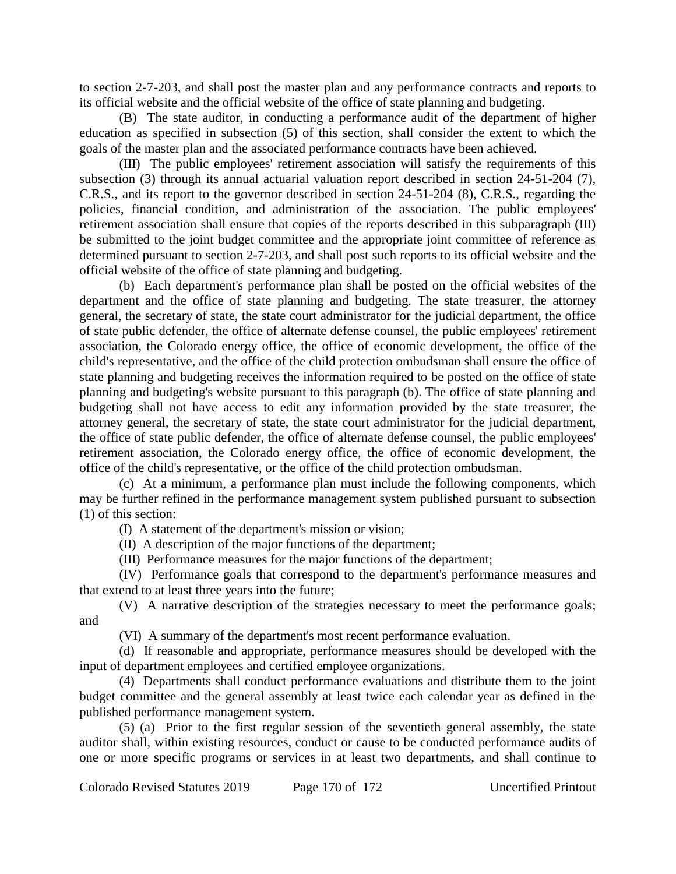to section 2-7-203, and shall post the master plan and any performance contracts and reports to its official website and the official website of the office of state planning and budgeting.

(B) The state auditor, in conducting a performance audit of the department of higher education as specified in subsection (5) of this section, shall consider the extent to which the goals of the master plan and the associated performance contracts have been achieved.

(III) The public employees' retirement association will satisfy the requirements of this subsection (3) through its annual actuarial valuation report described in section 24-51-204 (7), C.R.S., and its report to the governor described in section 24-51-204 (8), C.R.S., regarding the policies, financial condition, and administration of the association. The public employees' retirement association shall ensure that copies of the reports described in this subparagraph (III) be submitted to the joint budget committee and the appropriate joint committee of reference as determined pursuant to section 2-7-203, and shall post such reports to its official website and the official website of the office of state planning and budgeting.

(b) Each department's performance plan shall be posted on the official websites of the department and the office of state planning and budgeting. The state treasurer, the attorney general, the secretary of state, the state court administrator for the judicial department, the office of state public defender, the office of alternate defense counsel, the public employees' retirement association, the Colorado energy office, the office of economic development, the office of the child's representative, and the office of the child protection ombudsman shall ensure the office of state planning and budgeting receives the information required to be posted on the office of state planning and budgeting's website pursuant to this paragraph (b). The office of state planning and budgeting shall not have access to edit any information provided by the state treasurer, the attorney general, the secretary of state, the state court administrator for the judicial department, the office of state public defender, the office of alternate defense counsel, the public employees' retirement association, the Colorado energy office, the office of economic development, the office of the child's representative, or the office of the child protection ombudsman.

(c) At a minimum, a performance plan must include the following components, which may be further refined in the performance management system published pursuant to subsection (1) of this section:

(I) A statement of the department's mission or vision;

(II) A description of the major functions of the department;

(III) Performance measures for the major functions of the department;

(IV) Performance goals that correspond to the department's performance measures and that extend to at least three years into the future;

(V) A narrative description of the strategies necessary to meet the performance goals; and

(VI) A summary of the department's most recent performance evaluation.

(d) If reasonable and appropriate, performance measures should be developed with the input of department employees and certified employee organizations.

(4) Departments shall conduct performance evaluations and distribute them to the joint budget committee and the general assembly at least twice each calendar year as defined in the published performance management system.

(5) (a) Prior to the first regular session of the seventieth general assembly, the state auditor shall, within existing resources, conduct or cause to be conducted performance audits of one or more specific programs or services in at least two departments, and shall continue to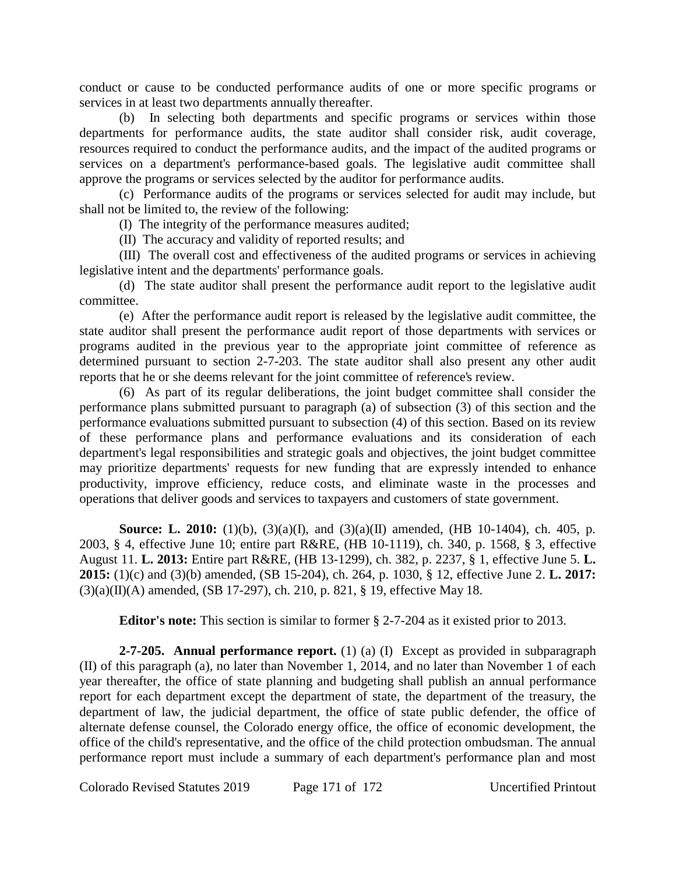conduct or cause to be conducted performance audits of one or more specific programs or services in at least two departments annually thereafter.

(b) In selecting both departments and specific programs or services within those departments for performance audits, the state auditor shall consider risk, audit coverage, resources required to conduct the performance audits, and the impact of the audited programs or services on a department's performance-based goals. The legislative audit committee shall approve the programs or services selected by the auditor for performance audits.

(c) Performance audits of the programs or services selected for audit may include, but shall not be limited to, the review of the following:

(I) The integrity of the performance measures audited;

(II) The accuracy and validity of reported results; and

(III) The overall cost and effectiveness of the audited programs or services in achieving legislative intent and the departments' performance goals.

(d) The state auditor shall present the performance audit report to the legislative audit committee.

(e) After the performance audit report is released by the legislative audit committee, the state auditor shall present the performance audit report of those departments with services or programs audited in the previous year to the appropriate joint committee of reference as determined pursuant to section 2-7-203. The state auditor shall also present any other audit reports that he or she deems relevant for the joint committee of reference's review.

(6) As part of its regular deliberations, the joint budget committee shall consider the performance plans submitted pursuant to paragraph (a) of subsection (3) of this section and the performance evaluations submitted pursuant to subsection (4) of this section. Based on its review of these performance plans and performance evaluations and its consideration of each department's legal responsibilities and strategic goals and objectives, the joint budget committee may prioritize departments' requests for new funding that are expressly intended to enhance productivity, improve efficiency, reduce costs, and eliminate waste in the processes and operations that deliver goods and services to taxpayers and customers of state government.

**Source: L. 2010:** (1)(b), (3)(a)(I), and (3)(a)(II) amended, (HB 10-1404), ch. 405, p. 2003, § 4, effective June 10; entire part R&RE, (HB 10-1119), ch. 340, p. 1568, § 3, effective August 11. **L. 2013:** Entire part R&RE, (HB 13-1299), ch. 382, p. 2237, § 1, effective June 5. **L. 2015:** (1)(c) and (3)(b) amended, (SB 15-204), ch. 264, p. 1030, § 12, effective June 2. **L. 2017:**  $(3)(a)(II)(A)$  amended, (SB 17-297), ch. 210, p. 821, § 19, effective May 18.

**Editor's note:** This section is similar to former § 2-7-204 as it existed prior to 2013.

**2-7-205. Annual performance report.** (1) (a) (I) Except as provided in subparagraph (II) of this paragraph (a), no later than November 1, 2014, and no later than November 1 of each year thereafter, the office of state planning and budgeting shall publish an annual performance report for each department except the department of state, the department of the treasury, the department of law, the judicial department, the office of state public defender, the office of alternate defense counsel, the Colorado energy office, the office of economic development, the office of the child's representative, and the office of the child protection ombudsman. The annual performance report must include a summary of each department's performance plan and most

Colorado Revised Statutes 2019 Page 171 of 172 Uncertified Printout